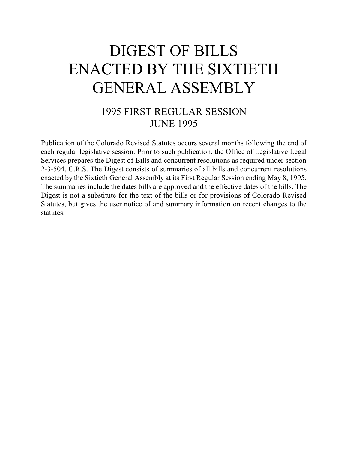# DIGEST OF BILLS ENACTED BY THE SIXTIETH GENERAL ASSEMBLY

## 1995 FIRST REGULAR SESSION JUNE 1995

Publication of the Colorado Revised Statutes occurs several months following the end of each regular legislative session. Prior to such publication, the Office of Legislative Legal Services prepares the Digest of Bills and concurrent resolutions as required under section 2-3-504, C.R.S. The Digest consists of summaries of all bills and concurrent resolutions enacted by the Sixtieth General Assembly at its First Regular Session ending May 8, 1995. The summaries include the dates bills are approved and the effective dates of the bills. The Digest is not a substitute for the text of the bills or for provisions of Colorado Revised Statutes, but gives the user notice of and summary information on recent changes to the statutes.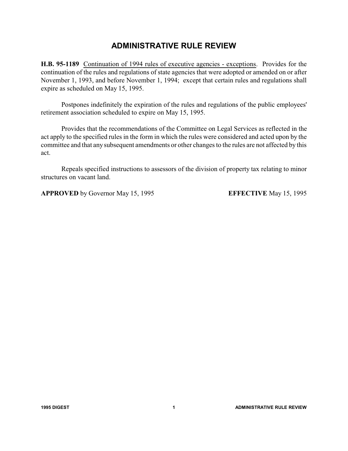### **ADMINISTRATIVE RULE REVIEW**

**H.B. 95-1189** Continuation of 1994 rules of executive agencies - exceptions. Provides for the continuation of the rules and regulations of state agencies that were adopted or amended on or after November 1, 1993, and before November 1, 1994; except that certain rules and regulations shall expire as scheduled on May 15, 1995.

Postpones indefinitely the expiration of the rules and regulations of the public employees' retirement association scheduled to expire on May 15, 1995.

Provides that the recommendations of the Committee on Legal Services as reflected in the act apply to the specified rules in the form in which the rules were considered and acted upon by the committee and that any subsequent amendments or other changes to the rules are not affected by this act.

Repeals specified instructions to assessors of the division of property tax relating to minor structures on vacant land.

**APPROVED** by Governor May 15, 1995 **EFFECTIVE** May 15, 1995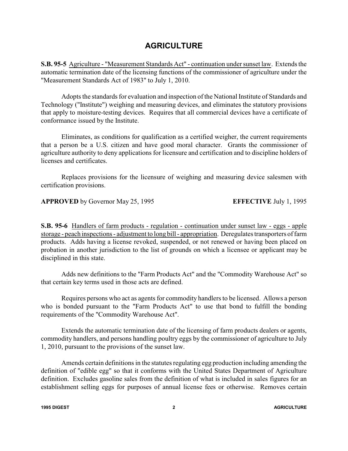#### **AGRICULTURE**

**S.B. 95-5** Agriculture - "Measurement Standards Act" - continuation under sunset law. Extends the automatic termination date of the licensing functions of the commissioner of agriculture under the "Measurement Standards Act of 1983" to July 1, 2010.

Adopts the standards for evaluation and inspection of the National Institute of Standards and Technology ("Institute") weighing and measuring devices, and eliminates the statutory provisions that apply to moisture-testing devices. Requires that all commercial devices have a certificate of conformance issued by the Institute.

Eliminates, as conditions for qualification as a certified weigher, the current requirements that a person be a U.S. citizen and have good moral character. Grants the commissioner of agriculture authority to deny applications for licensure and certification and to discipline holders of licenses and certificates.

Replaces provisions for the licensure of weighing and measuring device salesmen with certification provisions.

**APPROVED** by Governor May 25, 1995 **EFFECTIVE** July 1, 1995

**S.B. 95-6** Handlers of farm products - regulation - continuation under sunset law - eggs - apple storage - peach inspections - adjustment to long bill - appropriation. Deregulates transporters of farm products. Adds having a license revoked, suspended, or not renewed or having been placed on probation in another jurisdiction to the list of grounds on which a licensee or applicant may be disciplined in this state.

Adds new definitions to the "Farm Products Act" and the "Commodity Warehouse Act" so that certain key terms used in those acts are defined.

Requires persons who act as agents for commodity handlers to be licensed. Allows a person who is bonded pursuant to the "Farm Products Act" to use that bond to fulfill the bonding requirements of the "Commodity Warehouse Act".

Extends the automatic termination date of the licensing of farm products dealers or agents, commodity handlers, and persons handling poultry eggs by the commissioner of agriculture to July 1, 2010, pursuant to the provisions of the sunset law.

Amends certain definitions in the statutes regulating egg production including amending the definition of "edible egg" so that it conforms with the United States Department of Agriculture definition. Excludes gasoline sales from the definition of what is included in sales figures for an establishment selling eggs for purposes of annual license fees or otherwise. Removes certain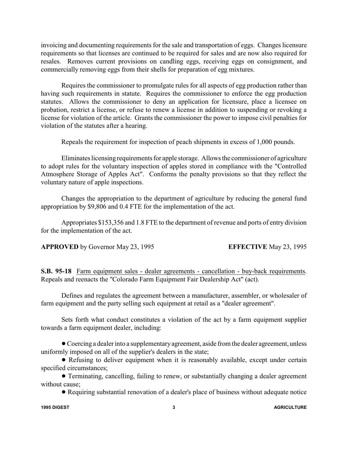invoicing and documenting requirements for the sale and transportation of eggs. Changes licensure requirements so that licenses are continued to be required for sales and are now also required for resales. Removes current provisions on candling eggs, receiving eggs on consignment, and commercially removing eggs from their shells for preparation of egg mixtures.

Requires the commissioner to promulgate rules for all aspects of egg production rather than having such requirements in statute. Requires the commissioner to enforce the egg production statutes. Allows the commissioner to deny an application for licensure, place a licensee on probation, restrict a license, or refuse to renew a license in addition to suspending or revoking a license for violation of the article. Grants the commissioner the power to impose civil penalties for violation of the statutes after a hearing.

Repeals the requirement for inspection of peach shipments in excess of 1,000 pounds.

Eliminates licensing requirements for apple storage. Allows the commissioner of agriculture to adopt rules for the voluntary inspection of apples stored in compliance with the "Controlled Atmosphere Storage of Apples Act". Conforms the penalty provisions so that they reflect the voluntary nature of apple inspections.

Changes the appropriation to the department of agriculture by reducing the general fund appropriation by \$9,806 and 0.4 FTE for the implementation of the act.

Appropriates \$153,356 and 1.8 FTE to the department of revenue and ports of entry division for the implementation of the act.

**APPROVED** by Governor May 23, 1995 **EFFECTIVE** May 23, 1995

**S.B. 95-18** Farm equipment sales - dealer agreements - cancellation - buy-back requirements. Repeals and reenacts the "Colorado Farm Equipment Fair Dealership Act" (act).

Defines and regulates the agreement between a manufacturer, assembler, or wholesaler of farm equipment and the party selling such equipment at retail as a "dealer agreement".

Sets forth what conduct constitutes a violation of the act by a farm equipment supplier towards a farm equipment dealer, including:

!Coercing a dealer into a supplementaryagreement, aside from the dealer agreement, unless uniformly imposed on all of the supplier's dealers in the state;

! Refusing to deliver equipment when it is reasonably available, except under certain specified circumstances;

! Terminating, cancelling, failing to renew, or substantially changing a dealer agreement without cause;

! Requiring substantial renovation of a dealer's place of business without adequate notice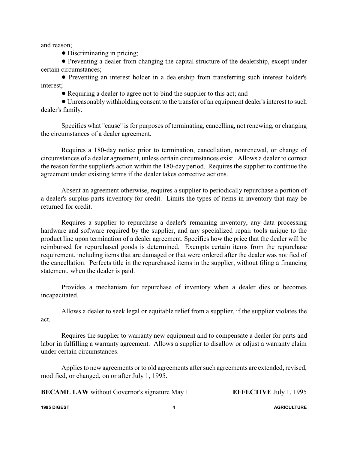and reason;

• Discriminating in pricing;

! Preventing a dealer from changing the capital structure of the dealership, except under certain circumstances;

! Preventing an interest holder in a dealership from transferring such interest holder's interest;

! Requiring a dealer to agree not to bind the supplier to this act; and

! Unreasonablywithholding consent to the transfer of an equipment dealer's interest to such dealer's family.

Specifies what "cause" is for purposes of terminating, cancelling, not renewing, or changing the circumstances of a dealer agreement.

Requires a 180-day notice prior to termination, cancellation, nonrenewal, or change of circumstances of a dealer agreement, unless certain circumstances exist. Allows a dealer to correct the reason for the supplier's action within the 180-day period. Requires the supplier to continue the agreement under existing terms if the dealer takes corrective actions.

Absent an agreement otherwise, requires a supplier to periodically repurchase a portion of a dealer's surplus parts inventory for credit. Limits the types of items in inventory that may be returned for credit.

Requires a supplier to repurchase a dealer's remaining inventory, any data processing hardware and software required by the supplier, and any specialized repair tools unique to the product line upon termination of a dealer agreement. Specifies how the price that the dealer will be reimbursed for repurchased goods is determined. Exempts certain items from the repurchase requirement, including items that are damaged or that were ordered after the dealer was notified of the cancellation. Perfects title in the repurchased items in the supplier, without filing a financing statement, when the dealer is paid.

Provides a mechanism for repurchase of inventory when a dealer dies or becomes incapacitated.

Allows a dealer to seek legal or equitable relief from a supplier, if the supplier violates the act.

Requires the supplier to warranty new equipment and to compensate a dealer for parts and labor in fulfilling a warranty agreement. Allows a supplier to disallow or adjust a warranty claim under certain circumstances.

Applies to new agreements or to old agreements after such agreements are extended, revised, modified, or changed, on or after July 1, 1995.

**BECAME LAW** without Governor's signature May 1 **EFFECTIVE** July 1, 1995

**1995 DIGEST 4 AGRICULTURE**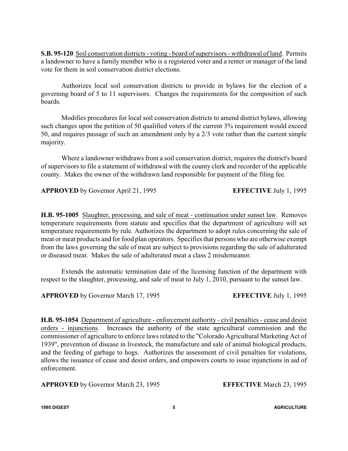**S.B. 95-120** Soil conservation districts - voting - board of supervisors - withdrawal of land. Permits a landowner to have a family member who is a registered voter and a renter or manager of the land vote for them in soil conservation district elections.

Authorizes local soil conservation districts to provide in bylaws for the election of a governing board of 5 to 11 supervisors. Changes the requirements for the composition of such boards.

Modifies procedures for local soil conservation districts to amend district bylaws, allowing such changes upon the petition of 50 qualified voters if the current 3% requirement would exceed 50, and requires passage of such an amendment only by a 2/3 vote rather than the current simple majority.

Where a landowner withdraws from a soil conservation district, requires the district's board of supervisors to file a statement of withdrawal with the county clerk and recorder of the applicable county. Makes the owner of the withdrawn land responsible for payment of the filing fee.

**APPROVED** by Governor April 21, 1995 **EFFECTIVE** July 1, 1995

**H.B. 95-1005** Slaughter, processing, and sale of meat - continuation under sunset law. Removes temperature requirements from statute and specifies that the department of agriculture will set temperature requirements by rule. Authorizes the department to adopt rules concerning the sale of meat or meat products and for food plan operators. Specifies that persons who are otherwise exempt from the laws governing the sale of meat are subject to provisions regarding the sale of adulterated or diseased meat. Makes the sale of adulterated meat a class 2 misdemeanor.

Extends the automatic termination date of the licensing function of the department with respect to the slaughter, processing, and sale of meat to July 1, 2010, pursuant to the sunset law.

**APPROVED** by Governor March 17, 1995 **EFFECTIVE** July 1, 1995

**H.B. 95-1054** Department of agriculture - enforcement authority - civil penalties - cease and desist orders - injunctions. Increases the authority of the state agricultural commission and the commissioner of agriculture to enforce laws related to the "Colorado Agricultural Marketing Act of 1939", prevention of disease in livestock, the manufacture and sale of animal biological products, and the feeding of garbage to hogs. Authorizes the assessment of civil penalties for violations, allows the issuance of cease and desist orders, and empowers courts to issue injunctions in aid of enforcement.

**APPROVED** by Governor March 23, 1995 **EFFECTIVE** March 23, 1995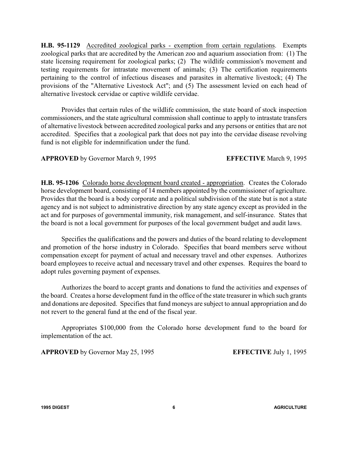**H.B. 95-1129** Accredited zoological parks - exemption from certain regulations. Exempts zoological parks that are accredited by the American zoo and aquarium association from: (1) The state licensing requirement for zoological parks; (2) The wildlife commission's movement and testing requirements for intrastate movement of animals; (3) The certification requirements pertaining to the control of infectious diseases and parasites in alternative livestock; (4) The provisions of the "Alternative Livestock Act"; and (5) The assessment levied on each head of alternative livestock cervidae or captive wildlife cervidae.

Provides that certain rules of the wildlife commission, the state board of stock inspection commissioners, and the state agricultural commission shall continue to apply to intrastate transfers of alternative livestock between accredited zoological parks and any persons or entities that are not accredited. Specifies that a zoological park that does not pay into the cervidae disease revolving fund is not eligible for indemnification under the fund.

**APPROVED** by Governor March 9, 1995 **EFFECTIVE** March 9, 1995

**H.B. 95-1206** Colorado horse development board created - appropriation. Creates the Colorado horse development board, consisting of 14 members appointed by the commissioner of agriculture. Provides that the board is a body corporate and a political subdivision of the state but is not a state agency and is not subject to administrative direction by any state agency except as provided in the act and for purposes of governmental immunity, risk management, and self-insurance. States that the board is not a local government for purposes of the local government budget and audit laws.

Specifies the qualifications and the powers and duties of the board relating to development and promotion of the horse industry in Colorado. Specifies that board members serve without compensation except for payment of actual and necessary travel and other expenses. Authorizes board employees to receive actual and necessary travel and other expenses. Requires the board to adopt rules governing payment of expenses.

Authorizes the board to accept grants and donations to fund the activities and expenses of the board. Creates a horse development fund in the office of the state treasurer in which such grants and donations are deposited. Specifies that fund moneys are subject to annual appropriation and do not revert to the general fund at the end of the fiscal year.

Appropriates \$100,000 from the Colorado horse development fund to the board for implementation of the act.

**APPROVED** by Governor May 25, 1995 **EFFECTIVE** July 1, 1995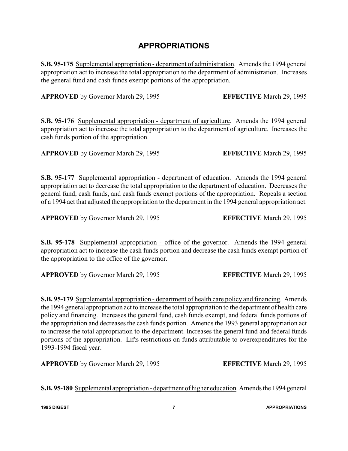### **APPROPRIATIONS**

**S.B. 95-175** Supplemental appropriation - department of administration. Amends the 1994 general appropriation act to increase the total appropriation to the department of administration. Increases the general fund and cash funds exempt portions of the appropriation.

**APPROVED** by Governor March 29, 1995 **EFFECTIVE** March 29, 1995

**S.B. 95-176** Supplemental appropriation - department of agriculture. Amends the 1994 general appropriation act to increase the total appropriation to the department of agriculture. Increases the cash funds portion of the appropriation.

**APPROVED** by Governor March 29, 1995 **EFFECTIVE** March 29, 1995

**S.B. 95-177** Supplemental appropriation - department of education. Amends the 1994 general appropriation act to decrease the total appropriation to the department of education. Decreases the general fund, cash funds, and cash funds exempt portions of the appropriation. Repeals a section of a 1994 act that adjusted the appropriation to the department in the 1994 general appropriation act.

**APPROVED** by Governor March 29, 1995 **EFFECTIVE** March 29, 1995

**S.B. 95-178** Supplemental appropriation - office of the governor. Amends the 1994 general appropriation act to increase the cash funds portion and decrease the cash funds exempt portion of the appropriation to the office of the governor.

**APPROVED** by Governor March 29, 1995 **EFFECTIVE** March 29, 1995

**S.B. 95-179** Supplemental appropriation - department of health care policy and financing. Amends the 1994 general appropriation act to increase the total appropriation to the department of health care policy and financing. Increases the general fund, cash funds exempt, and federal funds portions of the appropriation and decreases the cash funds portion. Amends the 1993 general appropriation act to increase the total appropriation to the department. Increases the general fund and federal funds portions of the appropriation. Lifts restrictions on funds attributable to overexpenditures for the 1993-1994 fiscal year.

**APPROVED** by Governor March 29, 1995 **EFFECTIVE** March 29, 1995

**S.B. 95-180** Supplemental appropriation - department of higher education. Amends the 1994 general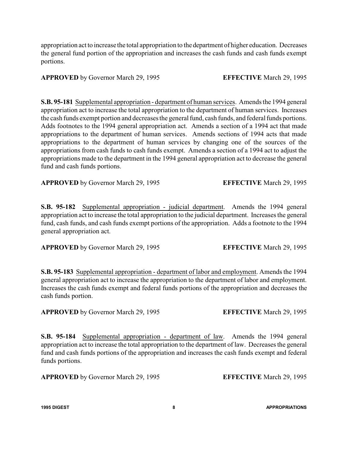appropriation act to increase the total appropriation to the department of higher education. Decreases the general fund portion of the appropriation and increases the cash funds and cash funds exempt portions.

#### **APPROVED** by Governor March 29, 1995 **EFFECTIVE** March 29, 1995

**S.B. 95-181** Supplemental appropriation - department of human services. Amends the 1994 general appropriation act to increase the total appropriation to the department of human services. Increases the cash funds exempt portion and decreases the general fund, cash funds, and federal funds portions. Adds footnotes to the 1994 general appropriation act. Amends a section of a 1994 act that made appropriations to the department of human services. Amends sections of 1994 acts that made appropriations to the department of human services by changing one of the sources of the appropriations from cash funds to cash funds exempt. Amends a section of a 1994 act to adjust the appropriations made to the department in the 1994 general appropriation act to decrease the general fund and cash funds portions.

**APPROVED** by Governor March 29, 1995 **EFFECTIVE** March 29, 1995

**S.B. 95-182** Supplemental appropriation - judicial department. Amends the 1994 general appropriation act to increase the total appropriation to the judicial department. Increases the general fund, cash funds, and cash funds exempt portions of the appropriation. Adds a footnote to the 1994 general appropriation act.

**APPROVED** by Governor March 29, 1995 **EFFECTIVE** March 29, 1995

**S.B. 95-183** Supplemental appropriation - department of labor and employment. Amends the 1994 general appropriation act to increase the appropriation to the department of labor and employment. Increases the cash funds exempt and federal funds portions of the appropriation and decreases the cash funds portion.

**APPROVED** by Governor March 29, 1995 **EFFECTIVE** March 29, 1995

**S.B. 95-184** Supplemental appropriation - department of law. Amends the 1994 general appropriation act to increase the total appropriation to the department of law. Decreases the general fund and cash funds portions of the appropriation and increases the cash funds exempt and federal funds portions.

**APPROVED** by Governor March 29, 1995 **EFFECTIVE** March 29, 1995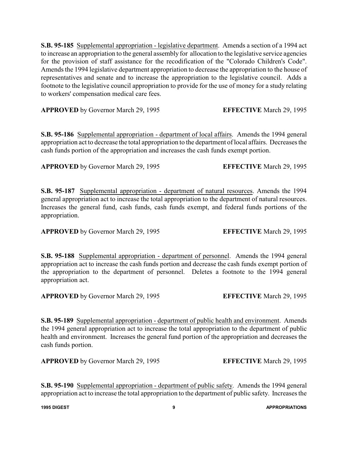**S.B. 95-185** Supplemental appropriation - legislative department. Amends a section of a 1994 act to increase an appropriation to the general assembly for allocation to the legislative service agencies for the provision of staff assistance for the recodification of the "Colorado Children's Code". Amends the 1994 legislative department appropriation to decrease the appropriation to the house of representatives and senate and to increase the appropriation to the legislative council. Adds a footnote to the legislative council appropriation to provide for the use of money for a study relating to workers' compensation medical care fees.

**APPROVED** by Governor March 29, 1995 **EFFECTIVE** March 29, 1995

**S.B. 95-186** Supplemental appropriation - department of local affairs. Amends the 1994 general appropriation act to decrease the total appropriation to the department of local affairs. Decreases the cash funds portion of the appropriation and increases the cash funds exempt portion.

**APPROVED** by Governor March 29, 1995 **EFFECTIVE** March 29, 1995

**S.B. 95-187** Supplemental appropriation - department of natural resources. Amends the 1994 general appropriation act to increase the total appropriation to the department of natural resources. Increases the general fund, cash funds, cash funds exempt, and federal funds portions of the appropriation.

**APPROVED** by Governor March 29, 1995 **EFFECTIVE** March 29, 1995

**S.B. 95-188** Supplemental appropriation - department of personnel. Amends the 1994 general appropriation act to increase the cash funds portion and decrease the cash funds exempt portion of the appropriation to the department of personnel. Deletes a footnote to the 1994 general appropriation act.

**APPROVED** by Governor March 29, 1995 **EFFECTIVE** March 29, 1995

**S.B. 95-189** Supplemental appropriation - department of public health and environment. Amends the 1994 general appropriation act to increase the total appropriation to the department of public health and environment. Increases the general fund portion of the appropriation and decreases the cash funds portion.

**APPROVED** by Governor March 29, 1995 **EFFECTIVE** March 29, 1995

**S.B. 95-190** Supplemental appropriation - department of public safety. Amends the 1994 general appropriation act to increase the total appropriation to the department of public safety. Increases the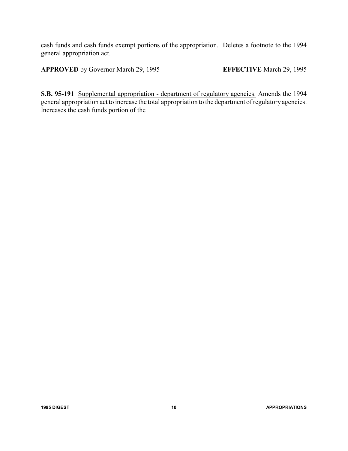cash funds and cash funds exempt portions of the appropriation. Deletes a footnote to the 1994 general appropriation act.

**APPROVED** by Governor March 29, 1995 **EFFECTIVE** March 29, 1995

**S.B. 95-191** Supplemental appropriation - department of regulatory agencies. Amends the 1994 general appropriation act to increase the total appropriation to the department of regulatory agencies. Increases the cash funds portion of the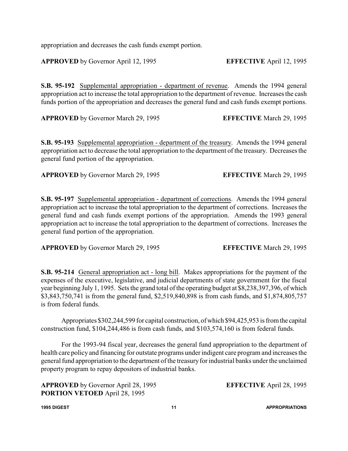appropriation and decreases the cash funds exempt portion.

**APPROVED** by Governor April 12, 1995 **EFFECTIVE** April 12, 1995

**S.B. 95-192** Supplemental appropriation - department of revenue. Amends the 1994 general appropriation act to increase the total appropriation to the department of revenue. Increases the cash funds portion of the appropriation and decreases the general fund and cash funds exempt portions.

**APPROVED** by Governor March 29, 1995 **EFFECTIVE** March 29, 1995

**S.B. 95-193** Supplemental appropriation - department of the treasury. Amends the 1994 general appropriation act to decrease the total appropriation to the department of the treasury. Decreases the general fund portion of the appropriation.

**APPROVED** by Governor March 29, 1995 **EFFECTIVE** March 29, 1995

**S.B. 95-197** Supplemental appropriation - department of corrections. Amends the 1994 general appropriation act to increase the total appropriation to the department of corrections. Increases the general fund and cash funds exempt portions of the appropriation. Amends the 1993 general appropriation act to increase the total appropriation to the department of corrections. Increases the general fund portion of the appropriation.

**APPROVED** by Governor March 29, 1995 **EFFECTIVE** March 29, 1995

**S.B. 95-214** General appropriation act - long bill. Makes appropriations for the payment of the expenses of the executive, legislative, and judicial departments of state government for the fiscal year beginning July 1, 1995. Sets the grand total of the operating budget at \$8,238,397,396, of which \$3,843,750,741 is from the general fund, \$2,519,840,898 is from cash funds, and \$1,874,805,757 is from federal funds.

Appropriates \$302,244,599 for capital construction, of which \$94,425,953 is fromthe capital construction fund, \$104,244,486 is from cash funds, and \$103,574,160 is from federal funds.

For the 1993-94 fiscal year, decreases the general fund appropriation to the department of health care policy and financing for outstate programs under indigent care program and increases the general fund appropriation to the department of the treasuryfor industrial banks under the unclaimed property program to repay depositors of industrial banks.

**APPROVED** by Governor April 28, 1995 **EFFECTIVE** April 28, 1995 **PORTION VETOED** April 28, 1995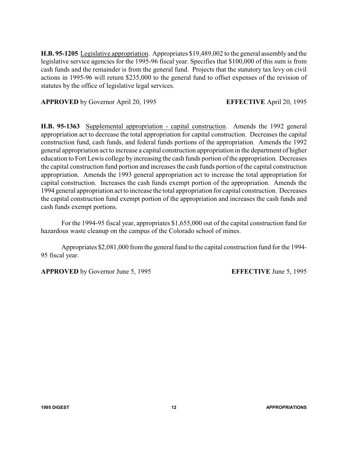**H.B. 95-1205** Legislative appropriation. Appropriates \$19,489,002 to the general assembly and the legislative service agencies for the 1995-96 fiscal year. Specifies that \$100,000 of this sum is from cash funds and the remainder is from the general fund. Projects that the statutory tax levy on civil actions in 1995-96 will return \$235,000 to the general fund to offset expenses of the revision of statutes by the office of legislative legal services.

**APPROVED** by Governor April 20, 1995 **EFFECTIVE** April 20, 1995

**H.B. 95-1363** Supplemental appropriation - capital construction. Amends the 1992 general appropriation act to decrease the total appropriation for capital construction. Decreases the capital construction fund, cash funds, and federal funds portions of the appropriation. Amends the 1992 general appropriation act to increase a capital construction appropriation in the department of higher education to Fort Lewis college by increasing the cash funds portion of the appropriation. Decreases the capital construction fund portion and increases the cash funds portion of the capital construction appropriation. Amends the 1993 general appropriation act to increase the total appropriation for capital construction. Increases the cash funds exempt portion of the appropriation. Amends the 1994 general appropriation act to increase the total appropriation for capital construction. Decreases the capital construction fund exempt portion of the appropriation and increases the cash funds and cash funds exempt portions.

For the 1994-95 fiscal year, appropriates \$1,655,000 out of the capital construction fund for hazardous waste cleanup on the campus of the Colorado school of mines.

Appropriates \$2,081,000 from the general fund to the capital construction fund for the 1994- 95 fiscal year.

**APPROVED** by Governor June 5, 1995 **EFFECTIVE** June 5, 1995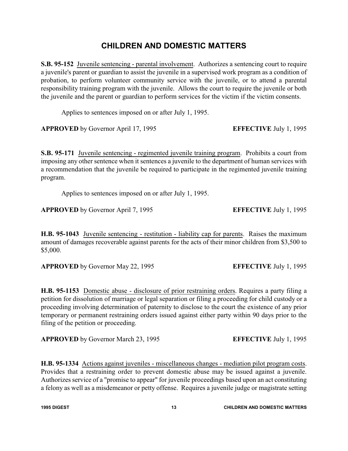### **CHILDREN AND DOMESTIC MATTERS**

**S.B. 95-152** Juvenile sentencing - parental involvement. Authorizes a sentencing court to require a juvenile's parent or guardian to assist the juvenile in a supervised work program as a condition of probation, to perform volunteer community service with the juvenile, or to attend a parental responsibility training program with the juvenile. Allows the court to require the juvenile or both the juvenile and the parent or guardian to perform services for the victim if the victim consents.

Applies to sentences imposed on or after July 1, 1995.

**APPROVED** by Governor April 17, 1995 **EFFECTIVE** July 1, 1995

**S.B. 95-171** Juvenile sentencing - regimented juvenile training program. Prohibits a court from imposing any other sentence when it sentences a juvenile to the department of human services with a recommendation that the juvenile be required to participate in the regimented juvenile training program.

Applies to sentences imposed on or after July 1, 1995.

**APPROVED** by Governor April 7, 1995 **EFFECTIVE** July 1, 1995

**H.B. 95-1043** Juvenile sentencing - restitution - liability cap for parents. Raises the maximum amount of damages recoverable against parents for the acts of their minor children from \$3,500 to \$5,000.

**APPROVED** by Governor May 22, 1995 **EFFECTIVE** July 1, 1995

**H.B. 95-1153** Domestic abuse - disclosure of prior restraining orders. Requires a party filing a petition for dissolution of marriage or legal separation or filing a proceeding for child custody or a proceeding involving determination of paternity to disclose to the court the existence of any prior temporary or permanent restraining orders issued against either party within 90 days prior to the filing of the petition or proceeding.

**APPROVED** by Governor March 23, 1995 **EFFECTIVE** July 1, 1995

**H.B. 95-1334** Actions against juveniles - miscellaneous changes - mediation pilot program costs. Provides that a restraining order to prevent domestic abuse may be issued against a juvenile. Authorizes service of a "promise to appear" for juvenile proceedings based upon an act constituting a felony as well as a misdemeanor or petty offense. Requires a juvenile judge or magistrate setting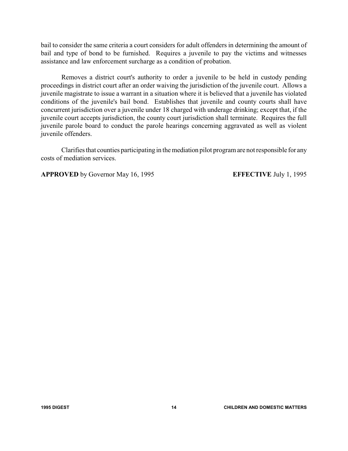bail to consider the same criteria a court considers for adult offenders in determining the amount of bail and type of bond to be furnished. Requires a juvenile to pay the victims and witnesses assistance and law enforcement surcharge as a condition of probation.

Removes a district court's authority to order a juvenile to be held in custody pending proceedings in district court after an order waiving the jurisdiction of the juvenile court. Allows a juvenile magistrate to issue a warrant in a situation where it is believed that a juvenile has violated conditions of the juvenile's bail bond. Establishes that juvenile and county courts shall have concurrent jurisdiction over a juvenile under 18 charged with underage drinking; except that, if the juvenile court accepts jurisdiction, the county court jurisdiction shall terminate. Requires the full juvenile parole board to conduct the parole hearings concerning aggravated as well as violent juvenile offenders.

Clarifies that counties participating in the mediation pilot program are not responsible for any costs of mediation services.

**APPROVED** by Governor May 16, 1995 **EFFECTIVE** July 1, 1995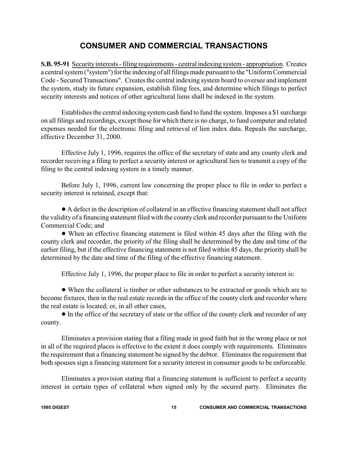### **CONSUMER AND COMMERCIAL TRANSACTIONS**

**S.B. 95-91** Security interests - filing requirements - central indexing system - appropriation. Creates a central system ("system") for the indexing of all filings made pursuant to the "Uniform Commercial Code - Secured Transactions". Creates the central indexing system board to oversee and implement the system, study its future expansion, establish filing fees, and determine which filings to perfect security interests and notices of other agricultural liens shall be indexed in the system.

Establishes the central indexing system cash fund to fund the system. Imposes a \$1 surcharge on all filings and recordings, except those for which there is no charge, to fund computer and related expenses needed for the electronic filing and retrieval of lien index data. Repeals the surcharge, effective December 31, 2000.

Effective July 1, 1996, requires the office of the secretary of state and any county clerk and recorder receiving a filing to perfect a security interest or agricultural lien to transmit a copy of the filing to the central indexing system in a timely manner.

Before July 1, 1996, current law concerning the proper place to file in order to perfect a security interest is retained, except that:

! A defect in the description of collateral in an effective financing statement shall not affect the validity of a financing statement filed with the county clerk and recorder pursuant to the Uniform Commercial Code; and

! When an effective financing statement is filed within 45 days after the filing with the county clerk and recorder, the priority of the filing shall be determined by the date and time of the earlier filing, but if the effective financing statement is not filed within 45 days, the priority shall be determined by the date and time of the filing of the effective financing statement.

Effective July 1, 1996, the proper place to file in order to perfect a security interest is:

! When the collateral is timber or other substances to be extracted or goods which are to become fixtures, then in the real estate records in the office of the county clerk and recorder where the real estate is located; or, in all other cases,

! In the office of the secretary of state or the office of the county clerk and recorder of any county.

Eliminates a provision stating that a filing made in good faith but in the wrong place or not in all of the required places is effective to the extent it does comply with requirements. Eliminates the requirement that a financing statement be signed by the debtor. Eliminates the requirement that both spouses sign a financing statement for a security interest in consumer goods to be enforceable.

Eliminates a provision stating that a financing statement is sufficient to perfect a security interest in certain types of collateral when signed only by the secured party. Eliminates the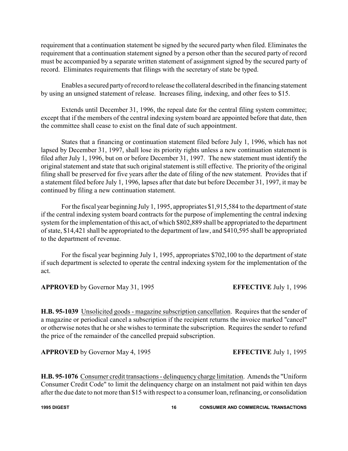requirement that a continuation statement be signed by the secured party when filed. Eliminates the requirement that a continuation statement signed by a person other than the secured party of record must be accompanied by a separate written statement of assignment signed by the secured party of record. Eliminates requirements that filings with the secretary of state be typed.

Enables a secured partyof record to release the collateral described in the financing statement by using an unsigned statement of release. Increases filing, indexing, and other fees to \$15.

Extends until December 31, 1996, the repeal date for the central filing system committee; except that if the members of the central indexing system board are appointed before that date, then the committee shall cease to exist on the final date of such appointment.

States that a financing or continuation statement filed before July 1, 1996, which has not lapsed by December 31, 1997, shall lose its priority rights unless a new continuation statement is filed after July 1, 1996, but on or before December 31, 1997. The new statement must identify the original statement and state that such original statement is still effective. The priority of the original filing shall be preserved for five years after the date of filing of the new statement. Provides that if a statement filed before July 1, 1996, lapses after that date but before December 31, 1997, it may be continued by filing a new continuation statement.

For the fiscal year beginning July 1, 1995, appropriates \$1,915,584 to the department of state if the central indexing system board contracts for the purpose of implementing the central indexing system for the implementation of this act, of which \$802,889 shall be appropriated to the department of state, \$14,421 shall be appropriated to the department of law, and \$410,595 shall be appropriated to the department of revenue.

For the fiscal year beginning July 1, 1995, appropriates \$702,100 to the department of state if such department is selected to operate the central indexing system for the implementation of the act.

**APPROVED** by Governor May 31, 1995 **EFFECTIVE** July 1, 1996

**H.B. 95-1039** Unsolicited goods - magazine subscription cancellation. Requires that the sender of a magazine or periodical cancel a subscription if the recipient returns the invoice marked "cancel" or otherwise notes that he or she wishes to terminate the subscription. Requires the sender to refund the price of the remainder of the cancelled prepaid subscription.

**APPROVED** by Governor May 4, 1995 **EFFECTIVE** July 1, 1995

**H.B. 95-1076** Consumer credit transactions - delinquency charge limitation. Amends the "Uniform Consumer Credit Code" to limit the delinquency charge on an instalment not paid within ten days after the due date to not more than \$15 with respect to a consumer loan, refinancing, or consolidation

**1995 DIGEST 16 CONSUMER AND COMMERCIAL TRANSACTIONS**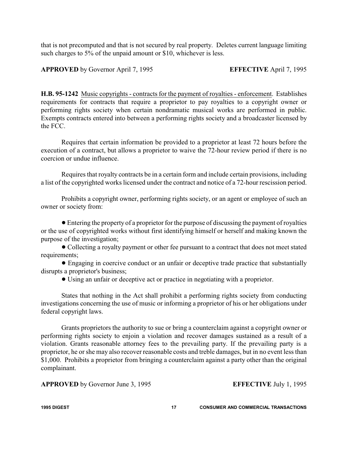that is not precomputed and that is not secured by real property. Deletes current language limiting such charges to 5% of the unpaid amount or \$10, whichever is less.

**APPROVED** by Governor April 7, 1995 **EFFECTIVE** April 7, 1995

**H.B. 95-1242** Music copyrights - contracts for the payment of royalties - enforcement. Establishes requirements for contracts that require a proprietor to pay royalties to a copyright owner or performing rights society when certain nondramatic musical works are performed in public. Exempts contracts entered into between a performing rights society and a broadcaster licensed by the FCC.

Requires that certain information be provided to a proprietor at least 72 hours before the execution of a contract, but allows a proprietor to waive the 72-hour review period if there is no coercion or undue influence.

Requires that royalty contracts be in a certain form and include certain provisions, including a list of the copyrighted works licensed under the contract and notice of a 72-hour rescission period.

Prohibits a copyright owner, performing rights society, or an agent or employee of such an owner or society from:

! Entering the property of a proprietor for the purpose of discussing the payment of royalties or the use of copyrighted works without first identifying himself or herself and making known the purpose of the investigation;

! Collecting a royalty payment or other fee pursuant to a contract that does not meet stated requirements;

! Engaging in coercive conduct or an unfair or deceptive trade practice that substantially disrupts a proprietor's business;

! Using an unfair or deceptive act or practice in negotiating with a proprietor.

States that nothing in the Act shall prohibit a performing rights society from conducting investigations concerning the use of music or informing a proprietor of his or her obligations under federal copyright laws.

Grants proprietors the authority to sue or bring a counterclaim against a copyright owner or performing rights society to enjoin a violation and recover damages sustained as a result of a violation. Grants reasonable attorney fees to the prevailing party. If the prevailing party is a proprietor, he or she may also recover reasonable costs and treble damages, but in no event less than \$1,000. Prohibits a proprietor from bringing a counterclaim against a party other than the original complainant.

**APPROVED** by Governor June 3, 1995 **EFFECTIVE** July 1, 1995

**1995 DIGEST 17 CONSUMER AND COMMERCIAL TRANSACTIONS**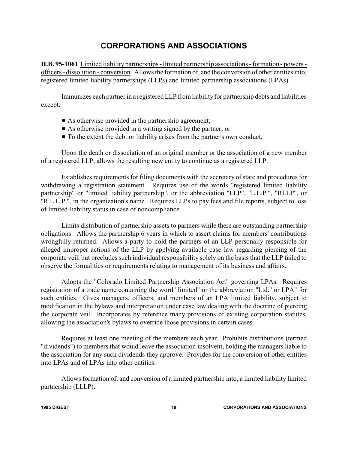### **CORPORATIONS AND ASSOCIATIONS**

**H.B. 95-1061** Limited liability partnerships - limited partnership associations - formation - powers officers - dissolution - conversion. Allows the formation of, and the conversion of other entities into, registered limited liability partnerships (LLPs) and limited partnership associations (LPAs).

Immunizes each partner in a registered LLP from liability for partnership debts and liabilities except:

- As otherwise provided in the partnership agreement;
- ! As otherwise provided in a writing signed by the partner; or
- ! To the extent the debt or liability arises from the partner's own conduct.

Upon the death or dissociation of an original member or the association of a new member of a registered LLP, allows the resulting new entity to continue as a registered LLP.

Establishes requirements for filing documents with the secretary of state and procedures for withdrawing a registration statement. Requires use of the words "registered limited liability partnership" or "limited liability partnership", or the abbreviation "LLP", "L.L.P.", "RLLP", or "R.L.L.P.", in the organization's name. Requires LLPs to pay fees and file reports, subject to loss of limited-liability status in case of noncompliance.

Limits distribution of partnership assets to partners while there are outstanding partnership obligations. Allows the partnership 6 years in which to assert claims for members' contributions wrongfully returned. Allows a party to hold the partners of an LLP personally responsible for alleged improper actions of the LLP by applying available case law regarding piercing of the corporate veil, but precludes such individual responsibility solely on the basis that the LLP failed to observe the formalities or requirements relating to management of its business and affairs.

Adopts the "Colorado Limited Partnership Association Act" governing LPAs. Requires registration of a trade name containing the word "limited" or the abbreviation "Ltd." or LPA" for such entities. Gives managers, officers, and members of an LPA limited liability, subject to modification in the bylaws and interpretation under case law dealing with the doctrine of piercing the corporate veil. Incorporates by reference many provisions of existing corporation statutes, allowing the association's bylaws to override those provisions in certain cases.

Requires at least one meeting of the members each year. Prohibits distributions (termed "dividends") to members that would leave the association insolvent, holding the managers liable to the association for any such dividends they approve. Provides for the conversion of other entities into LPAs and of LPAs into other entities.

Allows formation of, and conversion of a limited partnership into, a limited liability limited partnership (LLLP).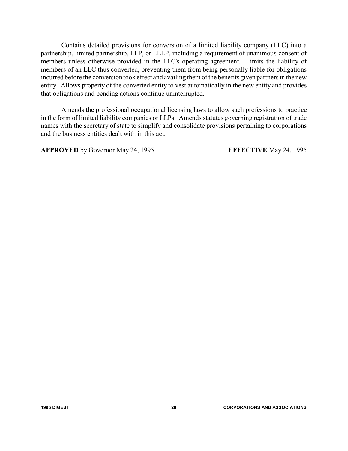Contains detailed provisions for conversion of a limited liability company (LLC) into a partnership, limited partnership, LLP, or LLLP, including a requirement of unanimous consent of members unless otherwise provided in the LLC's operating agreement. Limits the liability of members of an LLC thus converted, preventing them from being personally liable for obligations incurred before the conversion took effect and availing them of the benefits given partners in the new entity. Allows property of the converted entity to vest automatically in the new entity and provides that obligations and pending actions continue uninterrupted.

Amends the professional occupational licensing laws to allow such professions to practice in the form of limited liability companies or LLPs. Amends statutes governing registration of trade names with the secretary of state to simplify and consolidate provisions pertaining to corporations and the business entities dealt with in this act.

**APPROVED** by Governor May 24, 1995 **EFFECTIVE** May 24, 1995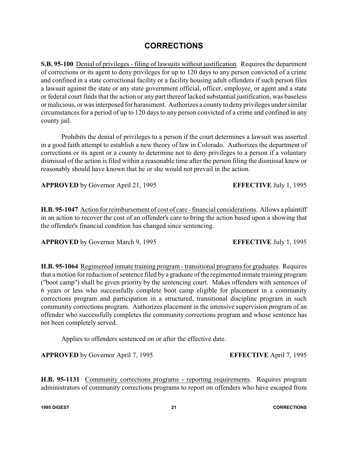### **CORRECTIONS**

**S.B. 95-100** Denial of privileges - filing of lawsuits without justification. Requires the department of corrections or its agent to deny privileges for up to 120 days to any person convicted of a crime and confined in a state correctional facility or a facility housing adult offenders if such person files a lawsuit against the state or any state government official, officer, employee, or agent and a state or federal court finds that the action or any part thereof lacked substantial justification, was baseless or malicious, or was interposed for harassment. Authorizes a county to denyprivileges under similar circumstances for a period of up to 120 days to any person convicted of a crime and confined in any county jail.

Prohibits the denial of privileges to a person if the court determines a lawsuit was asserted in a good faith attempt to establish a new theory of law in Colorado. Authorizes the department of corrections or its agent or a county to determine not to deny privileges to a person if a voluntary dismissal of the action is filed within a reasonable time after the person filing the dismissal knew or reasonably should have known that he or she would not prevail in the action.

**APPROVED** by Governor April 21, 1995 **EFFECTIVE** July 1, 1995

**H.B. 95-1047** Action for reimbursement of cost of care - financial considerations. Allows a plaintiff in an action to recover the cost of an offender's care to bring the action based upon a showing that the offender's financial condition has changed since sentencing.

**APPROVED** by Governor March 9, 1995 **EFFECTIVE** July 1, 1995

**H.B. 95-1064** Regimented inmate training program - transitional programs for graduates. Requires that a motion for reduction of sentence filed by a graduate of the regimented inmate training program ("boot camp") shall be given priority by the sentencing court. Makes offenders with sentences of 6 years or less who successfully complete boot camp eligible for placement in a community corrections program and participation in a structured, transitional discipline program in such community corrections program. Authorizes placement in the intensive supervision program of an offender who successfully completes the community corrections program and whose sentence has not been completely served.

Applies to offenders sentenced on or after the effective date.

**APPROVED** by Governor April 7, 1995 **EFFECTIVE** April 7, 1995

**H.B. 95-1131** Community corrections programs - reporting requirements. Requires program administrators of community corrections programs to report on offenders who have escaped from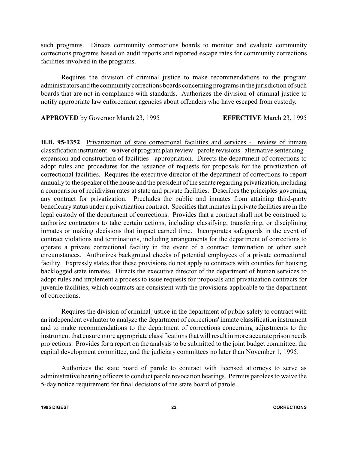such programs. Directs community corrections boards to monitor and evaluate community corrections programs based on audit reports and reported escape rates for community corrections facilities involved in the programs.

Requires the division of criminal justice to make recommendations to the program administrators and the community corrections boards concerning programs in the jurisdiction of such boards that are not in compliance with standards. Authorizes the division of criminal justice to notify appropriate law enforcement agencies about offenders who have escaped from custody.

**APPROVED** by Governor March 23, 1995 **EFFECTIVE** March 23, 1995

**H.B. 95-1352** Privatization of state correctional facilities and services - review of inmate classification instrument - waiver of program plan review - parole revisions - alternative sentencing expansion and construction of facilities - appropriation. Directs the department of corrections to adopt rules and procedures for the issuance of requests for proposals for the privatization of correctional facilities. Requires the executive director of the department of corrections to report annually to the speaker of the house and the president of the senate regarding privatization, including a comparison of recidivism rates at state and private facilities. Describes the principles governing any contract for privatization. Precludes the public and inmates from attaining third-party beneficiarystatus under a privatization contract. Specifies that inmates in private facilities are in the legal custody of the department of corrections. Provides that a contract shall not be construed to authorize contractors to take certain actions, including classifying, transferring, or disciplining inmates or making decisions that impact earned time. Incorporates safeguards in the event of contract violations and terminations, including arrangements for the department of corrections to operate a private correctional facility in the event of a contract termination or other such circumstances. Authorizes background checks of potential employees of a private correctional facility. Expressly states that these provisions do not apply to contracts with counties for housing backlogged state inmates. Directs the executive director of the department of human services to adopt rules and implement a process to issue requests for proposals and privatization contracts for juvenile facilities, which contracts are consistent with the provisions applicable to the department of corrections.

Requires the division of criminal justice in the department of public safety to contract with an independent evaluator to analyze the department of corrections' inmate classification instrument and to make recommendations to the department of corrections concerning adjustments to the instrument that ensure more appropriate classifications that will result in more accurate prison needs projections. Provides for a report on the analysis to be submitted to the joint budget committee, the capital development committee, and the judiciary committees no later than November 1, 1995.

Authorizes the state board of parole to contract with licensed attorneys to serve as administrative hearing officers to conduct parole revocation hearings. Permits parolees to waive the 5-day notice requirement for final decisions of the state board of parole.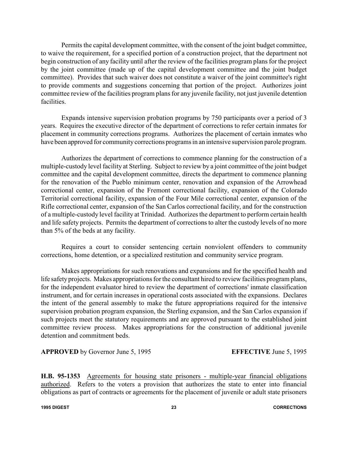Permits the capital development committee, with the consent of the joint budget committee, to waive the requirement, for a specified portion of a construction project, that the department not begin construction of any facility until after the review of the facilities program plans for the project by the joint committee (made up of the capital development committee and the joint budget committee). Provides that such waiver does not constitute a waiver of the joint committee's right to provide comments and suggestions concerning that portion of the project. Authorizes joint committee review of the facilities program plans for any juvenile facility, not just juvenile detention facilities.

Expands intensive supervision probation programs by 750 participants over a period of 3 years. Requires the executive director of the department of corrections to refer certain inmates for placement in community corrections programs. Authorizes the placement of certain inmates who have been approved for community corrections programs in an intensive supervision parole program.

Authorizes the department of corrections to commence planning for the construction of a multiple-custody level facility at Sterling. Subject to review by a joint committee of the joint budget committee and the capital development committee, directs the department to commence planning for the renovation of the Pueblo minimum center, renovation and expansion of the Arrowhead correctional center, expansion of the Fremont correctional facility, expansion of the Colorado Territorial correctional facility, expansion of the Four Mile correctional center, expansion of the Rifle correctional center, expansion of the San Carlos correctional facility, and for the construction of a multiple-custody level facility at Trinidad. Authorizes the department to perform certain health and life safety projects. Permits the department of corrections to alter the custody levels of no more than 5% of the beds at any facility.

Requires a court to consider sentencing certain nonviolent offenders to community corrections, home detention, or a specialized restitution and community service program.

Makes appropriations for such renovations and expansions and for the specified health and life safety projects. Makes appropriations for the consultant hired to review facilities program plans, for the independent evaluator hired to review the department of corrections' inmate classification instrument, and for certain increases in operational costs associated with the expansions. Declares the intent of the general assembly to make the future appropriations required for the intensive supervision probation program expansion, the Sterling expansion, and the San Carlos expansion if such projects meet the statutory requirements and are approved pursuant to the established joint committee review process. Makes appropriations for the construction of additional juvenile detention and commitment beds.

**APPROVED** by Governor June 5, 1995 **EFFECTIVE** June 5, 1995

**H.B. 95-1353** Agreements for housing state prisoners - multiple-year financial obligations authorized. Refers to the voters a provision that authorizes the state to enter into financial obligations as part of contracts or agreements for the placement of juvenile or adult state prisoners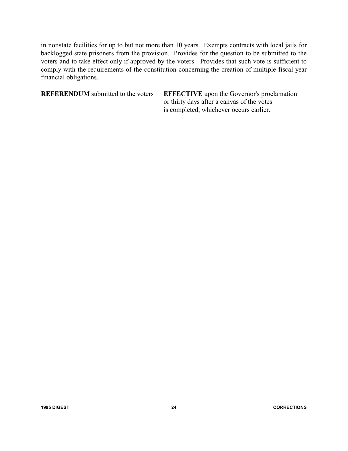in nonstate facilities for up to but not more than 10 years. Exempts contracts with local jails for backlogged state prisoners from the provision. Provides for the question to be submitted to the voters and to take effect only if approved by the voters. Provides that such vote is sufficient to comply with the requirements of the constitution concerning the creation of multiple-fiscal year financial obligations.

**REFERENDUM** submitted to the voters **EFFECTIVE** upon the Governor's proclamation or thirty days after a canvas of the votes is completed, whichever occurs earlier.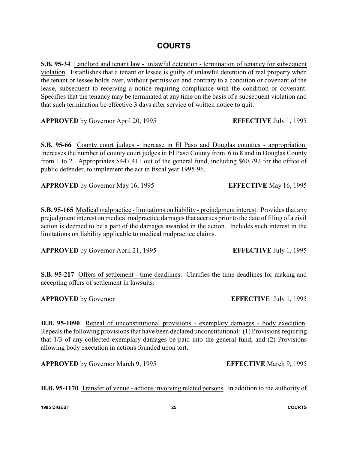### **COURTS**

**S.B. 95-34** Landlord and tenant law - unlawful detention - termination of tenancy for subsequent violation. Establishes that a tenant or lessee is guilty of unlawful detention of real property when the tenant or lessee holds over, without permission and contrary to a condition or covenant of the lease, subsequent to receiving a notice requiring compliance with the condition or covenant. Specifies that the tenancy may be terminated at any time on the basis of a subsequent violation and that such termination be effective 3 days after service of written notice to quit.

**APPROVED** by Governor April 20, 1995 **EFFECTIVE** July 1, 1995

**S.B. 95-66** County court judges - increase in El Paso and Douglas counties - appropriation. Increases the number of county court judges in El Paso County from 6 to 8 and in Douglas County from 1 to 2. Appropriates \$447,411 out of the general fund, including \$60,792 for the office of public defender, to implement the act in fiscal year 1995-96.

**APPROVED** by Governor May 16, 1995 **EFFECTIVE** May 16, 1995

**S.B. 95-165** Medical malpractice - limitations on liability - prejudgment interest. Provides that any prejudgment interest on medical malpractice damages that accrues prior to the date of filing of a civil action is deemed to be a part of the damages awarded in the action. Includes such interest in the limitations on liability applicable to medical malpractice claims.

**APPROVED** by Governor April 21, 1995 **EFFECTIVE** July 1, 1995

**S.B. 95-217** Offers of settlement - time deadlines. Clarifies the time deadlines for making and accepting offers of settlement in lawsuits.

**H.B. 95-1090** Repeal of unconstitutional provisions - exemplary damages - body execution. Repeals the following provisions that have been declared unconstitutional: (1) Provisions requiring that 1/3 of any collected exemplary damages be paid into the general fund; and (2) Provisions allowing body execution in actions founded upon tort.

**APPROVED** by Governor March 9, 1995 **EFFECTIVE** March 9, 1995

**H.B. 95-1170** Transfer of venue - actions involving related persons. In addition to the authority of

**APPROVED** by Governor **EFFECTIVE** July 1, 1995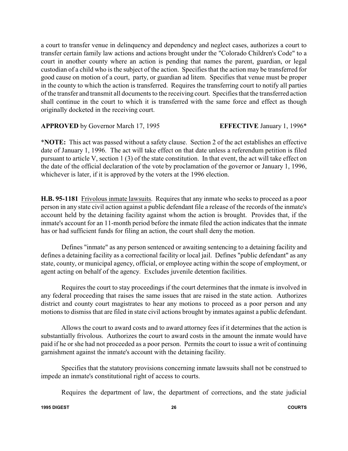a court to transfer venue in delinquency and dependency and neglect cases, authorizes a court to transfer certain family law actions and actions brought under the "Colorado Children's Code" to a court in another county where an action is pending that names the parent, guardian, or legal custodian of a child who is the subject of the action. Specifies that the action may be transferred for good cause on motion of a court, party, or guardian ad litem. Specifies that venue must be proper in the county to which the action is transferred. Requires the transferring court to notify all parties of the transfer and transmit all documents to the receiving court. Specifies that the transferred action shall continue in the court to which it is transferred with the same force and effect as though originally docketed in the receiving court.

**APPROVED** by Governor March 17, 1995 **EFFECTIVE** January 1, 1996\*

\***NOTE:** This act was passed without a safety clause. Section 2 of the act establishes an effective date of January 1, 1996. The act will take effect on that date unless a referendum petition is filed pursuant to article V, section 1 (3) of the state constitution. In that event, the act will take effect on the date of the official declaration of the vote by proclamation of the governor or January 1, 1996, whichever is later, if it is approved by the voters at the 1996 election.

**H.B. 95-1181** Frivolous inmate lawsuits. Requires that any inmate who seeks to proceed as a poor person in any state civil action against a public defendant file a release of the records of the inmate's account held by the detaining facility against whom the action is brought. Provides that, if the inmate's account for an 11-month period before the inmate filed the action indicates that the inmate has or had sufficient funds for filing an action, the court shall deny the motion.

Defines "inmate" as any person sentenced or awaiting sentencing to a detaining facility and defines a detaining facility as a correctional facility or local jail. Defines "public defendant" as any state, county, or municipal agency, official, or employee acting within the scope of employment, or agent acting on behalf of the agency. Excludes juvenile detention facilities.

Requires the court to stay proceedings if the court determines that the inmate is involved in any federal proceeding that raises the same issues that are raised in the state action. Authorizes district and county court magistrates to hear any motions to proceed as a poor person and any motions to dismiss that are filed in state civil actions brought by inmates against a public defendant.

Allows the court to award costs and to award attorney fees if it determines that the action is substantially frivolous. Authorizes the court to award costs in the amount the inmate would have paid if he or she had not proceeded as a poor person. Permits the court to issue a writ of continuing garnishment against the inmate's account with the detaining facility.

Specifies that the statutory provisions concerning inmate lawsuits shall not be construed to impede an inmate's constitutional right of access to courts.

Requires the department of law, the department of corrections, and the state judicial

**1995 DIGEST 26 COURTS**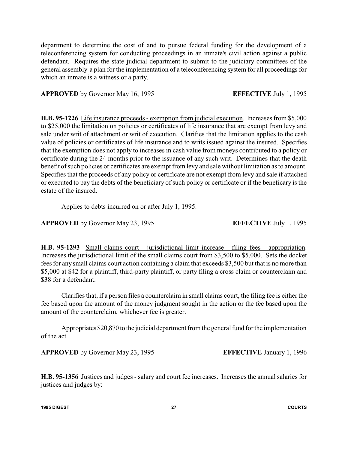department to determine the cost of and to pursue federal funding for the development of a teleconferencing system for conducting proceedings in an inmate's civil action against a public defendant. Requires the state judicial department to submit to the judiciary committees of the general assembly a plan for the implementation of a teleconferencing system for all proceedings for which an inmate is a witness or a party.

**APPROVED** by Governor May 16, 1995 **EFFECTIVE** July 1, 1995

**H.B. 95-1226** Life insurance proceeds - exemption from judicial execution. Increases from \$5,000 to \$25,000 the limitation on policies or certificates of life insurance that are exempt from levy and sale under writ of attachment or writ of execution. Clarifies that the limitation applies to the cash value of policies or certificates of life insurance and to writs issued against the insured. Specifies that the exemption does not apply to increases in cash value from moneys contributed to a policy or certificate during the 24 months prior to the issuance of any such writ. Determines that the death benefit of such policies or certificates are exempt from levy and sale without limitation as to amount. Specifies that the proceeds of any policy or certificate are not exempt from levy and sale if attached or executed to pay the debts of the beneficiary of such policy or certificate or if the beneficary is the estate of the insured.

Applies to debts incurred on or after July 1, 1995.

**APPROVED** by Governor May 23, 1995 **EFFECTIVE** July 1, 1995

**H.B. 95-1293** Small claims court - jurisdictional limit increase - filing fees - appropriation. Increases the jurisdictional limit of the small claims court from \$3,500 to \$5,000. Sets the docket fees for any small claims court action containing a claim that exceeds \$3,500 but that is no more than \$5,000 at \$42 for a plaintiff, third-party plaintiff, or party filing a cross claim or counterclaim and \$38 for a defendant.

Clarifies that, if a person files a counterclaim in small claims court, the filing fee is either the fee based upon the amount of the money judgment sought in the action or the fee based upon the amount of the counterclaim, whichever fee is greater.

Appropriates \$20,870 to the judicial department from the general fund for the implementation of the act.

**APPROVED** by Governor May 23, 1995 **EFFECTIVE** January 1, 1996

**H.B. 95-1356** Justices and judges - salary and court fee increases. Increases the annual salaries for justices and judges by:

**1995 DIGEST 27 COURTS**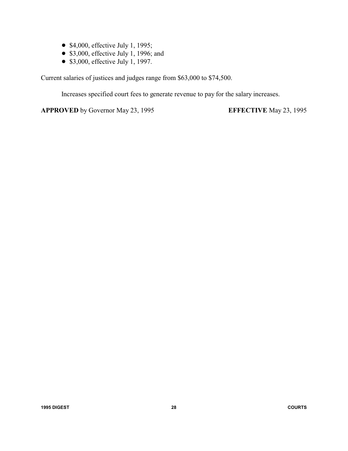- $\bullet$  \$4,000, effective July 1, 1995;
- $\bullet$  \$3,000, effective July 1, 1996; and
- $\bullet$  \$3,000, effective July 1, 1997.

Current salaries of justices and judges range from \$63,000 to \$74,500.

Increases specified court fees to generate revenue to pay for the salary increases.

**APPROVED** by Governor May 23, 1995 **EFFECTIVE** May 23, 1995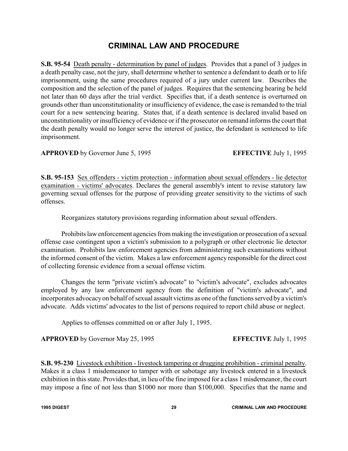### **CRIMINAL LAW AND PROCEDURE**

**S.B. 95-54** Death penalty - determination by panel of judges. Provides that a panel of 3 judges in a death penalty case, not the jury, shall determine whether to sentence a defendant to death or to life imprisonment, using the same procedures required of a jury under current law. Describes the composition and the selection of the panel of judges. Requires that the sentencing hearing be held not later than 60 days after the trial verdict. Specifies that, if a death sentence is overturned on grounds other than unconstitutionality or insufficiency of evidence, the case is remanded to the trial court for a new sentencing hearing. States that, if a death sentence is declared invalid based on unconstitutionality or insufficiency of evidence or if the prosecutor on remand informs the court that the death penalty would no longer serve the interest of justice, the defendant is sentenced to life imprisonment.

**APPROVED** by Governor June 5, 1995 **EFFECTIVE** July 1, 1995

**S.B. 95-153** Sex offenders - victim protection - information about sexual offenders - lie detector examination - victims' advocates. Declares the general assembly's intent to revise statutory law governing sexual offenses for the purpose of providing greater sensitivity to the victims of such offenses.

Reorganizes statutory provisions regarding information about sexual offenders.

Prohibits law enforcement agencies from making the investigation or prosecution of a sexual offense case contingent upon a victim's submission to a polygraph or other electronic lie detector examination. Prohibits law enforcement agencies from administering such examinations without the informed consent of the victim. Makes a law enforcement agency responsible for the direct cost of collecting forensic evidence from a sexual offense victim.

Changes the term "private victim's advocate" to "victim's advocate", excludes advocates employed by any law enforcement agency from the definition of "victim's advocate", and incorporates advocacyon behalf of sexual assault victims as one of the functions served by a victim's advocate. Adds victims' advocates to the list of persons required to report child abuse or neglect.

Applies to offenses committed on or after July 1, 1995.

**APPROVED** by Governor May 25, 1995 **EFFECTIVE** July 1, 1995

**S.B. 95-230** Livestock exhibition - livestock tampering or drugging prohibition - criminal penalty. Makes it a class 1 misdemeanor to tamper with or sabotage any livestock entered in a livestock exhibition in this state. Provides that, in lieu of the fine imposed for a class 1 misdemeanor, the court may impose a fine of not less than \$1000 nor more than \$100,000. Specifies that the name and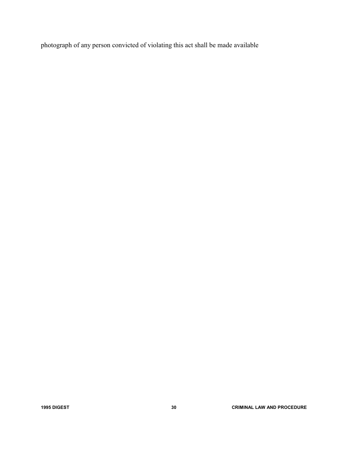photograph of any person convicted of violating this act shall be made available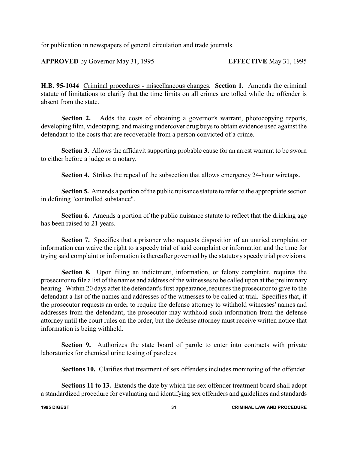for publication in newspapers of general circulation and trade journals.

**APPROVED** by Governor May 31, 1995 **EFFECTIVE** May 31, 1995

**H.B. 95-1044** Criminal procedures - miscellaneous changes. **Section 1.** Amends the criminal statute of limitations to clarify that the time limits on all crimes are tolled while the offender is absent from the state.

**Section 2.** Adds the costs of obtaining a governor's warrant, photocopying reports, developing film, videotaping, and making undercover drug buys to obtain evidence used against the defendant to the costs that are recoverable from a person convicted of a crime.

**Section 3.** Allows the affidavit supporting probable cause for an arrest warrant to be sworn to either before a judge or a notary.

**Section 4.** Strikes the repeal of the subsection that allows emergency 24-hour wiretaps.

**Section 5.** Amends a portion of the public nuisance statute to refer to the appropriate section in defining "controlled substance".

**Section 6.** Amends a portion of the public nuisance statute to reflect that the drinking age has been raised to 21 years.

**Section 7.** Specifies that a prisoner who requests disposition of an untried complaint or information can waive the right to a speedy trial of said complaint or information and the time for trying said complaint or information is thereafter governed by the statutory speedy trial provisions.

**Section 8.** Upon filing an indictment, information, or felony complaint, requires the prosecutor to file a list of the names and address of the witnesses to be called upon at the preliminary hearing. Within 20 days after the defendant's first appearance, requires the prosecutor to give to the defendant a list of the names and addresses of the witnesses to be called at trial. Specifies that, if the prosecutor requests an order to require the defense attorney to withhold witnesses' names and addresses from the defendant, the prosecutor may withhold such information from the defense attorney until the court rules on the order, but the defense attorney must receive written notice that information is being withheld.

**Section 9.** Authorizes the state board of parole to enter into contracts with private laboratories for chemical urine testing of parolees.

**Sections 10.** Clarifies that treatment of sex offenders includes monitoring of the offender.

**Sections 11 to 13.** Extends the date by which the sex offender treatment board shall adopt a standardized procedure for evaluating and identifying sex offenders and guidelines and standards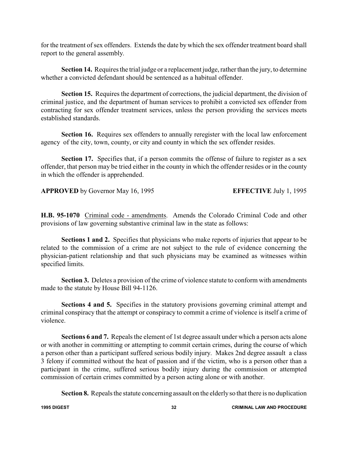for the treatment of sex offenders. Extends the date by which the sex offender treatment board shall report to the general assembly.

**Section 14.** Requires the trial judge or a replacement judge, rather than the jury, to determine whether a convicted defendant should be sentenced as a habitual offender.

**Section 15.** Requires the department of corrections, the judicial department, the division of criminal justice, and the department of human services to prohibit a convicted sex offender from contracting for sex offender treatment services, unless the person providing the services meets established standards.

**Section 16.** Requires sex offenders to annually reregister with the local law enforcement agency of the city, town, county, or city and county in which the sex offender resides.

**Section 17.** Specifies that, if a person commits the offense of failure to register as a sex offender, that person may be tried either in the county in which the offender resides or in the county in which the offender is apprehended.

**APPROVED** by Governor May 16, 1995 **EFFECTIVE** July 1, 1995

**H.B. 95-1070** Criminal code - amendments. Amends the Colorado Criminal Code and other provisions of law governing substantive criminal law in the state as follows:

**Sections 1 and 2.** Specifies that physicians who make reports of injuries that appear to be related to the commission of a crime are not subject to the rule of evidence concerning the physician-patient relationship and that such physicians may be examined as witnesses within specified limits.

**Section 3.** Deletes a provision of the crime of violence statute to conform with amendments made to the statute by House Bill 94-1126.

**Sections 4 and 5.** Specifies in the statutory provisions governing criminal attempt and criminal conspiracy that the attempt or conspiracy to commit a crime of violence is itself a crime of violence.

**Sections 6 and 7.** Repeals the element of 1st degree assault under which a person acts alone or with another in committing or attempting to commit certain crimes, during the course of which a person other than a participant suffered serious bodily injury. Makes 2nd degree assault a class 3 felony if committed without the heat of passion and if the victim, who is a person other than a participant in the crime, suffered serious bodily injury during the commission or attempted commission of certain crimes committed by a person acting alone or with another.

**Section 8.** Repeals the statute concerning assault on the elderlyso that there is no duplication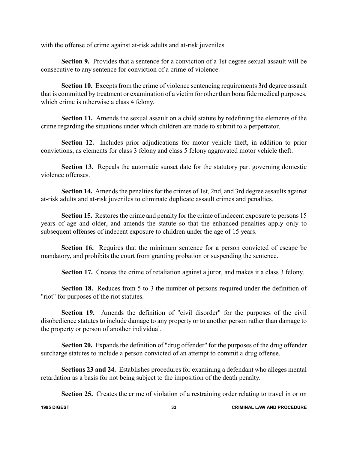with the offense of crime against at-risk adults and at-risk juveniles.

**Section 9.** Provides that a sentence for a conviction of a 1st degree sexual assault will be consecutive to any sentence for conviction of a crime of violence.

**Section 10.** Excepts from the crime of violence sentencing requirements 3rd degree assault that is committed by treatment or examination of a victim for other than bona fide medical purposes, which crime is otherwise a class 4 felony.

**Section 11.** Amends the sexual assault on a child statute by redefining the elements of the crime regarding the situations under which children are made to submit to a perpetrator.

**Section 12.** Includes prior adjudications for motor vehicle theft, in addition to prior convictions, as elements for class 3 felony and class 5 felony aggravated motor vehicle theft.

**Section 13.** Repeals the automatic sunset date for the statutory part governing domestic violence offenses.

**Section 14.** Amends the penalties for the crimes of 1st, 2nd, and 3rd degree assaults against at-risk adults and at-risk juveniles to eliminate duplicate assault crimes and penalties.

**Section 15.** Restores the crime and penalty for the crime of indecent exposure to persons 15 years of age and older, and amends the statute so that the enhanced penalties apply only to subsequent offenses of indecent exposure to children under the age of 15 years.

**Section 16.** Requires that the minimum sentence for a person convicted of escape be mandatory, and prohibits the court from granting probation or suspending the sentence.

**Section 17.** Creates the crime of retaliation against a juror, and makes it a class 3 felony.

**Section 18.** Reduces from 5 to 3 the number of persons required under the definition of "riot" for purposes of the riot statutes.

**Section 19.** Amends the definition of "civil disorder" for the purposes of the civil disobedience statutes to include damage to any property or to another person rather than damage to the property or person of another individual.

**Section 20.** Expands the definition of "drug offender" for the purposes of the drug offender surcharge statutes to include a person convicted of an attempt to commit a drug offense.

**Sections 23 and 24.** Establishes procedures for examining a defendant who alleges mental retardation as a basis for not being subject to the imposition of the death penalty.

**Section 25.** Creates the crime of violation of a restraining order relating to travel in or on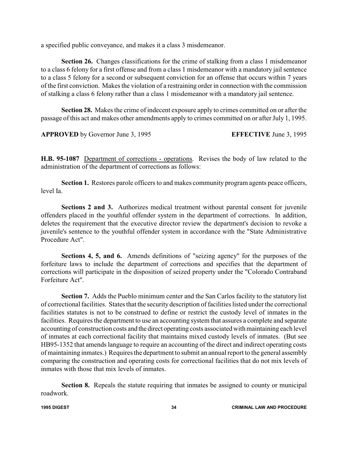a specified public conveyance, and makes it a class 3 misdemeanor.

**Section 26.** Changes classifications for the crime of stalking from a class 1 misdemeanor to a class 6 felony for a first offense and from a class 1 misdemeanor with a mandatory jail sentence to a class 5 felony for a second or subsequent conviction for an offense that occurs within 7 years of the first conviction. Makes the violation of a restraining order in connection with the commission of stalking a class 6 felony rather than a class 1 misdemeanor with a mandatory jail sentence.

**Section 28.** Makes the crime of indecent exposure apply to crimes committed on or after the passage of this act and makes other amendments apply to crimes committed on or after July 1, 1995.

**APPROVED** by Governor June 3, 1995 **EFFECTIVE** June 3, 1995

**H.B. 95-1087** Department of corrections - operations. Revises the body of law related to the administration of the department of corrections as follows:

**Section 1.** Restores parole officers to and makes community program agents peace officers, level Ia.

**Sections 2 and 3.** Authorizes medical treatment without parental consent for juvenile offenders placed in the youthful offender system in the department of corrections. In addition, deletes the requirement that the executive director review the department's decision to revoke a juvenile's sentence to the youthful offender system in accordance with the "State Administrative Procedure Act".

**Sections 4, 5, and 6.** Amends definitions of "seizing agency" for the purposes of the forfeiture laws to include the department of corrections and specifies that the department of corrections will participate in the disposition of seized property under the "Colorado Contraband Forfeiture Act".

**Section 7.** Adds the Pueblo minimum center and the San Carlos facility to the statutory list of correctional facilities. States that the security description of facilities listed under the correctional facilities statutes is not to be construed to define or restrict the custody level of inmates in the facilities. Requires the department to use an accounting system that assures a complete and separate accounting of construction costs and the direct operating costs associated with maintaining each level of inmates at each correctional facility that maintains mixed custody levels of inmates. (But see HB95-1352 that amends language to require an accounting of the direct and indirect operating costs of maintaining inmates.) Requires the department to submit an annual report to the general assembly comparing the construction and operating costs for correctional facilities that do not mix levels of inmates with those that mix levels of inmates.

**Section 8.** Repeals the statute requiring that inmates be assigned to county or municipal roadwork.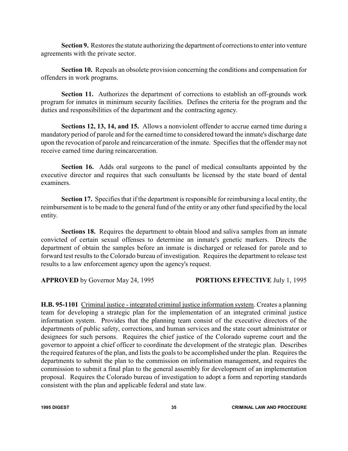**Section 9.** Restores the statute authorizing the department of corrections to enter into venture agreements with the private sector.

**Section 10.** Repeals an obsolete provision concerning the conditions and compensation for offenders in work programs.

**Section 11.** Authorizes the department of corrections to establish an off-grounds work program for inmates in minimum security facilities. Defines the criteria for the program and the duties and responsibilities of the department and the contracting agency.

**Sections 12, 13, 14, and 15.** Allows a nonviolent offender to accrue earned time during a mandatory period of parole and for the earned time to considered toward the inmate's discharge date upon the revocation of parole and reincarceration of the inmate. Specifies that the offender may not receive earned time during reincarceration.

**Section 16.** Adds oral surgeons to the panel of medical consultants appointed by the executive director and requires that such consultants be licensed by the state board of dental examiners.

**Section 17.** Specifies that if the department is responsible for reimbursing a local entity, the reimbursement is to be made to the general fund of the entity or any other fund specified by the local entity.

**Sections 18.** Requires the department to obtain blood and saliva samples from an inmate convicted of certain sexual offenses to determine an inmate's genetic markers. Directs the department of obtain the samples before an inmate is discharged or released for parole and to forward test results to the Colorado bureau of investigation. Requires the department to release test results to a law enforcement agency upon the agency's request.

**APPROVED** by Governor May 24, 1995 **PORTIONS EFFECTIVE** July 1, 1995

**H.B. 95-1101** Criminal justice - integrated criminal justice information system. Creates a planning team for developing a strategic plan for the implementation of an integrated criminal justice information system. Provides that the planning team consist of the executive directors of the departments of public safety, corrections, and human services and the state court administrator or designees for such persons. Requires the chief justice of the Colorado supreme court and the governor to appoint a chief officer to coordinate the development of the strategic plan. Describes the required features of the plan, and lists the goals to be accomplished under the plan. Requires the departments to submit the plan to the commission on information management, and requires the commission to submit a final plan to the general assembly for development of an implementation proposal. Requires the Colorado bureau of investigation to adopt a form and reporting standards consistent with the plan and applicable federal and state law.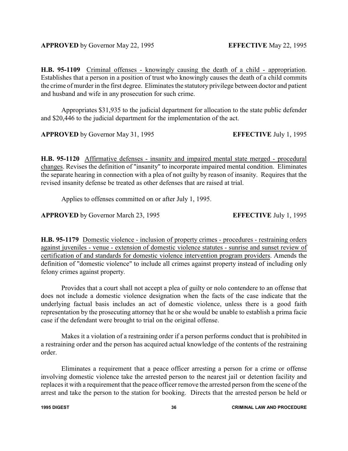**H.B. 95-1109** Criminal offenses - knowingly causing the death of a child - appropriation. Establishes that a person in a position of trust who knowingly causes the death of a child commits the crime of murder in the first degree. Eliminates the statutory privilege between doctor and patient and husband and wife in any prosecution for such crime.

Appropriates \$31,935 to the judicial department for allocation to the state public defender and \$20,446 to the judicial department for the implementation of the act.

**APPROVED** by Governor May 31, 1995 **EFFECTIVE** July 1, 1995

**H.B. 95-1120** Affirmative defenses - insanity and impaired mental state merged - procedural changes. Revises the definition of "insanity" to incorporate impaired mental condition. Eliminates the separate hearing in connection with a plea of not guilty by reason of insanity. Requires that the revised insanity defense be treated as other defenses that are raised at trial.

Applies to offenses committed on or after July 1, 1995.

**APPROVED** by Governor March 23, 1995 **EFFECTIVE** July 1, 1995

**H.B. 95-1179** Domestic violence - inclusion of property crimes - procedures - restraining orders against juveniles - venue - extension of domestic violence statutes - sunrise and sunset review of certification of and standards for domestic violence intervention program providers. Amends the definition of "domestic violence" to include all crimes against property instead of including only felony crimes against property.

Provides that a court shall not accept a plea of guilty or nolo contendere to an offense that does not include a domestic violence designation when the facts of the case indicate that the underlying factual basis includes an act of domestic violence, unless there is a good faith representation by the prosecuting attorney that he or she would be unable to establish a prima facie case if the defendant were brought to trial on the original offense.

Makes it a violation of a restraining order if a person performs conduct that is prohibited in a restraining order and the person has acquired actual knowledge of the contents of the restraining order.

Eliminates a requirement that a peace officer arresting a person for a crime or offense involving domestic violence take the arrested person to the nearest jail or detention facility and replaces it with a requirement that the peace officer remove the arrested person from the scene of the arrest and take the person to the station for booking. Directs that the arrested person be held or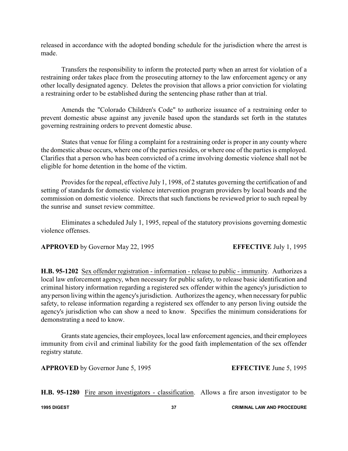released in accordance with the adopted bonding schedule for the jurisdiction where the arrest is made.

Transfers the responsibility to inform the protected party when an arrest for violation of a restraining order takes place from the prosecuting attorney to the law enforcement agency or any other locally designated agency. Deletes the provision that allows a prior conviction for violating a restraining order to be established during the sentencing phase rather than at trial.

Amends the "Colorado Children's Code" to authorize issuance of a restraining order to prevent domestic abuse against any juvenile based upon the standards set forth in the statutes governing restraining orders to prevent domestic abuse.

States that venue for filing a complaint for a restraining order is proper in any county where the domestic abuse occurs, where one of the parties resides, or where one of the parties is employed. Clarifies that a person who has been convicted of a crime involving domestic violence shall not be eligible for home detention in the home of the victim.

Provides for the repeal, effective July 1, 1998, of 2 statutes governing the certification of and setting of standards for domestic violence intervention program providers by local boards and the commission on domestic violence. Directs that such functions be reviewed prior to such repeal by the sunrise and sunset review committee.

Eliminates a scheduled July 1, 1995, repeal of the statutory provisions governing domestic violence offenses.

**APPROVED** by Governor May 22, 1995 **EFFECTIVE** July 1, 1995

**H.B. 95-1202** Sex offender registration - information - release to public - immunity. Authorizes a local law enforcement agency, when necessary for public safety, to release basic identification and criminal history information regarding a registered sex offender within the agency's jurisdiction to anyperson living within the agency's jurisdiction. Authorizes the agency, when necessaryfor public safety, to release information regarding a registered sex offender to any person living outside the agency's jurisdiction who can show a need to know. Specifies the minimum considerations for demonstrating a need to know.

Grants state agencies, their employees, local law enforcement agencies, and their employees immunity from civil and criminal liability for the good faith implementation of the sex offender registry statute.

**APPROVED** by Governor June 5, 1995 **EFFECTIVE** June 5, 1995

**H.B. 95-1280** Fire arson investigators - classification. Allows a fire arson investigator to be

**1995 DIGEST 37 CRIMINAL LAW AND PROCEDURE**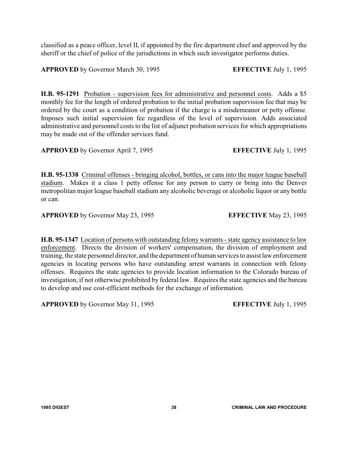classified as a peace officer, level II, if appointed by the fire department chief and approved by the sheriff or the chief of police of the jurisdictions in which such investigator performs duties.

**APPROVED** by Governor March 30, 1995 **EFFECTIVE** July 1, 1995

**H.B. 95-1291** Probation - supervision fees for administrative and personnel costs. Adds a \$5 monthly fee for the length of ordered probation to the initial probation supervision fee that may be ordered by the court as a condition of probation if the charge is a misdemeanor or petty offense. Imposes such initial supervision fee regardless of the level of supervision. Adds associated administrative and personnel costs to the list of adjunct probation services for which appropriations may be made out of the offender services fund.

**APPROVED** by Governor April 7, 1995 **EFFECTIVE** July 1, 1995

**H.B. 95-1338** Criminal offenses - bringing alcohol, bottles, or cans into the major league baseball stadium. Makes it a class 1 petty offense for any person to carry or bring into the Denver metropolitan major league baseball stadium any alcoholic beverage or alcoholic liquor or any bottle or can.

**APPROVED** by Governor May 23, 1995 **EFFECTIVE** May 23, 1995

**H.B. 95-1347** Location of persons with outstanding felony warrants - state agency assistance to law enforcement. Directs the division of workers' compensation, the division of employment and training, the state personnel director, and the department of human services to assist law enforcement agencies in locating persons who have outstanding arrest warrants in connection with felony offenses. Requires the state agencies to provide location information to the Colorado bureau of investigation, if not otherwise prohibited by federal law. Requires the state agencies and the bureau to develop and use cost-efficient methods for the exchange of information.

**APPROVED** by Governor May 31, 1995 **EFFECTIVE** July 1, 1995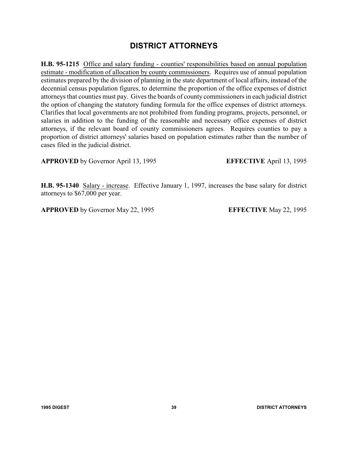# **DISTRICT ATTORNEYS**

**H.B. 95-1215** Office and salary funding - counties' responsibilities based on annual population estimate - modification of allocation by county commissioners. Requires use of annual population estimates prepared by the division of planning in the state department of local affairs, instead of the decennial census population figures, to determine the proportion of the office expenses of district attorneys that counties must pay. Gives the boards of county commissioners in each judicial district the option of changing the statutory funding formula for the office expenses of district attorneys. Clarifies that local governments are not prohibited from funding programs, projects, personnel, or salaries in addition to the funding of the reasonable and necessary office expenses of district attorneys, if the relevant board of county commissioners agrees. Requires counties to pay a proportion of district attorneys' salaries based on population estimates rather than the number of cases filed in the judicial district.

**APPROVED** by Governor April 13, 1995 **EFFECTIVE** April 13, 1995

**H.B. 95-1340** Salary - increase. Effective January 1, 1997, increases the base salary for district attorneys to \$67,000 per year.

**APPROVED** by Governor May 22, 1995 **EFFECTIVE** May 22, 1995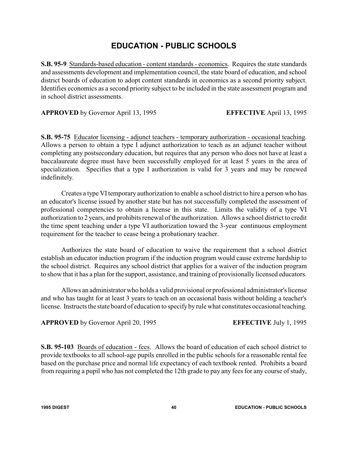# **EDUCATION - PUBLIC SCHOOLS**

**S.B. 95-9** Standards-based education - content standards - economics. Requires the state standards and assessments development and implementation council, the state board of education, and school district boards of education to adopt content standards in economics as a second priority subject. Identifies economics as a second priority subject to be included in the state assessment program and in school district assessments.

**APPROVED** by Governor April 13, 1995 **EFFECTIVE** April 13, 1995

**S.B. 95-75** Educator licensing - adjunct teachers - temporary authorization - occasional teaching. Allows a person to obtain a type I adjunct authorization to teach as an adjunct teacher without completing any postsecondary education, but requires that any person who does not have at least a baccalaureate degree must have been successfully employed for at least 5 years in the area of specialization. Specifies that a type I authorization is valid for 3 years and may be renewed indefinitely.

Creates a type VItemporary authorization to enable a school district to hire a person who has an educator's license issued by another state but has not successfully completed the assessment of professional competencies to obtain a license in this state. Limits the validity of a type VI authorization to 2 years, and prohibits renewal of the authorization. Allows a school district to credit the time spent teaching under a type VI authorization toward the 3-year continuous employment requirement for the teacher to cease being a probationary teacher.

Authorizes the state board of education to waive the requirement that a school district establish an educator induction program if the induction program would cause extreme hardship to the school district. Requires any school district that applies for a waiver of the induction program to show that it has a plan for the support, assistance, and training of provisionally licensed educators.

Allows an administrator who holds a valid provisional or professional administrator's license and who has taught for at least 3 years to teach on an occasional basis without holding a teacher's license. Instructs the state board of education to specifyby rule what constitutes occasional teaching.

**APPROVED** by Governor April 20, 1995 **EFFECTIVE** July 1, 1995

**S.B. 95-103** Boards of education - fees. Allows the board of education of each school district to provide textbooks to all school-age pupils enrolled in the public schools for a reasonable rental fee based on the purchase price and normal life expectancy of each textbook rented. Prohibits a board from requiring a pupil who has not completed the 12th grade to pay any fees for any course of study,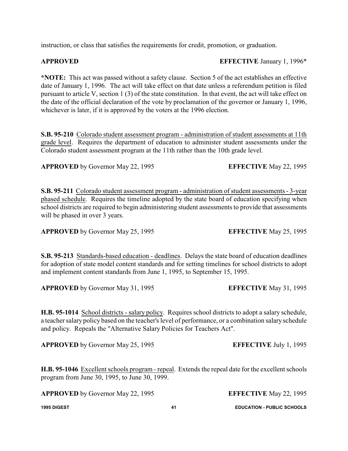instruction, or class that satisfies the requirements for credit, promotion, or graduation.

**APPROVED EFFECTIVE** January 1, 1996\*

**\*NOTE:** This act was passed without a safety clause. Section 5 of the act establishes an effective date of January 1, 1996. The act will take effect on that date unless a referendum petition is filed pursuant to article V, section 1 (3) of the state constitution. In that event, the act will take effect on the date of the official declaration of the vote by proclamation of the governor or January 1, 1996, whichever is later, if it is approved by the voters at the 1996 election.

**S.B. 95-210** Colorado student assessment program - administration of student assessments at 11th grade level. Requires the department of education to administer student assessments under the Colorado student assessment program at the 11th rather than the 10th grade level.

**APPROVED** by Governor May 22, 1995 **EFFECTIVE** May 22, 1995

**S.B. 95-211** Colorado student assessment program - administration of student assessments - 3-year phased schedule. Requires the timeline adopted by the state board of education specifying when school districts are required to begin administering student assessments to provide that assessments will be phased in over 3 years.

**APPROVED** by Governor May 25, 1995 **EFFECTIVE** May 25, 1995

**S.B. 95-213** Standards-based education - deadlines. Delays the state board of education deadlines for adoption of state model content standards and for setting timelines for school districts to adopt and implement content standards from June 1, 1995, to September 15, 1995.

**APPROVED** by Governor May 31, 1995 **EFFECTIVE** May 31, 1995

**H.B. 95-1014** School districts - salary policy. Requires school districts to adopt a salary schedule, a teacher salary policy based on the teacher's level of performance, or a combination salary schedule and policy. Repeals the "Alternative Salary Policies for Teachers Act".

**APPROVED** by Governor May 25, 1995 **EFFECTIVE** July 1, 1995

**H.B. 95-1046** Excellent schools program - repeal. Extends the repeal date for the excellent schools program from June 30, 1995, to June 30, 1999.

**APPROVED** by Governor May 22, 1995 **EFFECTIVE** May 22, 1995

**1995 DIGEST 41 EDUCATION - PUBLIC SCHOOLS**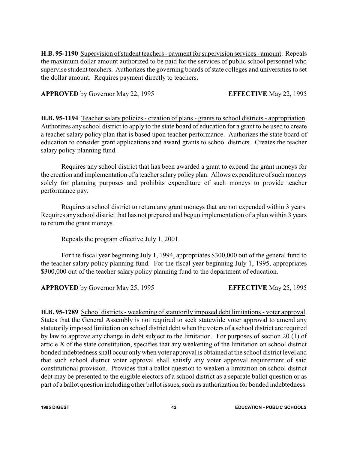**H.B. 95-1190** Supervision of student teachers - payment for supervision services - amount. Repeals the maximum dollar amount authorized to be paid for the services of public school personnel who supervise student teachers. Authorizes the governing boards of state colleges and universities to set the dollar amount. Requires payment directly to teachers.

**APPROVED** by Governor May 22, 1995 **EFFECTIVE** May 22, 1995

**H.B. 95-1194** Teacher salary policies - creation of plans - grants to school districts - appropriation. Authorizes any school district to apply to the state board of education for a grant to be used to create a teacher salary policy plan that is based upon teacher performance. Authorizes the state board of education to consider grant applications and award grants to school districts. Creates the teacher salary policy planning fund.

Requires any school district that has been awarded a grant to expend the grant moneys for the creation and implementation of a teacher salary policy plan. Allows expenditure of such moneys solely for planning purposes and prohibits expenditure of such moneys to provide teacher performance pay.

Requires a school district to return any grant moneys that are not expended within 3 years. Requires any school district that has not prepared and begun implementation of a plan within 3 years to return the grant moneys.

Repeals the program effective July 1, 2001.

For the fiscal year beginning July 1, 1994, appropriates \$300,000 out of the general fund to the teacher salary policy planning fund. For the fiscal year beginning July 1, 1995, appropriates \$300,000 out of the teacher salary policy planning fund to the department of education.

**APPROVED** by Governor May 25, 1995 **EFFECTIVE** May 25, 1995

**H.B. 95-1289** School districts - weakening of statutorily imposed debt limitations - voter approval. States that the General Assembly is not required to seek statewide voter approval to amend any statutorily imposed limitation on school district debt when the voters of a school district are required by law to approve any change in debt subject to the limitation. For purposes of section 20 (1) of article X of the state constitution, specifies that any weakening of the limitation on school district bonded indebtedness shall occur onlywhen voter approval is obtained at the school district level and that such school district voter approval shall satisfy any voter approval requirement of said constitutional provision. Provides that a ballot question to weaken a limitation on school district debt may be presented to the eligible electors of a school district as a separate ballot question or as part of a ballot question including other ballot issues, such as authorization for bonded indebtedness.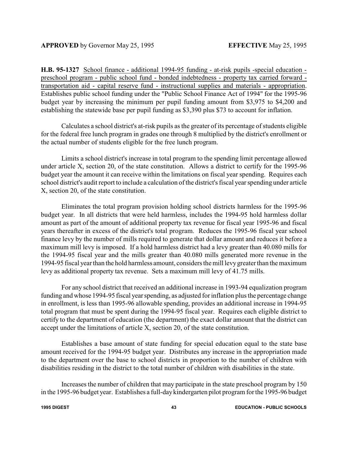**H.B. 95-1327** School finance - additional 1994-95 funding - at-risk pupils -special education preschool program - public school fund - bonded indebtedness - property tax carried forward transportation aid - capital reserve fund - instructional supplies and materials - appropriation. Establishes public school funding under the "Public School Finance Act of 1994" for the 1995-96 budget year by increasing the minimum per pupil funding amount from \$3,975 to \$4,200 and establishing the statewide base per pupil funding as \$3,390 plus \$73 to account for inflation.

Calculates a school district's at-risk pupils as the greater of its percentage of students eligible for the federal free lunch program in grades one through 8 multiplied by the district's enrollment or the actual number of students eligible for the free lunch program.

Limits a school district's increase in total program to the spending limit percentage allowed under article X, section 20, of the state constitution. Allows a district to certify for the 1995-96 budget year the amount it can receive within the limitations on fiscal year spending. Requires each school district's audit report to include a calculation of the district's fiscal year spending under article X, section 20, of the state constitution.

Eliminates the total program provision holding school districts harmless for the 1995-96 budget year. In all districts that were held harmless, includes the 1994-95 hold harmless dollar amount as part of the amount of additional property tax revenue for fiscal year 1995-96 and fiscal years thereafter in excess of the district's total program. Reduces the 1995-96 fiscal year school finance levy by the number of mills required to generate that dollar amount and reduces it before a maximum mill levy is imposed. If a hold harmless district had a levy greater than 40.080 mills for the 1994-95 fiscal year and the mills greater than 40.080 mills generated more revenue in the 1994-95 fiscal year than the hold harmless amount, considers the mill levygreater than the maximum levy as additional property tax revenue. Sets a maximum mill levy of 41.75 mills.

For any school district that received an additional increase in 1993-94 equalization program funding and whose 1994-95 fiscal year spending, as adjusted for inflation plus the percentage change in enrollment, is less than 1995-96 allowable spending, provides an additional increase in 1994-95 total program that must be spent during the 1994-95 fiscal year. Requires each eligible district to certify to the department of education (the department) the exact dollar amount that the district can accept under the limitations of article X, section 20, of the state constitution.

Establishes a base amount of state funding for special education equal to the state base amount received for the 1994-95 budget year. Distributes any increase in the appropriation made to the department over the base to school districts in proportion to the number of children with disabilities residing in the district to the total number of children with disabilities in the state.

Increases the number of children that may participate in the state preschool program by 150 in the 1995-96 budget year. Establishes a full-daykindergarten pilot program for the 1995-96 budget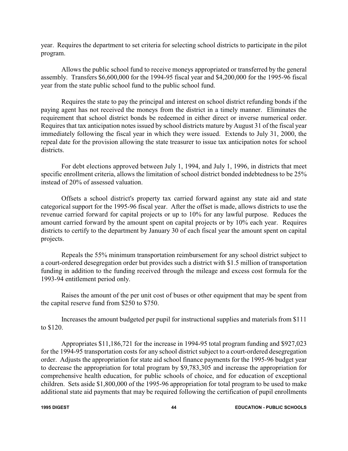year. Requires the department to set criteria for selecting school districts to participate in the pilot program.

Allows the public school fund to receive moneys appropriated or transferred by the general assembly. Transfers \$6,600,000 for the 1994-95 fiscal year and \$4,200,000 for the 1995-96 fiscal year from the state public school fund to the public school fund.

Requires the state to pay the principal and interest on school district refunding bonds if the paying agent has not received the moneys from the district in a timely manner. Eliminates the requirement that school district bonds be redeemed in either direct or inverse numerical order. Requires that tax anticipation notes issued by school districts mature by August 31 of the fiscal year immediately following the fiscal year in which they were issued. Extends to July 31, 2000, the repeal date for the provision allowing the state treasurer to issue tax anticipation notes for school districts.

For debt elections approved between July 1, 1994, and July 1, 1996, in districts that meet specific enrollment criteria, allows the limitation of school district bonded indebtedness to be 25% instead of 20% of assessed valuation.

Offsets a school district's property tax carried forward against any state aid and state categorical support for the 1995-96 fiscal year. After the offset is made, allows districts to use the revenue carried forward for capital projects or up to 10% for any lawful purpose. Reduces the amount carried forward by the amount spent on capital projects or by 10% each year. Requires districts to certify to the department by January 30 of each fiscal year the amount spent on capital projects.

Repeals the 55% minimum transportation reimbursement for any school district subject to a court-ordered desegregation order but provides such a district with \$1.5 million of transportation funding in addition to the funding received through the mileage and excess cost formula for the 1993-94 entitlement period only.

Raises the amount of the per unit cost of buses or other equipment that may be spent from the capital reserve fund from \$250 to \$750.

Increases the amount budgeted per pupil for instructional supplies and materials from \$111 to \$120.

Appropriates \$11,186,721 for the increase in 1994-95 total program funding and \$927,023 for the 1994-95 transportation costs for any school district subject to a court-ordered desegregation order. Adjusts the appropriation for state aid school finance payments for the 1995-96 budget year to decrease the appropriation for total program by \$9,783,305 and increase the appropriation for comprehensive health education, for public schools of choice, and for education of exceptional children. Sets aside \$1,800,000 of the 1995-96 appropriation for total program to be used to make additional state aid payments that may be required following the certification of pupil enrollments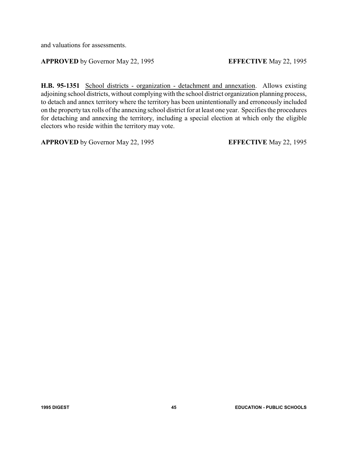and valuations for assessments.

#### **APPROVED** by Governor May 22, 1995 **EFFECTIVE** May 22, 1995

**H.B. 95-1351** School districts - organization - detachment and annexation. Allows existing adjoining school districts, without complying with the school district organization planning process, to detach and annex territory where the territory has been unintentionally and erroneously included on the property tax rolls of the annexing school district for at least one year. Specifies the procedures for detaching and annexing the territory, including a special election at which only the eligible electors who reside within the territory may vote.

**APPROVED** by Governor May 22, 1995 **EFFECTIVE** May 22, 1995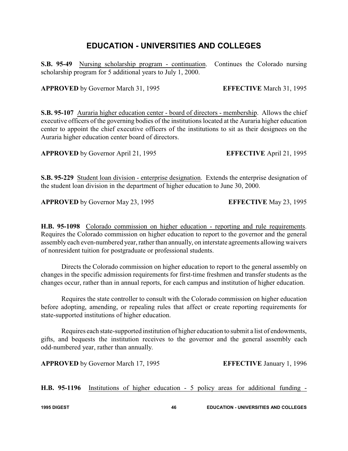# **EDUCATION - UNIVERSITIES AND COLLEGES**

**S.B. 95-49** Nursing scholarship program - continuation. Continues the Colorado nursing scholarship program for 5 additional years to July 1, 2000.

**APPROVED** by Governor March 31, 1995 **EFFECTIVE** March 31, 1995

**S.B. 95-107** Auraria higher education center - board of directors - membership. Allows the chief executive officers of the governing bodies of the institutions located at the Auraria higher education center to appoint the chief executive officers of the institutions to sit as their designees on the Auraria higher education center board of directors.

**APPROVED** by Governor April 21, 1995 **EFFECTIVE** April 21, 1995

**S.B. 95-229** Student loan division - enterprise designation. Extends the enterprise designation of the student loan division in the department of higher education to June 30, 2000.

**APPROVED** by Governor May 23, 1995 **EFFECTIVE** May 23, 1995

**H.B. 95-1098** Colorado commission on higher education - reporting and rule requirements. Requires the Colorado commission on higher education to report to the governor and the general assembly each even-numbered year, rather than annually, on interstate agreements allowing waivers of nonresident tuition for postgraduate or professional students.

Directs the Colorado commission on higher education to report to the general assembly on changes in the specific admission requirements for first-time freshmen and transfer students as the changes occur, rather than in annual reports, for each campus and institution of higher education.

Requires the state controller to consult with the Colorado commission on higher education before adopting, amending, or repealing rules that affect or create reporting requirements for state-supported institutions of higher education.

Requires each state-supported institution of higher education to submit a list of endowments, gifts, and bequests the institution receives to the governor and the general assembly each odd-numbered year, rather than annually.

**APPROVED** by Governor March 17, 1995 **EFFECTIVE** January 1, 1996

**H.B. 95-1196** Institutions of higher education - 5 policy areas for additional funding -

**1995 DIGEST 46 EDUCATION - UNIVERSITIES AND COLLEGES**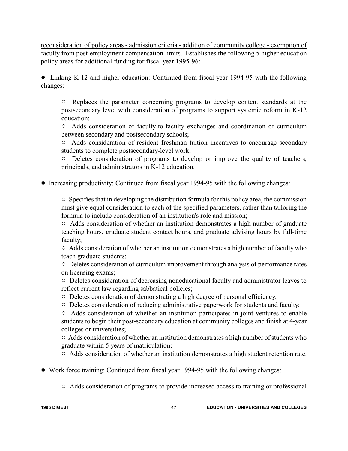reconsideration of policy areas - admission criteria - addition of community college - exemption of faculty from post-employment compensation limits. Establishes the following 5 higher education policy areas for additional funding for fiscal year 1995-96:

• Linking K-12 and higher education: Continued from fiscal year 1994-95 with the following changes:

 $\circ$  Replaces the parameter concerning programs to develop content standards at the postsecondary level with consideration of programs to support systemic reform in K-12 education;

" Adds consideration of faculty-to-faculty exchanges and coordination of curriculum between secondary and postsecondary schools;

" Adds consideration of resident freshman tuition incentives to encourage secondary students to complete postsecondary-level work;

 $\circ$  Deletes consideration of programs to develop or improve the quality of teachers, principals, and administrators in K-12 education.

! Increasing productivity: Continued from fiscal year 1994-95 with the following changes:

 $\circ$  Specifies that in developing the distribution formula for this policy area, the commission must give equal consideration to each of the specified parameters, rather than tailoring the formula to include consideration of an institution's role and mission;

 $\circ$  Adds consideration of whether an institution demonstrates a high number of graduate teaching hours, graduate student contact hours, and graduate advising hours by full-time faculty;

 $\circ$  Adds consideration of whether an institution demonstrates a high number of faculty who teach graduate students;

" Deletes consideration of curriculum improvement through analysis of performance rates on licensing exams;

 $\circ$  Deletes consideration of decreasing noneducational faculty and administrator leaves to reflect current law regarding sabbatical policies;

- $\circ$  Deletes consideration of demonstrating a high degree of personal efficiency;
- $\circ$  Deletes consideration of reducing administrative paperwork for students and faculty;

 $\circ$  Adds consideration of whether an institution participates in joint ventures to enable students to begin their post-secondary education at community colleges and finish at 4-year colleges or universities;

 $\circ$  Adds consideration of whether an institution demonstrates a high number of students who graduate within 5 years of matriculation;

 $\circ$  Adds consideration of whether an institution demonstrates a high student retention rate.

- ! Work force training: Continued from fiscal year 1994-95 with the following changes:
	- $\circ$  Adds consideration of programs to provide increased access to training or professional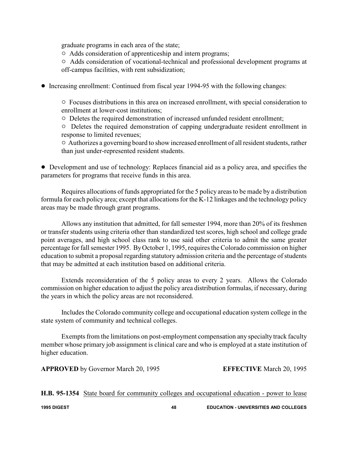graduate programs in each area of the state;

 $\circ$  Adds consideration of apprenticeship and intern programs;

" Adds consideration of vocational-technical and professional development programs at off-campus facilities, with rent subsidization;

! Increasing enrollment: Continued from fiscal year 1994-95 with the following changes:

 $\circ$  Focuses distributions in this area on increased enrollment, with special consideration to enrollment at lower-cost institutions;

 $\circ$  Deletes the required demonstration of increased unfunded resident enrollment;

 $\circ$  Deletes the required demonstration of capping undergraduate resident enrollment in response to limited revenues;

 $\circ$  Authorizes a governing board to show increased enrollment of all resident students, rather than just under-represented resident students.

• Development and use of technology: Replaces financial aid as a policy area, and specifies the parameters for programs that receive funds in this area.

Requires allocations of funds appropriated for the 5 policy areas to be made by a distribution formula for each policy area; except that allocations for the K-12 linkages and the technology policy areas may be made through grant programs.

Allows any institution that admitted, for fall semester 1994, more than 20% of its freshmen or transfer students using criteria other than standardized test scores, high school and college grade point averages, and high school class rank to use said other criteria to admit the same greater percentage for fall semester 1995. ByOctober 1, 1995, requires the Colorado commission on higher education to submit a proposal regarding statutory admission criteria and the percentage of students that may be admitted at each institution based on additional criteria.

Extends reconsideration of the 5 policy areas to every 2 years. Allows the Colorado commission on higher education to adjust the policy area distribution formulas, if necessary, during the years in which the policy areas are not reconsidered.

Includes the Colorado community college and occupational education system college in the state system of community and technical colleges.

Exempts from the limitations on post-employment compensation any specialty track faculty member whose primary job assignment is clinical care and who is employed at a state institution of higher education.

**APPROVED** by Governor March 20, 1995 **EFFECTIVE** March 20, 1995

**H.B. 95-1354** State board for community colleges and occupational education - power to lease

**1995 DIGEST 48 EDUCATION - UNIVERSITIES AND COLLEGES**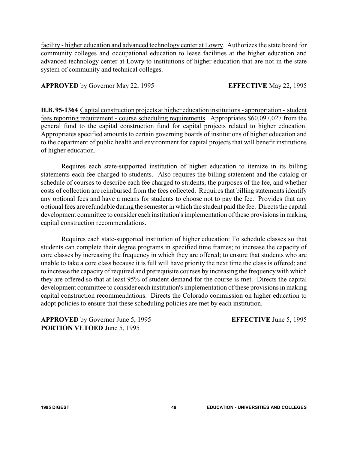facility - higher education and advanced technology center at Lowry. Authorizes the state board for community colleges and occupational education to lease facilities at the higher education and advanced technology center at Lowry to institutions of higher education that are not in the state system of community and technical colleges.

#### **APPROVED** by Governor May 22, 1995 **EFFECTIVE** May 22, 1995

**H.B. 95-1364** Capital construction projects at higher education institutions - appropriation - student fees reporting requirement - course scheduling requirements. Appropriates \$60,097,027 from the general fund to the capital construction fund for capital projects related to higher education. Appropriates specified amounts to certain governing boards of institutions of higher education and to the department of public health and environment for capital projects that will benefit institutions of higher education.

Requires each state-supported institution of higher education to itemize in its billing statements each fee charged to students. Also requires the billing statement and the catalog or schedule of courses to describe each fee charged to students, the purposes of the fee, and whether costs of collection are reimbursed from the fees collected. Requires that billing statements identify any optional fees and have a means for students to choose not to pay the fee. Provides that any optional fees are refundable during the semester in which the student paid the fee. Directs the capital development committee to consider each institution's implementation of these provisions in making capital construction recommendations.

Requires each state-supported institution of higher education: To schedule classes so that students can complete their degree programs in specified time frames; to increase the capacity of core classes by increasing the frequency in which they are offered; to ensure that students who are unable to take a core class because it is full will have priority the next time the class is offered; and to increase the capacity of required and prerequisite courses by increasing the frequencywith which they are offered so that at least 95% of student demand for the course is met. Directs the capital development committee to consider each institution's implementation of these provisions in making capital construction recommendations. Directs the Colorado commission on higher education to adopt policies to ensure that these scheduling policies are met by each institution.

**APPROVED** by Governor June 5, 1995 **EFFECTIVE** June 5, 1995 **PORTION VETOED** June 5, 1995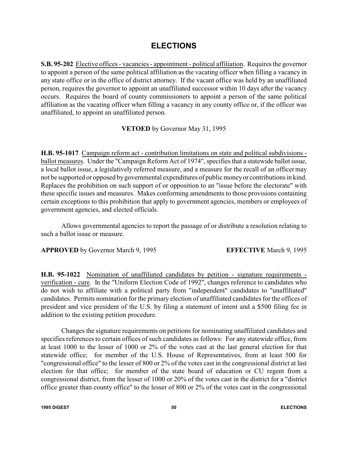### **ELECTIONS**

**S.B. 95-202** Elective offices - vacancies - appointment - political affiliation. Requires the governor to appoint a person of the same political affiliation as the vacating officer when filling a vacancy in any state office or in the office of district attorney. If the vacant office was held by an unaffiliated person, requires the governor to appoint an unaffiliated successor within 10 days after the vacancy occurs. Requires the board of county commissioners to appoint a person of the same political affiliation as the vacating officer when filling a vacancy in any county office or, if the officer was unaffiliated, to appoint an unaffiliated person.

**VETOED** by Governor May 31, 1995

**H.B. 95-1017** Campaign reform act - contribution limitations on state and political subdivisions ballot measures. Under the "Campaign Reform Act of 1974", specifies that a statewide ballot issue, a local ballot issue, a legislatively referred measure, and a measure for the recall of an officer may not be supported or opposed by governmental expenditures of public moneyor contributions in kind. Replaces the prohibition on such support of or opposition to an "issue before the electorate" with these specific issues and measures. Makes conforming amendments to those provisions containing certain exceptions to this prohibition that apply to government agencies, members or employees of government agencies, and elected officials.

Allows governmental agencies to report the passage of or distribute a resolution relating to such a ballot issue or measure.

**APPROVED** by Governor March 9, 1995 **EFFECTIVE** March 9, 1995

**H.B. 95-1022** Nomination of unaffiliated candidates by petition - signature requirements verification - cure. In the "Uniform Election Code of 1992", changes reference to candidates who do not wish to affiliate with a political party from "independent" candidates to "unaffiliated" candidates. Permits nomination for the primary election of unaffiliated candidates for the offices of president and vice president of the U.S. by filing a statement of intent and a \$500 filing fee in addition to the existing petition procedure.

Changes the signature requirements on petitions for nominating unaffiliated candidates and specifies references to certain offices of such candidates as follows: For any statewide office, from at least 1000 to the lesser of 1000 or 2% of the votes cast at the last general election for that statewide office; for member of the U.S. House of Representatives, from at least 500 for "congressional office" to the lesser of 800 or 2% of the votes cast in the congressional district at last election for that office; for member of the state board of education or CU regent from a congressional district, from the lesser of 1000 or 20% of the votes cast in the district for a "district office greater than county office" to the lesser of 800 or 2% of the votes cast in the congressional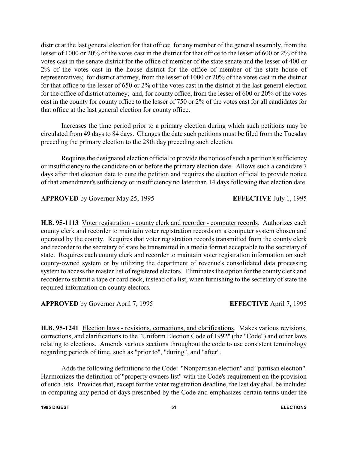district at the last general election for that office; for any member of the general assembly, from the lesser of 1000 or 20% of the votes cast in the district for that office to the lesser of 600 or 2% of the votes cast in the senate district for the office of member of the state senate and the lesser of 400 or 2% of the votes cast in the house district for the office of member of the state house of representatives; for district attorney, from the lesser of 1000 or 20% of the votes cast in the district for that office to the lesser of 650 or 2% of the votes cast in the district at the last general election for the office of district attorney; and, for county office, from the lesser of 600 or 20% of the votes cast in the county for county office to the lesser of 750 or 2% of the votes cast for all candidates for that office at the last general election for county office.

Increases the time period prior to a primary election during which such petitions may be circulated from 49 days to 84 days. Changes the date such petitions must be filed from the Tuesday preceding the primary election to the 28th day preceding such election.

Requires the designated election official to provide the notice of such a petition's sufficiency or insufficiency to the candidate on or before the primary election date. Allows such a candidate 7 days after that election date to cure the petition and requires the election official to provide notice of that amendment's sufficiency or insufficiency no later than 14 days following that election date.

**APPROVED** by Governor May 25, 1995 **EFFECTIVE** July 1, 1995

**H.B. 95-1113** Voter registration - county clerk and recorder - computer records. Authorizes each county clerk and recorder to maintain voter registration records on a computer system chosen and operated by the county. Requires that voter registration records transmitted from the county clerk and recorder to the secretary of state be transmitted in a media format acceptable to the secretary of state. Requires each county clerk and recorder to maintain voter registration information on such county-owned system or by utilizing the department of revenue's consolidated data processing system to access the master list of registered electors. Eliminates the option for the county clerk and recorder to submit a tape or card deck, instead of a list, when furnishing to the secretary of state the required information on county electors.

**APPROVED** by Governor April 7, 1995 **EFFECTIVE** April 7, 1995

**H.B. 95-1241** Election laws - revisions, corrections, and clarifications. Makes various revisions, corrections, and clarifications to the "Uniform Election Code of 1992" (the "Code") and other laws relating to elections. Amends various sections throughout the code to use consistent terminology regarding periods of time, such as "prior to", "during", and "after".

Adds the following definitions to the Code: "Nonpartisan election" and "partisan election". Harmonizes the definition of "property owners list" with the Code's requirement on the provision of such lists. Provides that, except for the voter registration deadline, the last day shall be included in computing any period of days prescribed by the Code and emphasizes certain terms under the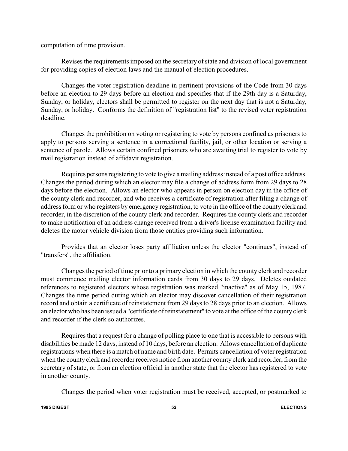computation of time provision.

Revises the requirements imposed on the secretary of state and division of local government for providing copies of election laws and the manual of election procedures.

Changes the voter registration deadline in pertinent provisions of the Code from 30 days before an election to 29 days before an election and specifies that if the 29th day is a Saturday, Sunday, or holiday, electors shall be permitted to register on the next day that is not a Saturday, Sunday, or holiday. Conforms the definition of "registration list" to the revised voter registration deadline.

Changes the prohibition on voting or registering to vote by persons confined as prisoners to apply to persons serving a sentence in a correctional facility, jail, or other location or serving a sentence of parole. Allows certain confined prisoners who are awaiting trial to register to vote by mail registration instead of affidavit registration.

Requires persons registering to vote to give a mailing address instead of a post office address. Changes the period during which an elector may file a change of address form from 29 days to 28 days before the election. Allows an elector who appears in person on election day in the office of the county clerk and recorder, and who receives a certificate of registration after filing a change of address form or who registers by emergency registration, to vote in the office of the county clerk and recorder, in the discretion of the county clerk and recorder. Requires the county clerk and recorder to make notification of an address change received from a driver's license examination facility and deletes the motor vehicle division from those entities providing such information.

Provides that an elector loses party affiliation unless the elector "continues", instead of "transfers", the affiliation.

Changes the period of time prior to a primary election in which the county clerk and recorder must commence mailing elector information cards from 30 days to 29 days. Deletes outdated references to registered electors whose registration was marked "inactive" as of May 15, 1987. Changes the time period during which an elector may discover cancellation of their registration record and obtain a certificate of reinstatement from 29 days to 28 days prior to an election. Allows an elector who has been issued a "certificate of reinstatement" to vote at the office of the county clerk and recorder if the clerk so authorizes.

Requires that a request for a change of polling place to one that is accessible to persons with disabilities be made 12 days, instead of 10 days, before an election. Allows cancellation of duplicate registrations when there is a match of name and birth date. Permits cancellation of voter registration when the county clerk and recorder receives notice from another county clerk and recorder, from the secretary of state, or from an election official in another state that the elector has registered to vote in another county.

Changes the period when voter registration must be received, accepted, or postmarked to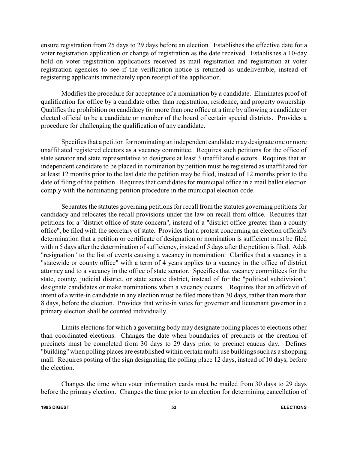ensure registration from 25 days to 29 days before an election. Establishes the effective date for a voter registration application or change of registration as the date received. Establishes a 10-day hold on voter registration applications received as mail registration and registration at voter registration agencies to see if the verification notice is returned as undeliverable, instead of registering applicants immediately upon receipt of the application.

Modifies the procedure for acceptance of a nomination by a candidate. Eliminates proof of qualification for office by a candidate other than registration, residence, and property ownership. Qualifies the prohibition on candidacy for more than one office at a time by allowing a candidate or elected official to be a candidate or member of the board of certain special districts. Provides a procedure for challenging the qualification of any candidate.

Specifies that a petition for nominating an independent candidate may designate one or more unaffiliated registered electors as a vacancy committee. Requires such petitions for the office of state senator and state representative to designate at least 3 unaffiliated electors. Requires that an independent candidate to be placed in nomination by petition must be registered as unaffiliated for at least 12 months prior to the last date the petition may be filed, instead of 12 months prior to the date of filing of the petition. Requires that candidates for municipal office in a mail ballot election comply with the nominating petition procedure in the municipal election code.

Separates the statutes governing petitions for recall from the statutes governing petitions for candidacy and relocates the recall provisions under the law on recall from office. Requires that petitions for a "district office of state concern", instead of a "district office greater than a county office", be filed with the secretary of state. Provides that a protest concerning an election official's determination that a petition or certificate of designation or nomination is sufficient must be filed within 5 days after the determination of sufficiency, instead of 5 days after the petition is filed. Adds "resignation" to the list of events causing a vacancy in nomination. Clarifies that a vacancy in a "statewide or county office" with a term of 4 years applies to a vacancy in the office of district attorney and to a vacancy in the office of state senator. Specifies that vacancy committees for the state, county, judicial district, or state senate district, instead of for the "political subdivision", designate candidates or make nominations when a vacancy occurs. Requires that an affidavit of intent of a write-in candidate in any election must be filed more than 30 days, rather than more than 8 days, before the election. Provides that write-in votes for governor and lieutenant governor in a primary election shall be counted individually.

Limits elections for which a governing body may designate polling places to elections other than coordinated elections. Changes the date when boundaries of precincts or the creation of precincts must be completed from 30 days to 29 days prior to precinct caucus day. Defines "building" when polling places are established within certain multi-use buildings such as a shopping mall. Requires posting of the sign designating the polling place 12 days, instead of 10 days, before the election.

Changes the time when voter information cards must be mailed from 30 days to 29 days before the primary election. Changes the time prior to an election for determining cancellation of

#### **1995 DIGEST 53 ELECTIONS**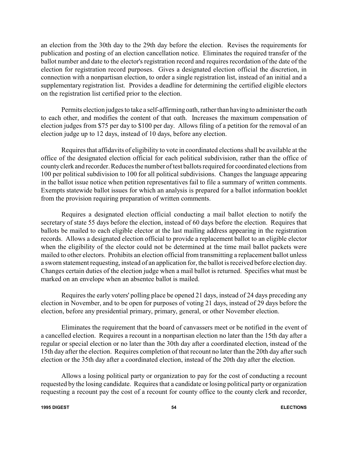an election from the 30th day to the 29th day before the election. Revises the requirements for publication and posting of an election cancellation notice. Eliminates the required transfer of the ballot number and date to the elector's registration record and requires recordation of the date of the election for registration record purposes. Gives a designated election official the discretion, in connection with a nonpartisan election, to order a single registration list, instead of an initial and a supplementary registration list. Provides a deadline for determining the certified eligible electors on the registration list certified prior to the election.

Permits election judges to take a self-affirming oath, rather than having to administer the oath to each other, and modifies the content of that oath. Increases the maximum compensation of election judges from \$75 per day to \$100 per day. Allows filing of a petition for the removal of an election judge up to 12 days, instead of 10 days, before any election.

Requires that affidavits of eligibility to vote in coordinated elections shall be available at the office of the designated election official for each political subdivision, rather than the office of countyclerk and recorder. Reduces the number of test ballots required for coordinated elections from 100 per political subdivision to 100 for all political subdivisions. Changes the language appearing in the ballot issue notice when petition representatives fail to file a summary of written comments. Exempts statewide ballot issues for which an analysis is prepared for a ballot information booklet from the provision requiring preparation of written comments.

Requires a designated election official conducting a mail ballot election to notify the secretary of state 55 days before the election, instead of 60 days before the election. Requires that ballots be mailed to each eligible elector at the last mailing address appearing in the registration records. Allows a designated election official to provide a replacement ballot to an eligible elector when the eligibility of the elector could not be determined at the time mail ballot packets were mailed to other electors. Prohibits an election official from transmitting a replacement ballot unless a sworn statement requesting, instead of an application for, the ballot is received before election day. Changes certain duties of the election judge when a mail ballot is returned. Specifies what must be marked on an envelope when an absentee ballot is mailed.

Requires the early voters' polling place be opened 21 days, instead of 24 days preceding any election in November, and to be open for purposes of voting 21 days, instead of 29 days before the election, before any presidential primary, primary, general, or other November election.

Eliminates the requirement that the board of canvassers meet or be notified in the event of a cancelled election. Requires a recount in a nonpartisan election no later than the 15th day after a regular or special election or no later than the 30th day after a coordinated election, instead of the 15th day after the election. Requires completion of that recount no later than the 20th day after such election or the 35th day after a coordinated election, instead of the 20th day after the election.

Allows a losing political party or organization to pay for the cost of conducting a recount requested by the losing candidate. Requires that a candidate or losing political party or organization requesting a recount pay the cost of a recount for county office to the county clerk and recorder,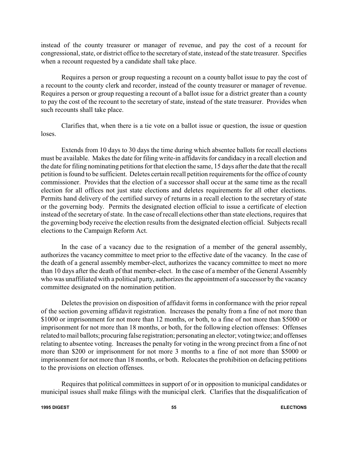instead of the county treasurer or manager of revenue, and pay the cost of a recount for congressional, state, or district office to the secretaryof state, instead of the state treasurer. Specifies when a recount requested by a candidate shall take place.

Requires a person or group requesting a recount on a county ballot issue to pay the cost of a recount to the county clerk and recorder, instead of the county treasurer or manager of revenue. Requires a person or group requesting a recount of a ballot issue for a district greater than a county to pay the cost of the recount to the secretary of state, instead of the state treasurer. Provides when such recounts shall take place.

Clarifies that, when there is a tie vote on a ballot issue or question, the issue or question loses.

Extends from 10 days to 30 days the time during which absentee ballots for recall elections must be available. Makes the date for filing write-in affidavits for candidacy in a recall election and the date for filing nominating petitions for that election the same, 15 days after the date that the recall petition is found to be sufficient. Deletes certain recall petition requirements for the office of county commissioner. Provides that the election of a successor shall occur at the same time as the recall election for all offices not just state elections and deletes requirements for all other elections. Permits hand delivery of the certified survey of returns in a recall election to the secretary of state or the governing body. Permits the designated election official to issue a certificate of election instead of the secretary of state. In the case of recall elections other than state elections, requires that the governing body receive the election results from the designated election official. Subjects recall elections to the Campaign Reform Act.

In the case of a vacancy due to the resignation of a member of the general assembly, authorizes the vacancy committee to meet prior to the effective date of the vacancy. In the case of the death of a general assembly member-elect, authorizes the vacancy committee to meet no more than 10 days after the death of that member-elect. In the case of a member of the General Assembly who was unaffiliated with a political party, authorizes the appointment of a successor by the vacancy committee designated on the nomination petition.

Deletes the provision on disposition of affidavit forms in conformance with the prior repeal of the section governing affidavit registration. Increases the penalty from a fine of not more than \$1000 or imprisonment for not more than 12 months, or both, to a fine of not more than \$5000 or imprisonment for not more than 18 months, or both, for the following election offenses: Offenses related to mail ballots; procuring false registration; personating an elector; votingtwice; and offenses relating to absentee voting. Increases the penalty for voting in the wrong precinct from a fine of not more than \$200 or imprisonment for not more 3 months to a fine of not more than \$5000 or imprisonment for not more than 18 months, or both. Relocates the prohibition on defacing petitions to the provisions on election offenses.

Requires that political committees in support of or in opposition to municipal candidates or municipal issues shall make filings with the municipal clerk. Clarifies that the disqualification of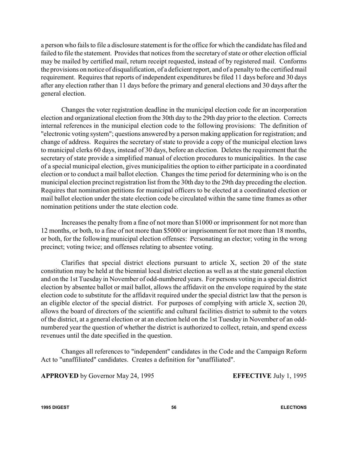a person who fails to file a disclosure statement is for the office for which the candidate has filed and failed to file the statement. Provides that notices from the secretary of state or other election official may be mailed by certified mail, return receipt requested, instead of by registered mail. Conforms the provisions on notice of disqualification, of a deficient report, and of a penalty to the certified mail requirement. Requires that reports of independent expenditures be filed 11 days before and 30 days after any election rather than 11 days before the primary and general elections and 30 days after the general election.

Changes the voter registration deadline in the municipal election code for an incorporation election and organizational election from the 30th day to the 29th day prior to the election. Corrects internal references in the municipal election code to the following provisions: The definition of "electronic voting system"; questions answered by a person making application for registration; and change of address. Requires the secretary of state to provide a copy of the municipal election laws to municipal clerks 60 days, instead of 30 days, before an election. Deletes the requirement that the secretary of state provide a simplified manual of election procedures to municipalities. In the case of a special municipal election, gives municipalities the option to either participate in a coordinated election or to conduct a mail ballot election. Changes the time period for determining who is on the municipal election precinct registration list from the 30th day to the 29th day preceding the election. Requires that nomination petitions for municipal officers to be elected at a coordinated election or mail ballot election under the state election code be circulated within the same time frames as other nomination petitions under the state election code.

Increases the penalty from a fine of not more than \$1000 or imprisonment for not more than 12 months, or both, to a fine of not more than \$5000 or imprisonment for not more than 18 months, or both, for the following municipal election offenses: Personating an elector; voting in the wrong precinct; voting twice; and offenses relating to absentee voting.

Clarifies that special district elections pursuant to article X, section 20 of the state constitution may be held at the biennial local district election as well as at the state general election and on the 1st Tuesday in November of odd-numbered years. For persons voting in a special district election by absentee ballot or mail ballot, allows the affidavit on the envelope required by the state election code to substitute for the affidavit required under the special district law that the person is an eligible elector of the special district. For purposes of complying with article X, section 20, allows the board of directors of the scientific and cultural facilities district to submit to the voters of the district, at a general election or at an election held on the 1st Tuesday in November of an oddnumbered year the question of whether the district is authorized to collect, retain, and spend excess revenues until the date specified in the question.

Changes all references to "independent" candidates in the Code and the Campaign Reform Act to "unaffiliated" candidates. Creates a definition for "unaffiliated".

**APPROVED** by Governor May 24, 1995 **EFFECTIVE** July 1, 1995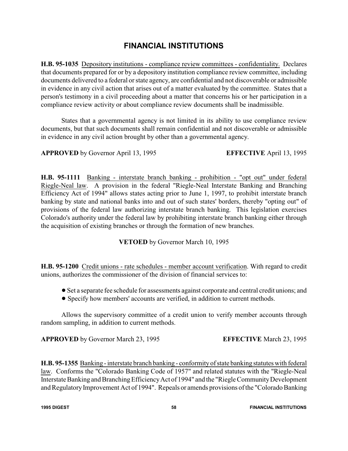# **FINANCIAL INSTITUTIONS**

**H.B. 95-1035** Depository institutions - compliance review committees - confidentiality. Declares that documents prepared for or by a depository institution compliance review committee, including documents delivered to a federal or state agency, are confidential and not discoverable or admissible in evidence in any civil action that arises out of a matter evaluated by the committee. States that a person's testimony in a civil proceeding about a matter that concerns his or her participation in a compliance review activity or about compliance review documents shall be inadmissible.

States that a governmental agency is not limited in its ability to use compliance review documents, but that such documents shall remain confidential and not discoverable or admissible in evidence in any civil action brought by other than a governmental agency.

**APPROVED** by Governor April 13, 1995 **EFFECTIVE** April 13, 1995

**H.B. 95-1111** Banking - interstate branch banking - prohibition - "opt out" under federal Riegle-Neal law. A provision in the federal "Riegle-Neal Interstate Banking and Branching Efficiency Act of 1994" allows states acting prior to June 1, 1997, to prohibit interstate branch banking by state and national banks into and out of such states' borders, thereby "opting out" of provisions of the federal law authorizing interstate branch banking. This legislation exercises Colorado's authority under the federal law by prohibiting interstate branch banking either through the acquisition of existing branches or through the formation of new branches.

#### **VETOED** by Governor March 10, 1995

**H.B. 95-1200** Credit unions - rate schedules - member account verification. With regard to credit unions, authorizes the commissioner of the division of financial services to:

- !Set a separate fee schedule for assessments against corporate and central credit unions; and
- ! Specify how members' accounts are verified, in addition to current methods.

Allows the supervisory committee of a credit union to verify member accounts through random sampling, in addition to current methods.

**APPROVED** by Governor March 23, 1995 **EFFECTIVE** March 23, 1995

**H.B. 95-1355** Banking - interstate branch banking - conformity of state banking statutes with federal law. Conforms the "Colorado Banking Code of 1957" and related statutes with the "Riegle-Neal Interstate Banking and Branching Efficiency Act of 1994" and the "Riegle Community Development and Regulatory Improvement Act of 1994". Repeals or amends provisions of the "Colorado Banking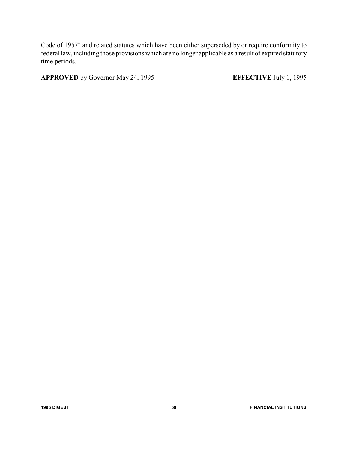Code of 1957" and related statutes which have been either superseded by or require conformity to federal law, including those provisions which are no longer applicable as a result of expired statutory time periods.

**APPROVED** by Governor May 24, 1995 **EFFECTIVE** July 1, 1995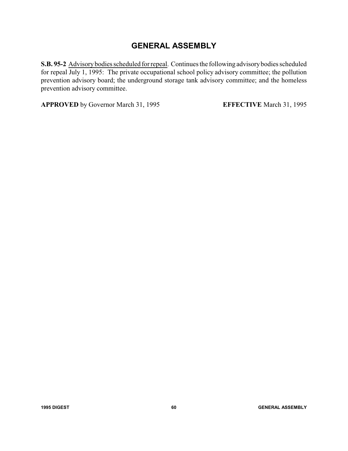# **GENERAL ASSEMBLY**

**S.B. 95-2** Advisory bodies scheduled for repeal. Continues the following advisorybodies scheduled for repeal July 1, 1995: The private occupational school policy advisory committee; the pollution prevention advisory board; the underground storage tank advisory committee; and the homeless prevention advisory committee.

**APPROVED** by Governor March 31, 1995 **EFFECTIVE** March 31, 1995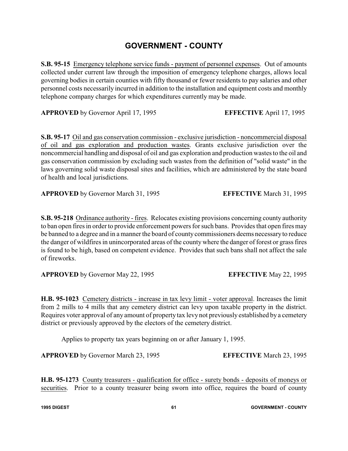### **GOVERNMENT - COUNTY**

**S.B. 95-15** Emergency telephone service funds - payment of personnel expenses. Out of amounts collected under current law through the imposition of emergency telephone charges, allows local governing bodies in certain counties with fifty thousand or fewer residents to pay salaries and other personnel costs necessarily incurred in addition to the installation and equipment costs and monthly telephone company charges for which expenditures currently may be made.

**APPROVED** by Governor April 17, 1995 **EFFECTIVE** April 17, 1995

**S.B. 95-17** Oil and gas conservation commission - exclusive jurisdiction - noncommercial disposal of oil and gas exploration and production wastes. Grants exclusive jurisdiction over the noncommercial handling and disposal of oil and gas exploration and production wastes to the oil and gas conservation commission by excluding such wastes from the definition of "solid waste" in the laws governing solid waste disposal sites and facilities, which are administered by the state board of health and local jurisdictions.

**APPROVED** by Governor March 31, 1995 **EFFECTIVE** March 31, 1995

**S.B. 95-218** Ordinance authority - fires. Relocates existing provisions concerning county authority to ban open fires in order to provide enforcement powers for such bans. Provides that open fires may be banned to a degree and in a manner the board of countycommissioners deems necessaryto reduce the danger of wildfires in unincorporated areas of the county where the danger of forest or grass fires is found to be high, based on competent evidence. Provides that such bans shall not affect the sale of fireworks.

**APPROVED** by Governor May 22, 1995 **EFFECTIVE** May 22, 1995

**H.B. 95-1023** Cemetery districts - increase in tax levy limit - voter approval. Increases the limit from 2 mills to 4 mills that any cemetery district can levy upon taxable property in the district. Requires voter approval of any amount of property tax levy not previously established by a cemetery district or previously approved by the electors of the cemetery district.

Applies to property tax years beginning on or after January 1, 1995.

**APPROVED** by Governor March 23, 1995 **EFFECTIVE** March 23, 1995

**H.B. 95-1273** County treasurers - qualification for office - surety bonds - deposits of moneys or securities. Prior to a county treasurer being sworn into office, requires the board of county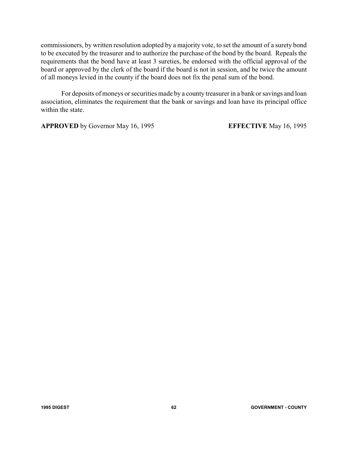commissioners, by written resolution adopted by a majority vote, to set the amount of a surety bond to be executed by the treasurer and to authorize the purchase of the bond by the board. Repeals the requirements that the bond have at least 3 sureties, be endorsed with the official approval of the board or approved by the clerk of the board if the board is not in session, and be twice the amount of all moneys levied in the county if the board does not fix the penal sum of the bond.

For deposits of moneys or securities made by a county treasurer in a bank or savings and loan association, eliminates the requirement that the bank or savings and loan have its principal office within the state.

**APPROVED** by Governor May 16, 1995 **EFFECTIVE** May 16, 1995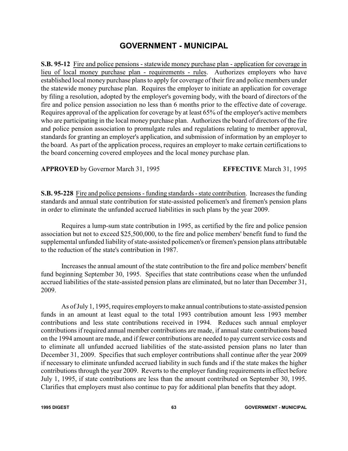#### **GOVERNMENT - MUNICIPAL**

**S.B. 95-12** Fire and police pensions - statewide money purchase plan - application for coverage in lieu of local money purchase plan - requirements - rules. Authorizes employers who have established local money purchase plans to apply for coverage of their fire and police members under the statewide money purchase plan. Requires the employer to initiate an application for coverage by filing a resolution, adopted by the employer's governing body, with the board of directors of the fire and police pension association no less than 6 months prior to the effective date of coverage. Requires approval of the application for coverage by at least 65% of the employer's active members who are participating in the local money purchase plan. Authorizes the board of directors of the fire and police pension association to promulgate rules and regulations relating to member approval, standards for granting an employer's application, and submission of information by an employer to the board. As part of the application process, requires an employer to make certain certifications to the board concerning covered employees and the local money purchase plan.

**APPROVED** by Governor March 31, 1995 **EFFECTIVE** March 31, 1995

**S.B. 95-228** Fire and police pensions - funding standards - state contribution. Increases the funding standards and annual state contribution for state-assisted policemen's and firemen's pension plans in order to eliminate the unfunded accrued liabilities in such plans by the year 2009.

Requires a lump-sum state contribution in 1995, as certified by the fire and police pension association but not to exceed \$25,500,000, to the fire and police members' benefit fund to fund the supplemental unfunded liability of state-assisted policemen's or firemen's pension plans attributable to the reduction of the state's contribution in 1987.

Increases the annual amount of the state contribution to the fire and police members' benefit fund beginning September 30, 1995. Specifies that state contributions cease when the unfunded accrued liabilities of the state-assisted pension plans are eliminated, but no later than December 31, 2009.

As of July 1, 1995, requires employers to make annual contributions to state-assisted pension funds in an amount at least equal to the total 1993 contribution amount less 1993 member contributions and less state contributions received in 1994. Reduces such annual employer contributions if required annual member contributions are made, if annual state contributions based on the 1994 amount are made, and if fewer contributions are needed to pay current service costs and to eliminate all unfunded accrued liabilities of the state-assisted pension plans no later than December 31, 2009. Specifies that such employer contributions shall continue after the year 2009 if necessary to eliminate unfunded accrued liability in such funds and if the state makes the higher contributions through the year 2009. Reverts to the employer funding requirements in effect before July 1, 1995, if state contributions are less than the amount contributed on September 30, 1995. Clarifies that employers must also continue to pay for additional plan benefits that they adopt.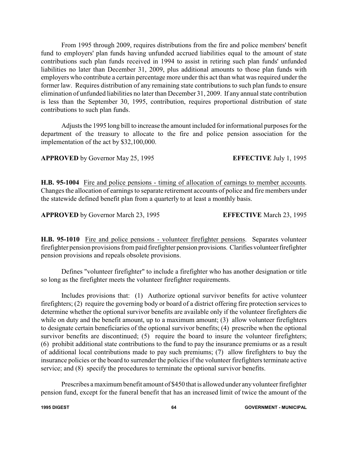From 1995 through 2009, requires distributions from the fire and police members' benefit fund to employers' plan funds having unfunded accrued liabilities equal to the amount of state contributions such plan funds received in 1994 to assist in retiring such plan funds' unfunded liabilities no later than December 31, 2009, plus additional amounts to those plan funds with employers who contribute a certain percentage more under this act than what was required under the former law. Requires distribution of any remaining state contributions to such plan funds to ensure elimination of unfunded liabilities no later than December 31, 2009. If any annual state contribution is less than the September 30, 1995, contribution, requires proportional distribution of state contributions to such plan funds.

Adjusts the 1995 long bill to increase the amount included for informational purposes for the department of the treasury to allocate to the fire and police pension association for the implementation of the act by \$32,100,000.

**APPROVED** by Governor May 25, 1995 **EFFECTIVE** July 1, 1995

**H.B. 95-1004** Fire and police pensions - timing of allocation of earnings to member accounts. Changes the allocation of earnings to separate retirement accounts of police and fire members under the statewide defined benefit plan from a quarterly to at least a monthly basis.

**APPROVED** by Governor March 23, 1995 **EFFECTIVE** March 23, 1995

**H.B. 95-1010** Fire and police pensions - volunteer firefighter pensions. Separates volunteer firefighter pension provisions from paid firefighter pension provisions. Clarifies volunteer firefighter pension provisions and repeals obsolete provisions.

Defines "volunteer firefighter" to include a firefighter who has another designation or title so long as the firefighter meets the volunteer firefighter requirements.

Includes provisions that: (1) Authorize optional survivor benefits for active volunteer firefighters; (2) require the governing body or board of a district offering fire protection services to determine whether the optional survivor benefits are available only if the volunteer firefighters die while on duty and the benefit amount, up to a maximum amount; (3) allow volunteer firefighters to designate certain beneficiaries of the optional survivor benefits; (4) prescribe when the optional survivor benefits are discontinued; (5) require the board to insure the volunteer firefighters; (6) prohibit additional state contributions to the fund to pay the insurance premiums or as a result of additional local contributions made to pay such premiums; (7) allow firefighters to buy the insurance policies or the board to surrender the policies if the volunteer firefighters terminate active service; and (8) specify the procedures to terminate the optional survivor benefits.

Prescribes a maximum benefit amount of \$450 that is allowed under anyvolunteer firefighter pension fund, except for the funeral benefit that has an increased limit of twice the amount of the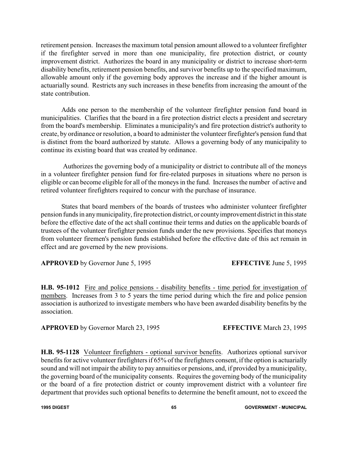retirement pension. Increases the maximum total pension amount allowed to a volunteer firefighter if the firefighter served in more than one municipality, fire protection district, or county improvement district. Authorizes the board in any municipality or district to increase short-term disability benefits, retirement pension benefits, and survivor benefits up to the specified maximum, allowable amount only if the governing body approves the increase and if the higher amount is actuarially sound. Restricts any such increases in these benefits from increasing the amount of the state contribution.

Adds one person to the membership of the volunteer firefighter pension fund board in municipalities. Clarifies that the board in a fire protection district elects a president and secretary from the board's membership. Eliminates a municipality's and fire protection district's authority to create, by ordinance or resolution, a board to administer the volunteer firefighter's pension fund that is distinct from the board authorized by statute. Allows a governing body of any municipality to continue its existing board that was created by ordinance.

Authorizes the governing body of a municipality or district to contribute all of the moneys in a volunteer firefighter pension fund for fire-related purposes in situations where no person is eligible or can become eligible for all of the moneys in the fund. Increases the number of active and retired volunteer firefighters required to concur with the purchase of insurance.

States that board members of the boards of trustees who administer volunteer firefighter pension funds in any municipality, fire protection district, or county improvement district in this state before the effective date of the act shall continue their terms and duties on the applicable boards of trustees of the volunteer firefighter pension funds under the new provisions. Specifies that moneys from volunteer firemen's pension funds established before the effective date of this act remain in effect and are governed by the new provisions.

**APPROVED** by Governor June 5, 1995 **EFFECTIVE** June 5, 1995

**H.B. 95-1012** Fire and police pensions - disability benefits - time period for investigation of members. Increases from 3 to 5 years the time period during which the fire and police pension association is authorized to investigate members who have been awarded disability benefits by the association.

**APPROVED** by Governor March 23, 1995 **EFFECTIVE** March 23, 1995

**H.B. 95-1128** Volunteer firefighters - optional survivor benefits. Authorizes optional survivor benefits for active volunteer firefighters if 65% of the firefighters consent, if the option is actuarially sound and will not impair the ability to pay annuities or pensions, and, if provided by a municipality, the governing board of the municipality consents. Requires the governing body of the municipality or the board of a fire protection district or county improvement district with a volunteer fire department that provides such optional benefits to determine the benefit amount, not to exceed the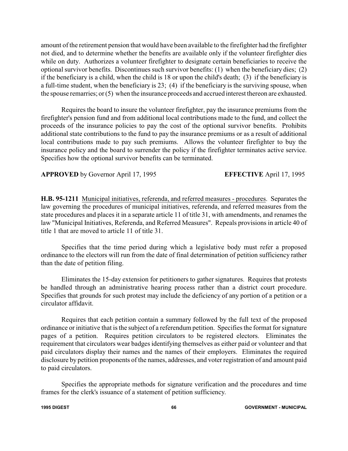amount of the retirement pension that would have been available to the firefighter had the firefighter not died, and to determine whether the benefits are available only if the volunteer firefighter dies while on duty. Authorizes a volunteer firefighter to designate certain beneficiaries to receive the optional survivor benefits. Discontinues such survivor benefits: (1) when the beneficiary dies; (2) if the beneficiary is a child, when the child is 18 or upon the child's death; (3) if the beneficiary is a full-time student, when the beneficiary is 23; (4) if the beneficiary is the surviving spouse, when the spouse remarries; or (5) when the insurance proceeds and accrued interest thereon are exhausted.

Requires the board to insure the volunteer firefighter, pay the insurance premiums from the firefighter's pension fund and from additional local contributions made to the fund, and collect the proceeds of the insurance policies to pay the cost of the optional survivor benefits. Prohibits additional state contributions to the fund to pay the insurance premiums or as a result of additional local contributions made to pay such premiums. Allows the volunteer firefighter to buy the insurance policy and the board to surrender the policy if the firefighter terminates active service. Specifies how the optional survivor benefits can be terminated.

**APPROVED** by Governor April 17, 1995 **EFFECTIVE** April 17, 1995

**H.B. 95-1211** Municipal initiatives, referenda, and referred measures - procedures. Separates the law governing the procedures of municipal initiatives, referenda, and referred measures from the state procedures and places it in a separate article 11 of title 31, with amendments, and renames the law "Municipal Initiatives, Referenda, and Referred Measures". Repeals provisions in article 40 of title 1 that are moved to article 11 of title 31.

Specifies that the time period during which a legislative body must refer a proposed ordinance to the electors will run from the date of final determination of petition sufficiency rather than the date of petition filing.

Eliminates the 15-day extension for petitioners to gather signatures. Requires that protests be handled through an administrative hearing process rather than a district court procedure. Specifies that grounds for such protest may include the deficiency of any portion of a petition or a circulator affidavit.

Requires that each petition contain a summary followed by the full text of the proposed ordinance or initiative that is the subject of a referendum petition. Specifies the format for signature pages of a petition. Requires petition circulators to be registered electors. Eliminates the requirement that circulators wear badges identifying themselves as either paid or volunteer and that paid circulators display their names and the names of their employers. Eliminates the required disclosure by petition proponents of the names, addresses, and voter registration of and amount paid to paid circulators.

Specifies the appropriate methods for signature verification and the procedures and time frames for the clerk's issuance of a statement of petition sufficiency.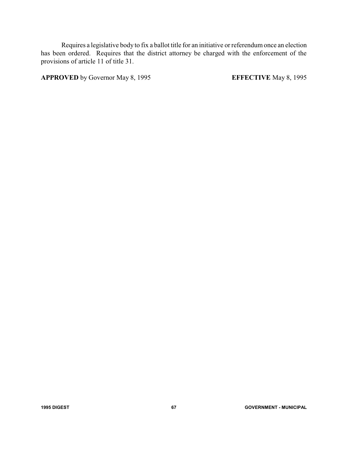Requires a legislative body to fix a ballot title for an initiative or referendum once an election has been ordered. Requires that the district attorney be charged with the enforcement of the provisions of article 11 of title 31.

**APPROVED** by Governor May 8, 1995 **EFFECTIVE** May 8, 1995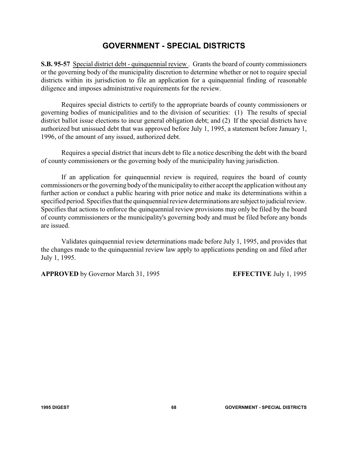#### **GOVERNMENT - SPECIAL DISTRICTS**

**S.B. 95-57** Special district debt - quinquennial review . Grants the board of county commissioners or the governing body of the municipality discretion to determine whether or not to require special districts within its jurisdiction to file an application for a quinquennial finding of reasonable diligence and imposes administrative requirements for the review.

Requires special districts to certify to the appropriate boards of county commissioners or governing bodies of municipalities and to the division of securities: (1) The results of special district ballot issue elections to incur general obligation debt; and (2) If the special districts have authorized but unissued debt that was approved before July 1, 1995, a statement before January 1, 1996, of the amount of any issued, authorized debt.

Requires a special district that incurs debt to file a notice describing the debt with the board of county commissioners or the governing body of the municipality having jurisdiction.

If an application for quinquennial review is required, requires the board of county commissioners or the governing bodyof the municipality to either accept the application without any further action or conduct a public hearing with prior notice and make its determinations within a specified period. Specifies that the quinquennial review determinations are subject to judicial review. Specifies that actions to enforce the quinquennial review provisions may only be filed by the board of county commissioners or the municipality's governing body and must be filed before any bonds are issued.

Validates quinquennial review determinations made before July 1, 1995, and provides that the changes made to the quinquennial review law apply to applications pending on and filed after July 1, 1995.

**APPROVED** by Governor March 31, 1995 **EFFECTIVE** July 1, 1995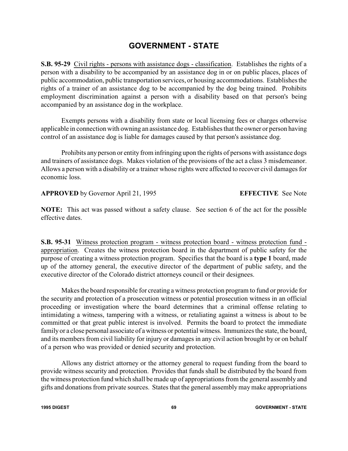### **GOVERNMENT - STATE**

**S.B. 95-29** Civil rights - persons with assistance dogs - classification. Establishes the rights of a person with a disability to be accompanied by an assistance dog in or on public places, places of public accommodation, public transportation services, or housing accommodations. Establishes the rights of a trainer of an assistance dog to be accompanied by the dog being trained. Prohibits employment discrimination against a person with a disability based on that person's being accompanied by an assistance dog in the workplace.

Exempts persons with a disability from state or local licensing fees or charges otherwise applicable in connection with owning an assistance dog. Establishes that the owner or person having control of an assistance dog is liable for damages caused by that person's assistance dog.

Prohibits anyperson or entity from infringing upon the rights of persons with assistance dogs and trainers of assistance dogs. Makes violation of the provisions of the act a class 3 misdemeanor. Allows a person with a disability or a trainer whose rights were affected to recover civil damages for economic loss.

**APPROVED** by Governor April 21, 1995 **EFFECTIVE** See Note

**NOTE:** This act was passed without a safety clause. See section 6 of the act for the possible effective dates.

**S.B. 95-31** Witness protection program - witness protection board - witness protection fund appropriation. Creates the witness protection board in the department of public safety for the purpose of creating a witness protection program. Specifies that the board is a **type 1** board, made up of the attorney general, the executive director of the department of public safety, and the executive director of the Colorado district attorneys council or their designees.

Makes the board responsible for creating a witness protection program to fund or provide for the security and protection of a prosecution witness or potential prosecution witness in an official proceeding or investigation where the board determines that a criminal offense relating to intimidating a witness, tampering with a witness, or retaliating against a witness is about to be committed or that great public interest is involved. Permits the board to protect the immediate family or a close personal associate of a witness or potential witness. Immunizes the state, the board, and its members from civil liability for injury or damages in any civil action brought by or on behalf of a person who was provided or denied security and protection.

Allows any district attorney or the attorney general to request funding from the board to provide witness security and protection. Provides that funds shall be distributed by the board from the witness protection fund which shall be made up of appropriations from the general assembly and gifts and donations from private sources. States that the general assembly may make appropriations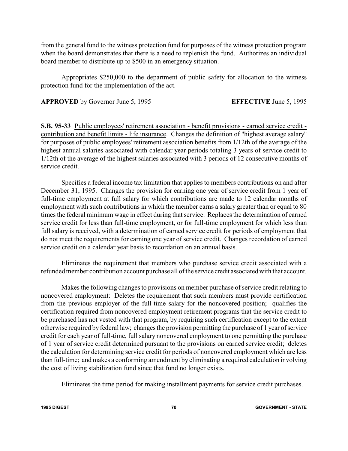from the general fund to the witness protection fund for purposes of the witness protection program when the board demonstrates that there is a need to replenish the fund. Authorizes an individual board member to distribute up to \$500 in an emergency situation.

Appropriates \$250,000 to the department of public safety for allocation to the witness protection fund for the implementation of the act.

**APPROVED** by Governor June 5, 1995 **EFFECTIVE** June 5, 1995

**S.B. 95-33** Public employees' retirement association - benefit provisions - earned service credit contribution and benefit limits - life insurance. Changes the definition of "highest average salary" for purposes of public employees' retirement association benefits from 1/12th of the average of the highest annual salaries associated with calendar year periods totaling 3 years of service credit to 1/12th of the average of the highest salaries associated with 3 periods of 12 consecutive months of service credit.

Specifies a federal income tax limitation that applies to members contributions on and after December 31, 1995. Changes the provision for earning one year of service credit from 1 year of full-time employment at full salary for which contributions are made to 12 calendar months of employment with such contributions in which the member earns a salary greater than or equal to 80 times the federal minimum wage in effect during that service. Replaces the determination of earned service credit for less than full-time employment, or for full-time employment for which less than full salary is received, with a determination of earned service credit for periods of employment that do not meet the requirements for earning one year of service credit. Changes recordation of earned service credit on a calendar year basis to recordation on an annual basis.

Eliminates the requirement that members who purchase service credit associated with a refunded member contribution account purchase all of the service credit associated with that account.

Makes the following changes to provisions on member purchase of service credit relating to noncovered employment: Deletes the requirement that such members must provide certification from the previous employer of the full-time salary for the noncovered position; qualifies the certification required from noncovered employment retirement programs that the service credit to be purchased has not vested with that program, by requiring such certification except to the extent otherwise required by federal law; changes the provision permitting the purchase of 1 year of service credit for each year of full-time, full salary noncovered employment to one permitting the purchase of 1 year of service credit determined pursuant to the provisions on earned service credit; deletes the calculation for determining service credit for periods of noncovered employment which are less than full-time; and makes a conforming amendment by eliminating a required calculation involving the cost of living stabilization fund since that fund no longer exists.

Eliminates the time period for making installment payments for service credit purchases.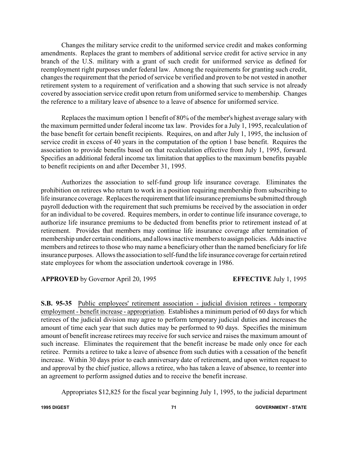Changes the military service credit to the uniformed service credit and makes conforming amendments. Replaces the grant to members of additional service credit for active service in any branch of the U.S. military with a grant of such credit for uniformed service as defined for reemployment right purposes under federal law. Among the requirements for granting such credit, changes the requirement that the period of service be verified and proven to be not vested in another retirement system to a requirement of verification and a showing that such service is not already covered by association service credit upon return from uniformed service to membership. Changes the reference to a military leave of absence to a leave of absence for uniformed service.

Replaces the maximum option 1 benefit of 80% of the member's highest average salary with the maximum permitted under federal income tax law. Provides for a July 1, 1995, recalculation of the base benefit for certain benefit recipients. Requires, on and after July 1, 1995, the inclusion of service credit in excess of 40 years in the computation of the option 1 base benefit. Requires the association to provide benefits based on that recalculation effective from July 1, 1995, forward. Specifies an additional federal income tax limitation that applies to the maximum benefits payable to benefit recipients on and after December 31, 1995.

Authorizes the association to self-fund group life insurance coverage. Eliminates the prohibition on retirees who return to work in a position requiring membership from subscribing to life insurance coverage. Replaces the requirement that life insurance premiums be submitted through payroll deduction with the requirement that such premiums be received by the association in order for an individual to be covered. Requires members, in order to continue life insurance coverage, to authorize life insurance premiums to be deducted from benefits prior to retirement instead of at retirement. Provides that members may continue life insurance coverage after termination of membership under certain conditions, and allows inactive members to assign policies. Adds inactive members and retirees to those who may name a beneficiary other than the named beneficiary for life insurance purposes. Allows the association to self-fund the life insurance coverage for certain retired state employees for whom the association undertook coverage in 1986.

**APPROVED** by Governor April 20, 1995 **EFFECTIVE** July 1, 1995

**S.B. 95-35** Public employees' retirement association - judicial division retirees - temporary employment - benefit increase - appropriation. Establishes a minimum period of 60 days for which retirees of the judicial division may agree to perform temporary judicial duties and increases the amount of time each year that such duties may be performed to 90 days. Specifies the minimum amount of benefit increase retirees may receive for such service and raises the maximum amount of such increase. Eliminates the requirement that the benefit increase be made only once for each retiree. Permits a retiree to take a leave of absence from such duties with a cessation of the benefit increase. Within 30 days prior to each anniversary date of retirement, and upon written request to and approval by the chief justice, allows a retiree, who has taken a leave of absence, to reenter into an agreement to perform assigned duties and to receive the benefit increase.

Appropriates \$12,825 for the fiscal year beginning July 1, 1995, to the judicial department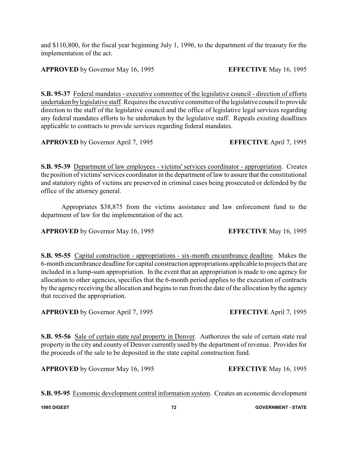and \$110,800, for the fiscal year beginning July 1, 1996, to the department of the treasury for the implementation of the act.

**APPROVED** by Governor May 16, 1995 **EFFECTIVE** May 16, 1995

**S.B. 95-37** Federal mandates - executive committee of the legislative council - direction of efforts undertaken bylegislative staff. Requires the executive committee ofthe legislative council to provide direction to the staff of the legislative council and the office of legislative legal services regarding any federal mandates efforts to be undertaken by the legislative staff. Repeals existing deadlines applicable to contracts to provide services regarding federal mandates.

**APPROVED** by Governor April 7, 1995 **EFFECTIVE** April 7, 1995

**S.B. 95-39** Department of law employees - victims' services coordinator - appropriation. Creates the position of victims'services coordinator in the department of law to assure that the constitutional and statutory rights of victims are preserved in criminal cases being prosecuted or defended by the office of the attorney general.

Appropriates \$38,875 from the victims assistance and law enforcement fund to the department of law for the implementation of the act.

**APPROVED** by Governor May 16, 1995 **EFFECTIVE** May 16, 1995

**S.B. 95-55** Capital construction - appropriations - six-month encumbrance deadline. Makes the 6-month encumbrance deadline for capital construction appropriations applicable to projects that are included in a lump-sum appropriation. In the event that an appropriation is made to one agency for allocation to other agencies, specifies that the 6-month period applies to the execution of contracts by the agency receiving the allocation and begins to run from the date of the allocation by the agency that received the appropriation.

**APPROVED** by Governor April 7, 1995 **EFFECTIVE** April 7, 1995

**S.B. 95-56** Sale of certain state real property in Denver. Authorizes the sale of certain state real property in the city and county of Denver currently used by the department of revenue. Provides for the proceeds of the sale to be deposited in the state capital construction fund.

**APPROVED** by Governor May 16, 1995 **EFFECTIVE** May 16, 1995

**S.B. 95-95** Economic development central information system. Creates an economic development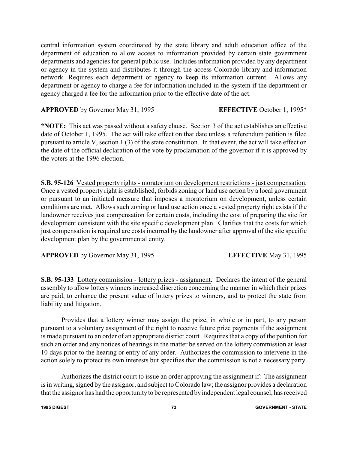central information system coordinated by the state library and adult education office of the department of education to allow access to information provided by certain state government departments and agencies for general public use. Includes information provided by any department or agency in the system and distributes it through the access Colorado library and information network. Requires each department or agency to keep its information current. Allows any department or agency to charge a fee for information included in the system if the department or agency charged a fee for the information prior to the effective date of the act.

**APPROVED** by Governor May 31, 1995 **EFFECTIVE** October 1, 1995\*

**\*NOTE:** This act was passed without a safety clause. Section 3 of the act establishes an effective date of October 1, 1995. The act will take effect on that date unless a referendum petition is filed pursuant to article V, section 1 (3) of the state constitution. In that event, the act will take effect on the date of the official declaration of the vote by proclamation of the governor if it is approved by the voters at the 1996 election.

**S.B. 95-126** Vested property rights - moratorium on development restrictions - just compensation. Once a vested property right is established, forbids zoning or land use action by a local government or pursuant to an initiated measure that imposes a moratorium on development, unless certain conditions are met. Allows such zoning or land use action once a vested property right exists if the landowner receives just compensation for certain costs, including the cost of preparing the site for development consistent with the site specific development plan. Clarifies that the costs for which just compensation is required are costs incurred by the landowner after approval of the site specific development plan by the governmental entity.

**APPROVED** by Governor May 31, 1995 **EFFECTIVE** May 31, 1995

**S.B. 95-133** Lottery commission - lottery prizes - assignment. Declares the intent of the general assembly to allow lottery winners increased discretion concerning the manner in which their prizes are paid, to enhance the present value of lottery prizes to winners, and to protect the state from liability and litigation.

Provides that a lottery winner may assign the prize, in whole or in part, to any person pursuant to a voluntary assignment of the right to receive future prize payments if the assignment is made pursuant to an order of an appropriate district court. Requires that a copy of the petition for such an order and any notices of hearings in the matter be served on the lottery commission at least 10 days prior to the hearing or entry of any order. Authorizes the commission to intervene in the action solely to protect its own interests but specifies that the commission is not a necessary party.

Authorizes the district court to issue an order approving the assignment if: The assignment is in writing, signed by the assignor, and subject to Colorado law; the assignor provides a declaration that the assignor has had the opportunityto be represented byindependent legal counsel, has received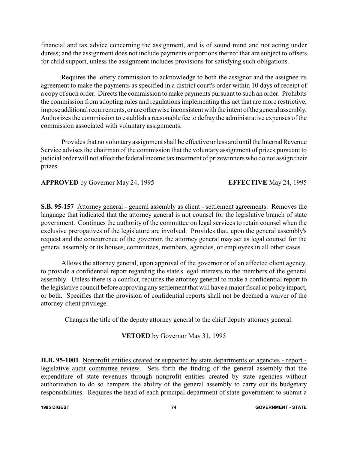financial and tax advice concerning the assignment, and is of sound mind and not acting under duress; and the assignment does not include payments or portions thereof that are subject to offsets for child support, unless the assignment includes provisions for satisfying such obligations.

Requires the lottery commission to acknowledge to both the assignor and the assignee its agreement to make the payments as specified in a district court's order within 10 days of receipt of a copy of such order. Directs the commission to make payments pursuant to such an order. Prohibits the commission from adopting rules and regulations implementing this act that are more restrictive, impose additional requirements, or are otherwise inconsistent with the intent of the general assembly. Authorizes the commission to establish a reasonable fee to defray the administrative expenses of the commission associated with voluntary assignments.

Provides that no voluntary assignment shall be effective unless and until the Internal Revenue Service advises the chairman of the commission that the voluntary assignment of prizes pursuant to judicial order will not affect the federal income tax treatment of prizewinners who do not assign their prizes.

**APPROVED** by Governor May 24, 1995 **EFFECTIVE** May 24, 1995

**S.B. 95-157** Attorney general - general assembly as client - settlement agreements. Removes the language that indicated that the attorney general is not counsel for the legislative branch of state government. Continues the authority of the committee on legal services to retain counsel when the exclusive prerogatives of the legislature are involved. Provides that, upon the general assembly's request and the concurrence of the governor, the attorney general may act as legal counsel for the general assembly or its houses, committees, members, agencies, or employees in all other cases.

Allows the attorney general, upon approval of the governor or of an affected client agency, to provide a confidential report regarding the state's legal interests to the members of the general assembly. Unless there is a conflict, requires the attorney general to make a confidential report to the legislative council before approving any settlement that will have a major fiscal or policy impact, or both. Specifies that the provision of confidential reports shall not be deemed a waiver of the attorney-client privilege.

Changes the title of the deputy attorney general to the chief deputy attorney general.

## **VETOED** by Governor May 31, 1995

**H.B. 95-1001** Nonprofit entities created or supported by state departments or agencies - report legislative audit committee review. Sets forth the finding of the general assembly that the expenditure of state revenues through nonprofit entities created by state agencies without authorization to do so hampers the ability of the general assembly to carry out its budgetary responsibilities. Requires the head of each principal department of state government to submit a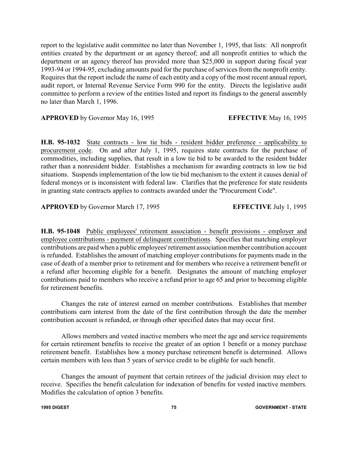report to the legislative audit committee no later than November 1, 1995, that lists: All nonprofit entities created by the department or an agency thereof; and all nonprofit entities to which the department or an agency thereof has provided more than \$25,000 in support during fiscal year 1993-94 or 1994-95, excluding amounts paid for the purchase of services from the nonprofit entity. Requires that the report include the name of each entity and a copy of the most recent annual report, audit report, or Internal Revenue Service Form 990 for the entity. Directs the legislative audit committee to perform a review of the entities listed and report its findings to the general assembly no later than March 1, 1996.

**APPROVED** by Governor May 16, 1995 **EFFECTIVE** May 16, 1995

**H.B. 95-1032** State contracts - low tie bids - resident bidder preference - applicability to procurement code. On and after July 1, 1995, requires state contracts for the purchase of commodities, including supplies, that result in a low tie bid to be awarded to the resident bidder rather than a nonresident bidder. Establishes a mechanism for awarding contracts in low tie bid situations. Suspends implementation of the low tie bid mechanism to the extent it causes denial of federal moneys or is inconsistent with federal law. Clarifies that the preference for state residents in granting state contracts applies to contracts awarded under the "Procurement Code".

**APPROVED** by Governor March 17, 1995 **EFFECTIVE** July 1, 1995

**H.B. 95-1048** Public employees' retirement association - benefit provisions - employer and employee contributions - payment of delinquent contributions. Specifies that matching employer contributions are paid when a public employees'retirement association member contribution account is refunded. Establishes the amount of matching employer contributions for payments made in the case of death of a member prior to retirement and for members who receive a retirement benefit or a refund after becoming eligible for a benefit. Designates the amount of matching employer contributions paid to members who receive a refund prior to age 65 and prior to becoming eligible for retirement benefits.

 Changes the rate of interest earned on member contributions. Establishes that member contributions earn interest from the date of the first contribution through the date the member contribution account is refunded, or through other specified dates that may occur first.

Allows members and vested inactive members who meet the age and service requirements for certain retirement benefits to receive the greater of an option 1 benefit or a money purchase retirement benefit. Establishes how a money purchase retirement benefit is determined. Allows certain members with less than 5 years of service credit to be eligible for such benefit.

Changes the amount of payment that certain retirees of the judicial division may elect to receive. Specifies the benefit calculation for indexation of benefits for vested inactive members. Modifies the calculation of option 3 benefits.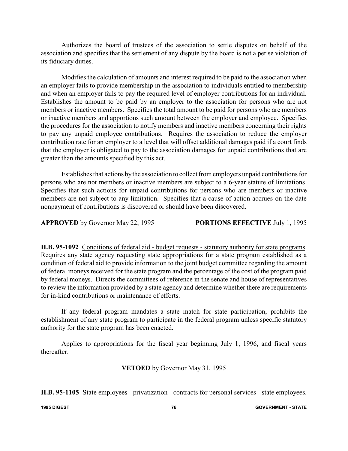Authorizes the board of trustees of the association to settle disputes on behalf of the association and specifies that the settlement of any dispute by the board is not a per se violation of its fiduciary duties.

Modifies the calculation of amounts and interest required to be paid to the association when an employer fails to provide membership in the association to individuals entitled to membership and when an employer fails to pay the required level of employer contributions for an individual. Establishes the amount to be paid by an employer to the association for persons who are not members or inactive members. Specifies the total amount to be paid for persons who are members or inactive members and apportions such amount between the employer and employee. Specifies the procedures for the association to notify members and inactive members concerning their rights to pay any unpaid employee contributions. Requires the association to reduce the employer contribution rate for an employer to a level that will offset additional damages paid if a court finds that the employer is obligated to pay to the association damages for unpaid contributions that are greater than the amounts specified by this act.

Establishes that actions bythe association to collect from employers unpaid contributions for persons who are not members or inactive members are subject to a 6-year statute of limitations. Specifies that such actions for unpaid contributions for persons who are members or inactive members are not subject to any limitation. Specifies that a cause of action accrues on the date nonpayment of contributions is discovered or should have been discovered.

**APPROVED** by Governor May 22, 1995 **PORTIONS EFFECTIVE** July 1, 1995

**H.B. 95-1092** Conditions of federal aid - budget requests - statutory authority for state programs. Requires any state agency requesting state appropriations for a state program established as a condition of federal aid to provide information to the joint budget committee regarding the amount of federal moneys received for the state program and the percentage of the cost of the program paid by federal moneys. Directs the committees of reference in the senate and house of representatives to review the information provided by a state agency and determine whether there are requirements for in-kind contributions or maintenance of efforts.

If any federal program mandates a state match for state participation, prohibits the establishment of any state program to participate in the federal program unless specific statutory authority for the state program has been enacted.

Applies to appropriations for the fiscal year beginning July 1, 1996, and fiscal years thereafter.

**VETOED** by Governor May 31, 1995

**H.B. 95-1105** State employees - privatization - contracts for personal services - state employees.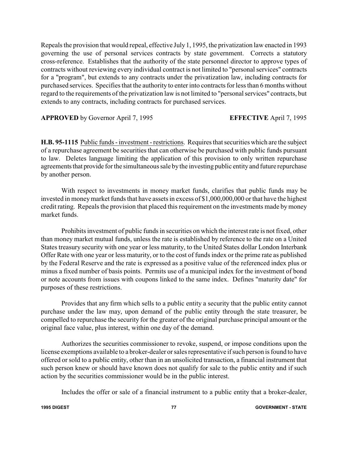Repeals the provision that would repeal, effective July 1, 1995, the privatization law enacted in 1993 governing the use of personal services contracts by state government. Corrects a statutory cross-reference. Establishes that the authority of the state personnel director to approve types of contracts without reviewing every individual contract is not limited to "personal services" contracts for a "program", but extends to any contracts under the privatization law, including contracts for purchased services. Specifies that the authority to enter into contracts for less than 6 months without regard to the requirements of the privatization law is not limited to "personal services" contracts, but extends to any contracts, including contracts for purchased services.

**APPROVED** by Governor April 7, 1995 **EFFECTIVE** April 7, 1995

**H.B. 95-1115** Public funds - investment - restrictions. Requires that securities which are the subject of a repurchase agreement be securities that can otherwise be purchased with public funds pursuant to law. Deletes language limiting the application of this provision to only written repurchase agreements that provide for the simultaneous sale by the investing public entity and future repurchase by another person.

With respect to investments in money market funds, clarifies that public funds may be invested in moneymarket funds that have assets in excess of \$1,000,000,000 or that have the highest credit rating. Repeals the provision that placed this requirement on the investments made bymoney market funds.

Prohibits investment of public funds in securities on which the interest rate is not fixed, other than money market mutual funds, unless the rate is established by reference to the rate on a United States treasury security with one year or less maturity, to the United States dollar London Interbank Offer Rate with one year or less maturity, or to the cost of funds index or the prime rate as published by the Federal Reserve and the rate is expressed as a positive value of the referenced index plus or minus a fixed number of basis points. Permits use of a municipal index for the investment of bond or note accounts from issues with coupons linked to the same index. Defines "maturity date" for purposes of these restrictions.

Provides that any firm which sells to a public entity a security that the public entity cannot purchase under the law may, upon demand of the public entity through the state treasurer, be compelled to repurchase the security for the greater of the original purchase principal amount or the original face value, plus interest, within one day of the demand.

Authorizes the securities commissioner to revoke, suspend, or impose conditions upon the license exemptions available to a broker-dealer or sales representative if such person is found to have offered or sold to a public entity, other than in an unsolicited transaction, a financial instrument that such person knew or should have known does not qualify for sale to the public entity and if such action by the securities commissioner would be in the public interest.

Includes the offer or sale of a financial instrument to a public entity that a broker-dealer,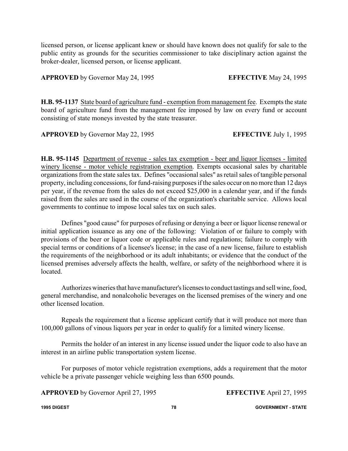licensed person, or license applicant knew or should have known does not qualify for sale to the public entity as grounds for the securities commissioner to take disciplinary action against the broker-dealer, licensed person, or license applicant.

**APPROVED** by Governor May 24, 1995 **EFFECTIVE** May 24, 1995

**H.B. 95-1137** State board of agriculture fund - exemption from management fee. Exempts the state board of agriculture fund from the management fee imposed by law on every fund or account consisting of state moneys invested by the state treasurer.

**APPROVED** by Governor May 22, 1995 **EFFECTIVE** July 1, 1995

**H.B. 95-1145** Department of revenue - sales tax exemption - beer and liquor licenses - limited winery license - motor vehicle registration exemption. Exempts occasional sales by charitable organizations from the state sales tax. Defines "occasional sales" as retail sales of tangible personal property, including concessions, for fund-raising purposes if the sales occur on no more than 12 days per year, if the revenue from the sales do not exceed \$25,000 in a calendar year, and if the funds raised from the sales are used in the course of the organization's charitable service. Allows local governments to continue to impose local sales tax on such sales.

Defines "good cause" for purposes of refusing or denying a beer or liquor license renewal or initial application issuance as any one of the following: Violation of or failure to comply with provisions of the beer or liquor code or applicable rules and regulations; failure to comply with special terms or conditions of a licensee's license; in the case of a new license, failure to establish the requirements of the neighborhood or its adult inhabitants; or evidence that the conduct of the licensed premises adversely affects the health, welfare, or safety of the neighborhood where it is located.

Authorizes wineries that have manufacturer's licensesto conduct tastings and sell wine, food, general merchandise, and nonalcoholic beverages on the licensed premises of the winery and one other licensed location.

Repeals the requirement that a license applicant certify that it will produce not more than 100,000 gallons of vinous liquors per year in order to qualify for a limited winery license.

Permits the holder of an interest in any license issued under the liquor code to also have an interest in an airline public transportation system license.

For purposes of motor vehicle registration exemptions, adds a requirement that the motor vehicle be a private passenger vehicle weighing less than 6500 pounds.

**APPROVED** by Governor April 27, 1995 **EFFECTIVE** April 27, 1995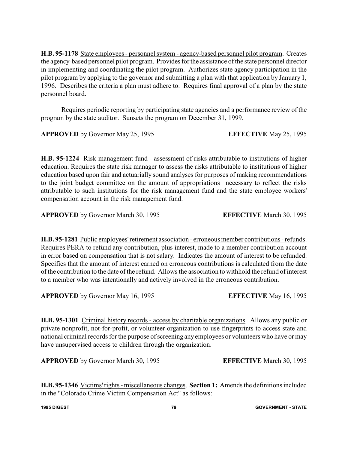**H.B. 95-1178** State employees - personnel system - agency-based personnel pilot program. Creates the agency-based personnel pilot program. Provides for the assistance of the state personnel director in implementing and coordinating the pilot program. Authorizes state agency participation in the pilot program by applying to the governor and submitting a plan with that application by January 1, 1996. Describes the criteria a plan must adhere to. Requires final approval of a plan by the state personnel board.

Requires periodic reporting by participating state agencies and a performance review of the program by the state auditor. Sunsets the program on December 31, 1999.

**APPROVED** by Governor May 25, 1995 **EFFECTIVE** May 25, 1995

**H.B. 95-1224** Risk management fund - assessment of risks attributable to institutions of higher education. Requires the state risk manager to assess the risks attributable to institutions of higher education based upon fair and actuarially sound analyses for purposes of making recommendations to the joint budget committee on the amount of appropriations necessary to reflect the risks attributable to such institutions for the risk management fund and the state employee workers' compensation account in the risk management fund.

**APPROVED** by Governor March 30, 1995 **EFFECTIVE** March 30, 1995

**H.B. 95-1281** Public employees'retirement association - erroneous member contributions - refunds. Requires PERA to refund any contribution, plus interest, made to a member contribution account in error based on compensation that is not salary. Indicates the amount of interest to be refunded. Specifies that the amount of interest earned on erroneous contributions is calculated from the date of the contribution to the date of the refund. Allows the association to withhold the refund of interest to a member who was intentionally and actively involved in the erroneous contribution.

**APPROVED** by Governor May 16, 1995 **EFFECTIVE** May 16, 1995

**H.B. 95-1301** Criminal history records - access by charitable organizations. Allows any public or private nonprofit, not-for-profit, or volunteer organization to use fingerprints to access state and national criminal records for the purpose of screening any employees or volunteers who have or may have unsupervised access to children through the organization.

**APPROVED** by Governor March 30, 1995 **EFFECTIVE** March 30, 1995

**H.B. 95-1346** Victims'rights - miscellaneous changes. **Section 1:** Amends the definitions included in the "Colorado Crime Victim Compensation Act" as follows:

**1995 DIGEST 79 GOVERNMENT - STATE**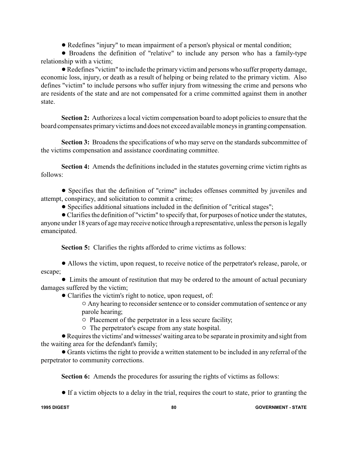! Redefines "injury" to mean impairment of a person's physical or mental condition;

! Broadens the definition of "relative" to include any person who has a family-type relationship with a victim;

!Redefines "victim" to include the primary victim and persons who suffer propertydamage, economic loss, injury, or death as a result of helping or being related to the primary victim. Also defines "victim" to include persons who suffer injury from witnessing the crime and persons who are residents of the state and are not compensated for a crime committed against them in another state.

**Section 2:** Authorizes a local victim compensation board to adopt policies to ensure that the board compensates primary victims and does not exceed available moneys in granting compensation.

**Section 3:** Broadens the specifications of who may serve on the standards subcommittee of the victims compensation and assistance coordinating committee.

**Section 4:** Amends the definitions included in the statutes governing crime victim rights as follows:

! Specifies that the definition of "crime" includes offenses committed by juveniles and attempt, conspiracy, and solicitation to commit a crime;

! Specifies additional situations included in the definition of "critical stages";

!Clarifies the definition of "victim" to specify that, for purposes of notice under the statutes, anyone under 18 years of age may receive notice through a representative, unless the person is legally emancipated.

**Section 5:** Clarifies the rights afforded to crime victims as follows:

! Allows the victim, upon request, to receive notice of the perpetrator's release, parole, or escape;

• Limits the amount of restitution that may be ordered to the amount of actual pecuniary damages suffered by the victim;

- Clarifies the victim's right to notice, upon request, of:
	- $\circ$  Any hearing to reconsider sentence or to consider commutation of sentence or any parole hearing;

 $\circ$  Placement of the perpetrator in a less secure facility;

 $\circ$  The perpetrator's escape from any state hospital.

!Requires the victims' and witnesses' waiting area to be separate in proximity and sight from the waiting area for the defendant's family;

! Grants victims the right to provide a written statement to be included in any referral of the perpetrator to community corrections.

**Section 6:** Amends the procedures for assuring the rights of victims as follows:

! If a victim objects to a delay in the trial, requires the court to state, prior to granting the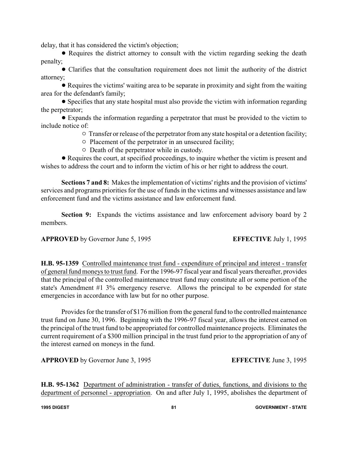delay, that it has considered the victim's objection;

• Requires the district attorney to consult with the victim regarding seeking the death penalty;

! Clarifies that the consultation requirement does not limit the authority of the district attorney;

! Requires the victims' waiting area to be separate in proximity and sight from the waiting area for the defendant's family;

! Specifies that any state hospital must also provide the victim with information regarding the perpetrator;

! Expands the information regarding a perpetrator that must be provided to the victim to include notice of:

 $\circ$  Transfer or release of the perpetrator from any state hospital or a detention facility;

- $\circ$  Placement of the perpetrator in an unsecured facility;
- $\circ$  Death of the perpetrator while in custody.

• Requires the court, at specified proceedings, to inquire whether the victim is present and wishes to address the court and to inform the victim of his or her right to address the court.

**Sections 7 and 8:** Makes the implementation of victims' rights and the provision of victims' services and programs priorities for the use of funds in the victims and witnesses assistance and law enforcement fund and the victims assistance and law enforcement fund.

**Section 9:** Expands the victims assistance and law enforcement advisory board by 2 members.

## **APPROVED** by Governor June 5, 1995 **EFFECTIVE** July 1, 1995

**H.B. 95-1359** Controlled maintenance trust fund - expenditure of principal and interest - transfer of general fund moneys to trust fund. For the 1996-97 fiscal year and fiscal years thereafter, provides that the principal of the controlled maintenance trust fund may constitute all or some portion of the state's Amendment #1 3% emergency reserve. Allows the principal to be expended for state emergencies in accordance with law but for no other purpose.

Provides for the transfer of \$176 million from the general fund to the controlled maintenance trust fund on June 30, 1996. Beginning with the 1996-97 fiscal year, allows the interest earned on the principal of the trust fund to be appropriated for controlled maintenance projects. Eliminates the current requirement of a \$300 million principal in the trust fund prior to the appropriation of any of the interest earned on moneys in the fund.

**APPROVED** by Governor June 3, 1995 **EFFECTIVE** June 3, 1995

**H.B. 95-1362** Department of administration - transfer of duties, functions, and divisions to the department of personnel - appropriation. On and after July 1, 1995, abolishes the department of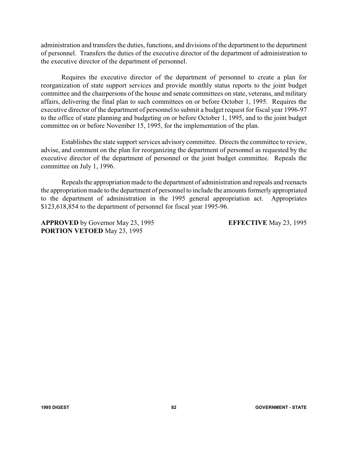administration and transfers the duties, functions, and divisions of the department to the department of personnel. Transfers the duties of the executive director of the department of administration to the executive director of the department of personnel.

Requires the executive director of the department of personnel to create a plan for reorganization of state support services and provide monthly status reports to the joint budget committee and the chairpersons of the house and senate committees on state, veterans, and military affairs, delivering the final plan to such committees on or before October 1, 1995. Requires the executive director of the department of personnel to submit a budget request for fiscal year 1996-97 to the office of state planning and budgeting on or before October 1, 1995, and to the joint budget committee on or before November 15, 1995, for the implementation of the plan.

Establishes the state support services advisory committee. Directs the committee to review, advise, and comment on the plan for reorganizing the department of personnel as requested by the executive director of the department of personnel or the joint budget committee. Repeals the committee on July 1, 1996.

Repeals the appropriation made to the department of administration and repeals and reenacts the appropriation made to the department of personnel to include the amounts formerly appropriated to the department of administration in the 1995 general appropriation act. Appropriates \$123,618,854 to the department of personnel for fiscal year 1995-96.

**APPROVED** by Governor May 23, 1995 **EFFECTIVE** May 23, 1995 **PORTION VETOED** May 23, 1995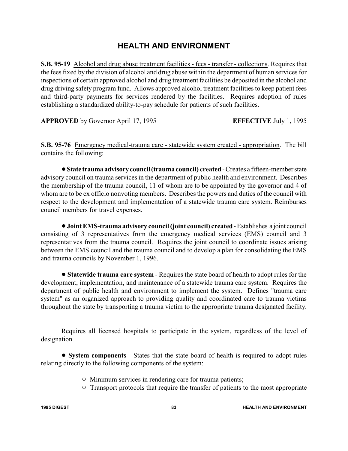# **HEALTH AND ENVIRONMENT**

**S.B. 95-19** Alcohol and drug abuse treatment facilities - fees - transfer - collections. Requires that the fees fixed by the division of alcohol and drug abuse within the department of human services for inspections of certain approved alcohol and drug treatment facilities be deposited in the alcohol and drug driving safety program fund. Allows approved alcohol treatment facilities to keep patient fees and third-party payments for services rendered by the facilities. Requires adoption of rules establishing a standardized ability-to-pay schedule for patients of such facilities.

**APPROVED** by Governor April 17, 1995 **EFFECTIVE** July 1, 1995

**S.B. 95-76** Emergency medical-trauma care - statewide system created - appropriation. The bill contains the following:

!**State trauma advisory council(trauma council) created**- Creates a fifteen-member state advisory council on trauma services in the department of public health and environment. Describes the membership of the trauma council, 11 of whom are to be appointed by the governor and 4 of whom are to be ex officio nonvoting members. Describes the powers and duties of the council with respect to the development and implementation of a statewide trauma care system. Reimburses council members for travel expenses.

!**Joint EMS-trauma advisory council (joint council) created**- Establishes a joint council consisting of 3 representatives from the emergency medical services (EMS) council and 3 representatives from the trauma council. Requires the joint council to coordinate issues arising between the EMS council and the trauma council and to develop a plan for consolidating the EMS and trauma councils by November 1, 1996.

! **Statewide trauma care system** - Requires the state board of health to adopt rules for the development, implementation, and maintenance of a statewide trauma care system. Requires the department of public health and environment to implement the system. Defines "trauma care system" as an organized approach to providing quality and coordinated care to trauma victims throughout the state by transporting a trauma victim to the appropriate trauma designated facility.

Requires all licensed hospitals to participate in the system, regardless of the level of designation.

! **System components** - States that the state board of health is required to adopt rules relating directly to the following components of the system:

- $\circ$  Minimum services in rendering care for trauma patients;
- $\circ$  Transport protocols that require the transfer of patients to the most appropriate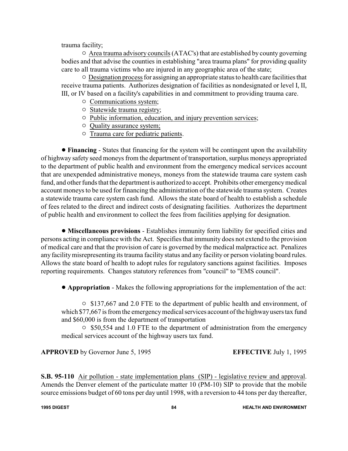trauma facility;

 $\circ$  Area trauma advisory councils (ATAC's) that are established by county governing bodies and that advise the counties in establishing "area trauma plans" for providing quality care to all trauma victims who are injured in any geographic area of the state;

 $\circ$  Designation process for assigning an appropriate status to health care facilities that receive trauma patients. Authorizes designation of facilities as nondesignated or level I, II, III, or IV based on a facility's capabilities in and commitment to providing trauma care.

- $\circ$  Communications system;
- $\circ$  Statewide trauma registry;
- $\circ$  Public information, education, and injury prevention services;
- $\circ$  Quality assurance system;
- $\circ$  Trauma care for pediatric patients.

! **Financing** - States that financing for the system will be contingent upon the availability of highway safety seed moneys from the department of transportation, surplus moneys appropriated to the department of public health and environment from the emergency medical services account that are unexpended administrative moneys, moneys from the statewide trauma care system cash fund, and other funds that the department is authorized to accept. Prohibits other emergency medical account moneys to be used for financing the administration of the statewide trauma system. Creates a statewide trauma care system cash fund. Allows the state board of health to establish a schedule of fees related to the direct and indirect costs of designating facilities. Authorizes the department of public health and environment to collect the fees from facilities applying for designation.

! **Miscellaneous provisions** - Establishes immunity form liability for specified cities and persons acting in compliance with the Act. Specifies that immunity does not extend to the provision of medical care and that the provision of care is governed by the medical malpractice act. Penalizes any facilitymisrepresenting its trauma facility status and any facility or person violating board rules. Allows the state board of health to adopt rules for regulatory sanctions against facilities. Imposes reporting requirements. Changes statutory references from "council" to "EMS council".

! **Appropriation** - Makes the following appropriations for the implementation of the act:

 $\circ$  \$137,667 and 2.0 FTE to the department of public health and environment, of which \$77,667 is from the emergency medical services account of the highway users tax fund and \$60,000 is from the department of transportation

 $\circ$  \$50,554 and 1.0 FTE to the department of administration from the emergency medical services account of the highway users tax fund.

**APPROVED** by Governor June 5, 1995 **EFFECTIVE** July 1, 1995

**S.B. 95-110** Air pollution - state implementation plans (SIP) - legislative review and approval. Amends the Denver element of the particulate matter 10 (PM-10) SIP to provide that the mobile source emissions budget of 60 tons per day until 1998, with a reversion to 44 tons per day thereafter,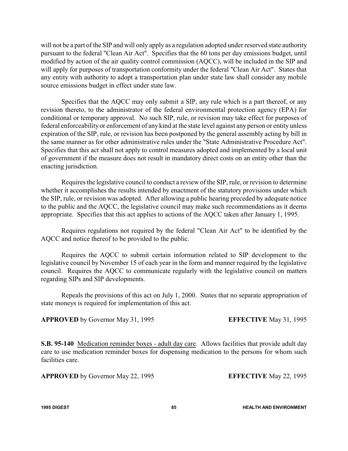will not be a part of the SIP and will only apply as a regulation adopted under reserved state authority pursuant to the federal "Clean Air Act". Specifies that the 60 tons per day emissions budget, until modified by action of the air quality control commission (AQCC), will be included in the SIP and will apply for purposes of transportation conformity under the federal "Clean Air Act". States that any entity with authority to adopt a transportation plan under state law shall consider any mobile source emissions budget in effect under state law.

Specifies that the AQCC may only submit a SIP, any rule which is a part thereof, or any revision thereto, to the administrator of the federal environmental protection agency (EPA) for conditional or temporary approval. No such SIP, rule, or revision may take effect for purposes of federal enforceability or enforcement of any kind at the state level against any person or entity unless expiration of the SIP, rule, or revision has been postponed by the general assembly acting by bill in the same manner as for other administrative rules under the "State Administrative Procedure Act". Specifies that this act shall not apply to control measures adopted and implemented by a local unit of government if the measure does not result in mandatory direct costs on an entity other than the enacting jurisdiction.

Requires the legislative council to conduct a review of the SIP, rule, or revision to determine whether it accomplishes the results intended by enactment of the statutory provisions under which the SIP, rule, or revision was adopted. After allowing a public hearing preceded by adequate notice to the public and the AQCC, the legislative council may make such recommendations as it deems appropriate. Specifies that this act applies to actions of the AQCC taken after January 1, 1995.

Requires regulations not required by the federal "Clean Air Act" to be identified by the AQCC and notice thereof to be provided to the public.

Requires the AQCC to submit certain information related to SIP development to the legislative council by November 15 of each year in the form and manner required by the legislative council. Requires the AQCC to communicate regularly with the legislative council on matters regarding SIPs and SIP developments.

Repeals the provisions of this act on July 1, 2000. States that no separate appropriation of state moneys is required for implementation of this act.

**APPROVED** by Governor May 31, 1995 **EFFECTIVE** May 31, 1995

**S.B. 95-140** Medication reminder boxes - adult day care. Allows facilities that provide adult day care to use medication reminder boxes for dispensing medication to the persons for whom such facilities care.

**APPROVED** by Governor May 22, 1995 **EFFECTIVE** May 22, 1995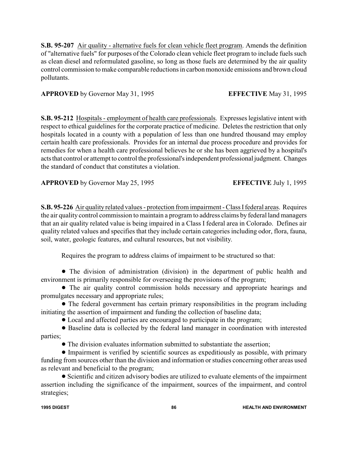**S.B. 95-207** Air quality - alternative fuels for clean vehicle fleet program. Amends the definition of "alternative fuels" for purposes of the Colorado clean vehicle fleet program to include fuels such as clean diesel and reformulated gasoline, so long as those fuels are determined by the air quality control commission to make comparable reductions in carbon monoxide emissions and brown cloud pollutants.

## **APPROVED** by Governor May 31, 1995 **EFFECTIVE** May 31, 1995

**S.B. 95-212** Hospitals - employment of health care professionals. Expresses legislative intent with respect to ethical guidelines for the corporate practice of medicine. Deletes the restriction that only hospitals located in a county with a population of less than one hundred thousand may employ certain health care professionals. Provides for an internal due process procedure and provides for remedies for when a health care professional believes he or she has been aggrieved by a hospital's acts that control or attempt to control the professional's independent professional judgment. Changes the standard of conduct that constitutes a violation.

**APPROVED** by Governor May 25, 1995 **EFFECTIVE** July 1, 1995

**S.B. 95-226** Air quality related values - protection from impairment - Class I federal areas. Requires the air quality control commission to maintain a program to address claims by federal land managers that an air quality related value is being impaired in a Class I federal area in Colorado. Defines air quality related values and specifies that they include certain categories including odor, flora, fauna, soil, water, geologic features, and cultural resources, but not visibility.

Requires the program to address claims of impairment to be structured so that:

• The division of administration (division) in the department of public health and environment is primarily responsible for overseeing the provisions of the program;

! The air quality control commission holds necessary and appropriate hearings and promulgates necessary and appropriate rules;

• The federal government has certain primary responsibilities in the program including initiating the assertion of impairment and funding the collection of baseline data;

! Local and affected parties are encouraged to participate in the program;

! Baseline data is collected by the federal land manager in coordination with interested parties;

• The division evaluates information submitted to substantiate the assertion;

! Impairment is verified by scientific sources as expeditiously as possible, with primary funding from sources other than the division and information or studies concerning other areas used as relevant and beneficial to the program;

! Scientific and citizen advisory bodies are utilized to evaluate elements of the impairment assertion including the significance of the impairment, sources of the impairment, and control strategies;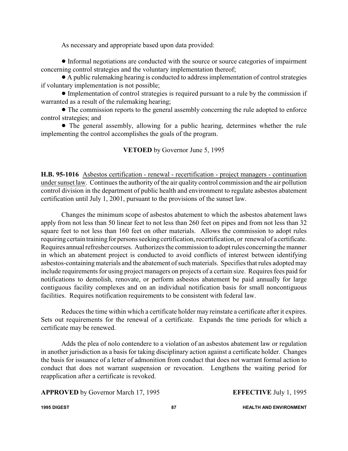As necessary and appropriate based upon data provided:

! Informal negotiations are conducted with the source or source categories of impairment concerning control strategies and the voluntary implementation thereof;

! A public rulemaking hearing is conducted to address implementation of control strategies if voluntary implementation is not possible;

! Implementation of control strategies is required pursuant to a rule by the commission if warranted as a result of the rulemaking hearing;

• The commission reports to the general assembly concerning the rule adopted to enforce control strategies; and

! The general assembly, allowing for a public hearing, determines whether the rule implementing the control accomplishes the goals of the program.

### **VETOED** by Governor June 5, 1995

**H.B. 95-1016** Asbestos certification - renewal - recertification - project managers - continuation under sunset law. Continues the authority of the air quality control commission and the air pollution control division in the department of public health and environment to regulate asbestos abatement certification until July 1, 2001, pursuant to the provisions of the sunset law.

Changes the minimum scope of asbestos abatement to which the asbestos abatement laws apply from not less than 50 linear feet to not less than 260 feet on pipes and from not less than 32 square feet to not less than 160 feet on other materials. Allows the commission to adopt rules requiring certain training for persons seeking certification, recertification, or renewal of a certificate. Requires annual refresher courses. Authorizes the commission to adopt rules concerning the manner in which an abatement project is conducted to avoid conflicts of interest between identifying asbestos-containing materials and the abatement of such materials. Specifies that rules adopted may include requirements for using project managers on projects of a certain size. Requires fees paid for notifications to demolish, renovate, or perform asbestos abatement be paid annually for large contiguous facility complexes and on an individual notification basis for small noncontiguous facilities. Requires notification requirements to be consistent with federal law.

Reduces the time within which a certificate holder may reinstate a certificate after it expires. Sets out requirements for the renewal of a certificate. Expands the time periods for which a certificate may be renewed.

Adds the plea of nolo contendere to a violation of an asbestos abatement law or regulation in another jurisdiction as a basis for taking disciplinary action against a certificate holder. Changes the basis for issuance of a letter of admonition from conduct that does not warrant formal action to conduct that does not warrant suspension or revocation. Lengthens the waiting period for reapplication after a certificate is revoked.

**APPROVED** by Governor March 17, 1995 **EFFECTIVE** July 1, 1995

**1995 DIGEST 87 HEALTH AND ENVIRONMENT**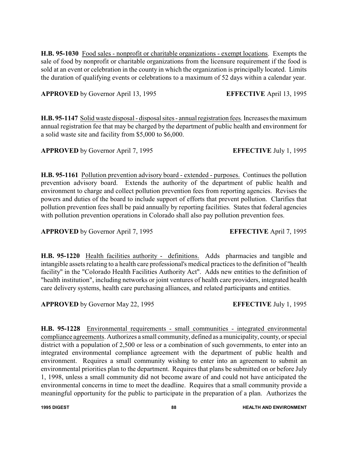**H.B. 95-1030** Food sales - nonprofit or charitable organizations - exempt locations. Exempts the sale of food by nonprofit or charitable organizations from the licensure requirement if the food is sold at an event or celebration in the county in which the organization is principally located. Limits the duration of qualifying events or celebrations to a maximum of 52 days within a calendar year.

**APPROVED** by Governor April 13, 1995 **EFFECTIVE** April 13, 1995

**H.B. 95-1147** Solid waste disposal - disposal sites - annual registration fees. Increases the maximum annual registration fee that may be charged by the department of public health and environment for a solid waste site and facility from \$5,000 to \$6,000.

**APPROVED** by Governor April 7, 1995 **EFFECTIVE** July 1, 1995

**H.B. 95-1161** Pollution prevention advisory board - extended - purposes. Continues the pollution prevention advisory board. Extends the authority of the department of public health and environment to charge and collect pollution prevention fees from reporting agencies. Revises the powers and duties of the board to include support of efforts that prevent pollution. Clarifies that pollution prevention fees shall be paid annually by reporting facilities. States that federal agencies with pollution prevention operations in Colorado shall also pay pollution prevention fees.

**APPROVED** by Governor April 7, 1995 **EFFECTIVE** April 7, 1995

**H.B. 95-1220** Health facilities authority - definitions. Adds pharmacies and tangible and intangible assets relating to a health care professional's medical practices to the definition of "health facility" in the "Colorado Health Facilities Authority Act". Adds new entities to the definition of "health institution", including networks or joint ventures of health care providers, integrated health care delivery systems, health care purchasing alliances, and related participants and entities.

**APPROVED** by Governor May 22, 1995 **EFFECTIVE** July 1, 1995

**H.B. 95-1228** Environmental requirements - small communities - integrated environmental compliance agreements. Authorizes a small community, defined as a municipality, county, or special district with a population of 2,500 or less or a combination of such governments, to enter into an integrated environmental compliance agreement with the department of public health and environment. Requires a small community wishing to enter into an agreement to submit an environmental priorities plan to the department. Requires that plans be submitted on or before July 1, 1998, unless a small community did not become aware of and could not have anticipated the environmental concerns in time to meet the deadline. Requires that a small community provide a meaningful opportunity for the public to participate in the preparation of a plan. Authorizes the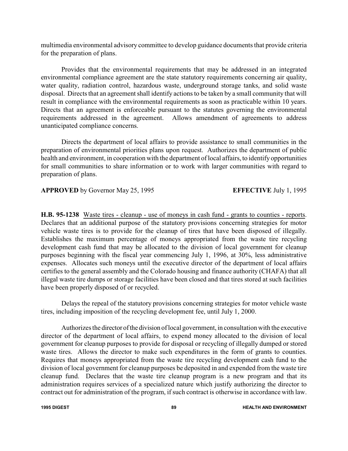multimedia environmental advisory committee to develop guidance documents that provide criteria for the preparation of plans.

Provides that the environmental requirements that may be addressed in an integrated environmental compliance agreement are the state statutory requirements concerning air quality, water quality, radiation control, hazardous waste, underground storage tanks, and solid waste disposal. Directs that an agreement shall identify actions to be taken by a small community that will result in compliance with the environmental requirements as soon as practicable within 10 years. Directs that an agreement is enforceable pursuant to the statutes governing the environmental requirements addressed in the agreement. Allows amendment of agreements to address unanticipated compliance concerns.

Directs the department of local affairs to provide assistance to small communities in the preparation of environmental priorities plans upon request. Authorizes the department of public health and environment, in cooperation with the department of local affairs, to identify opportunities for small communities to share information or to work with larger communities with regard to preparation of plans.

### **APPROVED** by Governor May 25, 1995 **EFFECTIVE** July 1, 1995

**H.B. 95-1238** Waste tires - cleanup - use of moneys in cash fund - grants to counties - reports. Declares that an additional purpose of the statutory provisions concerning strategies for motor vehicle waste tires is to provide for the cleanup of tires that have been disposed of illegally. Establishes the maximum percentage of moneys appropriated from the waste tire recycling development cash fund that may be allocated to the division of local government for cleanup purposes beginning with the fiscal year commencing July 1, 1996, at 30%, less administrative expenses. Allocates such moneys until the executive director of the department of local affairs certifies to the general assembly and the Colorado housing and finance authority (CHAFA) that all illegal waste tire dumps or storage facilities have been closed and that tires stored at such facilities have been properly disposed of or recycled.

Delays the repeal of the statutory provisions concerning strategies for motor vehicle waste tires, including imposition of the recycling development fee, until July 1, 2000.

Authorizes the director ofthe division of local government, in consultation with the executive director of the department of local affairs, to expend money allocated to the division of local government for cleanup purposes to provide for disposal or recycling of illegally dumped or stored waste tires. Allows the director to make such expenditures in the form of grants to counties. Requires that moneys appropriated from the waste tire recycling development cash fund to the division of local government for cleanup purposes be deposited in and expended from the waste tire cleanup fund. Declares that the waste tire cleanup program is a new program and that its administration requires services of a specialized nature which justify authorizing the director to contract out for administration of the program, if such contract is otherwise in accordance with law.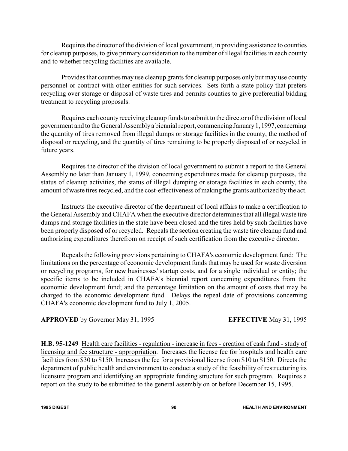Requires the director of the division of local government, in providing assistance to counties for cleanup purposes, to give primary consideration to the number of illegal facilities in each county and to whether recycling facilities are available.

Provides that counties may use cleanup grants for cleanup purposes only but may use county personnel or contract with other entities for such services. Sets forth a state policy that prefers recycling over storage or disposal of waste tires and permits counties to give preferential bidding treatment to recycling proposals.

Requires each countyreceiving cleanup funds to submit to the director of the division of local government and to the General Assemblya biennial report, commencing January1, 1997, concerning the quantity of tires removed from illegal dumps or storage facilities in the county, the method of disposal or recycling, and the quantity of tires remaining to be properly disposed of or recycled in future years.

Requires the director of the division of local government to submit a report to the General Assembly no later than January 1, 1999, concerning expenditures made for cleanup purposes, the status of cleanup activities, the status of illegal dumping or storage facilities in each county, the amount of waste tires recycled, and the cost-effectiveness of making the grants authorized by the act.

Instructs the executive director of the department of local affairs to make a certification to the General Assembly and CHAFA when the executive director determines that all illegal waste tire dumps and storage facilities in the state have been closed and the tires held by such facilities have been properly disposed of or recycled. Repeals the section creating the waste tire cleanup fund and authorizing expenditures therefrom on receipt of such certification from the executive director.

Repeals the following provisions pertaining to CHAFA's economic development fund: The limitations on the percentage of economic development funds that may be used for waste diversion or recycling programs, for new businesses' startup costs, and for a single individual or entity; the specific items to be included in CHAFA's biennial report concerning expenditures from the economic development fund; and the percentage limitation on the amount of costs that may be charged to the economic development fund. Delays the repeal date of provisions concerning CHAFA's economic development fund to July 1, 2005.

**APPROVED** by Governor May 31, 1995 **EFFECTIVE** May 31, 1995

**H.B. 95-1249** Health care facilities - regulation - increase in fees - creation of cash fund - study of licensing and fee structure - appropriation. Increases the license fee for hospitals and health care facilities from \$30 to \$150. Increases the fee for a provisional license from \$10 to \$150. Directs the department of public health and environment to conduct a study of the feasibility of restructuring its licensure program and identifying an appropriate funding structure for such program. Requires a report on the study to be submitted to the general assembly on or before December 15, 1995.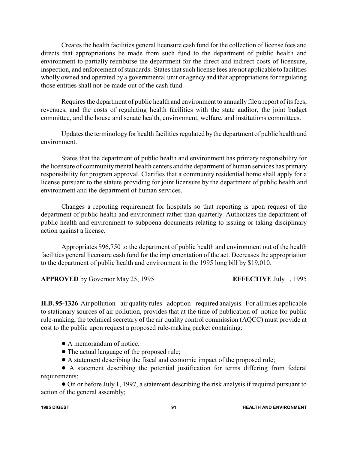Creates the health facilities general licensure cash fund for the collection of license fees and directs that appropriations be made from such fund to the department of public health and environment to partially reimburse the department for the direct and indirect costs of licensure, inspection, and enforcement of standards. States that such license fees are not applicable to facilities wholly owned and operated by a governmental unit or agency and that appropriations for regulating those entities shall not be made out of the cash fund.

Requires the department of public health and environment to annually file a report of its fees, revenues, and the costs of regulating health facilities with the state auditor, the joint budget committee, and the house and senate health, environment, welfare, and institutions committees.

Updates the terminology for health facilities regulated bythe department of public health and environment.

States that the department of public health and environment has primary responsibility for the licensure of community mental health centers and the department of human services has primary responsibility for program approval. Clarifies that a community residential home shall apply for a license pursuant to the statute providing for joint licensure by the department of public health and environment and the department of human services.

Changes a reporting requirement for hospitals so that reporting is upon request of the department of public health and environment rather than quarterly. Authorizes the department of public health and environment to subpoena documents relating to issuing or taking disciplinary action against a license.

Appropriates \$96,750 to the department of public health and environment out of the health facilities general licensure cash fund for the implementation of the act. Decreases the appropriation to the department of public health and environment in the 1995 long bill by \$19,010.

**APPROVED** by Governor May 25, 1995 **EFFECTIVE** July 1, 1995

**H.B. 95-1326** Air pollution - air quality rules - adoption - required analysis. For all rules applicable to stationary sources of air pollution, provides that at the time of publication of notice for public rule-making, the technical secretary of the air quality control commission (AQCC) must provide at cost to the public upon request a proposed rule-making packet containing:

- A memorandum of notice;
- The actual language of the proposed rule;
- ! A statement describing the fiscal and economic impact of the proposed rule;

! A statement describing the potential justification for terms differing from federal requirements;

! On or before July 1, 1997, a statement describing the risk analysis if required pursuant to action of the general assembly;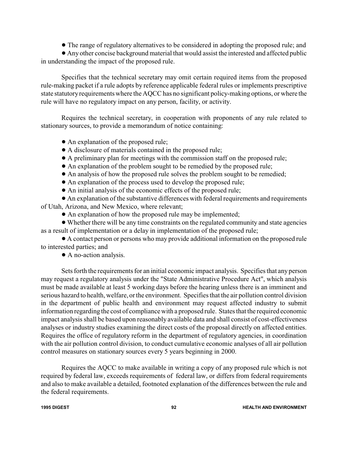! The range of regulatory alternatives to be considered in adopting the proposed rule; and

! Any other concise background material that would assist the interested and affected public in understanding the impact of the proposed rule.

Specifies that the technical secretary may omit certain required items from the proposed rule-making packet if a rule adopts by reference applicable federal rules or implements prescriptive state statutoryrequirements where the AQCC has no significant policy-making options, or where the rule will have no regulatory impact on any person, facility, or activity.

Requires the technical secretary, in cooperation with proponents of any rule related to stationary sources, to provide a memorandum of notice containing:

- An explanation of the proposed rule;
- ! A disclosure of materials contained in the proposed rule;
- ! A preliminary plan for meetings with the commission staff on the proposed rule;
- ! An explanation of the problem sought to be remedied by the proposed rule;
- ! An analysis of how the proposed rule solves the problem sought to be remedied;
- ! An explanation of the process used to develop the proposed rule;
- ! An initial analysis of the economic effects of the proposed rule;

! An explanation of the substantive differences with federal requirements and requirements of Utah, Arizona, and New Mexico, where relevant;

! An explanation of how the proposed rule may be implemented;

! Whether there will be any time constraints on the regulated community and state agencies as a result of implementation or a delay in implementation of the proposed rule;

! A contact person or persons who may provide additional information on the proposed rule to interested parties; and

• A no-action analysis.

Sets forth the requirements for an initial economic impact analysis. Specifies that any person may request a regulatory analysis under the "State Administrative Procedure Act", which analysis must be made available at least 5 working days before the hearing unless there is an imminent and serious hazard to health, welfare, or the environment. Specifies that the air pollution control division in the department of public health and environment may request affected industry to submit information regarding the cost of compliance with a proposed rule. States that the required economic impact analysis shall be based upon reasonably available data and shall consist of cost-effectiveness analyses or industry studies examining the direct costs of the proposal directly on affected entities. Requires the office of regulatory reform in the department of regulatory agencies, in coordination with the air pollution control division, to conduct cumulative economic analyses of all air pollution control measures on stationary sources every 5 years beginning in 2000.

Requires the AQCC to make available in writing a copy of any proposed rule which is not required by federal law, exceeds requirements of federal law, or differs from federal requirements and also to make available a detailed, footnoted explanation of the differences between the rule and the federal requirements.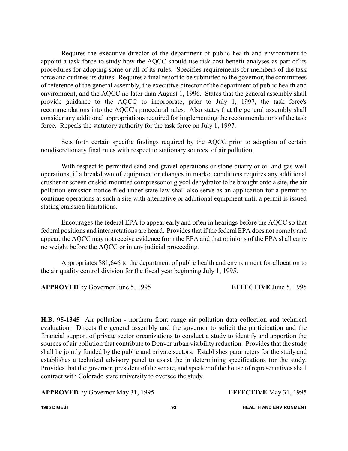Requires the executive director of the department of public health and environment to appoint a task force to study how the AQCC should use risk cost-benefit analyses as part of its procedures for adopting some or all of its rules. Specifies requirements for members of the task force and outlines its duties. Requires a final report to be submitted to the governor, the committees of reference of the general assembly, the executive director of the department of public health and environment, and the AQCC no later than August 1, 1996. States that the general assembly shall provide guidance to the AQCC to incorporate, prior to July 1, 1997, the task force's recommendations into the AQCC's procedural rules. Also states that the general assembly shall consider any additional appropriations required for implementing the recommendations of the task force. Repeals the statutory authority for the task force on July 1, 1997.

Sets forth certain specific findings required by the AQCC prior to adoption of certain nondiscretionary final rules with respect to stationary sources of air pollution.

With respect to permitted sand and gravel operations or stone quarry or oil and gas well operations, if a breakdown of equipment or changes in market conditions requires any additional crusher or screen or skid-mounted compressor or glycol dehydrator to be brought onto a site, the air pollution emission notice filed under state law shall also serve as an application for a permit to continue operations at such a site with alternative or additional equipment until a permit is issued stating emission limitations.

Encourages the federal EPA to appear early and often in hearings before the AQCC so that federal positions and interpretations are heard. Provides that if the federal EPA does not comply and appear, the AQCC may not receive evidence from the EPA and that opinions of the EPA shall carry no weight before the AQCC or in any judicial proceeding.

Appropriates \$81,646 to the department of public health and environment for allocation to the air quality control division for the fiscal year beginning July 1, 1995.

### **APPROVED** by Governor June 5, 1995 **EFFECTIVE** June 5, 1995

**H.B. 95-1345** Air pollution - northern front range air pollution data collection and technical evaluation. Directs the general assembly and the governor to solicit the participation and the financial support of private sector organizations to conduct a study to identify and apportion the sources of air pollution that contribute to Denver urban visibility reduction. Provides that the study shall be jointly funded by the public and private sectors. Establishes parameters for the study and establishes a technical advisory panel to assist the in determining specifications for the study. Provides that the governor, president of the senate, and speaker of the house of representatives shall contract with Colorado state university to oversee the study.

**APPROVED** by Governor May 31, 1995 **EFFECTIVE** May 31, 1995

**1995 DIGEST 93 HEALTH AND ENVIRONMENT**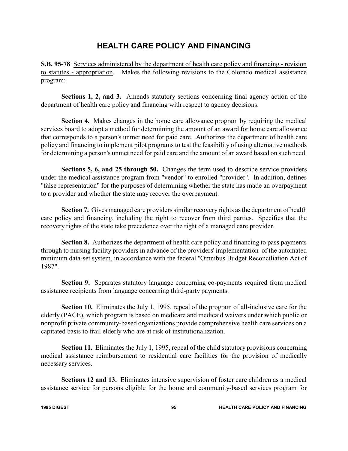# **HEALTH CARE POLICY AND FINANCING**

**S.B. 95-78** Services administered by the department of health care policy and financing - revision to statutes - appropriation. Makes the following revisions to the Colorado medical assistance program:

**Sections 1, 2, and 3.** Amends statutory sections concerning final agency action of the department of health care policy and financing with respect to agency decisions.

**Section 4.** Makes changes in the home care allowance program by requiring the medical services board to adopt a method for determining the amount of an award for home care allowance that corresponds to a person's unmet need for paid care. Authorizes the department of health care policy and financing to implement pilot programs to test the feasibility of using alternative methods for determining a person's unmet need for paid care and the amount of an award based on such need.

**Sections 5, 6, and 25 through 50.** Changes the term used to describe service providers under the medical assistance program from "vendor" to enrolled "provider". In addition, defines "false representation" for the purposes of determining whether the state has made an overpayment to a provider and whether the state may recover the overpayment.

**Section 7.** Gives managed care providers similar recovery rights as the department of health care policy and financing, including the right to recover from third parties. Specifies that the recovery rights of the state take precedence over the right of a managed care provider.

**Section 8.** Authorizes the department of health care policy and financing to pass payments through to nursing facility providers in advance of the providers' implementation of the automated minimum data-set system, in accordance with the federal "Omnibus Budget Reconciliation Act of 1987".

**Section 9.** Separates statutory language concerning co-payments required from medical assistance recipients from language concerning third-party payments.

**Section 10.** Eliminates the July 1, 1995, repeal of the program of all-inclusive care for the elderly (PACE), which program is based on medicare and medicaid waivers under which public or nonprofit private community-based organizations provide comprehensive health care services on a capitated basis to frail elderly who are at risk of institutionalization.

**Section 11.** Eliminates the July 1, 1995, repeal of the child statutory provisions concerning medical assistance reimbursement to residential care facilities for the provision of medically necessary services.

**Sections 12 and 13.** Eliminates intensive supervision of foster care children as a medical assistance service for persons eligible for the home and community-based services program for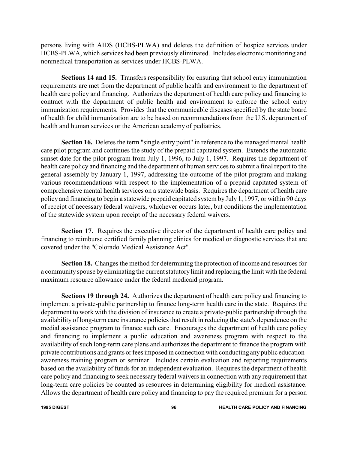persons living with AIDS (HCBS-PLWA) and deletes the definition of hospice services under HCBS-PLWA, which services had been previously eliminated. Includes electronic monitoring and nonmedical transportation as services under HCBS-PLWA.

**Sections 14 and 15.** Transfers responsibility for ensuring that school entry immunization requirements are met from the department of public health and environment to the department of health care policy and financing. Authorizes the department of health care policy and financing to contract with the department of public health and environment to enforce the school entry immunization requirements. Provides that the communicable diseases specified by the state board of health for child immunization are to be based on recommendations from the U.S. department of health and human services or the American academy of pediatrics.

**Section 16.** Deletes the term "single entry point" in reference to the managed mental health care pilot program and continues the study of the prepaid capitated system. Extends the automatic sunset date for the pilot program from July 1, 1996, to July 1, 1997. Requires the department of health care policy and financing and the department of human services to submit a final report to the general assembly by January 1, 1997, addressing the outcome of the pilot program and making various recommendations with respect to the implementation of a prepaid capitated system of comprehensive mental health services on a statewide basis. Requires the department of health care policy and financing to begin a statewide prepaid capitated system by July 1, 1997, or within 90 days of receipt of necessary federal waivers, whichever occurs later, but conditions the implementation of the statewide system upon receipt of the necessary federal waivers.

**Section 17.** Requires the executive director of the department of health care policy and financing to reimburse certified family planning clinics for medical or diagnostic services that are covered under the "Colorado Medical Assistance Act".

**Section 18.** Changes the method for determining the protection of income and resources for a communityspouse byeliminating the current statutory limit and replacing the limit with the federal maximum resource allowance under the federal medicaid program.

**Sections 19 through 24.** Authorizes the department of health care policy and financing to implement a private-public partnership to finance long-term health care in the state. Requires the department to work with the division of insurance to create a private-public partnership through the availability of long-term care insurance policies that result in reducing the state's dependence on the medial assistance program to finance such care. Encourages the department of health care policy and financing to implement a public education and awareness program with respect to the availability of such long-term care plans and authorizes the department to finance the program with private contributions and grants or fees imposed in connection with conducting anypublic educationawareness training program or seminar. Includes certain evaluation and reporting requirements based on the availability of funds for an independent evaluation. Requires the department of health care policy and financing to seek necessary federal waivers in connection with any requirement that long-term care policies be counted as resources in determining eligibility for medical assistance. Allows the department of health care policy and financing to pay the required premium for a person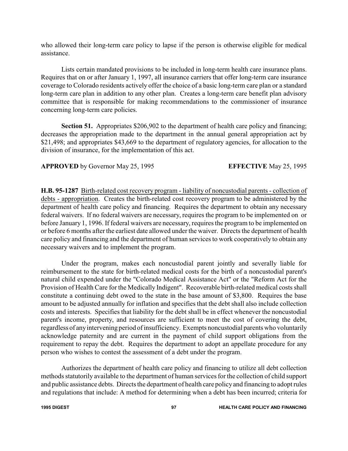who allowed their long-term care policy to lapse if the person is otherwise eligible for medical assistance.

Lists certain mandated provisions to be included in long-term health care insurance plans. Requires that on or after January 1, 1997, all insurance carriers that offer long-term care insurance coverage to Colorado residents actively offer the choice of a basic long-term care plan or a standard long-term care plan in addition to any other plan. Creates a long-term care benefit plan advisory committee that is responsible for making recommendations to the commissioner of insurance concerning long-term care policies.

**Section 51.** Appropriates \$206,902 to the department of health care policy and financing; decreases the appropriation made to the department in the annual general appropriation act by \$21,498; and appropriates \$43,669 to the department of regulatory agencies, for allocation to the division of insurance, for the implementation of this act.

## **APPROVED** by Governor May 25, 1995 **EFFECTIVE** May 25, 1995

**H.B. 95-1287** Birth-related cost recovery program - liability of noncustodial parents - collection of debts - appropriation. Creates the birth-related cost recovery program to be administered by the department of health care policy and financing. Requires the department to obtain any necessary federal waivers. If no federal waivers are necessary, requires the program to be implemented on or before January 1, 1996. If federal waivers are necessary, requires the program to be implemented on or before 6 months after the earliest date allowed under the waiver. Directs the department of health care policy and financing and the department of human services to work cooperatively to obtain any necessary waivers and to implement the program.

Under the program, makes each noncustodial parent jointly and severally liable for reimbursement to the state for birth-related medical costs for the birth of a noncustodial parent's natural child expended under the "Colorado Medical Assistance Act" or the "Reform Act for the Provision of Health Care for the Medically Indigent". Recoverable birth-related medical costs shall constitute a continuing debt owed to the state in the base amount of \$3,800. Requires the base amount to be adjusted annually for inflation and specifies that the debt shall also include collection costs and interests. Specifies that liability for the debt shall be in effect whenever the noncustodial parent's income, property, and resources are sufficient to meet the cost of covering the debt, regardless of anyintervening period of insufficiency. Exempts noncustodial parents who voluntarily acknowledge paternity and are current in the payment of child support obligations from the requirement to repay the debt. Requires the department to adopt an appellate procedure for any person who wishes to contest the assessment of a debt under the program.

Authorizes the department of health care policy and financing to utilize all debt collection methods statutorily available to the department of human services for the collection of child support and public assistance debts. Directs the department of health care policy and financing to adopt rules and regulations that include: A method for determining when a debt has been incurred; criteria for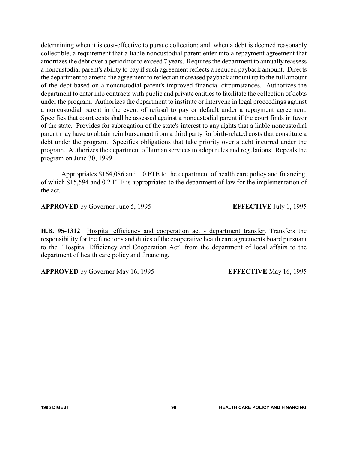determining when it is cost-effective to pursue collection; and, when a debt is deemed reasonably collectible, a requirement that a liable noncustodial parent enter into a repayment agreement that amortizes the debt over a period not to exceed 7 years. Requires the department to annually reassess a noncustodial parent's ability to pay if such agreement reflects a reduced payback amount. Directs the department to amend the agreement to reflect an increased payback amount up to the full amount of the debt based on a noncustodial parent's improved financial circumstances. Authorizes the department to enter into contracts with public and private entities to facilitate the collection of debts under the program. Authorizes the department to institute or intervene in legal proceedings against a noncustodial parent in the event of refusal to pay or default under a repayment agreement. Specifies that court costs shall be assessed against a noncustodial parent if the court finds in favor of the state. Provides for subrogation of the state's interest to any rights that a liable noncustodial parent may have to obtain reimbursement from a third party for birth-related costs that constitute a debt under the program. Specifies obligations that take priority over a debt incurred under the program. Authorizes the department of human services to adopt rules and regulations. Repeals the program on June 30, 1999.

Appropriates \$164,086 and 1.0 FTE to the department of health care policy and financing, of which \$15,594 and 0.2 FTE is appropriated to the department of law for the implementation of the act.

**APPROVED** by Governor June 5, 1995 **EFFECTIVE** July 1, 1995

**H.B. 95-1312** Hospital efficiency and cooperation act - department transfer. Transfers the responsibility for the functions and duties of the cooperative health care agreements board pursuant to the "Hospital Efficiency and Cooperation Act" from the department of local affairs to the department of health care policy and financing.

**APPROVED** by Governor May 16, 1995 **EFFECTIVE** May 16, 1995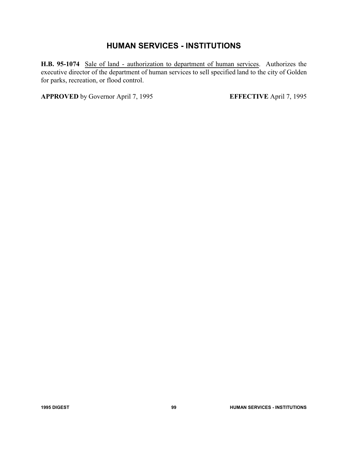# **HUMAN SERVICES - INSTITUTIONS**

**H.B. 95-1074** Sale of land - authorization to department of human services. Authorizes the executive director of the department of human services to sell specified land to the city of Golden for parks, recreation, or flood control.

**APPROVED** by Governor April 7, 1995 **EFFECTIVE** April 7, 1995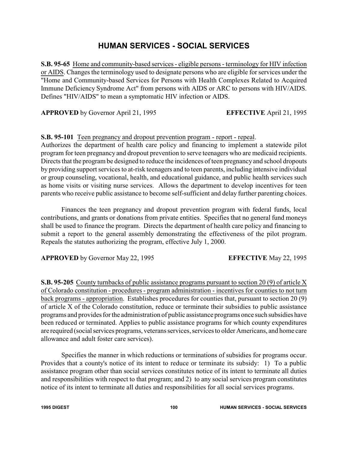# **HUMAN SERVICES - SOCIAL SERVICES**

**S.B. 95-65** Home and community-based services - eligible persons - terminology for HIV infection or AIDS. Changes the terminology used to designate persons who are eligible for services under the "Home and Community-based Services for Persons with Health Complexes Related to Acquired Immune Deficiency Syndrome Act" from persons with AIDS or ARC to persons with HIV/AIDS. Defines "HIV/AIDS" to mean a symptomatic HIV infection or AIDS.

**APPROVED** by Governor April 21, 1995 **EFFECTIVE** April 21, 1995

### **S.B. 95-101** Teen pregnancy and dropout prevention program - report - repeal.

Authorizes the department of health care policy and financing to implement a statewide pilot program for teen pregnancy and dropout prevention to serve teenagers who are medicaid recipients. Directs that the program be designed to reduce the incidences of teen pregnancy and school dropouts by providing support services to at-risk teenagers and to teen parents, including intensive individual or group counseling, vocational, health, and educational guidance, and public health services such as home visits or visiting nurse services. Allows the department to develop incentives for teen parents who receive public assistance to become self-sufficient and delay further parenting choices.

Finances the teen pregnancy and dropout prevention program with federal funds, local contributions, and grants or donations from private entities. Specifies that no general fund moneys shall be used to finance the program. Directs the department of health care policy and financing to submit a report to the general assembly demonstrating the effectiveness of the pilot program. Repeals the statutes authorizing the program, effective July 1, 2000.

**APPROVED** by Governor May 22, 1995 **EFFECTIVE** May 22, 1995

**S.B. 95-205** County turnbacks of public assistance programs pursuant to section 20 (9) of article X of Colorado constitution - procedures - program administration - incentives for counties to not turn back programs - appropriation. Establishes procedures for counties that, pursuant to section 20 (9) of article X of the Colorado constitution, reduce or terminate their subsidies to public assistance programs and provides for the administration of public assistance programs once such subsidies have been reduced or terminated. Applies to public assistance programs for which county expenditures are required (social services programs, veterans services, services to older Americans, and home care allowance and adult foster care services).

Specifies the manner in which reductions or terminations of subsidies for programs occur. Provides that a county's notice of its intent to reduce or terminate its subsidy: 1) To a public assistance program other than social services constitutes notice of its intent to terminate all duties and responsibilities with respect to that program; and 2) to any social services program constitutes notice of its intent to terminate all duties and responsibilities for all social services programs.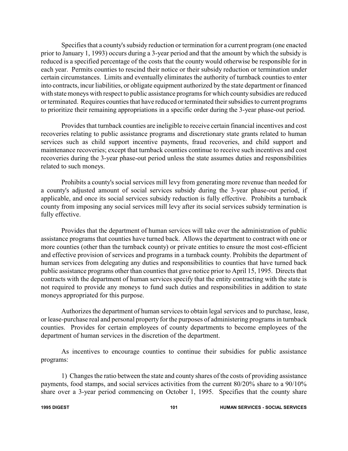Specifies that a county's subsidy reduction or termination for a current program (one enacted prior to January 1, 1993) occurs during a 3-year period and that the amount by which the subsidy is reduced is a specified percentage of the costs that the county would otherwise be responsible for in each year. Permits counties to rescind their notice or their subsidy reduction or termination under certain circumstances. Limits and eventually eliminates the authority of turnback counties to enter into contracts, incur liabilities, or obligate equipment authorized by the state department or financed with state moneys with respect to public assistance programs for which county subsidies are reduced or terminated. Requires counties that have reduced or terminated their subsidies to current programs to prioritize their remaining appropriations in a specific order during the 3-year phase-out period.

Provides that turnback counties are ineligible to receive certain financial incentives and cost recoveries relating to public assistance programs and discretionary state grants related to human services such as child support incentive payments, fraud recoveries, and child support and maintenance recoveries; except that turnback counties continue to receive such incentives and cost recoveries during the 3-year phase-out period unless the state assumes duties and responsibilities related to such moneys.

Prohibits a county's social services mill levy from generating more revenue than needed for a county's adjusted amount of social services subsidy during the 3-year phase-out period, if applicable, and once its social services subsidy reduction is fully effective. Prohibits a turnback county from imposing any social services mill levy after its social services subsidy termination is fully effective.

Provides that the department of human services will take over the administration of public assistance programs that counties have turned back. Allows the department to contract with one or more counties (other than the turnback county) or private entities to ensure the most cost-efficient and effective provision of services and programs in a turnback county. Prohibits the department of human services from delegating any duties and responsibilities to counties that have turned back public assistance programs other than counties that gave notice prior to April 15, 1995. Directs that contracts with the department of human services specify that the entity contracting with the state is not required to provide any moneys to fund such duties and responsibilities in addition to state moneys appropriated for this purpose.

Authorizes the department of human services to obtain legal services and to purchase, lease, or lease-purchase real and personal property for the purposes of administering programs in turnback counties. Provides for certain employees of county departments to become employees of the department of human services in the discretion of the department.

As incentives to encourage counties to continue their subsidies for public assistance programs:

1) Changes the ratio between the state and county shares of the costs of providing assistance payments, food stamps, and social services activities from the current 80/20% share to a 90/10% share over a 3-year period commencing on October 1, 1995. Specifies that the county share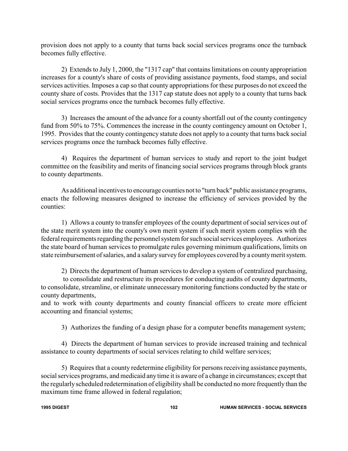provision does not apply to a county that turns back social services programs once the turnback becomes fully effective.

2) Extends to July 1, 2000, the "1317 cap" that contains limitations on county appropriation increases for a county's share of costs of providing assistance payments, food stamps, and social services activities. Imposes a cap so that county appropriations for these purposes do not exceed the county share of costs. Provides that the 1317 cap statute does not apply to a county that turns back social services programs once the turnback becomes fully effective.

3) Increases the amount of the advance for a county shortfall out of the county contingency fund from 50% to 75%. Commences the increase in the county contingency amount on October 1, 1995. Provides that the county contingency statute does not apply to a county that turns back social services programs once the turnback becomes fully effective.

4) Requires the department of human services to study and report to the joint budget committee on the feasibility and merits of financing social services programs through block grants to county departments.

As additional incentives to encourage counties not to "turn back" public assistance programs, enacts the following measures designed to increase the efficiency of services provided by the counties:

1) Allows a county to transfer employees of the county department of social services out of the state merit system into the county's own merit system if such merit system complies with the federal requirements regarding the personnel system for such social services employees. Authorizes the state board of human services to promulgate rules governing minimum qualifications, limits on state reimbursement of salaries, and a salary survey for employees covered by a countymerit system.

2) Directs the department of human services to develop a system of centralized purchasing,

to consolidate and restructure its procedures for conducting audits of county departments, to consolidate, streamline, or eliminate unnecessary monitoring functions conducted by the state or county departments,

and to work with county departments and county financial officers to create more efficient accounting and financial systems;

3) Authorizes the funding of a design phase for a computer benefits management system;

4) Directs the department of human services to provide increased training and technical assistance to county departments of social services relating to child welfare services;

5) Requires that a county redetermine eligibility for persons receiving assistance payments, social services programs, and medicaid any time it is aware of a change in circumstances; except that the regularly scheduled redetermination of eligibility shall be conducted no more frequently than the maximum time frame allowed in federal regulation;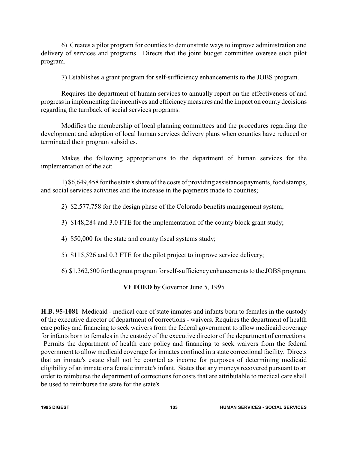6) Creates a pilot program for counties to demonstrate ways to improve administration and delivery of services and programs. Directs that the joint budget committee oversee such pilot program.

7) Establishes a grant program for self-sufficiency enhancements to the JOBS program.

Requires the department of human services to annually report on the effectiveness of and progress in implementing the incentives and efficiencymeasures and the impact on county decisions regarding the turnback of social services programs.

Modifies the membership of local planning committees and the procedures regarding the development and adoption of local human services delivery plans when counties have reduced or terminated their program subsidies.

Makes the following appropriations to the department of human services for the implementation of the act:

1) \$6,649,458 for the state's share of the costs of providing assistance payments, food stamps, and social services activities and the increase in the payments made to counties;

2) \$2,577,758 for the design phase of the Colorado benefits management system;

3) \$148,284 and 3.0 FTE for the implementation of the county block grant study;

4) \$50,000 for the state and county fiscal systems study;

5) \$115,526 and 0.3 FTE for the pilot project to improve service delivery;

6) \$1,362,500 for the grant program for self-sufficiencyenhancements to the JOBS program.

### **VETOED** by Governor June 5, 1995

**H.B. 95-1081** Medicaid - medical care of state inmates and infants born to females in the custody of the executive director of department of corrections - waivers. Requires the department of health care policy and financing to seek waivers from the federal government to allow medicaid coverage for infants born to females in the custody of the executive director of the department of corrections.

Permits the department of health care policy and financing to seek waivers from the federal government to allow medicaid coverage for inmates confined in a state correctional facility. Directs that an inmate's estate shall not be counted as income for purposes of determining medicaid eligibility of an inmate or a female inmate's infant. States that any moneys recovered pursuant to an order to reimburse the department of corrections for costs that are attributable to medical care shall be used to reimburse the state for the state's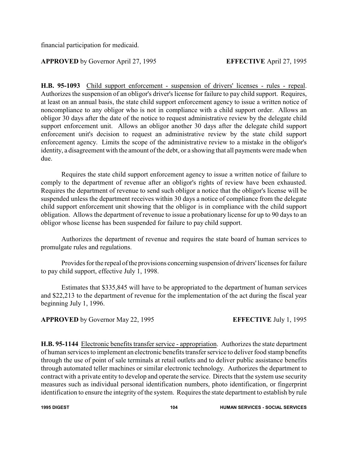financial participation for medicaid.

## **APPROVED** by Governor April 27, 1995 **EFFECTIVE** April 27, 1995

**H.B. 95-1093** Child support enforcement - suspension of drivers' licenses - rules - repeal. Authorizes the suspension of an obligor's driver's license for failure to pay child support. Requires, at least on an annual basis, the state child support enforcement agency to issue a written notice of noncompliance to any obligor who is not in compliance with a child support order. Allows an obligor 30 days after the date of the notice to request administrative review by the delegate child support enforcement unit. Allows an obligor another 30 days after the delegate child support enforcement unit's decision to request an administrative review by the state child support enforcement agency. Limits the scope of the administrative review to a mistake in the obligor's identity, a disagreement with the amount of the debt, or a showing that all payments were made when due.

Requires the state child support enforcement agency to issue a written notice of failure to comply to the department of revenue after an obligor's rights of review have been exhausted. Requires the department of revenue to send such obligor a notice that the obligor's license will be suspended unless the department receives within 30 days a notice of compliance from the delegate child support enforcement unit showing that the obligor is in compliance with the child support obligation. Allows the department of revenue to issue a probationary license for up to 90 days to an obligor whose license has been suspended for failure to pay child support.

Authorizes the department of revenue and requires the state board of human services to promulgate rules and regulations.

Provides for the repeal of the provisions concerning suspension of drivers' licenses for failure to pay child support, effective July 1, 1998.

Estimates that \$335,845 will have to be appropriated to the department of human services and \$22,213 to the department of revenue for the implementation of the act during the fiscal year beginning July 1, 1996.

**APPROVED** by Governor May 22, 1995 **EFFECTIVE** July 1, 1995

**H.B. 95-1144** Electronic benefits transfer service - appropriation. Authorizes the state department of human services to implement an electronic benefits transfer service to deliver food stamp benefits through the use of point of sale terminals at retail outlets and to deliver public assistance benefits through automated teller machines or similar electronic technology. Authorizes the department to contract with a private entity to develop and operate the service. Directs that the system use security measures such as individual personal identification numbers, photo identification, or fingerprint identification to ensure the integrity of the system. Requires the state department to establish by rule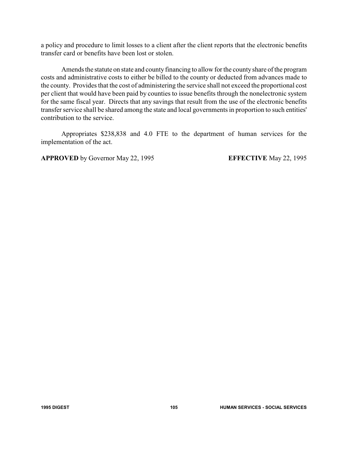a policy and procedure to limit losses to a client after the client reports that the electronic benefits transfer card or benefits have been lost or stolen.

Amends the statute on state and county financing to allow for the county share of the program costs and administrative costs to either be billed to the county or deducted from advances made to the county. Provides that the cost of administering the service shall not exceed the proportional cost per client that would have been paid by counties to issue benefits through the nonelectronic system for the same fiscal year. Directs that any savings that result from the use of the electronic benefits transfer service shall be shared among the state and local governments in proportion to such entities' contribution to the service.

Appropriates \$238,838 and 4.0 FTE to the department of human services for the implementation of the act.

**APPROVED** by Governor May 22, 1995 **EFFECTIVE** May 22, 1995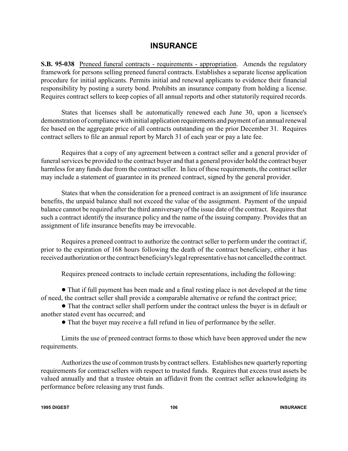# **INSURANCE**

**S.B. 95-038** Preneed funeral contracts - requirements - appropriation. Amends the regulatory framework for persons selling preneed funeral contracts. Establishes a separate license application procedure for initial applicants. Permits initial and renewal applicants to evidence their financial responsibility by posting a surety bond. Prohibits an insurance company from holding a license. Requires contract sellers to keep copies of all annual reports and other statutorily required records.

States that licenses shall be automatically renewed each June 30, upon a licensee's demonstration of compliance with initial application requirements and payment of an annual renewal fee based on the aggregate price of all contracts outstanding on the prior December 31. Requires contract sellers to file an annual report by March 31 of each year or pay a late fee.

Requires that a copy of any agreement between a contract seller and a general provider of funeral services be provided to the contract buyer and that a general provider hold the contract buyer harmless for any funds due from the contract seller. In lieu of these requirements, the contract seller may include a statement of guarantee in its preneed contract, signed by the general provider.

States that when the consideration for a preneed contract is an assignment of life insurance benefits, the unpaid balance shall not exceed the value of the assignment. Payment of the unpaid balance cannot be required after the third anniversary of the issue date of the contract. Requires that such a contract identify the insurance policy and the name of the issuing company. Provides that an assignment of life insurance benefits may be irrevocable.

Requires a preneed contract to authorize the contract seller to perform under the contract if, prior to the expiration of 168 hours following the death of the contract beneficiary, either it has received authorization orthe contract beneficiary's legal representative has not cancelled the contract.

Requires preneed contracts to include certain representations, including the following:

! That if full payment has been made and a final resting place is not developed at the time of need, the contract seller shall provide a comparable alternative or refund the contract price;

! That the contract seller shall perform under the contract unless the buyer is in default or another stated event has occurred; and

! That the buyer may receive a full refund in lieu of performance by the seller.

Limits the use of preneed contract forms to those which have been approved under the new requirements.

Authorizes the use of common trusts by contract sellers. Establishes new quarterly reporting requirements for contract sellers with respect to trusted funds. Requires that excess trust assets be valued annually and that a trustee obtain an affidavit from the contract seller acknowledging its performance before releasing any trust funds.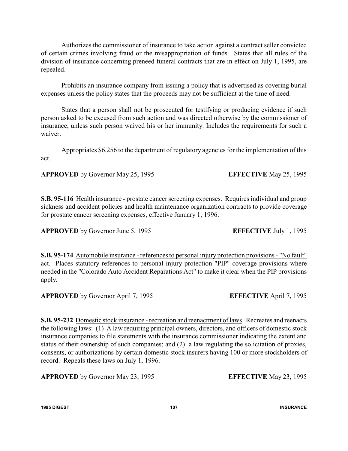Authorizes the commissioner of insurance to take action against a contract seller convicted of certain crimes involving fraud or the misappropriation of funds. States that all rules of the division of insurance concerning preneed funeral contracts that are in effect on July 1, 1995, are repealed.

Prohibits an insurance company from issuing a policy that is advertised as covering burial expenses unless the policy states that the proceeds may not be sufficient at the time of need.

States that a person shall not be prosecuted for testifying or producing evidence if such person asked to be excused from such action and was directed otherwise by the commissioner of insurance, unless such person waived his or her immunity. Includes the requirements for such a waiver.

Appropriates \$6,256 to the department of regulatory agencies for the implementation of this act.

**APPROVED** by Governor May 25, 1995 **EFFECTIVE** May 25, 1995

**S.B. 95-116** Health insurance - prostate cancer screening expenses. Requires individual and group sickness and accident policies and health maintenance organization contracts to provide coverage for prostate cancer screening expenses, effective January 1, 1996.

**APPROVED** by Governor June 5, 1995 **EFFECTIVE** July 1, 1995

**S.B. 95-174** Automobile insurance - references to personal injury protection provisions - "No fault" act. Places statutory references to personal injury protection "PIP" coverage provisions where needed in the "Colorado Auto Accident Reparations Act" to make it clear when the PIP provisions apply.

**APPROVED** by Governor April 7, 1995 **EFFECTIVE** April 7, 1995

**S.B. 95-232** Domestic stock insurance - recreation and reenactment of laws. Recreates and reenacts the following laws: (1) A law requiring principal owners, directors, and officers of domestic stock insurance companies to file statements with the insurance commissioner indicating the extent and status of their ownership of such companies; and (2) a law regulating the solicitation of proxies, consents, or authorizations by certain domestic stock insurers having 100 or more stockholders of record. Repeals these laws on July 1, 1996.

**APPROVED** by Governor May 23, 1995 **EFFECTIVE** May 23, 1995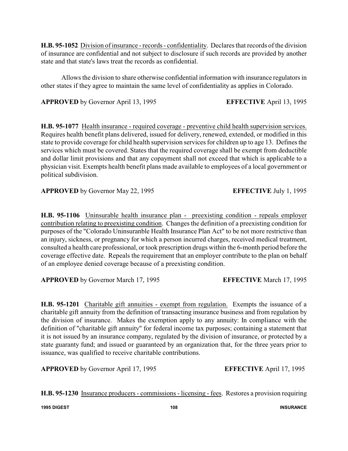H.B. 95-1052 Division of insurance - records - confidentiality. Declares that records of the division of insurance are confidential and not subject to disclosure if such records are provided by another state and that state's laws treat the records as confidential.

Allows the division to share otherwise confidential information with insurance regulators in other states if they agree to maintain the same level of confidentiality as applies in Colorado.

**APPROVED** by Governor April 13, 1995 **EFFECTIVE** April 13, 1995

**H.B. 95-1077** Health insurance - required coverage - preventive child health supervision services. Requires health benefit plans delivered, issued for delivery, renewed, extended, or modified in this state to provide coverage for child health supervision services for children up to age 13. Defines the services which must be covered. States that the required coverage shall be exempt from deductible and dollar limit provisions and that any copayment shall not exceed that which is applicable to a physician visit. Exempts health benefit plans made available to employees of a local government or political subdivision.

**APPROVED** by Governor May 22, 1995 **EFFECTIVE** July 1, 1995

**H.B. 95-1106** Uninsurable health insurance plan - preexisting condition - repeals employer contribution relating to preexisting condition. Changes the definition of a preexisting condition for purposes of the "Colorado Uninsuranble Health Insurance Plan Act" to be not more restrictive than an injury, sickness, or pregnancy for which a person incurred charges, received medical treatment, consulted a health care professional, or took prescription drugs within the 6-month period before the coverage effective date. Repeals the requirement that an employer contribute to the plan on behalf of an employee denied coverage because of a preexisting condition.

**APPROVED** by Governor March 17, 1995 **EFFECTIVE** March 17, 1995

**H.B. 95-1201** Charitable gift annuities - exempt from regulation. Exempts the issuance of a charitable gift annuity from the definition of transacting insurance business and from regulation by the division of insurance. Makes the exemption apply to any annuity: In compliance with the definition of "charitable gift annuity" for federal income tax purposes; containing a statement that it is not issued by an insurance company, regulated by the division of insurance, or protected by a state guaranty fund; and issued or guaranteed by an organization that, for the three years prior to issuance, was qualified to receive charitable contributions.

**APPROVED** by Governor April 17, 1995 **EFFECTIVE** April 17, 1995

**H.B. 95-1230** Insurance producers - commissions - licensing - fees. Restores a provision requiring

**1995 DIGEST 108 INSURANCE**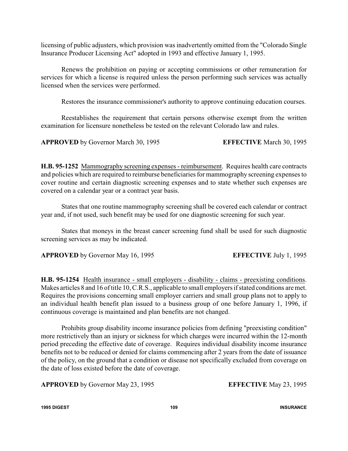licensing of public adjusters, which provision was inadvertently omitted from the "Colorado Single Insurance Producer Licensing Act" adopted in 1993 and effective January 1, 1995.

Renews the prohibition on paying or accepting commissions or other remuneration for services for which a license is required unless the person performing such services was actually licensed when the services were performed.

Restores the insurance commissioner's authority to approve continuing education courses.

Reestablishes the requirement that certain persons otherwise exempt from the written examination for licensure nonetheless be tested on the relevant Colorado law and rules.

**APPROVED** by Governor March 30, 1995 **EFFECTIVE** March 30, 1995

**H.B. 95-1252** Mammography screening expenses - reimbursement. Requires health care contracts and policies which are required to reimburse beneficiaries for mammography screening expenses to cover routine and certain diagnostic screening expenses and to state whether such expenses are covered on a calendar year or a contract year basis.

States that one routine mammography screening shall be covered each calendar or contract year and, if not used, such benefit may be used for one diagnostic screening for such year.

States that moneys in the breast cancer screening fund shall be used for such diagnostic screening services as may be indicated.

**APPROVED** by Governor May 16, 1995 **EFFECTIVE** July 1, 1995

**H.B. 95-1254** Health insurance - small employers - disability - claims - preexisting conditions. Makes articles 8 and 16 of title 10, C.R.S., applicable to small employers if stated conditions are met. Requires the provisions concerning small employer carriers and small group plans not to apply to an individual health benefit plan issued to a business group of one before January 1, 1996, if continuous coverage is maintained and plan benefits are not changed.

Prohibits group disability income insurance policies from defining "preexisting condition" more restrictively than an injury or sickness for which charges were incurred within the 12-month period preceding the effective date of coverage. Requires individual disability income insurance benefits not to be reduced or denied for claims commencing after 2 years from the date of issuance of the policy, on the ground that a condition or disease not specifically excluded from coverage on the date of loss existed before the date of coverage.

**APPROVED** by Governor May 23, 1995 **EFFECTIVE** May 23, 1995

**1995 DIGEST 109 INSURANCE**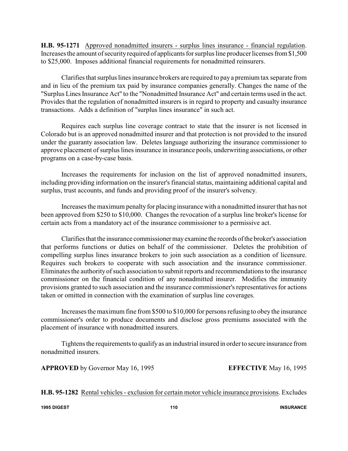**H.B. 95-1271** Approved nonadmitted insurers - surplus lines insurance - financial regulation. Increases the amount of security required of applicants for surplus line producer licenses from \$1,500 to \$25,000. Imposes additional financial requirements for nonadmitted reinsurers.

Clarifies that surplus lines insurance brokers are required to pay a premium tax separate from and in lieu of the premium tax paid by insurance companies generally. Changes the name of the "Surplus Lines Insurance Act" to the "Nonadmitted Insurance Act" and certain terms used in the act. Provides that the regulation of nonadmitted insurers is in regard to property and casualty insurance transactions. Adds a definition of "surplus lines insurance" in such act.

Requires each surplus line coverage contract to state that the insurer is not licensed in Colorado but is an approved nonadmitted insurer and that protection is not provided to the insured under the guaranty association law. Deletes language authorizing the insurance commissioner to approve placement of surplus lines insurance in insurance pools, underwriting associations, or other programs on a case-by-case basis.

Increases the requirements for inclusion on the list of approved nonadmitted insurers, including providing information on the insurer's financial status, maintaining additional capital and surplus, trust accounts, and funds and providing proof of the insurer's solvency.

Increases the maximum penalty for placing insurance with a nonadmitted insurer that has not been approved from \$250 to \$10,000. Changes the revocation of a surplus line broker's license for certain acts from a mandatory act of the insurance commissioner to a permissive act.

Clarifies that the insurance commissionermayexamine the records ofthe broker's association that performs functions or duties on behalf of the commissioner. Deletes the prohibition of compelling surplus lines insurance brokers to join such association as a condition of licensure. Requires such brokers to cooperate with such association and the insurance commissioner. Eliminates the authority of such association to submit reports and recommendations to the insurance commissioner on the financial condition of any nonadmitted insurer. Modifies the immunity provisions granted to such association and the insurance commissioner's representatives for actions taken or omitted in connection with the examination of surplus line coverages.

Increases the maximum fine from \$500 to \$10,000 for persons refusing to obey the insurance commissioner's order to produce documents and disclose gross premiums associated with the placement of insurance with nonadmitted insurers.

Tightens the requirements to qualifyas an industrial insured in order to secure insurance from nonadmitted insurers.

**APPROVED** by Governor May 16, 1995 **EFFECTIVE** May 16, 1995

**H.B. 95-1282** Rental vehicles - exclusion for certain motor vehicle insurance provisions. Excludes

**1995 DIGEST 110 INSURANCE**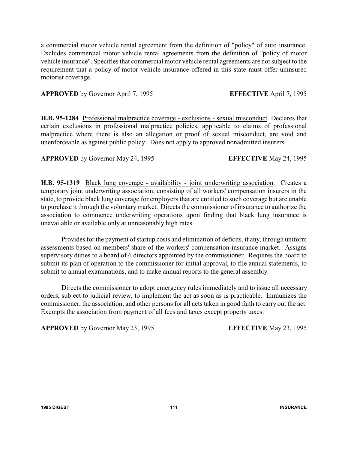a commercial motor vehicle rental agreement from the definition of "policy" of auto insurance. Excludes commercial motor vehicle rental agreements from the definition of "policy of motor vehicle insurance". Specifies that commercial motor vehicle rental agreements are not subject to the requirement that a policy of motor vehicle insurance offered in this state must offer uninsured motorist coverage.

### **APPROVED** by Governor April 7, 1995 **EFFECTIVE** April 7, 1995

**H.B. 95-1284** Professional malpractice coverage - exclusions - sexual misconduct. Declares that certain exclusions in professional malpractice policies, applicable to claims of professional malpractice where there is also an allegation or proof of sexual misconduct, are void and unenforceable as against public policy. Does not apply to approved nonadmitted insurers.

**APPROVED** by Governor May 24, 1995 **EFFECTIVE** May 24, 1995

**H.B. 95-1319** Black lung coverage - availability - joint underwriting association. Creates a temporary joint underwriting association, consisting of all workers' compensation insurers in the state, to provide black lung coverage for employers that are entitled to such coverage but are unable to purchase it through the voluntary market. Directs the commissioner of insurance to authorize the association to commence underwriting operations upon finding that black lung insurance is unavailable or available only at unreasonably high rates.

Provides for the payment of startup costs and elimination of deficits, if any, through uniform assessments based on members' share of the workers' compensation insurance market. Assigns supervisory duties to a board of 6 directors appointed by the commissioner. Requires the board to submit its plan of operation to the commissioner for initial approval, to file annual statements, to submit to annual examinations, and to make annual reports to the general assembly.

Directs the commissioner to adopt emergency rules immediately and to issue all necessary orders, subject to judicial review, to implement the act as soon as is practicable. Immunizes the commissioner, the association, and other persons for all acts taken in good faith to carry out the act. Exempts the association from payment of all fees and taxes except property taxes.

**APPROVED** by Governor May 23, 1995 **EFFECTIVE** May 23, 1995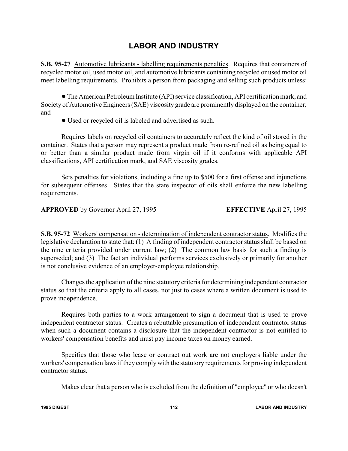# **LABOR AND INDUSTRY**

**S.B. 95-27** Automotive lubricants - labelling requirements penalties. Requires that containers of recycled motor oil, used motor oil, and automotive lubricants containing recycled or used motor oil meet labelling requirements. Prohibits a person from packaging and selling such products unless:

!The American Petroleum Institute (API) service classification, API certification mark, and Society of Automotive Engineers (SAE) viscosity grade are prominently displayed on the container; and

! Used or recycled oil is labeled and advertised as such.

Requires labels on recycled oil containers to accurately reflect the kind of oil stored in the container. States that a person may represent a product made from re-refined oil as being equal to or better than a similar product made from virgin oil if it conforms with applicable API classifications, API certification mark, and SAE viscosity grades.

Sets penalties for violations, including a fine up to \$500 for a first offense and injunctions for subsequent offenses. States that the state inspector of oils shall enforce the new labelling requirements.

**APPROVED** by Governor April 27, 1995 **EFFECTIVE** April 27, 1995

**S.B. 95-72** Workers' compensation - determination of independent contractor status. Modifies the legislative declaration to state that: (1) A finding of independent contractor status shall be based on the nine criteria provided under current law; (2) The common law basis for such a finding is superseded; and (3) The fact an individual performs services exclusively or primarily for another is not conclusive evidence of an employer-employee relationship.

Changes the application of the nine statutory criteria for determining independent contractor status so that the criteria apply to all cases, not just to cases where a written document is used to prove independence.

Requires both parties to a work arrangement to sign a document that is used to prove independent contractor status. Creates a rebuttable presumption of independent contractor status when such a document contains a disclosure that the independent contractor is not entitled to workers' compensation benefits and must pay income taxes on money earned.

Specifies that those who lease or contract out work are not employers liable under the workers' compensation laws if they comply with the statutory requirements for proving independent contractor status.

Makes clear that a person who is excluded from the definition of "employee" or who doesn't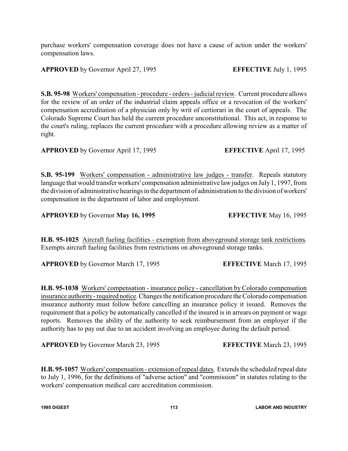**1995 DIGEST 113 LABOR AND INDUSTRY**

purchase workers' compensation coverage does not have a cause of action under the workers' compensation laws.

**APPROVED** by Governor April 27, 1995 **EFFECTIVE** July 1, 1995

**S.B. 95-98** Workers' compensation - procedure - orders - judicial review. Current procedure allows for the review of an order of the industrial claim appeals office or a revocation of the workers' compensation accreditation of a physician only by writ of certiorari in the court of appeals. The Colorado Supreme Court has held the current procedure unconstitutional. This act, in response to the court's ruling, replaces the current procedure with a procedure allowing review as a matter of right.

**APPROVED** by Governor April 17, 1995 **EFFECTIVE** April 17, 1995

**S.B. 95-199** Workers' compensation - administrative law judges - transfer. Repeals statutory language that would transfer workers' compensation administrative law judges on July 1, 1997, from the division of administrative hearings in the department of administration to the division of workers' compensation in the department of labor and employment.

**APPROVED** by Governor **May 16, 1995 EFFECTIVE** May 16, 1995

**H.B. 95-1025** Aircraft fueling facilities - exemption from aboveground storage tank restrictions. Exempts aircraft fueling facilities from restrictions on aboveground storage tanks.

**APPROVED** by Governor March 17, 1995 **EFFECTIVE** March 17, 1995

**H.B. 95-1038** Workers' compensation - insurance policy - cancellation by Colorado compensation insurance authority-required notice. Changes the notification procedure the Colorado compensation insurance authority must follow before cancelling an insurance policy it issued. Removes the requirement that a policy be automatically cancelled if the insured is in arrears on payment or wage reports. Removes the ability of the authority to seek reimbursement from an employer if the authority has to pay out due to an accident involving an employee during the default period.

**APPROVED** by Governor March 23, 1995 **EFFECTIVE** March 23, 1995

**H.B. 95-1057** Workers' compensation - extension of repeal dates. Extends the scheduled repeal date to July 1, 1996, for the definitions of "adverse action" and "commission" in statutes relating to the workers' compensation medical care accreditation commission.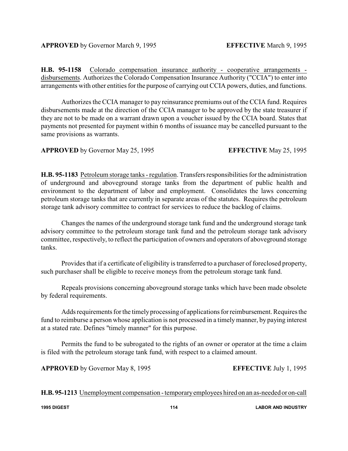**H.B. 95-1158** Colorado compensation insurance authority - cooperative arrangements disbursements. Authorizes the Colorado Compensation Insurance Authority ("CCIA") to enter into arrangements with other entities for the purpose of carrying out CCIA powers, duties, and functions.

Authorizes the CCIA manager to pay reinsurance premiums out of the CCIA fund. Requires disbursements made at the direction of the CCIA manager to be approved by the state treasurer if they are not to be made on a warrant drawn upon a voucher issued by the CCIA board. States that payments not presented for payment within 6 months of issuance may be cancelled pursuant to the same provisions as warrants.

**APPROVED** by Governor May 25, 1995 **EFFECTIVE** May 25, 1995

**H.B. 95-1183** Petroleum storage tanks - regulation. Transfers responsibilities for the administration of underground and aboveground storage tanks from the department of public health and environment to the department of labor and employment. Consolidates the laws concerning petroleum storage tanks that are currently in separate areas of the statutes. Requires the petroleum storage tank advisory committee to contract for services to reduce the backlog of claims.

Changes the names of the underground storage tank fund and the underground storage tank advisory committee to the petroleum storage tank fund and the petroleum storage tank advisory committee, respectively, to reflect the participation of owners and operators of aboveground storage tanks.

Provides that if a certificate of eligibility is transferred to a purchaser of foreclosed property, such purchaser shall be eligible to receive moneys from the petroleum storage tank fund.

Repeals provisions concerning aboveground storage tanks which have been made obsolete by federal requirements.

Adds requirements for the timelyprocessing of applications for reimbursement. Requires the fund to reimburse a person whose application is not processed in a timely manner, by paying interest at a stated rate. Defines "timely manner" for this purpose.

Permits the fund to be subrogated to the rights of an owner or operator at the time a claim is filed with the petroleum storage tank fund, with respect to a claimed amount.

**APPROVED** by Governor May 8, 1995 **EFFECTIVE** July 1, 1995

**H.B. 95-1213** Unemployment compensation -temporaryemployees hired on an as-neededor on-call

**1995 DIGEST 114 LABOR AND INDUSTRY**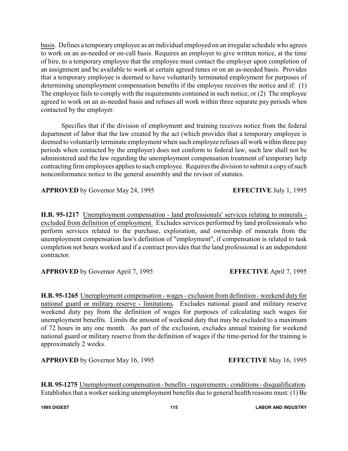basis. Defines a temporaryemployee as an individual employed on an irregular schedule who agrees to work on an as-needed or on-call basis. Requires an employer to give written notice, at the time of hire, to a temporary employee that the employee must contact the employer upon completion of an assignment and be available to work at certain agreed times or on an as-needed basis. Provides that a temporary employee is deemed to have voluntarily terminated employment for purposes of determining unemployment compensation benefits if the employee receives the notice and if: (1) The employee fails to comply with the requirements contained in such notice; or (2) The employee agreed to work on an as-needed basis and refuses all work within three separate pay periods when contacted by the employer.

Specifies that if the division of employment and training receives notice from the federal department of labor that the law created by the act (which provides that a temporary employee is deemed to voluntarily terminate employment when such employee refuses all work within three pay periods when contacted by the employer) does not conform to federal law, such law shall not be administered and the law regarding the unemployment compensation treatment of temporary help contracting firm employees applies to such employee. Requires the division to submit a copy of such nonconformance notice to the general assembly and the revisor of statutes.

**APPROVED** by Governor May 24, 1995 **EFFECTIVE** July 1, 1995

**H.B. 95-1217** Unemployment compensation - land professionals' services relating to minerals excluded from definition of employment. Excludes services performed by land professionals who perform services related to the purchase, exploration, and ownership of minerals from the unemployment compensation law's definition of "employment", if compensation is related to task completion not hours worked and if a contract provides that the land professional is an independent contractor.

**APPROVED** by Governor April 7, 1995 **EFFECTIVE** April 7, 1995

**H.B. 95-1265** Unemployment compensation - wages - exclusion from definition - weekend duty for national guard or military reserve - limitations. Excludes national guard and military reserve weekend duty pay from the definition of wages for purposes of calculating such wages for unemployment benefits. Limits the amount of weekend duty that may be excluded to a maximum of 72 hours in any one month. As part of the exclusion, excludes annual training for weekend national guard or military reserve from the definition of wages if the time-period for the training is approximately 2 weeks.

**APPROVED** by Governor May 16, 1995 **EFFECTIVE** May 16, 1995

**H.B. 95-1275** Unemployment compensation - benefits - requirements - conditions - disqualification. Establishes that a worker seeking unemployment benefits due to general health reasons must: (1) Be

**1995 DIGEST 115 LABOR AND INDUSTRY**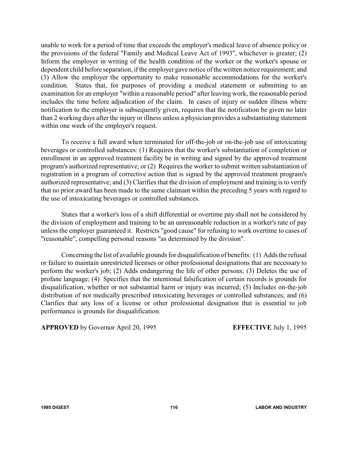unable to work for a period of time that exceeds the employer's medical leave of absence policy or the provisions of the federal "Family and Medical Leave Act of 1993", whichever is greater; (2) Inform the employer in writing of the health condition of the worker or the worker's spouse or dependent child before separation, if the employer gave notice of the written notice requirement; and (3) Allow the employer the opportunity to make reasonable accommodations for the worker's condition. States that, for purposes of providing a medical statement or submitting to an examination for an employer "within a reasonable period" after leaving work, the reasonable period includes the time before adjudication of the claim. In cases of injury or sudden illness where notification to the employer is subsequently given, requires that the notification be given no later than 2 working days after the injury or illness unless a physician provides a substantiating statement within one week of the employer's request.

To receive a full award when terminated for off-the-job or on-the-job use of intoxicating beverages or controlled substances: (1) Requires that the worker's substantiation of completion or enrollment in an approved treatment facility be in writing and signed by the approved treatment program's authorized representative; or (2) Requires the worker to submit written substantiation of registration in a program of corrective action that is signed by the approved treatment program's authorized representative; and (3) Clarifies that the division of employment and training is to verify that no prior award has been made to the same claimant within the preceding 5 years with regard to the use of intoxicating beverages or controlled substances.

States that a worker's loss of a shift differential or overtime pay shall not be considered by the division of employment and training to be an unreasonable reduction in a worker's rate of pay unless the employer guaranteed it. Restricts "good cause" for refusing to work overtime to cases of "reasonable", compelling personal reasons "as determined by the division".

Concerning the list of available grounds for disqualification of benefits: (1) Adds the refusal or failure to maintain unrestricted licenses or other professional designations that are necessary to perform the worker's job; (2) Adds endangering the life of other persons; (3) Deletes the use of profane language; (4) Specifies that the intentional falsification of certain records is grounds for disqualification, whether or not substantial harm or injury was incurred; (5) Includes on-the-job distribution of not medically prescribed intoxicating beverages or controlled substances; and (6) Clarifies that any loss of a license or other professional designation that is essential to job performance is grounds for disqualification.

**APPROVED** by Governor April 20, 1995 **EFFECTIVE** July 1, 1995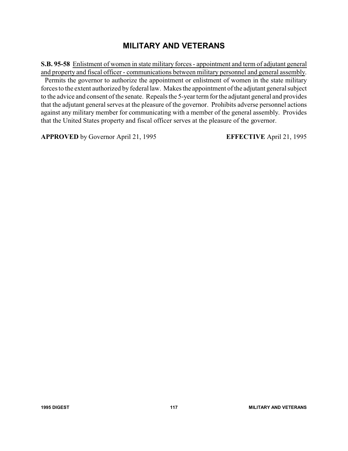### **MILITARY AND VETERANS**

**S.B. 95-58** Enlistment of women in state military forces - appointment and term of adjutant general and property and fiscal officer - communications between military personnel and general assembly.

Permits the governor to authorize the appointment or enlistment of women in the state military forces to the extent authorized by federal law. Makes the appointment of the adjutant general subject to the advice and consent of the senate. Repeals the 5-year term for the adjutant general and provides that the adjutant general serves at the pleasure of the governor. Prohibits adverse personnel actions against any military member for communicating with a member of the general assembly. Provides that the United States property and fiscal officer serves at the pleasure of the governor.

**APPROVED** by Governor April 21, 1995 **EFFECTIVE** April 21, 1995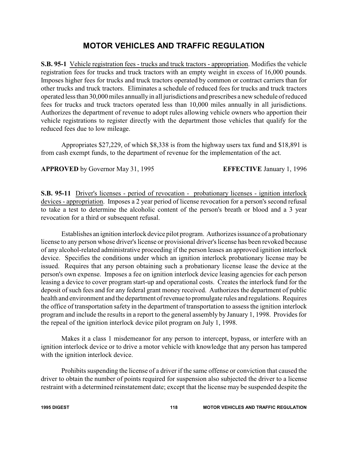# **MOTOR VEHICLES AND TRAFFIC REGULATION**

**S.B. 95-1** Vehicle registration fees - trucks and truck tractors - appropriation. Modifies the vehicle registration fees for trucks and truck tractors with an empty weight in excess of 16,000 pounds. Imposes higher fees for trucks and truck tractors operated by common or contract carriers than for other trucks and truck tractors. Eliminates a schedule of reduced fees for trucks and truck tractors operated less than 30,000 miles annuallyin all jurisdictions and prescribes a new schedule of reduced fees for trucks and truck tractors operated less than 10,000 miles annually in all jurisdictions. Authorizes the department of revenue to adopt rules allowing vehicle owners who apportion their vehicle registrations to register directly with the department those vehicles that qualify for the reduced fees due to low mileage.

Appropriates \$27,229, of which \$8,338 is from the highway users tax fund and \$18,891 is from cash exempt funds, to the department of revenue for the implementation of the act.

**APPROVED** by Governor May 31, 1995 **EFFECTIVE** January 1, 1996

**S.B. 95-11** Driver's licenses - period of revocation - probationary licenses - ignition interlock devices - appropriation. Imposes a 2 year period of license revocation for a person's second refusal to take a test to determine the alcoholic content of the person's breath or blood and a 3 year revocation for a third or subsequent refusal.

Establishes an ignition interlock device pilot program. Authorizes issuance of a probationary license to any person whose driver's license or provisional driver's license has been revoked because of any alcohol-related administrative proceeding if the person leases an approved ignition interlock device. Specifies the conditions under which an ignition interlock probationary license may be issued. Requires that any person obtaining such a probationary license lease the device at the person's own expense. Imposes a fee on ignition interlock device leasing agencies for each person leasing a device to cover program start-up and operational costs. Creates the interlock fund for the deposit of such fees and for any federal grant money received. Authorizes the department of public health and environment and the department of revenue to promulgate rules and regulations. Requires the office of transportation safety in the department of transportation to assess the ignition interlock program and include the results in a report to the general assembly by January 1, 1998. Provides for the repeal of the ignition interlock device pilot program on July 1, 1998.

Makes it a class 1 misdemeanor for any person to intercept, bypass, or interfere with an ignition interlock device or to drive a motor vehicle with knowledge that any person has tampered with the ignition interlock device.

Prohibits suspending the license of a driver if the same offense or conviction that caused the driver to obtain the number of points required for suspension also subjected the driver to a license restraint with a determined reinstatement date; except that the license may be suspended despite the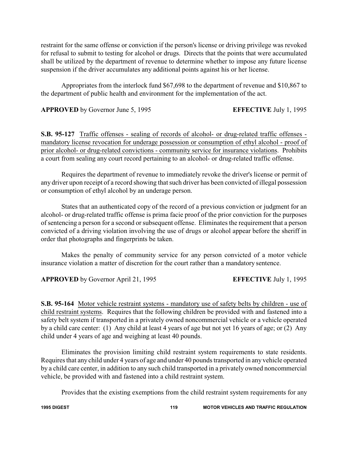restraint for the same offense or conviction if the person's license or driving privilege was revoked for refusal to submit to testing for alcohol or drugs. Directs that the points that were accumulated shall be utilized by the department of revenue to determine whether to impose any future license suspension if the driver accumulates any additional points against his or her license.

Appropriates from the interlock fund \$67,698 to the department of revenue and \$10,867 to the department of public health and environment for the implementation of the act.

**APPROVED** by Governor June 5, 1995 **EFFECTIVE** July 1, 1995

**S.B. 95-127** Traffic offenses - sealing of records of alcohol- or drug-related traffic offenses mandatory license revocation for underage possession or consumption of ethyl alcohol - proof of prior alcohol- or drug-related convictions - community service for insurance violations. Prohibits a court from sealing any court record pertaining to an alcohol- or drug-related traffic offense.

Requires the department of revenue to immediately revoke the driver's license or permit of any driver upon receipt of a record showing that such driver has been convicted of illegal possession or consumption of ethyl alcohol by an underage person.

States that an authenticated copy of the record of a previous conviction or judgment for an alcohol- or drug-related traffic offense is prima facie proof of the prior conviction for the purposes of sentencing a person for a second or subsequent offense. Eliminates the requirement that a person convicted of a driving violation involving the use of drugs or alcohol appear before the sheriff in order that photographs and fingerprints be taken.

Makes the penalty of community service for any person convicted of a motor vehicle insurance violation a matter of discretion for the court rather than a mandatory sentence.

**APPROVED** by Governor April 21, 1995 **EFFECTIVE** July 1, 1995

**S.B. 95-164** Motor vehicle restraint systems - mandatory use of safety belts by children - use of child restraint systems. Requires that the following children be provided with and fastened into a safety belt system if transported in a privately owned noncommercial vehicle or a vehicle operated by a child care center: (1) Any child at least 4 years of age but not yet 16 years of age; or (2) Any child under 4 years of age and weighing at least 40 pounds.

Eliminates the provision limiting child restraint system requirements to state residents. Requires that any child under 4 years of age and under 40 pounds transported in any vehicle operated by a child care center, in addition to any such child transported in a privately owned noncommercial vehicle, be provided with and fastened into a child restraint system.

Provides that the existing exemptions from the child restraint system requirements for any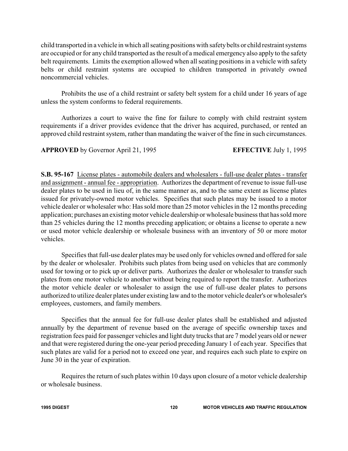child transported in a vehicle in which all seating positions with safetybelts or child restraint systems are occupied or for any child transported as the result of a medical emergency also apply to the safety belt requirements. Limits the exemption allowed when all seating positions in a vehicle with safety belts or child restraint systems are occupied to children transported in privately owned noncommercial vehicles.

Prohibits the use of a child restraint or safety belt system for a child under 16 years of age unless the system conforms to federal requirements.

Authorizes a court to waive the fine for failure to comply with child restraint system requirements if a driver provides evidence that the driver has acquired, purchased, or rented an approved child restraint system, rather than mandating the waiver of the fine in such circumstances.

**APPROVED** by Governor April 21, 1995 **EFFECTIVE** July 1, 1995

**S.B. 95-167** License plates - automobile dealers and wholesalers - full-use dealer plates - transfer and assignment - annual fee - appropriation. Authorizes the department of revenue to issue full-use dealer plates to be used in lieu of, in the same manner as, and to the same extent as license plates issued for privately-owned motor vehicles. Specifies that such plates may be issued to a motor vehicle dealer or wholesaler who: Has sold more than 25 motor vehicles in the 12 months preceding application; purchases an existing motor vehicle dealership or wholesale business that has sold more than 25 vehicles during the 12 months preceding application; or obtains a license to operate a new or used motor vehicle dealership or wholesale business with an inventory of 50 or more motor vehicles.

Specifies that full-use dealer plates may be used only for vehicles owned and offered for sale by the dealer or wholesaler. Prohibits such plates from being used on vehicles that are commonly used for towing or to pick up or deliver parts. Authorizes the dealer or wholesaler to transfer such plates from one motor vehicle to another without being required to report the transfer. Authorizes the motor vehicle dealer or wholesaler to assign the use of full-use dealer plates to persons authorized to utilize dealer plates under existing law and to the motor vehicle dealer's or wholesaler's employees, customers, and family members.

Specifies that the annual fee for full-use dealer plates shall be established and adjusted annually by the department of revenue based on the average of specific ownership taxes and registration fees paid for passenger vehicles and light duty trucks that are 7 model years old or newer and that were registered during the one-year period preceding January 1 of each year. Specifies that such plates are valid for a period not to exceed one year, and requires each such plate to expire on June 30 in the year of expiration.

Requires the return of such plates within 10 days upon closure of a motor vehicle dealership or wholesale business.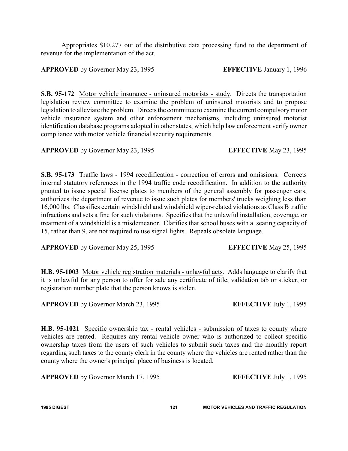Appropriates \$10,277 out of the distributive data processing fund to the department of revenue for the implementation of the act.

### **APPROVED** by Governor May 23, 1995 **EFFECTIVE** January 1, 1996

**S.B. 95-172** Motor vehicle insurance - uninsured motorists - study. Directs the transportation legislation review committee to examine the problem of uninsured motorists and to propose legislation to alleviate the problem. Directs the committee to examine the current compulsorymotor vehicle insurance system and other enforcement mechanisms, including uninsured motorist identification database programs adopted in other states, which help law enforcement verify owner compliance with motor vehicle financial security requirements.

**APPROVED** by Governor May 23, 1995 **EFFECTIVE** May 23, 1995

**S.B. 95-173** Traffic laws - 1994 recodification - correction of errors and omissions. Corrects internal statutory references in the 1994 traffic code recodification. In addition to the authority granted to issue special license plates to members of the general assembly for passenger cars, authorizes the department of revenue to issue such plates for members' trucks weighing less than 16,000 lbs. Classifies certain windshield and windshield wiper-related violations as Class B traffic infractions and sets a fine for such violations. Specifies that the unlawful installation, coverage, or treatment of a windshield is a misdemeanor. Clarifies that school buses with a seating capacity of 15, rather than 9, are not required to use signal lights. Repeals obsolete language.

**APPROVED** by Governor May 25, 1995 **EFFECTIVE** May 25, 1995

**H.B. 95-1003** Motor vehicle registration materials - unlawful acts. Adds language to clarify that it is unlawful for any person to offer for sale any certificate of title, validation tab or sticker, or registration number plate that the person knows is stolen.

**APPROVED** by Governor March 23, 1995 **EFFECTIVE** July 1, 1995

**H.B. 95-1021** Specific ownership tax - rental vehicles - submission of taxes to county where vehicles are rented. Requires any rental vehicle owner who is authorized to collect specific ownership taxes from the users of such vehicles to submit such taxes and the monthly report regarding such taxes to the county clerk in the county where the vehicles are rented rather than the county where the owner's principal place of business is located.

**APPROVED** by Governor March 17, 1995 **EFFECTIVE** July 1, 1995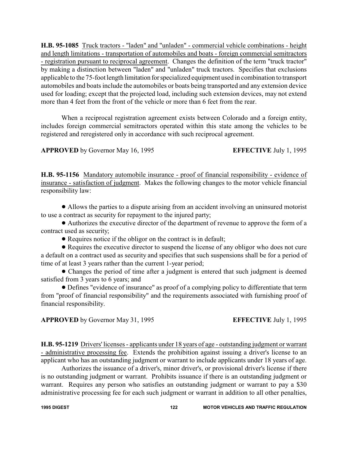**H.B. 95-1085** Truck tractors - "laden" and "unladen" - commercial vehicle combinations - height and length limitations - transportation of automobiles and boats - foreign commercial semitractors - registration pursuant to reciprocal agreement. Changes the definition of the term "truck tractor" by making a distinction between "laden" and "unladen" truck tractors. Specifies that exclusions applicable to the 75-foot length limitation forspecialized equipment used in combination to transport automobiles and boats include the automobiles or boats being transported and any extension device used for loading; except that the projected load, including such extension devices, may not extend more than 4 feet from the front of the vehicle or more than 6 feet from the rear.

When a reciprocal registration agreement exists between Colorado and a foreign entity, includes foreign commercial semitractors operated within this state among the vehicles to be registered and reregistered only in accordance with such reciprocal agreement.

**APPROVED** by Governor May 16, 1995 **EFFECTIVE** July 1, 1995

**H.B. 95-1156** Mandatory automobile insurance - proof of financial responsibility - evidence of insurance - satisfaction of judgment. Makes the following changes to the motor vehicle financial responsibility law:

! Allows the parties to a dispute arising from an accident involving an uninsured motorist to use a contract as security for repayment to the injured party;

! Authorizes the executive director of the department of revenue to approve the form of a contract used as security;

! Requires notice if the obligor on the contract is in default;

• Requires the executive director to suspend the license of any obligor who does not cure a default on a contract used as security and specifies that such suspensions shall be for a period of time of at least 3 years rather than the current 1-year period;

• Changes the period of time after a judgment is entered that such judgment is deemed satisfied from 3 years to 6 years; and

! Defines "evidence of insurance" as proof of a complying policy to differentiate that term from "proof of financial responsibility" and the requirements associated with furnishing proof of financial responsibility.

**APPROVED** by Governor May 31, 1995 **EFFECTIVE** July 1, 1995

**H.B. 95-1219** Drivers' licenses - applicants under 18 years of age - outstanding judgment or warrant - administrative processing fee. Extends the prohibition against issuing a driver's license to an applicant who has an outstanding judgment or warrant to include applicants under 18 years of age.

Authorizes the issuance of a driver's, minor driver's, or provisional driver's license if there is no outstanding judgment or warrant. Prohibits issuance if there is an outstanding judgment or warrant. Requires any person who satisfies an outstanding judgment or warrant to pay a \$30 administrative processing fee for each such judgment or warrant in addition to all other penalties,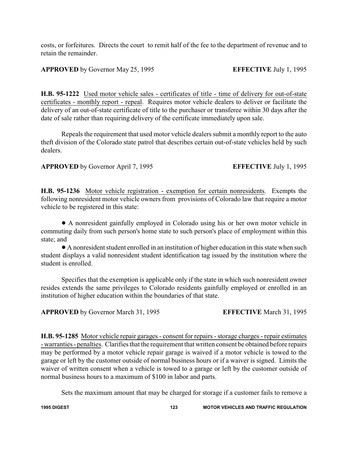costs, or forfeitures. Directs the court to remit half of the fee to the department of revenue and to retain the remainder.

**APPROVED** by Governor May 25, 1995 **EFFECTIVE** July 1, 1995

**H.B. 95-1222** Used motor vehicle sales - certificates of title - time of delivery for out-of-state certificates - monthly report - repeal. Requires motor vehicle dealers to deliver or facilitate the delivery of an out-of-state certificate of title to the purchaser or transferee within 30 days after the date of sale rather than requiring delivery of the certificate immediately upon sale.

Repeals the requirement that used motor vehicle dealers submit a monthly report to the auto theft division of the Colorado state patrol that describes certain out-of-state vehicles held by such dealers.

**APPROVED** by Governor April 7, 1995 **EFFECTIVE** July 1, 1995

**H.B. 95-1236** Motor vehicle registration - exemption for certain nonresidents. Exempts the following nonresident motor vehicle owners from provisions of Colorado law that require a motor vehicle to be registered in this state:

! A nonresident gainfully employed in Colorado using his or her own motor vehicle in commuting daily from such person's home state to such person's place of employment within this state; and

! A nonresident student enrolled in an institution of higher education in this state when such student displays a valid nonresident student identification tag issued by the institution where the student is enrolled.

Specifies that the exemption is applicable only if the state in which such nonresident owner resides extends the same privileges to Colorado residents gainfully employed or enrolled in an institution of higher education within the boundaries of that state.

**APPROVED** by Governor March 31, 1995 **EFFECTIVE** March 31, 1995

**H.B. 95-1285** Motor vehicle repair garages - consent for repairs - storage charges - repair estimates - warranties - penalties. Clarifies that the requirement that written consent be obtained before repairs may be performed by a motor vehicle repair garage is waived if a motor vehicle is towed to the garage or left by the customer outside of normal business hours or if a waiver is signed. Limits the waiver of written consent when a vehicle is towed to a garage or left by the customer outside of normal business hours to a maximum of \$100 in labor and parts.

Sets the maximum amount that may be charged for storage if a customer fails to remove a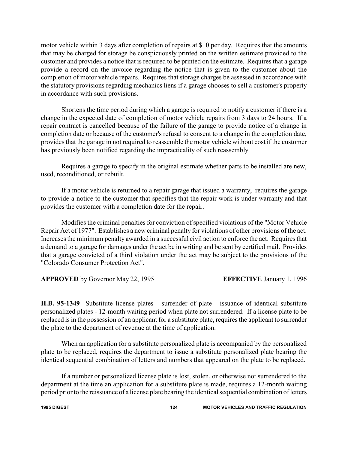motor vehicle within 3 days after completion of repairs at \$10 per day. Requires that the amounts that may be charged for storage be conspicuously printed on the written estimate provided to the customer and provides a notice that is required to be printed on the estimate. Requires that a garage provide a record on the invoice regarding the notice that is given to the customer about the completion of motor vehicle repairs. Requires that storage charges be assessed in accordance with the statutory provisions regarding mechanics liens if a garage chooses to sell a customer's property in accordance with such provisions.

Shortens the time period during which a garage is required to notify a customer if there is a change in the expected date of completion of motor vehicle repairs from 3 days to 24 hours. If a repair contract is cancelled because of the failure of the garage to provide notice of a change in completion date or because of the customer's refusal to consent to a change in the completion date, provides that the garage in not required to reassemble the motor vehicle without cost if the customer has previously been notified regarding the impracticality of such reassembly.

Requires a garage to specify in the original estimate whether parts to be installed are new, used, reconditioned, or rebuilt.

If a motor vehicle is returned to a repair garage that issued a warranty, requires the garage to provide a notice to the customer that specifies that the repair work is under warranty and that provides the customer with a completion date for the repair.

Modifies the criminal penalties for conviction of specified violations of the "Motor Vehicle Repair Act of 1977". Establishes a new criminal penalty for violations of other provisions of the act. Increases the minimum penalty awarded in a successful civil action to enforce the act. Requires that a demand to a garage for damages under the act be in writing and be sent by certified mail. Provides that a garage convicted of a third violation under the act may be subject to the provisions of the "Colorado Consumer Protection Act".

**APPROVED** by Governor May 22, 1995 **EFFECTIVE** January 1, 1996

**H.B. 95-1349** Substitute license plates - surrender of plate - issuance of identical substitute personalized plates - 12-month waiting period when plate not surrendered. If a license plate to be replaced is in the possession of an applicant for a substitute plate, requires the applicant to surrender the plate to the department of revenue at the time of application.

When an application for a substitute personalized plate is accompanied by the personalized plate to be replaced, requires the department to issue a substitute personalized plate bearing the identical sequential combination of letters and numbers that appeared on the plate to be replaced.

If a number or personalized license plate is lost, stolen, or otherwise not surrendered to the department at the time an application for a substitute plate is made, requires a 12-month waiting period prior to the reissuance of a license plate bearing the identical sequential combination of letters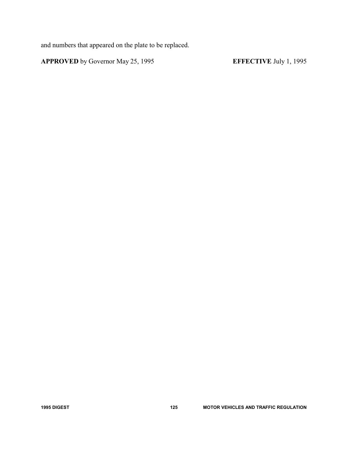and numbers that appeared on the plate to be replaced.

**APPROVED** by Governor May 25, 1995 **EFFECTIVE** July 1, 1995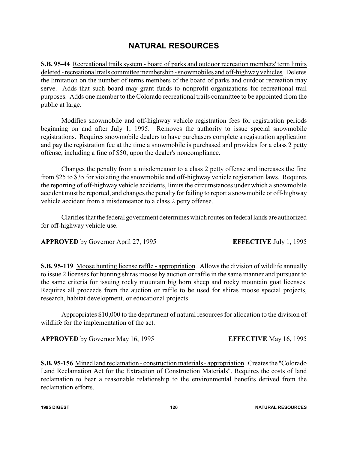# **NATURAL RESOURCES**

**S.B. 95-44** Recreational trails system - board of parks and outdoor recreation members' term limits deleted - recreational trails committee membership - snowmobiles and off-highway vehicles. Deletes the limitation on the number of terms members of the board of parks and outdoor recreation may serve. Adds that such board may grant funds to nonprofit organizations for recreational trail purposes. Adds one member to the Colorado recreational trails committee to be appointed from the public at large.

Modifies snowmobile and off-highway vehicle registration fees for registration periods beginning on and after July 1, 1995. Removes the authority to issue special snowmobile registrations. Requires snowmobile dealers to have purchasers complete a registration application and pay the registration fee at the time a snowmobile is purchased and provides for a class 2 petty offense, including a fine of \$50, upon the dealer's noncompliance.

Changes the penalty from a misdemeanor to a class 2 petty offense and increases the fine from \$25 to \$35 for violating the snowmobile and off-highway vehicle registration laws. Requires the reporting of off-highway vehicle accidents, limits the circumstances under which a snowmobile accident must be reported, and changes the penalty for failing to report a snowmobile or off-highway vehicle accident from a misdemeanor to a class 2 petty offense.

Clarifies that the federal government determines which routes on federal lands are authorized for off-highway vehicle use.

**APPROVED** by Governor April 27, 1995 **EFFECTIVE** July 1, 1995

**S.B. 95-119** Moose hunting license raffle - appropriation. Allows the division of wildlife annually to issue 2 licenses for hunting shiras moose by auction or raffle in the same manner and pursuant to the same criteria for issuing rocky mountain big horn sheep and rocky mountain goat licenses. Requires all proceeds from the auction or raffle to be used for shiras moose special projects, research, habitat development, or educational projects.

Appropriates \$10,000 to the department of natural resources for allocation to the division of wildlife for the implementation of the act.

**APPROVED** by Governor May 16, 1995 **EFFECTIVE** May 16, 1995

**S.B. 95-156** Mined land reclamation - construction materials - appropriation. Creates the "Colorado Land Reclamation Act for the Extraction of Construction Materials". Requires the costs of land reclamation to bear a reasonable relationship to the environmental benefits derived from the reclamation efforts.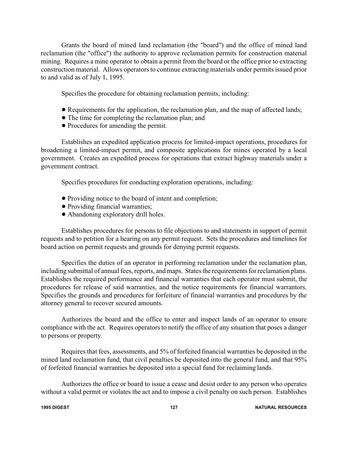Grants the board of mined land reclamation (the "board") and the office of mined land reclamation (the "office") the authority to approve reclamation permits for construction material mining. Requires a mine operator to obtain a permit from the board or the office prior to extracting construction material. Allows operators to continue extracting materials under permits issued prior to and valid as of July 1, 1995.

Specifies the procedure for obtaining reclamation permits, including:

- ! Requirements for the application, the reclamation plan, and the map of affected lands;
- The time for completing the reclamation plan; and
- Procedures for amending the permit.

Establishes an expedited application process for limited-impact operations, procedures for broadening a limited-impact permit, and composite applications for mines operated by a local government. Creates an expedited process for operations that extract highway materials under a government contract.

Specifies procedures for conducting exploration operations, including:

- ! Providing notice to the board of intent and completion;
- ! Providing financial warranties;
- Abandoning exploratory drill holes.

Establishes procedures for persons to file objections to and statements in support of permit requests and to petition for a hearing on any permit request. Sets the procedures and timelines for board action on permit requests and grounds for denying permit requests.

Specifies the duties of an operator in performing reclamation under the reclamation plan, including submittal of annual fees, reports, and maps. States the requirements for reclamation plans. Establishes the required performance and financial warranties that each operator must submit, the procedures for release of said warranties, and the notice requirements for financial warrantors. Specifies the grounds and procedures for forfeiture of financial warranties and procedures by the attorney general to recover secured amounts.

Authorizes the board and the office to enter and inspect lands of an operator to ensure compliance with the act. Requires operators to notify the office of any situation that poses a danger to persons or property.

Requires that fees, assessments, and 5% of forfeited financial warranties be deposited in the mined land reclamation fund, that civil penalties be deposited into the general fund, and that 95% of forfeited financial warranties be deposited into a special fund for reclaiming lands.

Authorizes the office or board to issue a cease and desist order to any person who operates without a valid permit or violates the act and to impose a civil penalty on such person. Establishes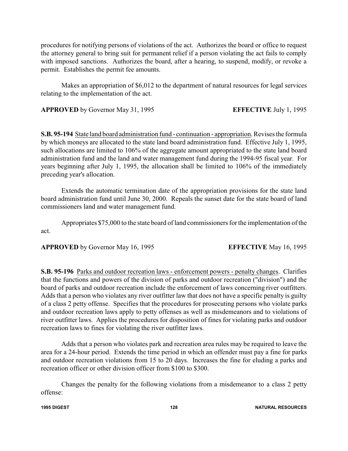procedures for notifying persons of violations of the act. Authorizes the board or office to request the attorney general to bring suit for permanent relief if a person violating the act fails to comply with imposed sanctions. Authorizes the board, after a hearing, to suspend, modify, or revoke a permit. Establishes the permit fee amounts.

Makes an appropriation of \$6,012 to the department of natural resources for legal services relating to the implementation of the act.

**APPROVED** by Governor May 31, 1995 **EFFECTIVE** July 1, 1995

**S.B. 95-194** State land board administration fund - continuation - appropriation. Revises the formula by which moneys are allocated to the state land board administration fund. Effective July 1, 1995, such allocations are limited to 106% of the aggregate amount appropriated to the state land board administration fund and the land and water management fund during the 1994-95 fiscal year. For years beginning after July 1, 1995, the allocation shall be limited to 106% of the immediately preceding year's allocation.

Extends the automatic termination date of the appropriation provisions for the state land board administration fund until June 30, 2000. Repeals the sunset date for the state board of land commissioners land and water management fund.

Appropriates \$75,000 to the state board of land commissioners for the implementation of the act.

**APPROVED** by Governor May 16, 1995 **EFFECTIVE** May 16, 1995

**S.B. 95-196** Parks and outdoor recreation laws - enforcement powers - penalty changes. Clarifies that the functions and powers of the division of parks and outdoor recreation ("division") and the board of parks and outdoor recreation include the enforcement of laws concerning river outfitters. Adds that a person who violates any river outfitter law that does not have a specific penalty is guilty of a class 2 petty offense. Specifies that the procedures for prosecuting persons who violate parks and outdoor recreation laws apply to petty offenses as well as misdemeanors and to violations of river outfitter laws. Applies the procedures for disposition of fines for violating parks and outdoor recreation laws to fines for violating the river outfitter laws.

Adds that a person who violates park and recreation area rules may be required to leave the area for a 24-hour period. Extends the time period in which an offender must pay a fine for parks and outdoor recreation violations from 15 to 20 days. Increases the fine for eluding a parks and recreation officer or other division officer from \$100 to \$300.

Changes the penalty for the following violations from a misdemeanor to a class 2 petty offense: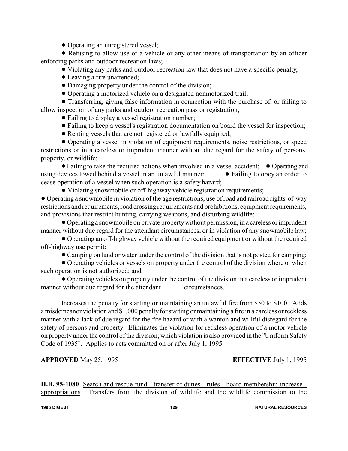• Operating an unregistered vessel;

! Refusing to allow use of a vehicle or any other means of transportation by an officer enforcing parks and outdoor recreation laws;

! Violating any parks and outdoor recreation law that does not have a specific penalty;

- Leaving a fire unattended;
- ! Damaging property under the control of the division;
- ! Operating a motorized vehicle on a designated nonmotorized trail;

! Transferring, giving false information in connection with the purchase of, or failing to allow inspection of any parks and outdoor recreation pass or registration;

• Failing to display a vessel registration number;

- ! Failing to keep a vessel's registration documentation on board the vessel for inspection;
- Renting vessels that are not registered or lawfully equipped;

! Operating a vessel in violation of equipment requirements, noise restrictions, or speed restrictions or in a careless or imprudent manner without due regard for the safety of persons, property, or wildlife;

• Failing to take the required actions when involved in a vessel accident; • Operating and using devices towed behind a vessel in an unlawful manner;  $\bullet$  Failing to obey an order to cease operation of a vessel when such operation is a safety hazard;

• Violating snowmobile or off-highway vehicle registration requirements;

! Operating a snowmobile in violation of the age restrictions, use of road and railroad rights-of-way restrictions and requirements, road crossing requirements and prohibitions, equipment requirements, and provisions that restrict hunting, carrying weapons, and disturbing wildlife;

! Operating a snowmobile on private propertywithout permission, in a careless or imprudent manner without due regard for the attendant circumstances, or in violation of any snowmobile law;

! Operating an off-highway vehicle without the required equipment or without the required off-highway use permit;

! Camping on land or water under the control of the division that is not posted for camping;

! Operating vehicles or vessels on property under the control of the division where or when such operation is not authorized; and

! Operating vehicles on property under the control of the division in a careless or imprudent manner without due regard for the attendant circumstances.

Increases the penalty for starting or maintaining an unlawful fire from \$50 to \$100. Adds a misdemeanor violation and \$1,000 penalty for starting or maintaining a fire in a careless or reckless manner with a lack of due regard for the fire hazard or with a wanton and willful disregard for the safety of persons and property. Eliminates the violation for reckless operation of a motor vehicle on property under the control of the division, which violation is also provided in the "Uniform Safety Code of 1935". Applies to acts committed on or after July 1, 1995.

**APPROVED** May 25, 1995 **EFFECTIVE** July 1, 1995

**H.B. 95-1080** Search and rescue fund - transfer of duties - rules - board membership increase appropriations. Transfers from the division of wildlife and the wildlife commission to the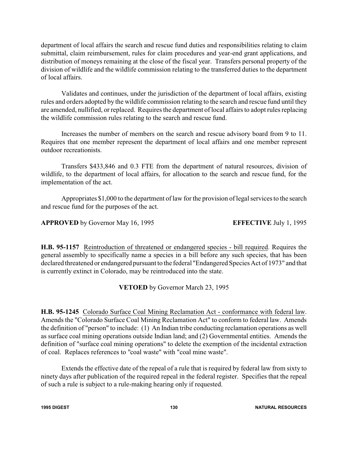department of local affairs the search and rescue fund duties and responsibilities relating to claim submittal, claim reimbursement, rules for claim procedures and year-end grant applications, and distribution of moneys remaining at the close of the fiscal year. Transfers personal property of the division of wildlife and the wildlife commission relating to the transferred duties to the department of local affairs.

Validates and continues, under the jurisdiction of the department of local affairs, existing rules and orders adopted by the wildlife commission relating to the search and rescue fund until they are amended, nullified, or replaced. Requires the department of local affairs to adopt rules replacing the wildlife commission rules relating to the search and rescue fund.

Increases the number of members on the search and rescue advisory board from 9 to 11. Requires that one member represent the department of local affairs and one member represent outdoor recreationists.

Transfers \$433,846 and 0.3 FTE from the department of natural resources, division of wildlife, to the department of local affairs, for allocation to the search and rescue fund, for the implementation of the act.

Appropriates \$1,000 to the department of law for the provision of legal services to the search and rescue fund for the purposes of the act.

**APPROVED** by Governor May 16, 1995 **EFFECTIVE** July 1, 1995

**H.B. 95-1157** Reintroduction of threatened or endangered species - bill required. Requires the general assembly to specifically name a species in a bill before any such species, that has been declared threatened or endangered pursuant to the federal "Endangered Species Act of 1973" and that is currently extinct in Colorado, may be reintroduced into the state.

### **VETOED** by Governor March 23, 1995

**H.B. 95-1245** Colorado Surface Coal Mining Reclamation Act - conformance with federal law. Amends the "Colorado Surface Coal Mining Reclamation Act" to conform to federal law. Amends the definition of "person" to include: (1) An Indian tribe conducting reclamation operations as well as surface coal mining operations outside Indian land; and (2) Governmental entities. Amends the definition of "surface coal mining operations" to delete the exemption of the incidental extraction of coal. Replaces references to "coal waste" with "coal mine waste".

Extends the effective date of the repeal of a rule that is required by federal law from sixty to ninety days after publication of the required repeal in the federal register. Specifies that the repeal of such a rule is subject to a rule-making hearing only if requested.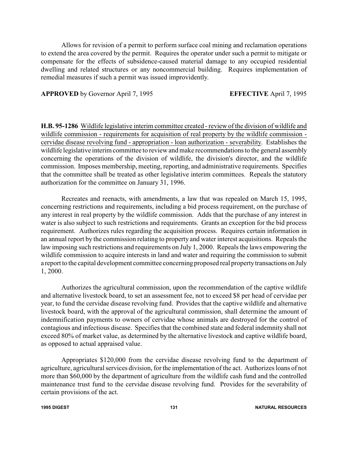Allows for revision of a permit to perform surface coal mining and reclamation operations to extend the area covered by the permit. Requires the operator under such a permit to mitigate or compensate for the effects of subsidence-caused material damage to any occupied residential dwelling and related structures or any noncommercial building. Requires implementation of remedial measures if such a permit was issued improvidently.

**APPROVED** by Governor April 7, 1995 **EFFECTIVE** April 7, 1995

**H.B. 95-1286** Wildlife legislative interim committee created - review of the division of wildlife and wildlife commission - requirements for acquisition of real property by the wildlife commission cervidae disease revolving fund - appropriation - loan authorization - severability. Establishes the wildlife legislative interim committee to review and make recommendations to the general assembly concerning the operations of the division of wildlife, the division's director, and the wildlife commission. Imposes membership, meeting, reporting, and administrative requirements. Specifies that the committee shall be treated as other legislative interim committees. Repeals the statutory authorization for the committee on January 31, 1996.

Recreates and reenacts, with amendments, a law that was repealed on March 15, 1995, concerning restrictions and requirements, including a bid process requirement, on the purchase of any interest in real property by the wildlife commission. Adds that the purchase of any interest in water is also subject to such restrictions and requirements. Grants an exception for the bid process requirement. Authorizes rules regarding the acquisition process. Requires certain information in an annual report by the commission relating to property and water interest acquisitions. Repeals the law imposing such restrictions and requirements on July 1, 2000. Repeals the laws empowering the wildlife commission to acquire interests in land and water and requiring the commission to submit a report to the capital development committee concerning proposed real propertytransactions on July 1, 2000.

Authorizes the agricultural commission, upon the recommendation of the captive wildlife and alternative livestock board, to set an assessment fee, not to exceed \$8 per head of cervidae per year, to fund the cervidae disease revolving fund. Provides that the captive wildlife and alternative livestock board, with the approval of the agricultural commission, shall determine the amount of indemnification payments to owners of cervidae whose animals are destroyed for the control of contagious and infectious disease. Specifies that the combined state and federal indemnity shall not exceed 80% of market value, as determined by the alternative livestock and captive wildlife board, as opposed to actual appraised value.

Appropriates \$120,000 from the cervidae disease revolving fund to the department of agriculture, agricultural services division, for the implementation of the act. Authorizes loans of not more than \$60,000 by the department of agriculture from the wildlife cash fund and the controlled maintenance trust fund to the cervidae disease revolving fund. Provides for the severability of certain provisions of the act.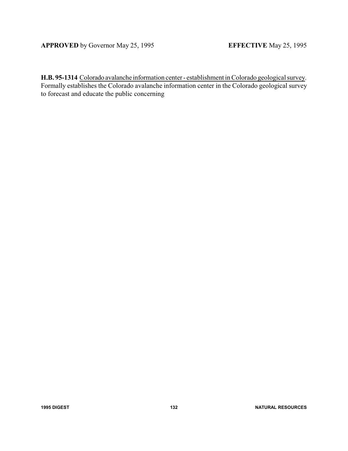**H.B. 95-1314** Colorado avalanche information center - establishment in Colorado geological survey. Formally establishes the Colorado avalanche information center in the Colorado geological survey to forecast and educate the public concerning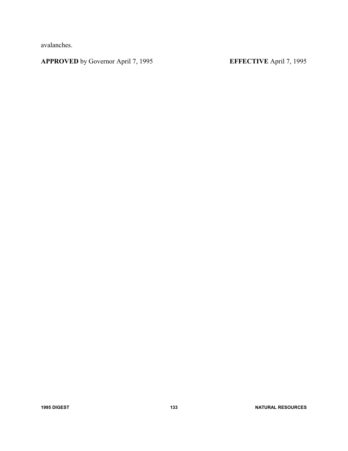avalanches.

**APPROVED** by Governor April 7, 1995 **EFFECTIVE** April 7, 1995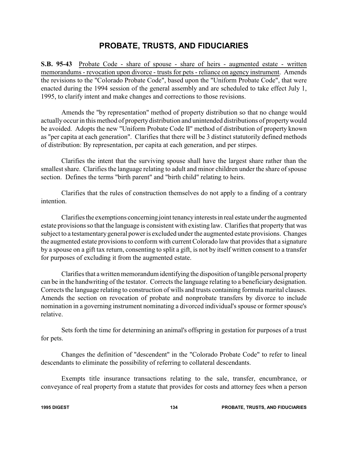### **PROBATE, TRUSTS, AND FIDUCIARIES**

**S.B. 95-43** Probate Code - share of spouse - share of heirs - augmented estate - written memorandums - revocation upon divorce - trusts for pets - reliance on agency instrument. Amends the revisions to the "Colorado Probate Code", based upon the "Uniform Probate Code", that were enacted during the 1994 session of the general assembly and are scheduled to take effect July 1, 1995, to clarify intent and make changes and corrections to those revisions.

Amends the "by representation" method of property distribution so that no change would actuallyoccur in this method of propertydistribution and unintended distributions of propertywould be avoided. Adopts the new "Uniform Probate Code II" method of distribution of property known as "per capita at each generation". Clarifies that there will be 3 distinct statutorily defined methods of distribution: By representation, per capita at each generation, and per stirpes.

Clarifies the intent that the surviving spouse shall have the largest share rather than the smallest share. Clarifies the language relating to adult and minor children under the share of spouse section. Defines the terms "birth parent" and "birth child" relating to heirs.

Clarifies that the rules of construction themselves do not apply to a finding of a contrary intention.

Clarifies the exemptions concerning joint tenancyinterestsin real estate under the augmented estate provisions so that the language is consistent with existing law. Clarifies that property that was subject to a testamentarygeneral power is excluded under the augmented estate provisions. Changes the augmented estate provisions to conform with current Colorado law that provides that a signature by a spouse on a gift tax return, consenting to split a gift, is not by itself written consent to a transfer for purposes of excluding it from the augmented estate.

Clarifies that a written memorandum identifying the disposition of tangible personal property can be in the handwriting of the testator. Corrects the language relating to a beneficiary designation. Corrects the language relating to construction of wills and trusts containing formula marital clauses. Amends the section on revocation of probate and nonprobate transfers by divorce to include nomination in a governing instrument nominating a divorced individual's spouse or former spouse's relative.

Sets forth the time for determining an animal's offspring in gestation for purposes of a trust for pets.

Changes the definition of "descendent" in the "Colorado Probate Code" to refer to lineal descendants to eliminate the possibility of referring to collateral descendants.

Exempts title insurance transactions relating to the sale, transfer, encumbrance, or conveyance of real property from a statute that provides for costs and attorney fees when a person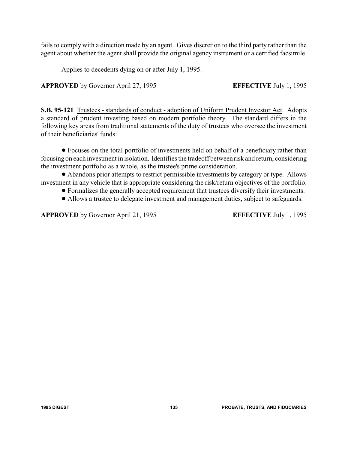fails to comply with a direction made by an agent. Gives discretion to the third party rather than the agent about whether the agent shall provide the original agency instrument or a certified facsimile.

Applies to decedents dying on or after July 1, 1995.

**APPROVED** by Governor April 27, 1995 **EFFECTIVE** July 1, 1995

**S.B. 95-121** Trustees - standards of conduct - adoption of Uniform Prudent Investor Act. Adopts a standard of prudent investing based on modern portfolio theory. The standard differs in the following key areas from traditional statements of the duty of trustees who oversee the investment of their beneficiaries' funds:

! Focuses on the total portfolio of investments held on behalf of a beneficiary rather than focusing on each investment in isolation. Identifies the tradeoff between risk and return, considering the investment portfolio as a whole, as the trustee's prime consideration.

! Abandons prior attempts to restrict permissible investments by category or type. Allows investment in any vehicle that is appropriate considering the risk/return objectives of the portfolio.

- ! Formalizes the generally accepted requirement that trustees diversify their investments.
- ! Allows a trustee to delegate investment and management duties, subject to safeguards.

**APPROVED** by Governor April 21, 1995 **EFFECTIVE** July 1, 1995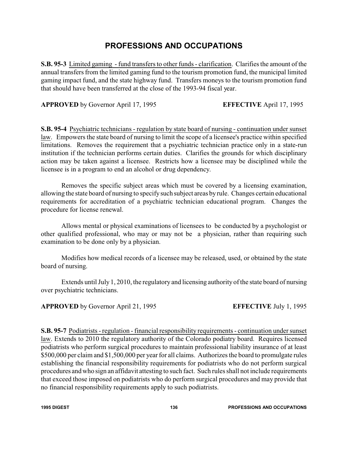### **PROFESSIONS AND OCCUPATIONS**

**S.B. 95-3** Limited gaming - fund transfers to other funds - clarification. Clarifies the amount of the annual transfers from the limited gaming fund to the tourism promotion fund, the municipal limited gaming impact fund, and the state highway fund. Transfers moneys to the tourism promotion fund that should have been transferred at the close of the 1993-94 fiscal year.

**APPROVED** by Governor April 17, 1995 **EFFECTIVE** April 17, 1995

**S.B. 95-4** Psychiatric technicians - regulation by state board of nursing - continuation under sunset law. Empowers the state board of nursing to limit the scope of a licensee's practice within specified limitations. Removes the requirement that a psychiatric technician practice only in a state-run institution if the technician performs certain duties. Clarifies the grounds for which disciplinary action may be taken against a licensee. Restricts how a licensee may be disciplined while the licensee is in a program to end an alcohol or drug dependency.

Removes the specific subject areas which must be covered by a licensing examination, allowing the state board of nursing to specifysuch subject areas byrule. Changes certain educational requirements for accreditation of a psychiatric technician educational program. Changes the procedure for license renewal.

Allows mental or physical examinations of licensees to be conducted by a psychologist or other qualified professional, who may or may not be a physician, rather than requiring such examination to be done only by a physician.

Modifies how medical records of a licensee may be released, used, or obtained by the state board of nursing.

Extends until July 1, 2010, the regulatory and licensing authority of the state board of nursing over psychiatric technicians.

**APPROVED** by Governor April 21, 1995 **EFFECTIVE** July 1, 1995

**S.B. 95-7** Podiatrists - regulation - financial responsibility requirements - continuation under sunset law. Extends to 2010 the regulatory authority of the Colorado podiatry board. Requires licensed podiatrists who perform surgical procedures to maintain professional liability insurance of at least \$500,000 per claim and \$1,500,000 per year for all claims. Authorizes the board to promulgate rules establishing the financial responsibility requirements for podiatrists who do not perform surgical procedures and who sign an affidavit attesting to such fact. Such rules shall not include requirements that exceed those imposed on podiatrists who do perform surgical procedures and may provide that no financial responsibility requirements apply to such podiatrists.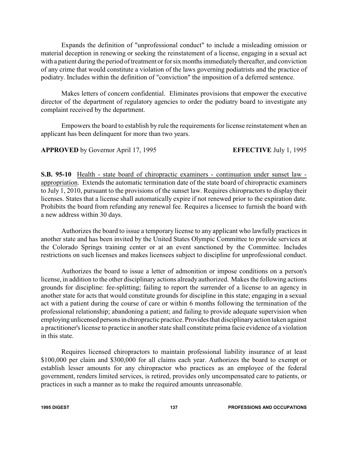Expands the definition of "unprofessional conduct" to include a misleading omission or material deception in renewing or seeking the reinstatement of a license, engaging in a sexual act with a patient during the period of treatment or for six months immediately thereafter, and conviction of any crime that would constitute a violation of the laws governing podiatrists and the practice of podiatry. Includes within the definition of "conviction" the imposition of a deferred sentence.

Makes letters of concern confidential. Eliminates provisions that empower the executive director of the department of regulatory agencies to order the podiatry board to investigate any complaint received by the department.

Empowers the board to establish by rule the requirements for license reinstatement when an applicant has been delinquent for more than two years.

**APPROVED** by Governor April 17, 1995 **EFFECTIVE** July 1, 1995

**S.B. 95-10** Health - state board of chiropractic examiners - continuation under sunset law appropriation. Extends the automatic termination date of the state board of chiropractic examiners to July 1, 2010, pursuant to the provisions of the sunset law. Requires chiropractors to display their licenses. States that a license shall automatically expire if not renewed prior to the expiration date. Prohibits the board from refunding any renewal fee. Requires a licensee to furnish the board with a new address within 30 days.

Authorizes the board to issue a temporary license to any applicant who lawfully practices in another state and has been invited by the United States Olympic Committee to provide services at the Colorado Springs training center or at an event sanctioned by the Committee. Includes restrictions on such licenses and makes licensees subject to discipline for unprofessional conduct.

Authorizes the board to issue a letter of admonition or impose conditions on a person's license, in addition to the other disciplinary actions already authorized. Makes the following actions grounds for discipline: fee-splitting; failing to report the surrender of a license to an agency in another state for acts that would constitute grounds for discipline in this state; engaging in a sexual act with a patient during the course of care or within 6 months following the termination of the professional relationship; abandoning a patient; and failing to provide adequate supervision when employing unlicensed persons in chiropractic practice. Provides that disciplinary action taken against a practitioner's license to practice in another state shall constitute prima facie evidence of a violation in this state.

Requires licensed chiropractors to maintain professional liability insurance of at least \$100,000 per claim and \$300,000 for all claims each year. Authorizes the board to exempt or establish lesser amounts for any chiropractor who practices as an employee of the federal government, renders limited services, is retired, provides only uncompensated care to patients, or practices in such a manner as to make the required amounts unreasonable.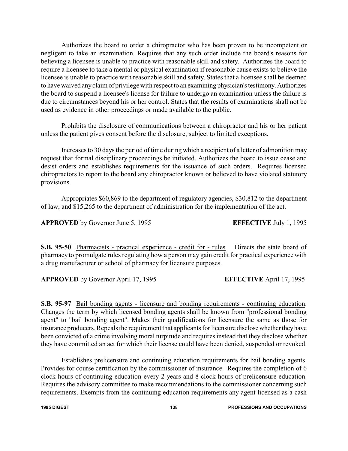Authorizes the board to order a chiropractor who has been proven to be incompetent or negligent to take an examination. Requires that any such order include the board's reasons for believing a licensee is unable to practice with reasonable skill and safety. Authorizes the board to require a licensee to take a mental or physical examination if reasonable cause exists to believe the licensee is unable to practice with reasonable skill and safety. States that a licensee shall be deemed to have waived anyclaim of privilege with respect to an examining physician's testimony.Authorizes the board to suspend a licensee's license for failure to undergo an examination unless the failure is due to circumstances beyond his or her control. States that the results of examinations shall not be used as evidence in other proceedings or made available to the public.

Prohibits the disclosure of communications between a chiropractor and his or her patient unless the patient gives consent before the disclosure, subject to limited exceptions.

Increases to 30 days the period of time during which a recipient of a letter of admonition may request that formal disciplinary proceedings be initiated. Authorizes the board to issue cease and desist orders and establishes requirements for the issuance of such orders. Requires licensed chiropractors to report to the board any chiropractor known or believed to have violated statutory provisions.

Appropriates \$60,869 to the department of regulatory agencies, \$30,812 to the department of law, and \$15,265 to the department of administration for the implementation of the act.

**APPROVED** by Governor June 5, 1995 **EFFECTIVE** July 1, 1995

**S.B. 95-50** Pharmacists - practical experience - credit for - rules. Directs the state board of pharmacy to promulgate rules regulating how a person may gain credit for practical experience with a drug manufacturer or school of pharmacy for licensure purposes.

**APPROVED** by Governor April 17, 1995 **EFFECTIVE** April 17, 1995

**S.B. 95-97** Bail bonding agents - licensure and bonding requirements - continuing education. Changes the term by which licensed bonding agents shall be known from "professional bonding agent" to "bail bonding agent". Makes their qualifications for licensure the same as those for insurance producers. Repeals the requirement that applicants for licensure disclose whether they have been convicted of a crime involving moral turpitude and requires instead that they disclose whether they have committed an act for which their license could have been denied, suspended or revoked.

Establishes prelicensure and continuing education requirements for bail bonding agents. Provides for course certification by the commissioner of insurance. Requires the completion of 6 clock hours of continuing education every 2 years and 8 clock hours of prelicensure education. Requires the advisory committee to make recommendations to the commissioner concerning such requirements. Exempts from the continuing education requirements any agent licensed as a cash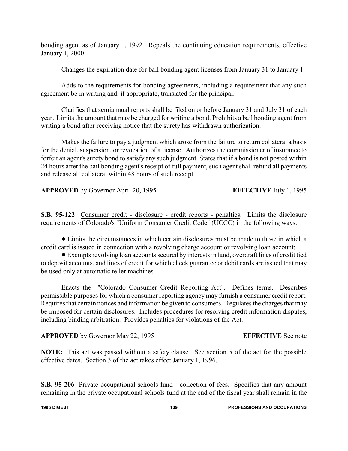bonding agent as of January 1, 1992. Repeals the continuing education requirements, effective January 1, 2000.

Changes the expiration date for bail bonding agent licenses from January 31 to January 1.

Adds to the requirements for bonding agreements, including a requirement that any such agreement be in writing and, if appropriate, translated for the principal.

Clarifies that semiannual reports shall be filed on or before January 31 and July 31 of each year. Limits the amount that may be charged for writing a bond. Prohibits a bail bonding agent from writing a bond after receiving notice that the surety has withdrawn authorization.

Makes the failure to pay a judgment which arose from the failure to return collateral a basis for the denial, suspension, or revocation of a license. Authorizes the commissioner of insurance to forfeit an agent's surety bond to satisfy any such judgment. States that if a bond is not posted within 24 hours after the bail bonding agent's receipt of full payment, such agent shall refund all payments and release all collateral within 48 hours of such receipt.

**APPROVED** by Governor April 20, 1995 **EFFECTIVE** July 1, 1995

**S.B. 95-122** Consumer credit - disclosure - credit reports - penalties. Limits the disclosure requirements of Colorado's "Uniform Consumer Credit Code" (UCCC) in the following ways:

! Limits the circumstances in which certain disclosures must be made to those in which a credit card is issued in connection with a revolving charge account or revolving loan account;

! Exempts revolving loan accounts secured by interests in land, overdraft lines of credit tied to deposit accounts, and lines of credit for which check guarantee or debit cards are issued that may be used only at automatic teller machines.

Enacts the "Colorado Consumer Credit Reporting Act". Defines terms. Describes permissible purposes for which a consumer reporting agency may furnish a consumer credit report. Requires that certain notices and information be given to consumers. Regulates the charges that may be imposed for certain disclosures. Includes procedures for resolving credit information disputes, including binding arbitration. Provides penalties for violations of the Act.

**APPROVED** by Governor May 22, 1995 **EFFECTIVE** See note

**NOTE:** This act was passed without a safety clause. See section 5 of the act for the possible effective dates. Section 3 of the act takes effect January 1, 1996.

**S.B. 95-206** Private occupational schools fund - collection of fees. Specifies that any amount remaining in the private occupational schools fund at the end of the fiscal year shall remain in the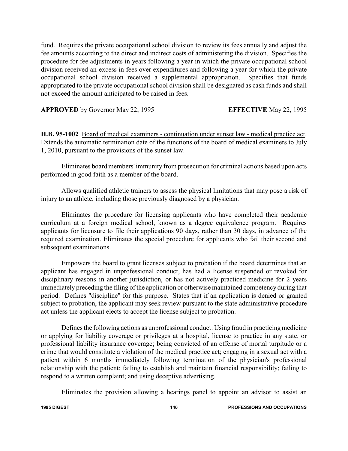fund. Requires the private occupational school division to review its fees annually and adjust the fee amounts according to the direct and indirect costs of administering the division. Specifies the procedure for fee adjustments in years following a year in which the private occupational school division received an excess in fees over expenditures and following a year for which the private occupational school division received a supplemental appropriation. Specifies that funds appropriated to the private occupational school division shall be designated as cash funds and shall not exceed the amount anticipated to be raised in fees.

**APPROVED** by Governor May 22, 1995 **EFFECTIVE** May 22, 1995

**H.B. 95-1002** Board of medical examiners - continuation under sunset law - medical practice act. Extends the automatic termination date of the functions of the board of medical examiners to July 1, 2010, pursuant to the provisions of the sunset law.

Eliminates board members' immunity from prosecution for criminal actions based upon acts performed in good faith as a member of the board.

Allows qualified athletic trainers to assess the physical limitations that may pose a risk of injury to an athlete, including those previously diagnosed by a physician.

Eliminates the procedure for licensing applicants who have completed their academic curriculum at a foreign medical school, known as a degree equivalence program. Requires applicants for licensure to file their applications 90 days, rather than 30 days, in advance of the required examination. Eliminates the special procedure for applicants who fail their second and subsequent examinations.

Empowers the board to grant licenses subject to probation if the board determines that an applicant has engaged in unprofessional conduct, has had a license suspended or revoked for disciplinary reasons in another jurisdiction, or has not actively practiced medicine for 2 years immediately preceding the filing of the application or otherwise maintained competency during that period. Defines "discipline" for this purpose. States that if an application is denied or granted subject to probation, the applicant may seek review pursuant to the state administrative procedure act unless the applicant elects to accept the license subject to probation.

Defines the following actions as unprofessional conduct: Using fraud in practicing medicine or applying for liability coverage or privileges at a hospital, license to practice in any state, or professional liability insurance coverage; being convicted of an offense of mortal turpitude or a crime that would constitute a violation of the medical practice act; engaging in a sexual act with a patient within 6 months immediately following termination of the physician's professional relationship with the patient; failing to establish and maintain financial responsibility; failing to respond to a written complaint; and using deceptive advertising.

Eliminates the provision allowing a hearings panel to appoint an advisor to assist an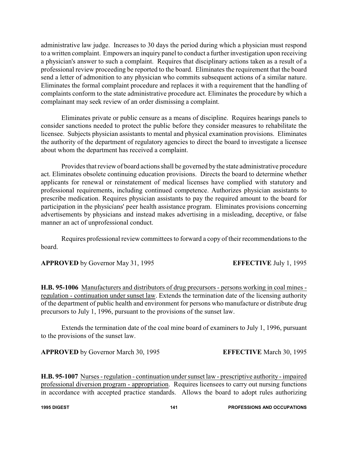administrative law judge. Increases to 30 days the period during which a physician must respond to a written complaint. Empowers an inquiry panel to conduct a further investigation upon receiving a physician's answer to such a complaint. Requires that disciplinary actions taken as a result of a professional review proceeding be reported to the board. Eliminates the requirement that the board send a letter of admonition to any physician who commits subsequent actions of a similar nature. Eliminates the formal complaint procedure and replaces it with a requirement that the handling of complaints conform to the state administrative procedure act. Eliminates the procedure by which a complainant may seek review of an order dismissing a complaint.

Eliminates private or public censure as a means of discipline. Requires hearings panels to consider sanctions needed to protect the public before they consider measures to rehabilitate the licensee. Subjects physician assistants to mental and physical examination provisions. Eliminates the authority of the department of regulatory agencies to direct the board to investigate a licensee about whom the department has received a complaint.

Provides that review of board actions shall be governed by the state administrative procedure act. Eliminates obsolete continuing education provisions. Directs the board to determine whether applicants for renewal or reinstatement of medical licenses have complied with statutory and professional requirements, including continued competence. Authorizes physician assistants to prescribe medication. Requires physician assistants to pay the required amount to the board for participation in the physicians' peer health assistance program. Eliminates provisions concerning advertisements by physicians and instead makes advertising in a misleading, deceptive, or false manner an act of unprofessional conduct.

Requires professional review committees to forward a copy of their recommendations to the board.

**APPROVED** by Governor May 31, 1995 **EFFECTIVE** July 1, 1995

**H.B. 95-1006** Manufacturers and distributors of drug precursors - persons working in coal mines regulation - continuation under sunset law. Extends the termination date of the licensing authority of the department of public health and environment for persons who manufacture or distribute drug precursors to July 1, 1996, pursuant to the provisions of the sunset law.

Extends the termination date of the coal mine board of examiners to July 1, 1996, pursuant to the provisions of the sunset law.

**APPROVED** by Governor March 30, 1995 **EFFECTIVE** March 30, 1995

**H.B. 95-1007** Nurses - regulation - continuation under sunset law - prescriptive authority - impaired professional diversion program - appropriation. Requires licensees to carry out nursing functions in accordance with accepted practice standards. Allows the board to adopt rules authorizing

**1995 DIGEST 141 PROFESSIONS AND OCCUPATIONS**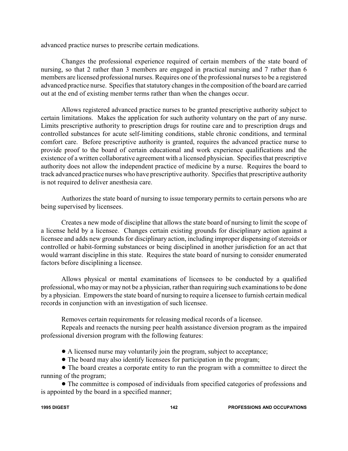advanced practice nurses to prescribe certain medications.

Changes the professional experience required of certain members of the state board of nursing, so that 2 rather than 3 members are engaged in practical nursing and 7 rather than 6 members are licensed professional nurses. Requires one of the professional nurses to be a registered advanced practice nurse. Specifies that statutory changes in the composition of the board are carried out at the end of existing member terms rather than when the changes occur.

Allows registered advanced practice nurses to be granted prescriptive authority subject to certain limitations. Makes the application for such authority voluntary on the part of any nurse. Limits prescriptive authority to prescription drugs for routine care and to prescription drugs and controlled substances for acute self-limiting conditions, stable chronic conditions, and terminal comfort care. Before prescriptive authority is granted, requires the advanced practice nurse to provide proof to the board of certain educational and work experience qualifications and the existence of a written collaborative agreement with a licensed physician. Specifies that prescriptive authority does not allow the independent practice of medicine by a nurse. Requires the board to track advanced practice nurses who have prescriptive authority. Specifies that prescriptive authority is not required to deliver anesthesia care.

Authorizes the state board of nursing to issue temporary permits to certain persons who are being supervised by licensees.

Creates a new mode of discipline that allows the state board of nursing to limit the scope of a license held by a licensee. Changes certain existing grounds for disciplinary action against a licensee and adds new grounds for disciplinary action, including improper dispensing of steroids or controlled or habit-forming substances or being disciplined in another jurisdiction for an act that would warrant discipline in this state. Requires the state board of nursing to consider enumerated factors before disciplining a licensee.

Allows physical or mental examinations of licensees to be conducted by a qualified professional, who may or may not be a physician, rather than requiring such examinations to be done by a physician. Empowers the state board of nursing to require a licensee to furnish certain medical records in conjunction with an investigation of such licensee.

Removes certain requirements for releasing medical records of a licensee.

Repeals and reenacts the nursing peer health assistance diversion program as the impaired professional diversion program with the following features:

- ! A licensed nurse may voluntarily join the program, subject to acceptance;
- ! The board may also identify licensees for participation in the program;

• The board creates a corporate entity to run the program with a committee to direct the running of the program;

• The committee is composed of individuals from specified categories of professions and is appointed by the board in a specified manner;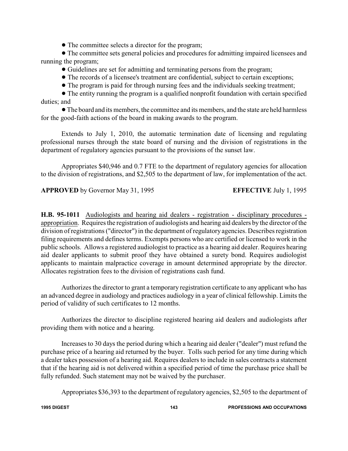• The committee selects a director for the program;

! The committee sets general policies and procedures for admitting impaired licensees and running the program;

! Guidelines are set for admitting and terminating persons from the program;

- ! The records of a licensee's treatment are confidential, subject to certain exceptions;
- ! The program is paid for through nursing fees and the individuals seeking treatment;

• The entity running the program is a qualified nonprofit foundation with certain specified duties; and

!The board and its members, the committee and its members, and the state are held harmless for the good-faith actions of the board in making awards to the program.

Extends to July 1, 2010, the automatic termination date of licensing and regulating professional nurses through the state board of nursing and the division of registrations in the department of regulatory agencies pursuant to the provisions of the sunset law.

Appropriates \$40,946 and 0.7 FTE to the department of regulatory agencies for allocation to the division of registrations, and \$2,505 to the department of law, for implementation of the act.

**APPROVED** by Governor May 31, 1995 **EFFECTIVE** July 1, 1995

**H.B. 95-1011** Audiologists and hearing aid dealers - registration - disciplinary procedures appropriation. Requires the registration of audiologists and hearing aid dealers by the director of the division of registrations ("director") in the department of regulatory agencies. Describes registration filing requirements and defines terms. Exempts persons who are certified or licensed to work in the public schools. Allows a registered audiologist to practice as a hearing aid dealer. Requires hearing aid dealer applicants to submit proof they have obtained a surety bond. Requires audiologist applicants to maintain malpractice coverage in amount determined appropriate by the director. Allocates registration fees to the division of registrations cash fund.

Authorizes the director to grant a temporary registration certificate to any applicant who has an advanced degree in audiology and practices audiology in a year of clinical fellowship. Limits the period of validity of such certificates to 12 months.

Authorizes the director to discipline registered hearing aid dealers and audiologists after providing them with notice and a hearing.

Increases to 30 days the period during which a hearing aid dealer ("dealer") must refund the purchase price of a hearing aid returned by the buyer. Tolls such period for any time during which a dealer takes possession of a hearing aid. Requires dealers to include in sales contracts a statement that if the hearing aid is not delivered within a specified period of time the purchase price shall be fully refunded. Such statement may not be waived by the purchaser.

Appropriates \$36,393 to the department of regulatory agencies, \$2,505 to the department of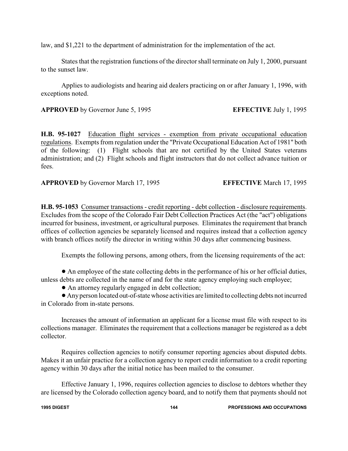law, and \$1,221 to the department of administration for the implementation of the act.

States that the registration functions of the director shall terminate on July 1, 2000, pursuant to the sunset law.

Applies to audiologists and hearing aid dealers practicing on or after January 1, 1996, with exceptions noted.

**APPROVED** by Governor June 5, 1995 **EFFECTIVE** July 1, 1995

**H.B. 95-1027** Education flight services - exemption from private occupational education regulations. Exempts from regulation under the "Private Occupational Education Act of 1981" both of the following: (1) Flight schools that are not certified by the United States veterans administration; and (2) Flight schools and flight instructors that do not collect advance tuition or fees.

**APPROVED** by Governor March 17, 1995 **EFFECTIVE** March 17, 1995

**H.B. 95-1053** Consumer transactions - credit reporting - debt collection - disclosure requirements. Excludes from the scope of the Colorado Fair Debt Collection Practices Act (the "act") obligations incurred for business, investment, or agricultural purposes. Eliminates the requirement that branch offices of collection agencies be separately licensed and requires instead that a collection agency with branch offices notify the director in writing within 30 days after commencing business.

Exempts the following persons, among others, from the licensing requirements of the act:

! An employee of the state collecting debts in the performance of his or her official duties, unless debts are collected in the name of and for the state agency employing such employee;

• An attorney regularly engaged in debt collection;

! Anyperson located out-of-state whose activities are limited to collecting debts not incurred in Colorado from in-state persons.

Increases the amount of information an applicant for a license must file with respect to its collections manager. Eliminates the requirement that a collections manager be registered as a debt collector.

Requires collection agencies to notify consumer reporting agencies about disputed debts. Makes it an unfair practice for a collection agency to report credit information to a credit reporting agency within 30 days after the initial notice has been mailed to the consumer.

Effective January 1, 1996, requires collection agencies to disclose to debtors whether they are licensed by the Colorado collection agency board, and to notify them that payments should not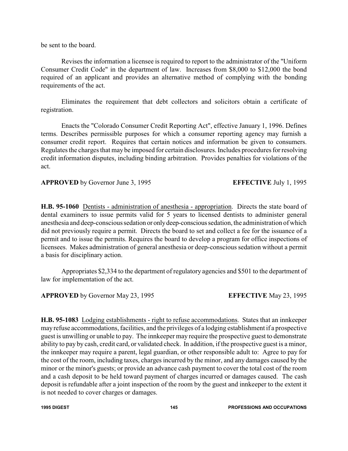be sent to the board.

Revises the information a licensee is required to report to the administrator of the "Uniform Consumer Credit Code" in the department of law. Increases from \$8,000 to \$12,000 the bond required of an applicant and provides an alternative method of complying with the bonding requirements of the act.

Eliminates the requirement that debt collectors and solicitors obtain a certificate of registration.

Enacts the "Colorado Consumer Credit Reporting Act", effective January 1, 1996. Defines terms. Describes permissible purposes for which a consumer reporting agency may furnish a consumer credit report. Requires that certain notices and information be given to consumers. Regulates the charges that may be imposed for certain disclosures. Includes procedures for resolving credit information disputes, including binding arbitration. Provides penalties for violations of the act.

**APPROVED** by Governor June 3, 1995 **EFFECTIVE** July 1, 1995

**H.B. 95-1060** Dentists - administration of anesthesia - appropriation. Directs the state board of dental examiners to issue permits valid for 5 years to licensed dentists to administer general anesthesia and deep-conscious sedation or onlydeep-conscioussedation, the administration of which did not previously require a permit. Directs the board to set and collect a fee for the issuance of a permit and to issue the permits. Requires the board to develop a program for office inspections of licensees. Makes administration of general anesthesia or deep-conscious sedation without a permit a basis for disciplinary action.

Appropriates \$2,334 to the department of regulatory agencies and \$501 to the department of law for implementation of the act.

**APPROVED** by Governor May 23, 1995 **EFFECTIVE** May 23, 1995

**H.B. 95-1083** Lodging establishments - right to refuse accommodations. States that an innkeeper may refuse accommodations, facilities, and the privileges of a lodging establishment if a prospective guest is unwilling or unable to pay. The innkeeper may require the prospective guest to demonstrate ability to pay by cash, credit card, or validated check. In addition, if the prospective guest is a minor, the innkeeper may require a parent, legal guardian, or other responsible adult to: Agree to pay for the cost of the room, including taxes, charges incurred by the minor, and any damages caused by the minor or the minor's guests; or provide an advance cash payment to cover the total cost of the room and a cash deposit to be held toward payment of charges incurred or damages caused. The cash deposit is refundable after a joint inspection of the room by the guest and innkeeper to the extent it is not needed to cover charges or damages.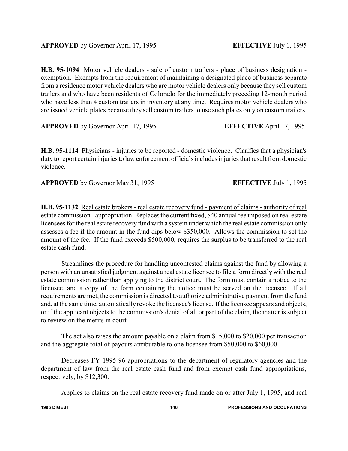**H.B. 95-1094** Motor vehicle dealers - sale of custom trailers - place of business designation exemption. Exempts from the requirement of maintaining a designated place of business separate from a residence motor vehicle dealers who are motor vehicle dealers only because they sell custom trailers and who have been residents of Colorado for the immediately preceding 12-month period who have less than 4 custom trailers in inventory at any time. Requires motor vehicle dealers who are issued vehicle plates because they sell custom trailers to use such plates only on custom trailers.

**APPROVED** by Governor April 17, 1995 **EFFECTIVE** April 17, 1995

**H.B. 95-1114** Physicians - injuries to be reported - domestic violence. Clarifies that a physician's duty to report certain injuries to law enforcement officials includes injuries that result from domestic violence.

**APPROVED** by Governor May 31, 1995 **EFFECTIVE** July 1, 1995

**H.B. 95-1132** Real estate brokers - real estate recovery fund - payment of claims - authority of real estate commission - appropriation. Replaces the current fixed, \$40 annual fee imposed on real estate licensees for the real estate recovery fund with a system under which the real estate commission only assesses a fee if the amount in the fund dips below \$350,000. Allows the commission to set the amount of the fee. If the fund exceeds \$500,000, requires the surplus to be transferred to the real estate cash fund.

Streamlines the procedure for handling uncontested claims against the fund by allowing a person with an unsatisfied judgment against a real estate licensee to file a form directly with the real estate commission rather than applying to the district court. The form must contain a notice to the licensee, and a copy of the form containing the notice must be served on the licensee. If all requirements are met, the commission is directed to authorize administrative payment from the fund and, at the same time, automatically revoke the licensee's license. If the licensee appears and objects, or if the applicant objects to the commission's denial of all or part of the claim, the matter is subject to review on the merits in court.

The act also raises the amount payable on a claim from \$15,000 to \$20,000 per transaction and the aggregate total of payouts attributable to one licensee from \$50,000 to \$60,000.

Decreases FY 1995-96 appropriations to the department of regulatory agencies and the department of law from the real estate cash fund and from exempt cash fund appropriations, respectively, by \$12,300.

Applies to claims on the real estate recovery fund made on or after July 1, 1995, and real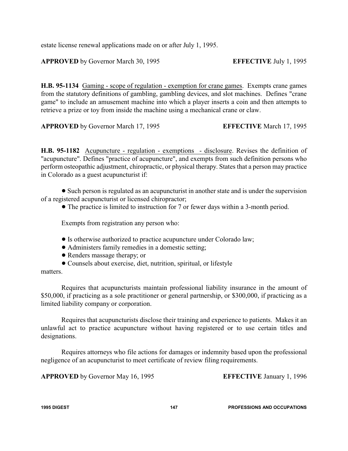estate license renewal applications made on or after July 1, 1995.

**APPROVED** by Governor March 30, 1995 **EFFECTIVE** July 1, 1995

**H.B. 95-1134** Gaming - scope of regulation - exemption for crane games. Exempts crane games from the statutory definitions of gambling, gambling devices, and slot machines. Defines "crane game" to include an amusement machine into which a player inserts a coin and then attempts to retrieve a prize or toy from inside the machine using a mechanical crane or claw.

**APPROVED** by Governor March 17, 1995 **EFFECTIVE** March 17, 1995

**H.B. 95-1182** Acupuncture - regulation - exemptions - disclosure. Revises the definition of "acupuncture". Defines "practice of acupuncture", and exempts from such definition persons who perform osteopathic adjustment, chiropractic, or physical therapy. States that a person may practice in Colorado as a guest acupuncturist if:

• Such person is regulated as an acupuncturist in another state and is under the supervision of a registered acupuncturist or licensed chiropractor;

! The practice is limited to instruction for 7 or fewer days within a 3-month period.

Exempts from registration any person who:

- ! Is otherwise authorized to practice acupuncture under Colorado law;
- ! Administers family remedies in a domestic setting;
- Renders massage therapy; or
- ! Counsels about exercise, diet, nutrition, spiritual, or lifestyle

### matters.

Requires that acupuncturists maintain professional liability insurance in the amount of \$50,000, if practicing as a sole practitioner or general partnership, or \$300,000, if practicing as a limited liability company or corporation.

Requires that acupuncturists disclose their training and experience to patients. Makes it an unlawful act to practice acupuncture without having registered or to use certain titles and designations.

Requires attorneys who file actions for damages or indemnity based upon the professional negligence of an acupuncturist to meet certificate of review filing requirements.

**APPROVED** by Governor May 16, 1995 **EFFECTIVE** January 1, 1996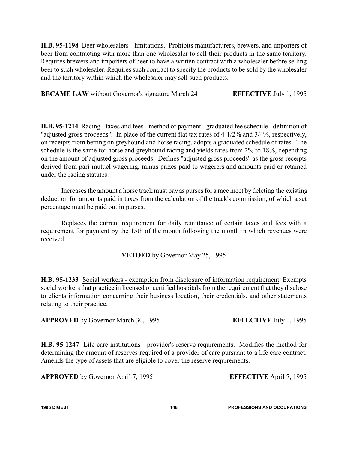**H.B. 95-1198** Beer wholesalers - limitations. Prohibits manufacturers, brewers, and importers of beer from contracting with more than one wholesaler to sell their products in the same territory. Requires brewers and importers of beer to have a written contract with a wholesaler before selling beer to such wholesaler. Requires such contract to specify the products to be sold by the wholesaler and the territory within which the wholesaler may sell such products.

**BECAME LAW** without Governor's signature March 24 **EFFECTIVE** July 1, 1995

**H.B. 95-1214** Racing - taxes and fees - method of payment - graduated fee schedule - definition of "adjusted gross proceeds". In place of the current flat tax rates of 4-1/2% and 3/4%, respectively, on receipts from betting on greyhound and horse racing, adopts a graduated schedule of rates. The schedule is the same for horse and greyhound racing and yields rates from 2% to 18%, depending on the amount of adjusted gross proceeds. Defines "adjusted gross proceeds" as the gross receipts derived from pari-mutuel wagering, minus prizes paid to wagerers and amounts paid or retained under the racing statutes.

Increases the amount a horse track must pay as purses for a race meet by deleting the existing deduction for amounts paid in taxes from the calculation of the track's commission, of which a set percentage must be paid out in purses.

Replaces the current requirement for daily remittance of certain taxes and fees with a requirement for payment by the 15th of the month following the month in which revenues were received.

**VETOED** by Governor May 25, 1995

**H.B. 95-1233** Social workers - exemption from disclosure of information requirement. Exempts social workers that practice in licensed or certified hospitals from the requirement that they disclose to clients information concerning their business location, their credentials, and other statements relating to their practice.

**APPROVED** by Governor March 30, 1995 **EFFECTIVE** July 1, 1995

**H.B. 95-1247** Life care institutions - provider's reserve requirements. Modifies the method for determining the amount of reserves required of a provider of care pursuant to a life care contract. Amends the type of assets that are eligible to cover the reserve requirements.

**APPROVED** by Governor April 7, 1995 **EFFECTIVE** April 7, 1995

**1995 DIGEST 148 PROFESSIONS AND OCCUPATIONS**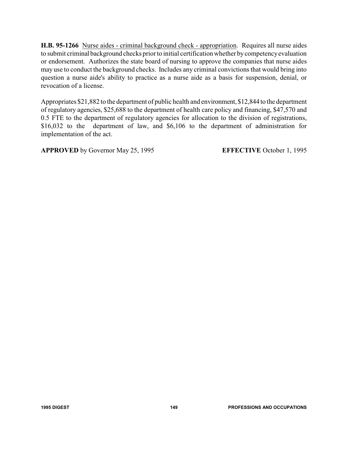**H.B. 95-1266** Nurse aides - criminal background check - appropriation. Requires all nurse aides to submit criminal background checks prior to initial certification whether bycompetencyevaluation or endorsement. Authorizes the state board of nursing to approve the companies that nurse aides may use to conduct the background checks. Includes any criminal convictions that would bring into question a nurse aide's ability to practice as a nurse aide as a basis for suspension, denial, or revocation of a license.

Appropriates \$21,882 to the department of public health and environment, \$12,844 to the department of regulatory agencies, \$25,688 to the department of health care policy and financing, \$47,570 and 0.5 FTE to the department of regulatory agencies for allocation to the division of registrations, \$16,032 to the department of law, and \$6,106 to the department of administration for implementation of the act.

**APPROVED** by Governor May 25, 1995 **EFFECTIVE** October 1, 1995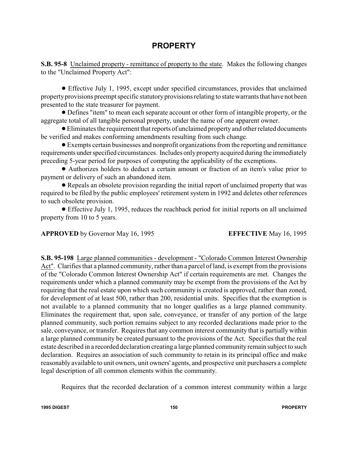## **PROPERTY**

**S.B. 95-8** Unclaimed property - remittance of property to the state. Makes the following changes to the "Unclaimed Property Act":

! Effective July 1, 1995, except under specified circumstances, provides that unclaimed property provisions preempt specific statutory provisions relating to state warrants that have not been presented to the state treasurer for payment.

! Defines "item" to mean each separate account or other form of intangible property, or the aggregate total of all tangible personal property, under the name of one apparent owner.

!Eliminates the requirement that reports of unclaimed propertyand other related documents be verified and makes conforming amendments resulting from such change.

! Exempts certain businesses and nonprofit organizations from the reporting and remittance requirements under specified circumstances. Includes only property acquired during the immediately preceding 5-year period for purposes of computing the applicability of the exemptions.

! Authorizes holders to deduct a certain amount or fraction of an item's value prior to payment or delivery of such an abandoned item.

! Repeals an obsolete provision regarding the initial report of unclaimed property that was required to be filed by the public employees' retirement system in 1992 and deletes other references to such obsolete provision.

! Effective July 1, 1995, reduces the reachback period for initial reports on all unclaimed property from 10 to 5 years.

**APPROVED** by Governor May 16, 1995 **EFFECTIVE** May 16, 1995

**S.B. 95-198** Large planned communities - development - "Colorado Common Interest Ownership Act". Clarifies that a planned community, rather than a parcel of land, is exempt from the provisions of the "Colorado Common Interest Ownership Act" if certain requirements are met. Changes the requirements under which a planned community may be exempt from the provisions of the Act by requiring that the real estate upon which such community is created is approved, rather than zoned, for development of at least 500, rather than 200, residential units. Specifies that the exemption is not available to a planned community that no longer qualifies as a large planned community. Eliminates the requirement that, upon sale, conveyance, or transfer of any portion of the large planned community, such portion remains subject to any recorded declarations made prior to the sale, conveyance, or transfer. Requires that any common interest community that is partially within a large planned community be created pursuant to the provisions of the Act. Specifies that the real estate described in a recorded declaration creating a large planned community remain subject to such declaration. Requires an association of such community to retain in its principal office and make reasonably available to unit owners, unit owners' agents, and prospective unit purchasers a complete legal description of all common elements within the community.

Requires that the recorded declaration of a common interest community within a large

**1995 DIGEST 150 PROPERTY**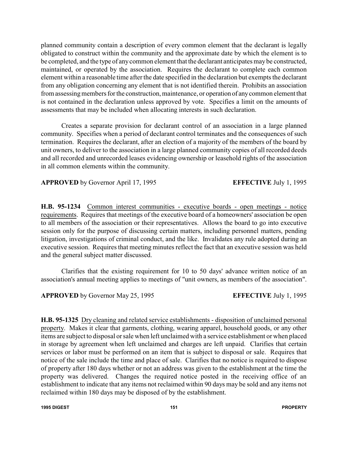planned community contain a description of every common element that the declarant is legally obligated to construct within the community and the approximate date by which the element is to be completed, and the type of anycommon element that the declarant anticipates may be constructed, maintained, or operated by the association. Requires the declarant to complete each common element within a reasonable time after the date specified in the declaration but exempts the declarant from any obligation concerning any element that is not identified therein. Prohibits an association from assessing members for the construction, maintenance, or operation of any common element that is not contained in the declaration unless approved by vote. Specifies a limit on the amounts of assessments that may be included when allocating interests in such declaration.

Creates a separate provision for declarant control of an association in a large planned community. Specifies when a period of declarant control terminates and the consequences of such termination. Requires the declarant, after an election of a majority of the members of the board by unit owners, to deliver to the association in a large planned community copies of all recorded deeds and all recorded and unrecorded leases evidencing ownership or leasehold rights of the association in all common elements within the community.

**APPROVED** by Governor April 17, 1995 **EFFECTIVE** July 1, 1995

**H.B. 95-1234** Common interest communities - executive boards - open meetings - notice requirements. Requires that meetings of the executive board of a homeowners' association be open to all members of the association or their representatives. Allows the board to go into executive session only for the purpose of discussing certain matters, including personnel matters, pending litigation, investigations of criminal conduct, and the like. Invalidates any rule adopted during an executive session. Requires that meeting minutes reflect the fact that an executive session was held and the general subject matter discussed.

Clarifies that the existing requirement for 10 to 50 days' advance written notice of an association's annual meeting applies to meetings of "unit owners, as members of the association".

**APPROVED** by Governor May 25, 1995 **EFFECTIVE** July 1, 1995

**H.B. 95-1325** Dry cleaning and related service establishments - disposition of unclaimed personal property. Makes it clear that garments, clothing, wearing apparel, household goods, or any other items are subject to disposal or sale when left unclaimed with a service establishment or when placed in storage by agreement when left unclaimed and charges are left unpaid. Clarifies that certain services or labor must be performed on an item that is subject to disposal or sale. Requires that notice of the sale include the time and place of sale. Clarifies that no notice is required to dispose of property after 180 days whether or not an address was given to the establishment at the time the property was delivered. Changes the required notice posted in the receiving office of an establishment to indicate that any items not reclaimed within 90 days may be sold and any items not reclaimed within 180 days may be disposed of by the establishment.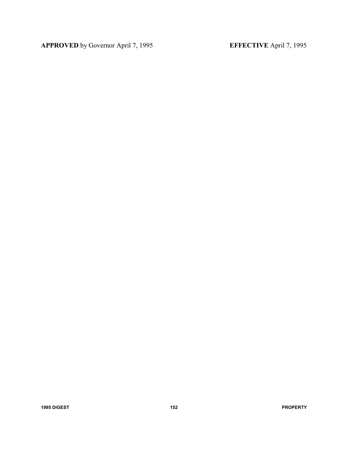**APPROVED** by Governor April 7, 1995 **EFFECTIVE** April 7, 1995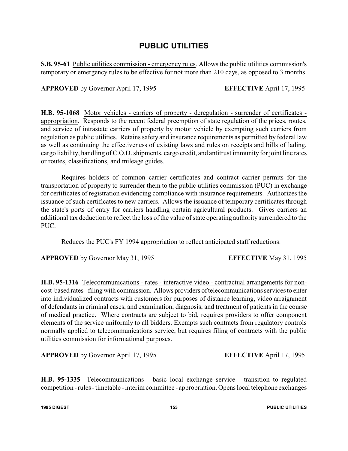### **PUBLIC UTILITIES**

**S.B. 95-61** Public utilities commission - emergency rules. Allows the public utilities commission's temporary or emergency rules to be effective for not more than 210 days, as opposed to 3 months.

**APPROVED** by Governor April 17, 1995 **EFFECTIVE** April 17, 1995

**H.B. 95-1068** Motor vehicles - carriers of property - deregulation - surrender of certificates appropriation. Responds to the recent federal preemption of state regulation of the prices, routes, and service of intrastate carriers of property by motor vehicle by exempting such carriers from regulation as public utilities. Retains safety and insurance requirements as permitted by federal law as well as continuing the effectiveness of existing laws and rules on receipts and bills of lading, cargo liability, handling of C.O.D. shipments, cargo credit, and antitrust immunity for joint line rates or routes, classifications, and mileage guides.

Requires holders of common carrier certificates and contract carrier permits for the transportation of property to surrender them to the public utilities commission (PUC) in exchange for certificates of registration evidencing compliance with insurance requirements. Authorizes the issuance of such certificates to new carriers. Allows the issuance of temporary certificates through the state's ports of entry for carriers handling certain agricultural products. Gives carriers an additional tax deduction to reflect the loss of the value of state operating authority surrendered to the PUC.

Reduces the PUC's FY 1994 appropriation to reflect anticipated staff reductions.

**APPROVED** by Governor May 31, 1995 **EFFECTIVE** May 31, 1995

**H.B. 95-1316** Telecommunications - rates - interactive video - contractual arrangements for noncost-based rates -filing with commission. Allows providers of telecommunications services to enter into individualized contracts with customers for purposes of distance learning, video arraignment of defendants in criminal cases, and examination, diagnosis, and treatment of patients in the course of medical practice. Where contracts are subject to bid, requires providers to offer component elements of the service uniformly to all bidders. Exempts such contracts from regulatory controls normally applied to telecommunications service, but requires filing of contracts with the public utilities commission for informational purposes.

**APPROVED** by Governor April 17, 1995 **EFFECTIVE** April 17, 1995

**H.B. 95-1335** Telecommunications - basic local exchange service - transition to regulated competition - rules - timetable - interim committee - appropriation. Opens local telephone exchanges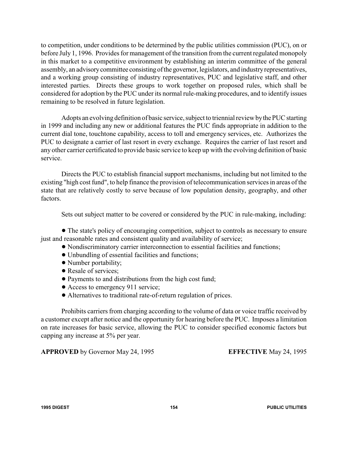to competition, under conditions to be determined by the public utilities commission (PUC), on or before July 1, 1996. Provides for management of the transition from the current regulated monopoly in this market to a competitive environment by establishing an interim committee of the general assembly, an advisorycommittee consisting ofthe governor, legislators, and industryrepresentatives, and a working group consisting of industry representatives, PUC and legislative staff, and other interested parties. Directs these groups to work together on proposed rules, which shall be considered for adoption by the PUC under its normal rule-making procedures, and to identify issues remaining to be resolved in future legislation.

Adopts an evolving definition of basic service, subject to triennial review bythe PUC starting in 1999 and including any new or additional features the PUC finds appropriate in addition to the current dial tone, touchtone capability, access to toll and emergency services, etc. Authorizes the PUC to designate a carrier of last resort in every exchange. Requires the carrier of last resort and any other carrier certificated to provide basic service to keep up with the evolving definition of basic service.

Directs the PUC to establish financial support mechanisms, including but not limited to the existing "high cost fund", to help finance the provision of telecommunication services in areas of the state that are relatively costly to serve because of low population density, geography, and other factors.

Sets out subject matter to be covered or considered by the PUC in rule-making, including:

! The state's policy of encouraging competition, subject to controls as necessary to ensure just and reasonable rates and consistent quality and availability of service;

- ! Nondiscriminatory carrier interconnection to essential facilities and functions;
- ! Unbundling of essential facilities and functions;
- Number portability;
- Resale of services;
- ! Payments to and distributions from the high cost fund;
- Access to emergency 911 service;
- ! Alternatives to traditional rate-of-return regulation of prices.

Prohibits carriers from charging according to the volume of data or voice traffic received by a customer except after notice and the opportunity for hearing before the PUC. Imposes a limitation on rate increases for basic service, allowing the PUC to consider specified economic factors but capping any increase at 5% per year.

**APPROVED** by Governor May 24, 1995 **EFFECTIVE** May 24, 1995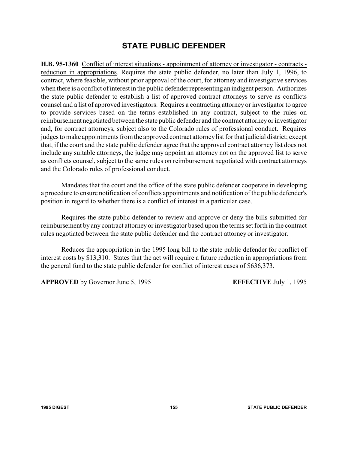# **STATE PUBLIC DEFENDER**

**H.B. 95-1360** Conflict of interest situations - appointment of attorney or investigator - contracts reduction in appropriations. Requires the state public defender, no later than July 1, 1996, to contract, where feasible, without prior approval of the court, for attorney and investigative services when there is a conflict of interest in the public defender representing an indigent person. Authorizes the state public defender to establish a list of approved contract attorneys to serve as conflicts counsel and a list of approved investigators. Requires a contracting attorney or investigator to agree to provide services based on the terms established in any contract, subject to the rules on reimbursement negotiated between the state public defender and the contract attorneyor investigator and, for contract attorneys, subject also to the Colorado rules of professional conduct. Requires judges to make appointments from the approved contract attorneylist for that judicial district; except that, if the court and the state public defender agree that the approved contract attorney list does not include any suitable attorneys, the judge may appoint an attorney not on the approved list to serve as conflicts counsel, subject to the same rules on reimbursement negotiated with contract attorneys and the Colorado rules of professional conduct.

Mandates that the court and the office of the state public defender cooperate in developing a procedure to ensure notification of conflicts appointments and notification of the public defender's position in regard to whether there is a conflict of interest in a particular case.

Requires the state public defender to review and approve or deny the bills submitted for reimbursement by any contract attorney or investigator based upon the terms set forth in the contract rules negotiated between the state public defender and the contract attorney or investigator.

Reduces the appropriation in the 1995 long bill to the state public defender for conflict of interest costs by \$13,310. States that the act will require a future reduction in appropriations from the general fund to the state public defender for conflict of interest cases of \$636,373.

**APPROVED** by Governor June 5, 1995 **EFFECTIVE** July 1, 1995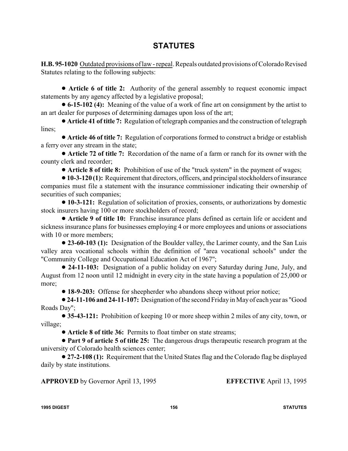# **STATUTES**

**H.B. 95-1020** Outdated provisions of law - repeal. Repeals outdated provisions of Colorado Revised Statutes relating to the following subjects:

! **Article 6 of title 2:** Authority of the general assembly to request economic impact statements by any agency affected by a legislative proposal;

! **6-15-102 (4):** Meaning of the value of a work of fine art on consignment by the artist to an art dealer for purposes of determining damages upon loss of the art;

! **Article 41 of title 7:** Regulation of telegraph companies and the construction of telegraph lines;

! **Article 46 of title 7:** Regulation of corporations formed to construct a bridge or establish a ferry over any stream in the state;

! **Article 72 of title 7:** Recordation of the name of a farm or ranch for its owner with the county clerk and recorder;

! **Article 8 of title 8:** Prohibition of use of the "truck system" in the payment of wages;

!**10-3-120 (1):** Requirement that directors, officers, and principal stockholders of insurance companies must file a statement with the insurance commissioner indicating their ownership of securities of such companies;

! **10-3-121:** Regulation of solicitation of proxies, consents, or authorizations by domestic stock insurers having 100 or more stockholders of record;

! **Article 9 of title 10:** Franchise insurance plans defined as certain life or accident and sickness insurance plans for businesses employing 4 or more employees and unions or associations with 10 or more members;

! **23-60-103 (1):** Designation of the Boulder valley, the Larimer county, and the San Luis valley area vocational schools within the definition of "area vocational schools" under the "Community College and Occupational Education Act of 1967";

! **24-11-103:** Designation of a public holiday on every Saturday during June, July, and August from 12 noon until 12 midnight in every city in the state having a population of 25,000 or more;

! **18-9-203:** Offense for sheepherder who abandons sheep without prior notice;

!**24-11-106 and 24-11-107:** Designation of the second Friday in Mayof each year as "Good Roads Day";

! **35-43-121:** Prohibition of keeping 10 or more sheep within 2 miles of any city, town, or village;

! **Article 8 of title 36:** Permits to float timber on state streams;

! **Part 9 of article 5 of title 25:** The dangerous drugs therapeutic research program at the university of Colorado health sciences center;

! **27-2-108 (1):** Requirement that the United States flag and the Colorado flag be displayed daily by state institutions.

**APPROVED** by Governor April 13, 1995 **EFFECTIVE** April 13, 1995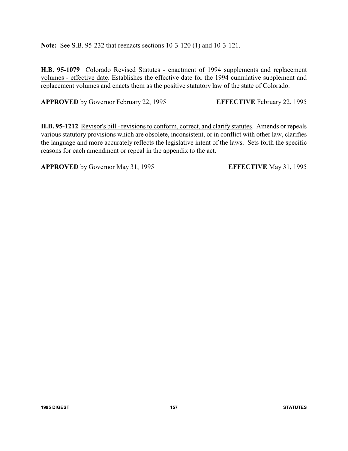**Note:** See S.B. 95-232 that reenacts sections 10-3-120 (1) and 10-3-121.

**H.B. 95-1079** Colorado Revised Statutes - enactment of 1994 supplements and replacement volumes - effective date. Establishes the effective date for the 1994 cumulative supplement and replacement volumes and enacts them as the positive statutory law of the state of Colorado.

**APPROVED** by Governor February 22, 1995 **EFFECTIVE** February 22, 1995

**H.B. 95-1212** Revisor's bill - revisions to conform, correct, and clarify statutes. Amends or repeals various statutory provisions which are obsolete, inconsistent, or in conflict with other law, clarifies the language and more accurately reflects the legislative intent of the laws. Sets forth the specific reasons for each amendment or repeal in the appendix to the act.

**APPROVED** by Governor May 31, 1995 **EFFECTIVE** May 31, 1995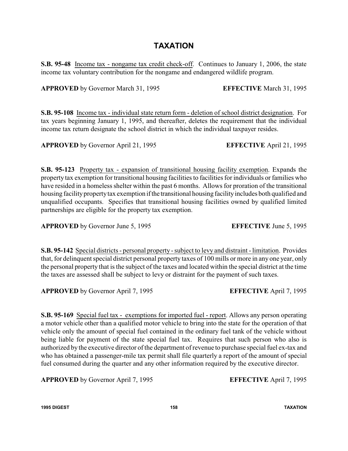## **TAXATION**

**S.B. 95-48** Income tax - nongame tax credit check-off. Continues to January 1, 2006, the state income tax voluntary contribution for the nongame and endangered wildlife program.

**APPROVED** by Governor March 31, 1995 **EFFECTIVE** March 31, 1995

**S.B. 95-108** Income tax - individual state return form - deletion of school district designation. For tax years beginning January 1, 1995, and thereafter, deletes the requirement that the individual income tax return designate the school district in which the individual taxpayer resides.

**APPROVED** by Governor April 21, 1995 **EFFECTIVE** April 21, 1995

**S.B. 95-123** Property tax - expansion of transitional housing facility exemption. Expands the property tax exemption for transitional housing facilities to facilities for individuals or families who have resided in a homeless shelter within the past 6 months. Allows for proration of the transitional housing facility property tax exemption if the transitional housing facility includes both qualified and unqualified occupants. Specifies that transitional housing facilities owned by qualified limited partnerships are eligible for the property tax exemption.

**APPROVED** by Governor June 5, 1995 **EFFECTIVE** June 5, 1995

**S.B. 95-142** Special districts - personal property - subject to levy and distraint - limitation. Provides that, for delinquent special district personal property taxes of 100 mills or more in any one year, only the personal property that is the subject of the taxes and located within the special district at the time the taxes are assessed shall be subject to levy or distraint for the payment of such taxes.

**APPROVED** by Governor April 7, 1995 **EFFECTIVE** April 7, 1995

**S.B. 95-169** Special fuel tax - exemptions for imported fuel - report. Allows any person operating a motor vehicle other than a qualified motor vehicle to bring into the state for the operation of that vehicle only the amount of special fuel contained in the ordinary fuel tank of the vehicle without being liable for payment of the state special fuel tax. Requires that such person who also is authorized by the executive director of the department of revenue to purchase special fuel ex-tax and who has obtained a passenger-mile tax permit shall file quarterly a report of the amount of special fuel consumed during the quarter and any other information required by the executive director.

**APPROVED** by Governor April 7, 1995 **EFFECTIVE** April 7, 1995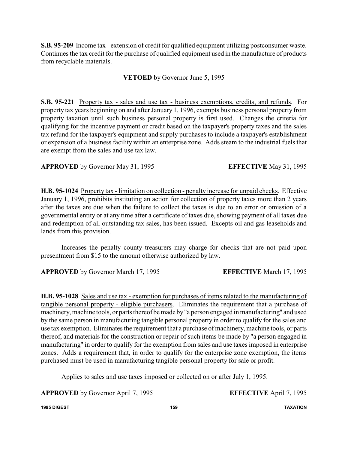**S.B. 95-209** Income tax - extension of credit for qualified equipment utilizing postconsumer waste. Continues the tax credit for the purchase of qualified equipment used in the manufacture of products from recyclable materials.

### **VETOED** by Governor June 5, 1995

**S.B. 95-221** Property tax - sales and use tax - business exemptions, credits, and refunds. For property tax years beginning on and after January 1, 1996, exempts business personal property from property taxation until such business personal property is first used. Changes the criteria for qualifying for the incentive payment or credit based on the taxpayer's property taxes and the sales tax refund for the taxpayer's equipment and supply purchases to include a taxpayer's establishment or expansion of a business facility within an enterprise zone. Adds steam to the industrial fuels that are exempt from the sales and use tax law.

**APPROVED** by Governor May 31, 1995 **EFFECTIVE** May 31, 1995

**H.B. 95-1024** Property tax - limitation on collection - penalty increase for unpaid checks. Effective January 1, 1996, prohibits instituting an action for collection of property taxes more than 2 years after the taxes are due when the failure to collect the taxes is due to an error or omission of a governmental entity or at any time after a certificate of taxes due, showing payment of all taxes due and redemption of all outstanding tax sales, has been issued. Excepts oil and gas leaseholds and lands from this provision.

Increases the penalty county treasurers may charge for checks that are not paid upon presentment from \$15 to the amount otherwise authorized by law.

**APPROVED** by Governor March 17, 1995 **EFFECTIVE** March 17, 1995

**H.B. 95-1028** Sales and use tax - exemption for purchases of items related to the manufacturing of tangible personal property - eligible purchasers. Eliminates the requirement that a purchase of machinery, machine tools, or parts thereof be made by"a person engaged in manufacturing" and used by the same person in manufacturing tangible personal property in order to qualify for the sales and use tax exemption. Eliminates the requirement that a purchase of machinery, machine tools, or parts thereof, and materials for the construction or repair of such items be made by "a person engaged in manufacturing" in order to qualify for the exemption from sales and use taxes imposed in enterprise zones. Adds a requirement that, in order to qualify for the enterprise zone exemption, the items purchased must be used in manufacturing tangible personal property for sale or profit.

Applies to sales and use taxes imposed or collected on or after July 1, 1995.

**APPROVED** by Governor April 7, 1995 **EFFECTIVE** April 7, 1995

**1995 DIGEST 159 TAXATION**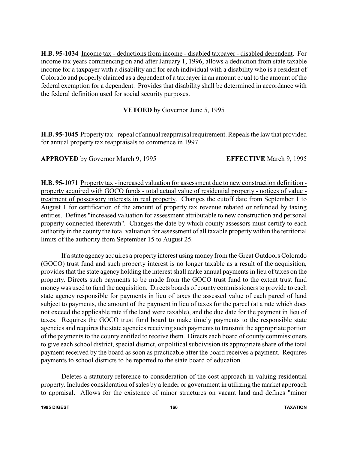**H.B. 95-1034** Income tax - deductions from income - disabled taxpayer - disabled dependent. For income tax years commencing on and after January 1, 1996, allows a deduction from state taxable income for a taxpayer with a disability and for each individual with a disability who is a resident of Colorado and properly claimed as a dependent of a taxpayer in an amount equal to the amount of the federal exemption for a dependent. Provides that disability shall be determined in accordance with the federal definition used for social security purposes.

**VETOED** by Governor June 5, 1995

**H.B. 95-1045** Property tax - repeal of annual reappraisal requirement. Repeals the law that provided for annual property tax reappraisals to commence in 1997.

**APPROVED** by Governor March 9, 1995 **EFFECTIVE** March 9, 1995

**H.B. 95-1071** Property tax - increased valuation for assessment due to new construction definition property acquired with GOCO funds - total actual value of residential property - notices of value treatment of possessory interests in real property. Changes the cutoff date from September 1 to August 1 for certification of the amount of property tax revenue rebated or refunded by taxing entities. Defines "increased valuation for assessment attributable to new construction and personal property connected therewith". Changes the date by which county assessors must certify to each authority in the county the total valuation for assessment of all taxable property within the territorial limits of the authority from September 15 to August 25.

If a state agency acquires a property interest using money from the Great Outdoors Colorado (GOCO) trust fund and such property interest is no longer taxable as a result of the acquisition, provides that the state agency holding the interest shall make annual payments in lieu of taxes on the property. Directs such payments to be made from the GOCO trust fund to the extent trust fund money was used to fund the acquisition. Directs boards of county commissioners to provide to each state agency responsible for payments in lieu of taxes the assessed value of each parcel of land subject to payments, the amount of the payment in lieu of taxes for the parcel (at a rate which does not exceed the applicable rate if the land were taxable), and the due date for the payment in lieu of taxes. Requires the GOCO trust fund board to make timely payments to the responsible state agencies and requires the state agencies receiving such payments to transmit the appropriate portion of the payments to the county entitled to receive them. Directs each board of county commissioners to give each school district, special district, or political subdivision its appropriate share of the total payment received by the board as soon as practicable after the board receives a payment. Requires payments to school districts to be reported to the state board of education.

Deletes a statutory reference to consideration of the cost approach in valuing residential property. Includes consideration of sales by a lender or government in utilizing the market approach to appraisal. Allows for the existence of minor structures on vacant land and defines "minor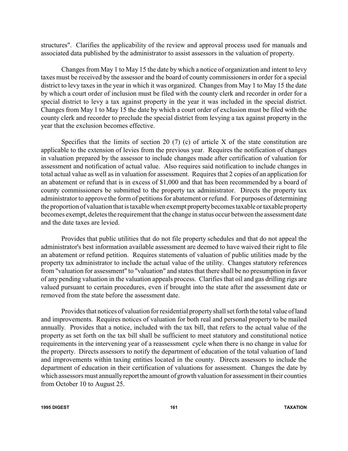structures". Clarifies the applicability of the review and approval process used for manuals and associated data published by the administrator to assist assessors in the valuation of property.

Changes from May 1 to May 15 the date by which a notice of organization and intent to levy taxes must be received by the assessor and the board of county commissioners in order for a special district to levy taxes in the year in which it was organized. Changes from May 1 to May 15 the date by which a court order of inclusion must be filed with the county clerk and recorder in order for a special district to levy a tax against property in the year it was included in the special district. Changes from May 1 to May 15 the date by which a court order of exclusion must be filed with the county clerk and recorder to preclude the special district from levying a tax against property in the year that the exclusion becomes effective.

Specifies that the limits of section 20  $(7)$  (c) of article X of the state constitution are applicable to the extension of levies from the previous year. Requires the notification of changes in valuation prepared by the assessor to include changes made after certification of valuation for assessment and notification of actual value. Also requires said notification to include changes in total actual value as well as in valuation for assessment. Requires that 2 copies of an application for an abatement or refund that is in excess of \$1,000 and that has been recommended by a board of county commissioners be submitted to the property tax administrator. Directs the property tax administrator to approve the form of petitions for abatement or refund. For purposes of determining the proportion of valuation that is taxable when exempt propertybecomes taxable or taxable property becomes exempt, deletes the requirement that the change in status occur between the assessment date and the date taxes are levied.

Provides that public utilities that do not file property schedules and that do not appeal the administrator's best information available assessment are deemed to have waived their right to file an abatement or refund petition. Requires statements of valuation of public utilities made by the property tax administrator to include the actual value of the utility. Changes statutory references from "valuation for assessment" to "valuation" and states that there shall be no presumption in favor of any pending valuation in the valuation appeals process. Clarifies that oil and gas drilling rigs are valued pursuant to certain procedures, even if brought into the state after the assessment date or removed from the state before the assessment date.

Provides that notices of valuation for residential propertyshall set forth the total value of land and improvements. Requires notices of valuation for both real and personal property to be mailed annually. Provides that a notice, included with the tax bill, that refers to the actual value of the property as set forth on the tax bill shall be sufficient to meet statutory and constitutional notice requirements in the intervening year of a reassessment cycle when there is no change in value for the property. Directs assessors to notify the department of education of the total valuation of land and improvements within taxing entities located in the county. Directs assessors to include the department of education in their certification of valuations for assessment. Changes the date by which assessors must annually report the amount of growth valuation for assessment in their counties from October 10 to August 25.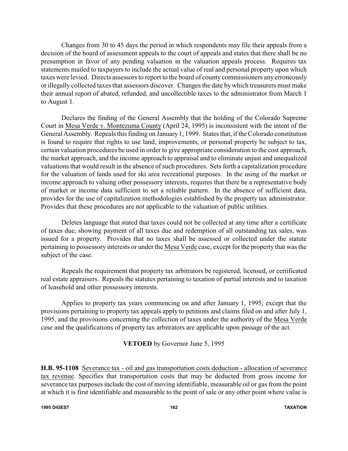Changes from 30 to 45 days the period in which respondents may file their appeals from a decision of the board of assessment appeals to the court of appeals and states that there shall be no presumption in favor of any pending valuation in the valuation appeals process. Requires tax statements mailed to taxpayers to include the actual value of real and personal property upon which taxes were levied. Directs assessors to report to the board of county commissioners any erroneously or illegally collected taxes that assessors discover. Changes the date by which treasurers must make their annual report of abated, refunded, and uncollectible taxes to the administrator from March 1 to August 1.

Declares the finding of the General Assembly that the holding of the Colorado Supreme Court in Mesa Verde v. Montezuma County (April 24, 1995) is inconsistent with the intent of the General Assembly. Repeals this finding on January1, 1999. States that, if the Colorado constitution is found to require that rights to use land, improvements, or personal property be subject to tax, certain valuation procedures be used in order to give appropriate consideration to the cost approach, the market approach, and the income approach to appraisal and to eliminate unjust and unequalized valuations that would result in the absence of such procedures. Sets forth a capitalization procedure for the valuation of lands used for ski area recreational purposes. In the using of the market or income approach to valuing other possessory interests, requires that there be a representative body of market or income data sufficient to set a reliable pattern. In the absence of sufficient data, provides for the use of capitalization methodologies established by the property tax administrator. Provides that these procedures are not applicable to the valuation of public utilities.

Deletes language that stated that taxes could not be collected at any time after a certificate of taxes due, showing payment of all taxes due and redemption of all outstanding tax sales, was issued for a property. Provides that no taxes shall be assessed or collected under the statute pertaining to possessory interests or under the Mesa Verde case, except for the property that was the subject of the case.

Repeals the requirement that property tax arbitrators be registered, licensed, or certificated real estate appraisers. Repeals the statutes pertaining to taxation of partial interests and to taxation of leasehold and other possessory interests.

Applies to property tax years commencing on and after January 1, 1995; except that the provisions pertaining to property tax appeals apply to petitions and claims filed on and after July 1, 1995, and the provisions concerning the collection of taxes under the authority of the Mesa Verde case and the qualifications of property tax arbitrators are applicable upon passage of the act.

### **VETOED** by Governor June 5, 1995

**H.B. 95-1108** Severance tax - oil and gas transportation costs deduction - allocation of severance tax revenue. Specifies that transportation costs that may be deducted from gross income for severance tax purposes include the cost of moving identifiable, measurable oil or gas from the point at which it is first identifiable and measurable to the point of sale or any other point where value is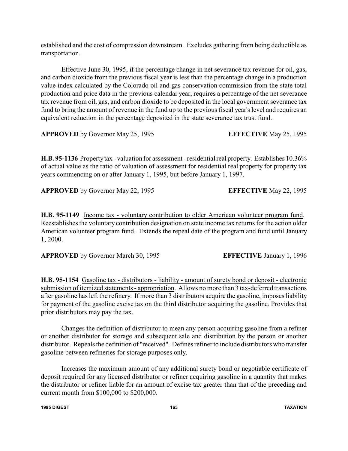established and the cost of compression downstream. Excludes gathering from being deductible as transportation.

Effective June 30, 1995, if the percentage change in net severance tax revenue for oil, gas, and carbon dioxide from the previous fiscal year is less than the percentage change in a production value index calculated by the Colorado oil and gas conservation commission from the state total production and price data in the previous calendar year, requires a percentage of the net severance tax revenue from oil, gas, and carbon dioxide to be deposited in the local government severance tax fund to bring the amount of revenue in the fund up to the previous fiscal year's level and requires an equivalent reduction in the percentage deposited in the state severance tax trust fund.

**APPROVED** by Governor May 25, 1995 **EFFECTIVE** May 25, 1995

**H.B. 95-1136** Property tax - valuation for assessment - residential real property. Establishes 10.36% of actual value as the ratio of valuation of assessment for residential real property for property tax years commencing on or after January 1, 1995, but before January 1, 1997.

**APPROVED** by Governor May 22, 1995 **EFFECTIVE** May 22, 1995

**H.B. 95-1149** Income tax - voluntary contribution to older American volunteer program fund. Reestablishes the voluntary contribution designation on state income tax returns for the action older American volunteer program fund. Extends the repeal date of the program and fund until January 1, 2000.

**APPROVED** by Governor March 30, 1995 **EFFECTIVE** January 1, 1996

**H.B. 95-1154** Gasoline tax - distributors - liability - amount of surety bond or deposit - electronic submission of itemized statements - appropriation. Allows no more than 3 tax-deferred transactions after gasoline has left the refinery. If more than 3 distributors acquire the gasoline, imposes liability for payment of the gasoline excise tax on the third distributor acquiring the gasoline. Provides that prior distributors may pay the tax.

Changes the definition of distributor to mean any person acquiring gasoline from a refiner or another distributor for storage and subsequent sale and distribution by the person or another distributor. Repeals the definition of "received". Defines refiner to include distributors who transfer gasoline between refineries for storage purposes only.

Increases the maximum amount of any additional surety bond or negotiable certificate of deposit required for any licensed distributor or refiner acquiring gasoline in a quantity that makes the distributor or refiner liable for an amount of excise tax greater than that of the preceding and current month from \$100,000 to \$200,000.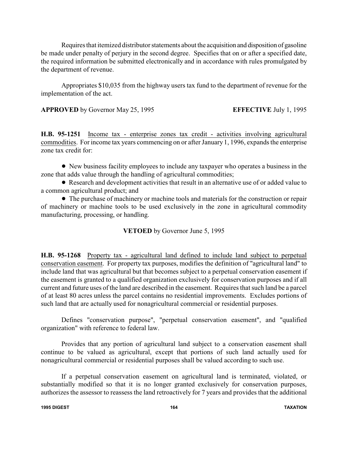Requires that itemized distributor statements about the acquisition and disposition of gasoline be made under penalty of perjury in the second degree. Specifies that on or after a specified date, the required information be submitted electronically and in accordance with rules promulgated by the department of revenue.

Appropriates \$10,035 from the highway users tax fund to the department of revenue for the implementation of the act.

**APPROVED** by Governor May 25, 1995 **EFFECTIVE** July 1, 1995

H.B. 95-1251 Income tax - enterprise zones tax credit - activities involving agricultural commodities. For income tax years commencing on or after January 1, 1996, expands the enterprise zone tax credit for:

! New business facility employees to include any taxpayer who operates a business in the zone that adds value through the handling of agricultural commodities;

! Research and development activities that result in an alternative use of or added value to a common agricultural product; and

• The purchase of machinery or machine tools and materials for the construction or repair of machinery or machine tools to be used exclusively in the zone in agricultural commodity manufacturing, processing, or handling.

### **VETOED** by Governor June 5, 1995

**H.B. 95-1268** Property tax - agricultural land defined to include land subject to perpetual conservation easement. For property tax purposes, modifies the definition of "agricultural land" to include land that was agricultural but that becomes subject to a perpetual conservation easement if the easement is granted to a qualified organization exclusively for conservation purposes and if all current and future uses of the land are described in the easement. Requires that such land be a parcel of at least 80 acres unless the parcel contains no residential improvements. Excludes portions of such land that are actually used for nonagricultural commercial or residential purposes.

Defines "conservation purpose", "perpetual conservation easement", and "qualified organization" with reference to federal law.

Provides that any portion of agricultural land subject to a conservation easement shall continue to be valued as agricultural, except that portions of such land actually used for nonagricultural commercial or residential purposes shall be valued according to such use.

If a perpetual conservation easement on agricultural land is terminated, violated, or substantially modified so that it is no longer granted exclusively for conservation purposes, authorizes the assessor to reassess the land retroactively for 7 years and provides that the additional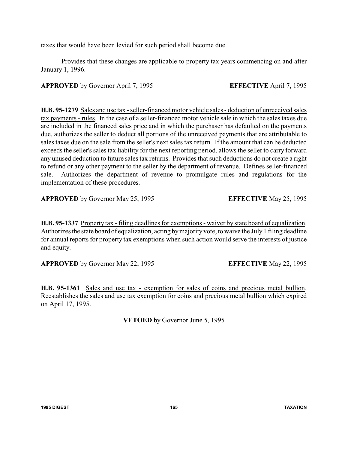taxes that would have been levied for such period shall become due.

Provides that these changes are applicable to property tax years commencing on and after January 1, 1996.

**APPROVED** by Governor April 7, 1995 **EFFECTIVE** April 7, 1995

**H.B. 95-1279** Sales and use tax - seller-financed motor vehicle sales - deduction of unreceived sales tax payments - rules. In the case of a seller-financed motor vehicle sale in which the sales taxes due are included in the financed sales price and in which the purchaser has defaulted on the payments due, authorizes the seller to deduct all portions of the unreceived payments that are attributable to sales taxes due on the sale from the seller's next sales tax return. If the amount that can be deducted exceeds the seller's sales tax liability for the next reporting period, allows the seller to carry forward any unused deduction to future sales tax returns. Provides that such deductions do not create a right to refund or any other payment to the seller by the department of revenue. Defines seller-financed sale. Authorizes the department of revenue to promulgate rules and regulations for the implementation of these procedures.

**APPROVED** by Governor May 25, 1995 **EFFECTIVE** May 25, 1995

**H.B. 95-1337** Property tax - filing deadlines for exemptions - waiver by state board of equalization. Authorizes the state board of equalization, acting bymajority vote, to waive the July 1 filing deadline for annual reports for property tax exemptions when such action would serve the interests of justice and equity.

**APPROVED** by Governor May 22, 1995 **EFFECTIVE** May 22, 1995

**H.B. 95-1361** Sales and use tax - exemption for sales of coins and precious metal bullion. Reestablishes the sales and use tax exemption for coins and precious metal bullion which expired on April 17, 1995.

**VETOED** by Governor June 5, 1995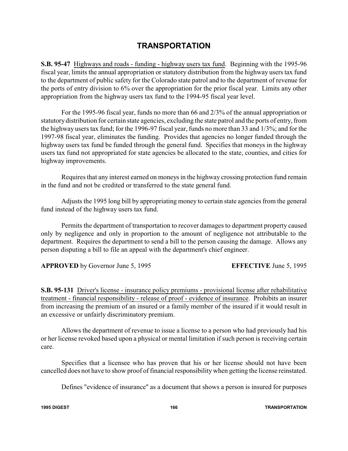### **TRANSPORTATION**

**S.B. 95-47** Highways and roads - funding - highway users tax fund. Beginning with the 1995-96 fiscal year, limits the annual appropriation or statutory distribution from the highway users tax fund to the department of public safety for the Colorado state patrol and to the department of revenue for the ports of entry division to 6% over the appropriation for the prior fiscal year. Limits any other appropriation from the highway users tax fund to the 1994-95 fiscal year level.

For the 1995-96 fiscal year, funds no more than 66 and 2/3% of the annual appropriation or statutory distribution for certain state agencies, excluding the state patrol and the ports of entry, from the highway users tax fund; for the 1996-97 fiscal year, funds no more than 33 and 1/3%; and for the 1997-98 fiscal year, eliminates the funding. Provides that agencies no longer funded through the highway users tax fund be funded through the general fund. Specifies that moneys in the highway users tax fund not appropriated for state agencies be allocated to the state, counties, and cities for highway improvements.

Requires that any interest earned on moneys in the highway crossing protection fund remain in the fund and not be credited or transferred to the state general fund.

Adjusts the 1995 long bill by appropriating money to certain state agencies from the general fund instead of the highway users tax fund.

Permits the department of transportation to recover damages to department property caused only by negligence and only in proportion to the amount of negligence not attributable to the department. Requires the department to send a bill to the person causing the damage. Allows any person disputing a bill to file an appeal with the department's chief engineer.

**APPROVED** by Governor June 5, 1995 **EFFECTIVE** June 5, 1995

**S.B. 95-131** Driver's license - insurance policy premiums - provisional license after rehabilitative treatment - financial responsibility - release of proof - evidence of insurance. Prohibits an insurer from increasing the premium of an insured or a family member of the insured if it would result in an excessive or unfairly discriminatory premium.

Allows the department of revenue to issue a license to a person who had previously had his or her license revoked based upon a physical or mental limitation if such person is receiving certain care.

Specifies that a licensee who has proven that his or her license should not have been cancelled does not have to show proof of financial responsibility when getting the license reinstated.

Defines "evidence of insurance" as a document that shows a person is insured for purposes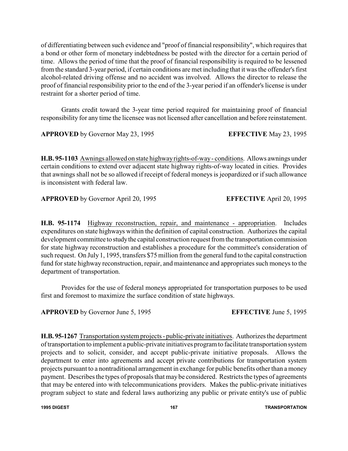of differentiating between such evidence and "proof of financial responsibility", which requires that a bond or other form of monetary indebtedness be posted with the director for a certain period of time. Allows the period of time that the proof of financial responsibility is required to be lessened from the standard 3-year period, if certain conditions are met including that it was the offender's first alcohol-related driving offense and no accident was involved. Allows the director to release the proof of financial responsibility prior to the end of the 3-year period if an offender's license is under restraint for a shorter period of time.

Grants credit toward the 3-year time period required for maintaining proof of financial responsibility for any time the licensee was not licensed after cancellation and before reinstatement.

**APPROVED** by Governor May 23, 1995 **EFFECTIVE** May 23, 1995

**H.B. 95-1103** Awnings allowed on state highwayrights-of-way- conditions. Allows awnings under certain conditions to extend over adjacent state highway rights-of-way located in cities. Provides that awnings shall not be so allowed if receipt of federal moneys is jeopardized or if such allowance is inconsistent with federal law.

**APPROVED** by Governor April 20, 1995 **EFFECTIVE** April 20, 1995

**H.B. 95-1174** Highway reconstruction, repair, and maintenance - appropriation. Includes expenditures on state highways within the definition of capital construction. Authorizes the capital development committee to study the capital construction request from the transportation commission for state highway reconstruction and establishes a procedure for the committee's consideration of such request. On July 1, 1995, transfers \$75 million from the general fund to the capital construction fund for state highway reconstruction, repair, and maintenance and appropriates such moneys to the department of transportation.

Provides for the use of federal moneys appropriated for transportation purposes to be used first and foremost to maximize the surface condition of state highways.

**APPROVED** by Governor June 5, 1995 **EFFECTIVE** June 5, 1995

**H.B. 95-1267** Transportation system projects - public-private initiatives. Authorizes the department of transportation to implement a public-private initiatives program to facilitate transportation system projects and to solicit, consider, and accept public-private initiative proposals. Allows the department to enter into agreements and accept private contributions for transportation system projects pursuant to a nontraditional arrangement in exchange for public benefits other than a money payment. Describes the types of proposals that may be considered. Restricts the types of agreements that may be entered into with telecommunications providers. Makes the public-private initiatives program subject to state and federal laws authorizing any public or private entity's use of public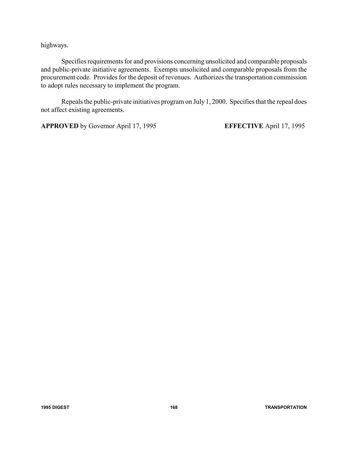highways.

Specifies requirements for and provisions concerning unsolicited and comparable proposals and public-private initiative agreements. Exempts unsolicited and comparable proposals from the procurement code. Provides for the deposit of revenues. Authorizes the transportation commission to adopt rules necessary to implement the program.

Repeals the public-private initiatives program on July 1, 2000. Specifies that the repeal does not affect existing agreements.

**APPROVED** by Governor April 17, 1995 **EFFECTIVE** April 17, 1995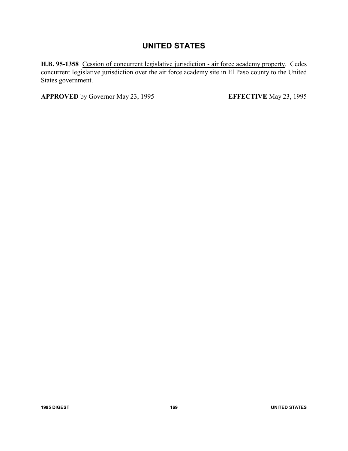# **UNITED STATES**

**H.B. 95-1358** Cession of concurrent legislative jurisdiction - air force academy property. Cedes concurrent legislative jurisdiction over the air force academy site in El Paso county to the United States government.

**APPROVED** by Governor May 23, 1995 **EFFECTIVE** May 23, 1995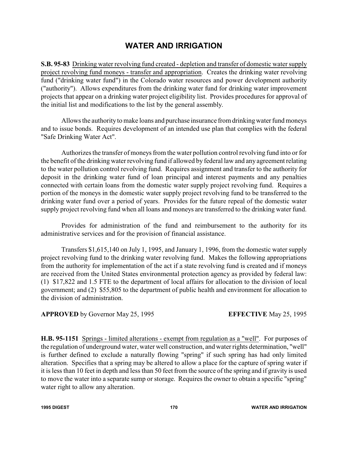## **WATER AND IRRIGATION**

**S.B. 95-83** Drinking water revolving fund created - depletion and transfer of domestic water supply project revolving fund moneys - transfer and appropriation. Creates the drinking water revolving fund ("drinking water fund") in the Colorado water resources and power development authority ("authority"). Allows expenditures from the drinking water fund for drinking water improvement projects that appear on a drinking water project eligibility list. Provides procedures for approval of the initial list and modifications to the list by the general assembly.

Allows the authority to make loans and purchase insurance from drinkingwater fund moneys and to issue bonds. Requires development of an intended use plan that complies with the federal "Safe Drinking Water Act".

Authorizes the transfer of moneys from the water pollution control revolving fund into or for the benefit of the drinking water revolving fund if allowed by federal law and any agreement relating to the water pollution control revolving fund. Requires assignment and transfer to the authority for deposit in the drinking water fund of loan principal and interest payments and any penalties connected with certain loans from the domestic water supply project revolving fund. Requires a portion of the moneys in the domestic water supply project revolving fund to be transferred to the drinking water fund over a period of years. Provides for the future repeal of the domestic water supply project revolving fund when all loans and moneys are transferred to the drinking water fund.

Provides for administration of the fund and reimbursement to the authority for its administrative services and for the provision of financial assistance.

Transfers \$1,615,140 on July 1, 1995, and January 1, 1996, from the domestic water supply project revolving fund to the drinking water revolving fund. Makes the following appropriations from the authority for implementation of the act if a state revolving fund is created and if moneys are received from the United States environmental protection agency as provided by federal law: (1) \$17,822 and 1.5 FTE to the department of local affairs for allocation to the division of local government; and (2) \$55,805 to the department of public health and environment for allocation to the division of administration.

### **APPROVED** by Governor May 25, 1995 **EFFECTIVE** May 25, 1995

**H.B. 95-1151** Springs - limited alterations - exempt from regulation as a "well". For purposes of the regulation of underground water, water well construction, and water rights determination, "well" is further defined to exclude a naturally flowing "spring" if such spring has had only limited alteration. Specifies that a spring may be altered to allow a place for the capture of spring water if it is less than 10 feet in depth and less than 50 feet from the source of the spring and if gravity is used to move the water into a separate sump or storage. Requires the owner to obtain a specific "spring" water right to allow any alteration.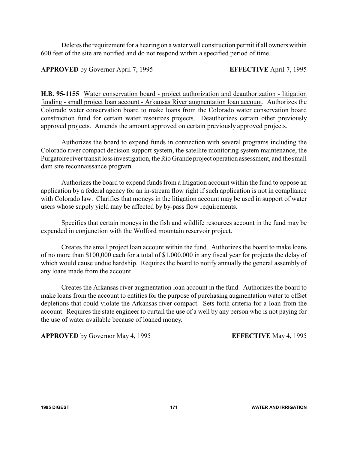Deletes the requirement for a hearing on a water well construction permit if all owners within 600 feet of the site are notified and do not respond within a specified period of time.

**APPROVED** by Governor April 7, 1995 **EFFECTIVE** April 7, 1995

**H.B. 95-1155** Water conservation board - project authorization and deauthorization - litigation funding - small project loan account - Arkansas River augmentation loan account. Authorizes the Colorado water conservation board to make loans from the Colorado water conservation board construction fund for certain water resources projects. Deauthorizes certain other previously approved projects. Amends the amount approved on certain previously approved projects.

Authorizes the board to expend funds in connection with several programs including the Colorado river compact decision support system, the satellite monitoring system maintenance, the Purgatoire river transit loss investigation, the Rio Grande project operation assessment, and the small dam site reconnaissance program.

Authorizes the board to expend funds from a litigation account within the fund to oppose an application by a federal agency for an in-stream flow right if such application is not in compliance with Colorado law. Clarifies that moneys in the litigation account may be used in support of water users whose supply yield may be affected by by-pass flow requirements.

Specifies that certain moneys in the fish and wildlife resources account in the fund may be expended in conjunction with the Wolford mountain reservoir project.

Creates the small project loan account within the fund. Authorizes the board to make loans of no more than \$100,000 each for a total of \$1,000,000 in any fiscal year for projects the delay of which would cause undue hardship. Requires the board to notify annually the general assembly of any loans made from the account.

Creates the Arkansas river augmentation loan account in the fund. Authorizes the board to make loans from the account to entities for the purpose of purchasing augmentation water to offset depletions that could violate the Arkansas river compact. Sets forth criteria for a loan from the account. Requires the state engineer to curtail the use of a well by any person who is not paying for the use of water available because of loaned money.

**APPROVED** by Governor May 4, 1995 **EFFECTIVE** May 4, 1995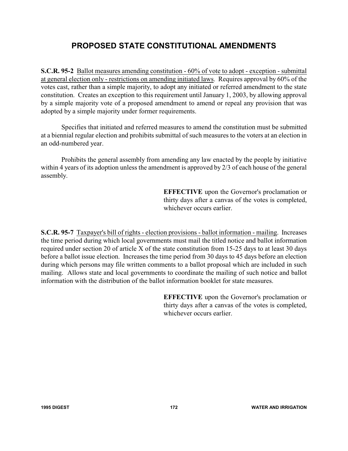# **PROPOSED STATE CONSTITUTIONAL AMENDMENTS**

**S.C.R. 95-2** Ballot measures amending constitution - 60% of vote to adopt - exception - submittal at general election only - restrictions on amending initiated laws. Requires approval by 60% of the votes cast, rather than a simple majority, to adopt any initiated or referred amendment to the state constitution. Creates an exception to this requirement until January 1, 2003, by allowing approval by a simple majority vote of a proposed amendment to amend or repeal any provision that was adopted by a simple majority under former requirements.

Specifies that initiated and referred measures to amend the constitution must be submitted at a biennial regular election and prohibits submittal of such measures to the voters at an election in an odd-numbered year.

Prohibits the general assembly from amending any law enacted by the people by initiative within 4 years of its adoption unless the amendment is approved by 2/3 of each house of the general assembly.

> **EFFECTIVE** upon the Governor's proclamation or thirty days after a canvas of the votes is completed, whichever occurs earlier.

**S.C.R. 95-7** Taxpayer's bill of rights - election provisions - ballot information - mailing. Increases the time period during which local governments must mail the titled notice and ballot information required under section 20 of article X of the state constitution from 15-25 days to at least 30 days before a ballot issue election. Increases the time period from 30 days to 45 days before an election during which persons may file written comments to a ballot proposal which are included in such mailing. Allows state and local governments to coordinate the mailing of such notice and ballot information with the distribution of the ballot information booklet for state measures.

> **EFFECTIVE** upon the Governor's proclamation or thirty days after a canvas of the votes is completed, whichever occurs earlier.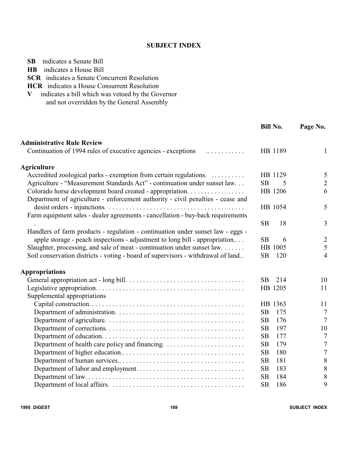### **SUBJECT INDEX**

| <b>HCR</b> indicates a House Consurrent Resolution                               |                  |                |
|----------------------------------------------------------------------------------|------------------|----------------|
| indicates a bill which was vetoed by the Governor<br>V                           |                  |                |
| and not overridden by the General Assembly                                       |                  |                |
|                                                                                  |                  |                |
|                                                                                  | <b>Bill No.</b>  | Page No.       |
| <b>Administrative Rule Review</b>                                                |                  |                |
| Continuation of 1994 rules of executive agencies - exceptions<br>.               | HB 1189          | $\mathbf{1}$   |
| <b>Agriculture</b>                                                               |                  |                |
| Accredited zoological parks - exemption from certain regulations.                | HB 1129          | 5              |
| Agriculture - "Measurement Standards Act" - continuation under sunset law        | <b>SB</b><br>5   | $\overline{2}$ |
| Colorado horse development board created - appropriation.                        | HB 1206          | 6              |
| Department of agriculture - enforcement authority - civil penalties - cease and  |                  |                |
|                                                                                  | HB 1054          | 5              |
| Farm equipment sales - dealer agreements - cancellation - buy-back requirements  |                  |                |
|                                                                                  | <b>SB</b><br>18  | $\overline{3}$ |
| Handlers of farm products - regulation - continuation under sunset law - eggs -  |                  |                |
| apple storage - peach inspections - adjustment to long bill - appropriation      | <b>SB</b><br>6   | $\overline{2}$ |
| Slaughter, processing, and sale of meat - continuation under sunset law.         | HB 1005          | 5              |
| Soil conservation districts - voting - board of supervisors - withdrawal of land | SB<br>120        | $\overline{4}$ |
| <b>Appropriations</b>                                                            |                  |                |
|                                                                                  | 214<br><b>SB</b> | 10             |
|                                                                                  | HB 1205          | 11             |
| Supplemental appropriations                                                      |                  |                |
|                                                                                  | HB 1363          | 11             |
|                                                                                  | <b>SB</b><br>175 | 7              |
|                                                                                  | SB<br>176        | $\overline{7}$ |
|                                                                                  | SB<br>197        | 10             |
|                                                                                  | <b>SB</b><br>177 | 7              |
|                                                                                  | SB<br>179        | 7              |
|                                                                                  | SB<br>180        | 7              |
|                                                                                  | SB<br>181        | 8              |
|                                                                                  | SB<br>183        | 8              |
|                                                                                  | 184<br>SB        | 8              |
|                                                                                  | SB<br>186        | 9              |

**SB** indicates a Senate Bill **HB** indicates a House Bill

**SCR** indicates a Senate Concurrent Resolution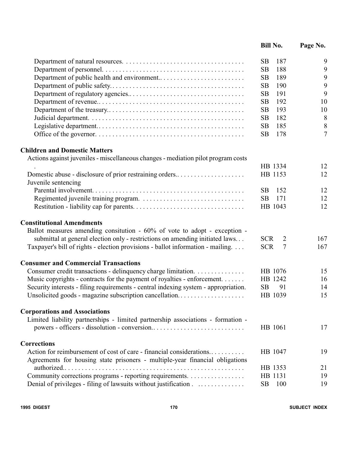|                                                                                                                                 | <b>Bill No.</b>              | Page No.       |
|---------------------------------------------------------------------------------------------------------------------------------|------------------------------|----------------|
|                                                                                                                                 | <b>SB</b><br>187             | 9              |
|                                                                                                                                 | <b>SB</b><br>188             | 9              |
|                                                                                                                                 | <b>SB</b><br>189             | 9              |
|                                                                                                                                 | SB<br>190                    | 9              |
|                                                                                                                                 | SB<br>191                    | 9              |
|                                                                                                                                 | 192<br><b>SB</b>             | 10             |
|                                                                                                                                 | SB<br>193                    | 10             |
|                                                                                                                                 | SB<br>182                    | 8              |
|                                                                                                                                 | 185<br><b>SB</b>             | 8              |
|                                                                                                                                 | <b>SB</b><br>178             | $\overline{7}$ |
| <b>Children and Domestic Matters</b>                                                                                            |                              |                |
| Actions against juveniles - miscellaneous changes - mediation pilot program costs                                               |                              |                |
|                                                                                                                                 | HB 1334                      | 12             |
| Domestic abuse - disclosure of prior restraining orders<br>Juvenile sentencing                                                  | HB 1153                      | 12             |
|                                                                                                                                 | SB.<br>152                   | 12             |
|                                                                                                                                 | <b>SB</b><br>171             | 12             |
|                                                                                                                                 | HB 1043                      | 12             |
| <b>Constitutional Amendments</b>                                                                                                |                              |                |
| Ballot measures amending consitution $-60\%$ of vote to adopt - exception -                                                     |                              |                |
| submittal at general election only - restrictions on amending initiated laws                                                    | <b>SCR</b><br>$\overline{2}$ | 167            |
| Taxpayer's bill of rights - election provisions - ballot information - mailing.                                                 | $\overline{7}$<br><b>SCR</b> | 167            |
| <b>Consumer and Commercial Transactions</b>                                                                                     |                              |                |
| Consumer credit transactions - delinquency charge limitation.                                                                   | HB 1076                      | 15             |
| Music copyrights - contracts for the payment of royalties - enforcement.                                                        | HB 1242                      | 16             |
| Security interests - filing requirements - central indexing system - appropriation.                                             | <b>SB</b><br>91              | 14             |
| Unsolicited goods - magazine subscription cancellation                                                                          | HB 1039                      | 15             |
| <b>Corporations and Associations</b>                                                                                            |                              |                |
| Limited liability partnerships - limited partnership associations - formation -<br>powers - officers - dissolution - conversion | HB 1061                      | 17             |
| <b>Corrections</b>                                                                                                              |                              |                |
| Action for reimbursement of cost of care - financial considerations                                                             | HB 1047                      | 19             |
| Agreements for housing state prisoners - multiple-year financial obligations                                                    | HB 1353                      |                |
|                                                                                                                                 |                              | 21<br>19       |
| Community corrections programs - reporting requirements.                                                                        | HB 1131<br>SB<br>100         | 19             |
| Denial of privileges - filing of lawsuits without justification                                                                 |                              |                |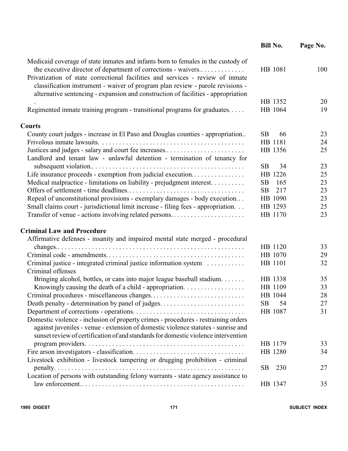|                                                                                                                                                                                                                                                       | <b>Bill No.</b>  | Page No. |
|-------------------------------------------------------------------------------------------------------------------------------------------------------------------------------------------------------------------------------------------------------|------------------|----------|
| Medicaid coverage of state inmates and infants born to females in the custody of<br>the executive director of department of corrections - waivers                                                                                                     | HB 1081          | 100      |
| Privatization of state correctional facilities and services - review of inmate<br>classification instrument - waiver of program plan review - parole revisions -<br>alternative sentencing - expansion and construction of facilities - appropriation |                  |          |
|                                                                                                                                                                                                                                                       | HB 1352          | 20       |
| Regimented inmate training program - transitional programs for graduates                                                                                                                                                                              | HB 1064          | 19       |
| <b>Courts</b>                                                                                                                                                                                                                                         |                  |          |
| County court judges - increase in El Paso and Douglas counties - appropriation                                                                                                                                                                        | <b>SB</b><br>66  | 23       |
|                                                                                                                                                                                                                                                       | HB 1181          | 24       |
| Justices and judges - salary and court fee increases<br>Landlord and tenant law - unlawful detention - termination of tenancy for                                                                                                                     | HB 1356          | 25       |
|                                                                                                                                                                                                                                                       | <b>SB</b><br>34  | 23       |
| Life insurance proceeds - exemption from judicial execution                                                                                                                                                                                           | HB 1226          | 25       |
| Medical malpractice - limitations on liability - prejudgment interest.                                                                                                                                                                                | 165<br>SB        | 23       |
|                                                                                                                                                                                                                                                       | 217<br><b>SB</b> | 23       |
| Repeal of unconstitutional provisions - exemplary damages - body execution                                                                                                                                                                            | HB 1090          | 23       |
| Small claims court - jurisdictional limit increase - filing fees - appropriation                                                                                                                                                                      | HB 1293          | 25       |
| Transfer of venue - actions involving related persons                                                                                                                                                                                                 | HB 1170          | 23       |
| <b>Criminal Law and Procedure</b>                                                                                                                                                                                                                     |                  |          |
| Affirmative defenses - insanity and impaired mental state merged - procedural                                                                                                                                                                         |                  |          |
|                                                                                                                                                                                                                                                       | HB 1120          | 33       |
|                                                                                                                                                                                                                                                       | HB 1070          | 29       |
| Criminal justice - integrated criminal justice information system                                                                                                                                                                                     | HB 1101          | 32       |
| Criminal offenses                                                                                                                                                                                                                                     |                  |          |
| Bringing alcohol, bottles, or cans into major league baseball stadium.                                                                                                                                                                                | HB 1338          | 35       |
|                                                                                                                                                                                                                                                       | HB 1109          | 33       |
|                                                                                                                                                                                                                                                       | HB 1044          | 28       |
|                                                                                                                                                                                                                                                       | <b>SB</b><br>54  | 27       |
|                                                                                                                                                                                                                                                       | HB 1087          | 31       |
| Domestic violence - inclusion of property crimes - procedures - restraining orders<br>against juveniles - venue - extension of domestic violence statutes - sunrise and                                                                               |                  |          |
| sunset review of certification of and standards for domestic violence intervention                                                                                                                                                                    |                  |          |
|                                                                                                                                                                                                                                                       | HB 1179          | 33       |
|                                                                                                                                                                                                                                                       | HB 1280          | 34       |
| Livestock exhibition - livestock tampering or drugging prohibition - criminal                                                                                                                                                                         |                  |          |
|                                                                                                                                                                                                                                                       | 230<br>SB        | 27       |
| Location of persons with outstanding felony warrants - state agency assistance to                                                                                                                                                                     |                  |          |
|                                                                                                                                                                                                                                                       | HB 1347          | 35       |
|                                                                                                                                                                                                                                                       |                  |          |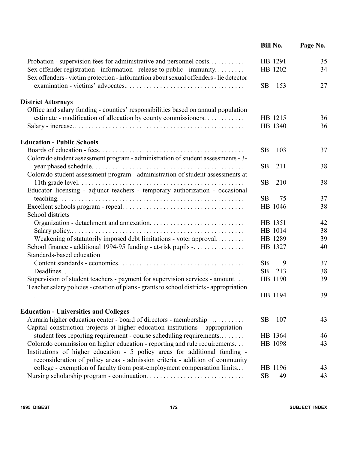|                                                                                                                                                                 | <b>Bill No.</b>    | Page No. |
|-----------------------------------------------------------------------------------------------------------------------------------------------------------------|--------------------|----------|
| Probation - supervision fees for administrative and personnel costs                                                                                             | HB 1291            | 35       |
| Sex offender registration - information - release to public - immunity<br>Sex offenders - victim protection - information about sexual offenders - lie detector | HB 1202            | 34       |
|                                                                                                                                                                 | <b>SB</b><br>153   | 27       |
| <b>District Attorneys</b>                                                                                                                                       |                    |          |
| Office and salary funding - counties' responsibilities based on annual population                                                                               |                    |          |
| estimate - modification of allocation by county commissioners.                                                                                                  | HB 1215<br>HB 1340 | 36<br>36 |
| <b>Education - Public Schools</b>                                                                                                                               |                    |          |
|                                                                                                                                                                 | <b>SB</b><br>103   | 37       |
| Colorado student assessment program - administration of student assessments - 3-                                                                                | 211<br><b>SB</b>   | 38       |
| Colorado student assessment program - administration of student assessments at                                                                                  |                    |          |
|                                                                                                                                                                 | <b>SB</b><br>210   | 38       |
| Educator licensing - adjunct teachers - temporary authorization - occasional                                                                                    |                    |          |
|                                                                                                                                                                 | <b>SB</b><br>75    | 37       |
| School districts                                                                                                                                                | HB 1046            | 38       |
|                                                                                                                                                                 | HB 1351            | 42       |
|                                                                                                                                                                 | HB 1014            | 38       |
| Weakening of statutorily imposed debt limitations - voter approval                                                                                              | HB 1289            | 39       |
| School finance - additional 1994-95 funding - at-risk pupils -.                                                                                                 | HB 1327            | 40       |
| Standards-based education                                                                                                                                       |                    |          |
|                                                                                                                                                                 | <b>SB</b><br>9     | 37       |
|                                                                                                                                                                 | <b>SB</b><br>213   | 38       |
| Supervision of student teachers - payment for supervision services - amount.                                                                                    | HB 1190            | 39       |
| Teacher salary policies - creation of plans - grants to school districts - appropriation                                                                        |                    |          |
|                                                                                                                                                                 | HB 1194            | 39       |
| <b>Education - Universities and Colleges</b>                                                                                                                    |                    |          |
| Auraria higher education center - board of directors - membership                                                                                               | 107<br><b>SB</b>   | 43       |
| Capital construction projects at higher education institutions - appropriation -                                                                                |                    |          |
| student fees reporting requirement - course scheduling requirements                                                                                             | HB 1364            | 46       |
| Colorado commission on higher education - reporting and rule requirements                                                                                       | HB 1098            | 43       |
| Institutions of higher education - 5 policy areas for additional funding -                                                                                      |                    |          |
| reconsideration of policy areas - admission criteria - addition of community                                                                                    |                    |          |
| college - exemption of faculty from post-employment compensation limits                                                                                         | HB 1196            | 43       |
|                                                                                                                                                                 | SB<br>49           | 43       |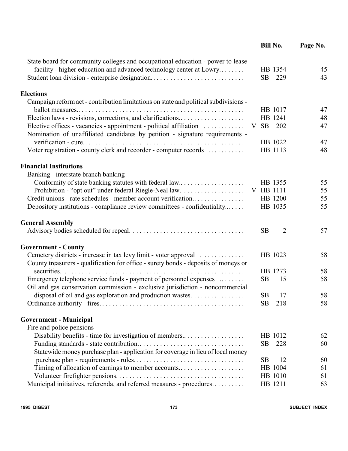|                                                                                                                                                    |           | <b>Bill No.</b>    | Page No. |
|----------------------------------------------------------------------------------------------------------------------------------------------------|-----------|--------------------|----------|
| State board for community colleges and occupational education - power to lease                                                                     |           |                    |          |
| facility - higher education and advanced technology center at Lowry                                                                                |           | HB 1354            | 45       |
| Student loan division - enterprise designation                                                                                                     | <b>SB</b> | 229                | 43       |
| <b>Elections</b>                                                                                                                                   |           |                    |          |
| Campaign reform act - contribution limitations on state and political subdivisions -                                                               |           |                    |          |
|                                                                                                                                                    |           | HB 1017            | 47       |
| Election laws - revisions, corrections, and clarifications                                                                                         | V SB      | HB 1241<br>202     | 48<br>47 |
| Elective offices - vacancies - appointment - political affiliation<br>Nomination of unaffiliated candidates by petition - signature requirements - |           |                    |          |
|                                                                                                                                                    |           | HB 1022            | 47       |
| Voter registration - county clerk and recorder - computer records                                                                                  |           | HB 1113            | 48       |
|                                                                                                                                                    |           |                    |          |
| <b>Financial Institutions</b>                                                                                                                      |           |                    |          |
| Banking - interstate branch banking                                                                                                                |           |                    |          |
| Conformity of state banking statutes with federal law                                                                                              |           | HB 1355            | 55       |
|                                                                                                                                                    | V HB 1111 |                    | 55       |
| Credit unions - rate schedules - member account verification                                                                                       |           | HB 1200<br>HB 1035 | 55<br>55 |
| Depository institutions - compliance review committees - confidentiality                                                                           |           |                    |          |
| <b>General Assembly</b>                                                                                                                            |           |                    |          |
|                                                                                                                                                    | <b>SB</b> | $\overline{2}$     | 57       |
| <b>Government - County</b>                                                                                                                         |           |                    |          |
| Cemetery districts - increase in tax levy limit - voter approval                                                                                   |           | HB 1023            | 58       |
| County treasurers - qualification for office - surety bonds - deposits of moneys or                                                                |           |                    |          |
| securities.                                                                                                                                        |           | HB 1273            | 58       |
| Emergency telephone service funds - payment of personnel expenses                                                                                  | <b>SB</b> | 15                 | 58       |
| Oil and gas conservation commission - exclusive jurisdiction - noncommercial                                                                       |           |                    |          |
| disposal of oil and gas exploration and production wastes.                                                                                         | <b>SB</b> | 17                 | 58       |
|                                                                                                                                                    | SB        | 218                | 58       |
| <b>Government - Municipal</b>                                                                                                                      |           |                    |          |
| Fire and police pensions                                                                                                                           |           |                    |          |
| Disability benefits - time for investigation of members                                                                                            |           | HB 1012            | 62       |
|                                                                                                                                                    | <b>SB</b> | 228                | 60       |
| Statewide money purchase plan - application for coverage in lieu of local money                                                                    |           |                    |          |
|                                                                                                                                                    | <b>SB</b> | 12                 | 60       |
|                                                                                                                                                    |           | HB 1004            | 61       |
|                                                                                                                                                    |           | HB 1010            | 61       |
| Municipal initiatives, referenda, and referred measures - procedures                                                                               |           | HB 1211            | 63       |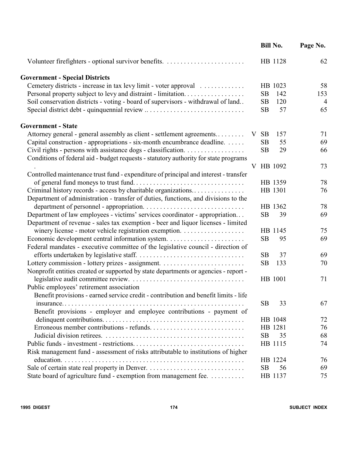|                                                                                      |                 | <b>Bill No.</b> | Page No.       |
|--------------------------------------------------------------------------------------|-----------------|-----------------|----------------|
|                                                                                      |                 | HB 1128         | 62             |
| <b>Government - Special Districts</b>                                                |                 |                 |                |
| Cemetery districts - increase in tax levy limit - voter approval                     |                 | HB 1023         | 58             |
|                                                                                      | <b>SB</b>       | 142             | 153            |
| Soil conservation districts - voting - board of supervisors - withdrawal of land     | <b>SB</b>       | 120             | $\overline{4}$ |
|                                                                                      | <b>SB</b>       | 57              | 65             |
| <b>Government - State</b>                                                            |                 |                 |                |
| Attorney general - general assembly as client - settlement agreements                | <b>SB</b><br>V. | 157             | 71             |
| Capital construction - appropriations - six-month encumbrance deadline.              | <b>SB</b>       | 55              | 69             |
|                                                                                      | <b>SB</b>       | 29              | 66             |
| Conditions of federal aid - budget requests - statutory authority for state programs |                 |                 |                |
|                                                                                      |                 | V HB 1092       | 73             |
| Controlled maintenance trust fund - expenditure of principal and interest - transfer |                 |                 |                |
|                                                                                      |                 | HB 1359         | 78             |
| Criminal history records - access by charitable organizations                        |                 | HB 1301         | 76             |
| Department of administration - transfer of duties, functions, and divisions to the   |                 |                 |                |
|                                                                                      |                 | HB 1362         | 78             |
| Department of law employees - victims' services coordinator - appropriation          | <b>SB</b>       | 39              | 69             |
| Department of revenue - sales tax exemption - beer and liquor licenses - limited     |                 |                 |                |
| winery license - motor vehicle registration exemption.                               |                 | HB 1145         | 75             |
|                                                                                      | <b>SB</b>       | 95              | 69             |
| Federal mandates - executive committee of the legislative council - direction of     |                 |                 |                |
|                                                                                      | <b>SB</b>       | 37              | 69             |
|                                                                                      | <b>SB</b>       | 133             | 70             |
| Nonprofit entities created or supported by state departments or agencies - report -  |                 |                 |                |
|                                                                                      |                 | HB 1001         | 71             |
| Public employees' retirement association                                             |                 |                 |                |
| Benefit provisions - earned service credit - contribution and benefit limits - life  |                 |                 |                |
|                                                                                      | <b>SB</b>       | 33              | 67             |
| Benefit provisions - employer and employee contributions - payment of                |                 |                 |                |
|                                                                                      |                 | HB 1048         | 72             |
|                                                                                      |                 | HB 1281         | 76             |
|                                                                                      | <b>SB</b>       | 35              | 68             |
|                                                                                      |                 | HB 1115         | 74             |
| Risk management fund - assessment of risks attributable to institutions of higher    |                 |                 |                |
|                                                                                      |                 | HB 1224         | 76             |
|                                                                                      | <b>SB</b>       | 56              | 69             |
| State board of agriculture fund - exemption from management fee.                     |                 | HB 1137         | 75             |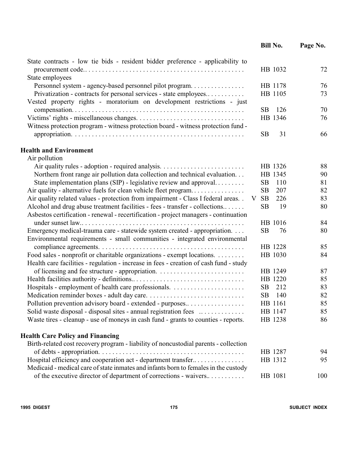|                                                                                                                                                        | <b>Bill No.</b>       | Page No. |
|--------------------------------------------------------------------------------------------------------------------------------------------------------|-----------------------|----------|
| State contracts - low tie bids - resident bidder preference - applicability to                                                                         |                       |          |
|                                                                                                                                                        | HB 1032               | 72       |
| State employees                                                                                                                                        | HB 1178               | 76       |
| Personnel system - agency-based personnel pilot program<br>Privatization - contracts for personal services - state employees                           | HB 1105               | 73       |
| Vested property rights - moratorium on development restrictions - just                                                                                 |                       |          |
|                                                                                                                                                        | 126<br>SB.            | 70       |
|                                                                                                                                                        | HB 1346               | 76       |
| Witness protection program - witness protection board - witness protection fund -                                                                      |                       |          |
|                                                                                                                                                        | <b>SB</b><br>31       | 66       |
| <b>Health and Environment</b>                                                                                                                          |                       |          |
| Air pollution                                                                                                                                          |                       |          |
|                                                                                                                                                        | HB 1326               | 88       |
| Northern front range air pollution data collection and technical evaluation                                                                            | HB 1345               | 90       |
| State implementation plans (SIP) - legislative review and approval                                                                                     | <b>SB</b><br>110      | 81       |
| Air quality - alternative fuels for clean vehicle fleet program                                                                                        | SB<br>207             | 82       |
| Air quality related values - protection from impairment - Class I federal areas                                                                        | <b>SB</b><br>226<br>V | 83       |
| Alcohol and drug abuse treatment facilities - fees - transfer - collections                                                                            | <b>SB</b><br>19       | 80       |
| Asbestos certification - renewal - recertification - project managers - continuation                                                                   |                       |          |
|                                                                                                                                                        | HB 1016               | 84       |
| Emergency medical-trauma care - statewide system created - appropriation.<br>Environmental requirements - small communities - integrated environmental | <b>SB</b><br>76       | 80       |
|                                                                                                                                                        | HB 1228               | 85       |
| Food sales - nonprofit or charitable organizations - exempt locations. $\dots \dots$                                                                   | HB 1030               | 84       |
| Health care facilities - regulation - increase in fees - creation of cash fund - study                                                                 |                       |          |
|                                                                                                                                                        | HB 1249               | 87       |
|                                                                                                                                                        | HB 1220               | 85       |
|                                                                                                                                                        | <b>SB</b><br>212      | 83       |
|                                                                                                                                                        | SB 140                | 82       |
| Pollution prevention advisory board - extended - purposes                                                                                              | HB 1161               | 85       |
| Solid waste disposal - disposal sites - annual registration fees                                                                                       | HB 1147               | 85       |
| Waste tires - cleanup - use of moneys in cash fund - grants to counties - reports.                                                                     | HB 1238               | 86       |
| <b>Health Care Policy and Financing</b>                                                                                                                |                       |          |
| Birth-related cost recovery program - liability of noncustodial parents - collection                                                                   |                       |          |
|                                                                                                                                                        | HB 1287               | 94       |
| Hospital efficiency and cooperation act - department transfer                                                                                          | HB 1312               | 95       |
| Medicaid - medical care of state inmates and infants born to females in the custody                                                                    |                       |          |
| of the executive director of department of corrections - waivers                                                                                       | HB 1081               | 100      |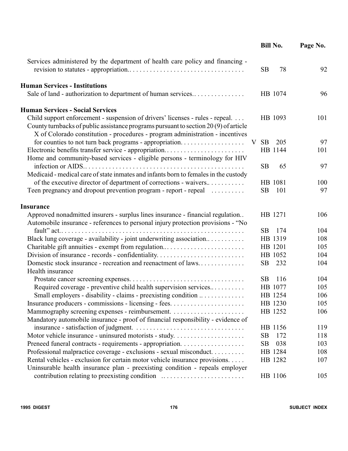|                                                                                                                                                                                                                                                       | <b>Bill No.</b>       | Page No. |
|-------------------------------------------------------------------------------------------------------------------------------------------------------------------------------------------------------------------------------------------------------|-----------------------|----------|
| Services administered by the department of health care policy and financing -                                                                                                                                                                         | <b>SB</b><br>78       | 92       |
| <b>Human Services - Institutions</b><br>Sale of land - authorization to department of human services                                                                                                                                                  | HB 1074               | 96       |
| <b>Human Services - Social Services</b>                                                                                                                                                                                                               |                       |          |
| Child support enforcement - suspension of drivers' licenses - rules - repeal.<br>County turnbacks of public assistance programs pursuant to section 20(9) of article<br>X of Colorado constitution - procedures - program administration - incentives | HB 1093               | 101      |
|                                                                                                                                                                                                                                                       | <b>SB</b><br>205<br>V | 97       |
| Electronic benefits transfer service - appropriation<br>Home and community-based services - eligible persons - terminology for HIV                                                                                                                    | HB 1144               | 101      |
| Medicaid - medical care of state inmates and infants born to females in the custody                                                                                                                                                                   | <b>SB</b><br>65       | 97       |
| of the executive director of department of corrections - waivers                                                                                                                                                                                      | HB 1081               | 100      |
| Teen pregnancy and dropout prevention program - report - repeal                                                                                                                                                                                       | SB<br>101             | 97       |
| Insurance                                                                                                                                                                                                                                             |                       |          |
| Approved nonadmitted insurers - surplus lines insurance - financial regulation<br>Automobile insurance - references to personal injury protection provisions - "No                                                                                    | HB 1271               | 106      |
| fault" $act. \ldots \ldots \ldots \ldots$                                                                                                                                                                                                             | SB<br>174             | 104      |
| Black lung coverage - availability - joint underwriting association                                                                                                                                                                                   | HB 1319               | 108      |
| Charitable gift annuities - exempt from regulation                                                                                                                                                                                                    | HB 1201               | 105      |
|                                                                                                                                                                                                                                                       | HB 1052               | 104      |
| Domestic stock insurance - recreation and reenactment of laws<br>Health insurance                                                                                                                                                                     | SB<br>232             | 104      |
|                                                                                                                                                                                                                                                       | <b>SB</b><br>116      | 104      |
| Required coverage - preventive child health supervision services                                                                                                                                                                                      | HB 1077               | 105      |
| Small employers - disability - claims - preexisting condition                                                                                                                                                                                         | HB 1254               | 106      |
|                                                                                                                                                                                                                                                       | HB 1230               | 105      |
|                                                                                                                                                                                                                                                       | HB 1252               | 106      |
| Mandatory automobile insurance - proof of financial responsibility - evidence of                                                                                                                                                                      |                       |          |
|                                                                                                                                                                                                                                                       | HB 1156               | 119      |
|                                                                                                                                                                                                                                                       | SB<br>172             | 118      |
|                                                                                                                                                                                                                                                       | SB<br>038             | 103      |
| Professional malpractice coverage - exclusions - sexual misconduct                                                                                                                                                                                    | HB 1284               | 108      |
| Rental vehicles - exclusion for certain motor vehicle insurance provisions.<br>Uninsurable health insurance plan - preexisting condition - repeals employer                                                                                           | HB 1282               | 107      |
| contribution relating to preexisting condition                                                                                                                                                                                                        | HB 1106               | 105      |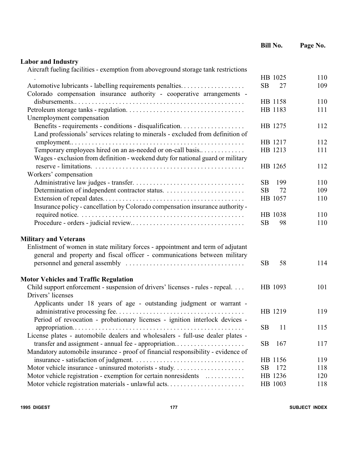|                                                                                     | <b>Bill No.</b>        | Page No.   |
|-------------------------------------------------------------------------------------|------------------------|------------|
| <b>Labor and Industry</b>                                                           |                        |            |
| Aircraft fueling facilities - exemption from above ground storage tank restrictions |                        |            |
|                                                                                     | HB 1025                | 110        |
| Automotive lubricants - labelling requirements penalties                            | SB<br>27               | 109        |
| Colorado compensation insurance authority - cooperative arrangements -              |                        |            |
|                                                                                     | HB 1158                | 110        |
|                                                                                     | HB 1183                | 111        |
| Unemployment compensation                                                           |                        |            |
|                                                                                     | HB 1275                | 112        |
| Land professionals' services relating to minerals - excluded from definition of     |                        |            |
|                                                                                     | HB 1217                | 112        |
| Temporary employees hired on an as-needed or on-call basis                          | HB 1213                | 111        |
| Wages - exclusion from definition - weekend duty for national guard or military     |                        |            |
|                                                                                     | HB 1265                | 112        |
| Workers' compensation                                                               |                        |            |
|                                                                                     | <b>SB</b>              |            |
|                                                                                     | 199<br>72<br><b>SB</b> | 110<br>109 |
|                                                                                     |                        |            |
|                                                                                     | HB 1057                | 110        |
| Insurance policy - cancellation by Colorado compensation insurance authority -      |                        |            |
|                                                                                     | HB 1038                | 110        |
|                                                                                     | <b>SB</b><br>98        | 110        |
| <b>Military and Veterans</b>                                                        |                        |            |
| Enlistment of women in state military forces - appointment and term of adjutant     |                        |            |
| general and property and fiscal officer - communications between military           |                        |            |
|                                                                                     | <b>SB</b><br>58        | 114        |
| <b>Motor Vehicles and Traffic Regulation</b>                                        |                        |            |
| Child support enforcement - suspension of drivers' licenses - rules - repeal.       | HB 1093                | 101        |
| Drivers' licenses                                                                   |                        |            |
| Applicants under 18 years of age - outstanding judgment or warrant -                |                        |            |
|                                                                                     | HB 1219                | 119        |
| Period of revocation - probationary licenses - ignition interlock devices -         |                        |            |
|                                                                                     | <b>SB</b><br>11        | 115        |
| License plates - automobile dealers and wholesalers - full-use dealer plates -      |                        |            |
| transfer and assignment - annual fee - appropriation                                | <b>SB</b><br>167       | 117        |
| Mandatory automobile insurance - proof of financial responsibility - evidence of    |                        |            |
|                                                                                     | HB 1156                | 119        |
|                                                                                     | 172<br><b>SB</b>       | 118        |
| Motor vehicle registration - exemption for certain nonresidents                     | HB 1236                | 120        |
|                                                                                     | HB 1003                | 118        |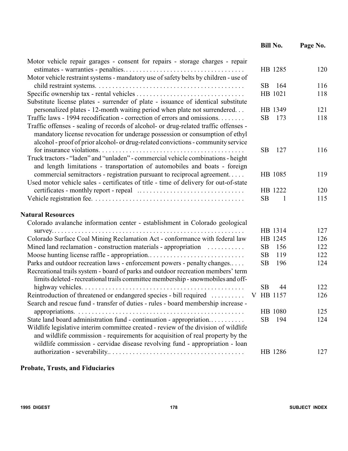|                                                                                      | <b>Bill No.</b>  | Page No.  |
|--------------------------------------------------------------------------------------|------------------|-----------|
| Motor vehicle repair garages - consent for repairs - storage charges - repair        |                  |           |
|                                                                                      | HB 1285          | 120       |
| Motor vehicle restraint systems - mandatory use of safety belts by children - use of |                  |           |
|                                                                                      | <b>SB</b><br>164 | 116       |
|                                                                                      | HB 1021          | 118       |
| Substitute license plates - surrender of plate - issuance of identical substitute    |                  |           |
| personalized plates - 12-month waiting period when plate not surrendered             | HB 1349          | 121       |
| Traffic laws - 1994 recodification - correction of errors and omissions              | 173<br><b>SB</b> | 118       |
| Traffic offenses - sealing of records of alcohol- or drug-related traffic offenses - |                  |           |
| mandatory license revocation for underage possession or consumption of ethyl         |                  |           |
| alcohol - proof of prior alcohol- or drug-related convictions - community service    |                  |           |
|                                                                                      | <b>SB</b><br>127 | 116       |
| Truck tractors - "laden" and "unladen" - commercial vehicle combinations - height    |                  |           |
| and length limitations - transportation of automobiles and boats - foreign           |                  |           |
| commercial semitractors - registration pursuant to reciprocal agreement              | HB 1085          | 119       |
| Used motor vehicle sales - certificates of title - time of delivery for out-of-state |                  |           |
|                                                                                      | HB 1222          | 120       |
|                                                                                      | <b>SB</b>        | 115<br>-1 |
| <b>Natural Resources</b>                                                             |                  |           |
| Colorado avalanche information center - establishment in Colorado geological         |                  |           |
|                                                                                      | HB 1314          | 127       |
| Colorado Surface Coal Mining Reclamation Act - conformance with federal law          | HB 1245          | 126       |
| Mined land reclamation - construction materials - appropriation                      | <b>SB</b><br>156 | 122       |
|                                                                                      | <b>SB</b><br>119 | 122       |
| Parks and outdoor recreation laws - enforcement powers - penalty changes             | <b>SB</b><br>196 | 124       |
| Recreational trails system - board of parks and outdoor recreation members' term     |                  |           |
| limits deleted - recreational trails committee membership - snowmobiles and off-     |                  |           |
|                                                                                      | <b>SB</b><br>44  | 122       |
| Reintroduction of threatened or endangered species - bill required                   | V HB 1157        | 126       |
| Search and rescue fund - transfer of duties - rules - board membership increase -    |                  |           |
|                                                                                      | HB 1080          | 125       |
| State land board administration fund - continuation - appropriation                  | <b>SB</b><br>194 | 124       |
| Wildlife legislative interim committee created - review of the division of wildlife  |                  |           |
| and wildlife commission - requirements for acquisition of real property by the       |                  |           |
| wildlife commission - cervidae disease revolving fund - appropriation - loan         |                  |           |
|                                                                                      | HB 1286          | 127       |
|                                                                                      |                  |           |

## **Probate, Trusts, and Fiduciaries**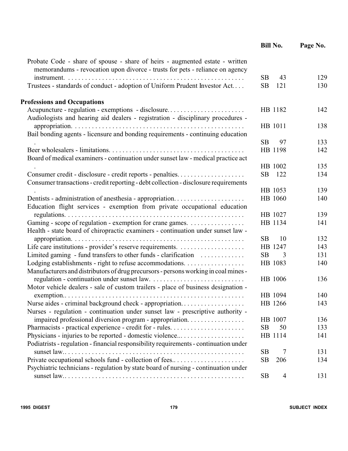|                                                                                                                                                              | <b>Bill No.</b>  | Page No. |
|--------------------------------------------------------------------------------------------------------------------------------------------------------------|------------------|----------|
| Probate Code - share of spouse - share of heirs - augmented estate - written<br>memorandums - revocation upon divorce - trusts for pets - reliance on agency |                  |          |
|                                                                                                                                                              | <b>SB</b><br>43  | 129      |
| Trustees - standards of conduct - adoption of Uniform Prudent Investor Act                                                                                   | <b>SB</b><br>121 | 130      |
| <b>Professions and Occupations</b>                                                                                                                           |                  |          |
| Acupuncture - regulation - exemptions - disclosure<br>Audiologists and hearing aid dealers - registration - disciplinary procedures -                        | HB 1182          | 142      |
|                                                                                                                                                              | HB 1011          | 138      |
| Bail bonding agents - licensure and bonding requirements - continuing education                                                                              |                  |          |
|                                                                                                                                                              | <b>SB</b><br>97  | 133      |
|                                                                                                                                                              | HB 1198          | 142      |
| Board of medical examiners - continuation under sunset law - medical practice act                                                                            |                  |          |
|                                                                                                                                                              | HB 1002          | 135      |
| Consumer credit - disclosure - credit reports - penalties<br>Consumer transactions - credit reporting - debt collection - disclosure requirements            | SB<br>122        | 134      |
|                                                                                                                                                              | HB 1053          | 139      |
| Dentists - administration of anesthesia - appropriation<br>Education flight services - exemption from private occupational education                         | HB 1060          | 140      |
|                                                                                                                                                              | HB 1027          | 139      |
| Gaming - scope of regulation - exemption for crane games.                                                                                                    | HB 1134          | 141      |
| Health - state board of chiropractic examiners - continuation under sunset law -                                                                             |                  |          |
|                                                                                                                                                              | <b>SB</b><br>10  | 132      |
|                                                                                                                                                              | HB 1247          | 143      |
| Limited gaming - fund transfers to other funds - clarification                                                                                               | <b>SB</b><br>3   | 131      |
|                                                                                                                                                              | HB 1083          | 140      |
| Manufacturers and distributors of drug precursors - persons working in coal mines -                                                                          |                  |          |
|                                                                                                                                                              | HB 1006          | 136      |
| Motor vehicle dealers - sale of custom trailers - place of business designation -                                                                            |                  |          |
| $exemption \ldots \ldots$                                                                                                                                    | HB 1094          | 140      |
| Nurse aides - criminal background check - appropriation                                                                                                      | HB 1266          | 143      |
| Nurses - regulation - continuation under sunset law - prescriptive authority -                                                                               |                  |          |
| impaired professional diversion program - appropriation.                                                                                                     | HB 1007          | 136      |
|                                                                                                                                                              | <b>SB</b><br>50  | 133      |
| Physicians - injuries to be reported - domestic violence                                                                                                     | HB 1114          | 141      |
| Podiatrists - regulation - financial responsibility requirements - continuation under                                                                        |                  |          |
|                                                                                                                                                              | <b>SB</b><br>7   | 131      |
| Private occupational schools fund - collection of fees                                                                                                       | <b>SB</b><br>206 | 134      |
| Psychiatric technicians - regulation by state board of nursing - continuation under                                                                          |                  |          |
|                                                                                                                                                              | <b>SB</b><br>4   | 131      |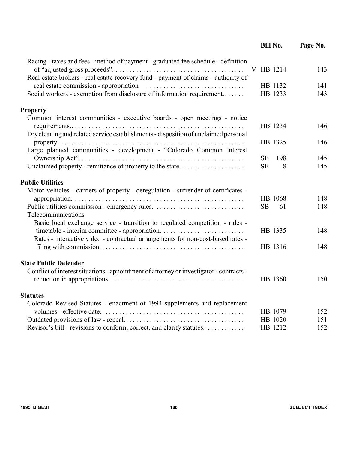|                                                                                         | <b>Bill No.</b> |     | Page No. |
|-----------------------------------------------------------------------------------------|-----------------|-----|----------|
| Racing - taxes and fees - method of payment - graduated fee schedule - definition       | V HB 1214       |     | 143      |
| Real estate brokers - real estate recovery fund - payment of claims - authority of      |                 |     |          |
| real estate commission - appropriation                                                  | HB 1132         |     | 141      |
| Social workers - exemption from disclosure of information requirement                   | HB 1233         |     | 143      |
| <b>Property</b>                                                                         |                 |     |          |
| Common interest communities - executive boards - open meetings - notice                 | HB 1234         |     | 146      |
| Dry cleaning and related service establishments - disposition of unclaimed personal     |                 |     |          |
| Large planned communities - development - "Colorado Common Interest                     | HB 1325         |     | 146      |
|                                                                                         | SB              | 198 | 145      |
|                                                                                         | SB              | 8   | 145      |
| <b>Public Utilities</b>                                                                 |                 |     |          |
| Motor vehicles - carriers of property - deregulation - surrender of certificates -      |                 |     |          |
|                                                                                         | HB 1068         |     | 148      |
|                                                                                         | <b>SB</b>       | 61  | 148      |
| Telecommunications                                                                      |                 |     |          |
| Basic local exchange service - transition to regulated competition - rules -            |                 |     |          |
|                                                                                         | HB 1335         |     | 148      |
| Rates - interactive video - contractual arrangements for non-cost-based rates -         |                 |     |          |
|                                                                                         | HB 1316         |     | 148      |
| <b>State Public Defender</b>                                                            |                 |     |          |
| Conflict of interest situations - appointment of attorney or investigator - contracts - |                 |     |          |
|                                                                                         | HB 1360         |     | 150      |
| <b>Statutes</b>                                                                         |                 |     |          |
| Colorado Revised Statutes - enactment of 1994 supplements and replacement               |                 |     |          |
|                                                                                         | HB 1079         |     | 152      |
|                                                                                         | HB 1020         |     | 151      |
| Revisor's bill - revisions to conform, correct, and clarify statutes.                   | HB 1212         |     | 152      |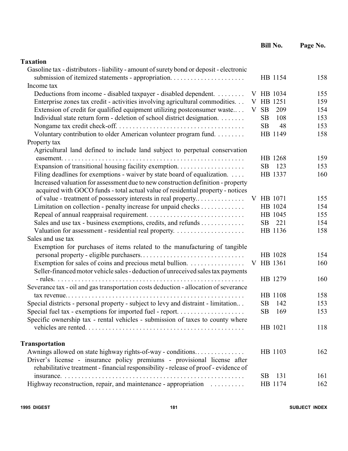|                                                                                         |                | <b>Bill No.</b> | Page No. |
|-----------------------------------------------------------------------------------------|----------------|-----------------|----------|
| <b>Taxation</b>                                                                         |                |                 |          |
| Gasoline tax - distributors - liability - amount of surety bond or deposit - electronic |                |                 |          |
|                                                                                         |                | HB 1154         | 158      |
| Income tax                                                                              |                |                 |          |
| Deductions from income - disabled taxpayer - disabled dependent.                        |                | V HB 1034       | 155      |
| Enterprise zones tax credit - activities involving agricultural commodities.            |                | V HB 1251       | 159      |
| Extension of credit for qualified equipment utilizing postconsumer waste                | <b>SB</b><br>V | 209             | 154      |
| Individual state return form - deletion of school district designation.                 | SB             | 108             | 153      |
|                                                                                         | <b>SB</b>      | 48              | 153      |
| Voluntary contribution to older American volunteer program fund.                        |                | HB 1149         | 158      |
| Property tax                                                                            |                |                 |          |
| Agricultural land defined to include land subject to perpetual conservation             |                |                 |          |
|                                                                                         |                | HB 1268         | 159      |
|                                                                                         | SB             | 123             | 153      |
| Filing deadlines for exemptions - waiver by state board of equalization.                |                | HB 1337         | 160      |
| Increased valuation for assessment due to new construction definition - property        |                |                 |          |
| acquired with GOCO funds - total actual value of residential property - notices         |                |                 |          |
| of value - treatment of possessory interests in real property                           |                | V HB 1071       | 155      |
| Limitation on collection - penalty increase for unpaid checks                           |                | HB 1024         | 154      |
|                                                                                         |                | HB 1045         | 155      |
| Sales and use tax - business exemptions, credits, and refunds                           | SB             | 221             | 154      |
|                                                                                         |                | HB 1136         | 158      |
| Sales and use tax                                                                       |                |                 |          |
| Exemption for purchases of items related to the manufacturing of tangible               |                |                 |          |
|                                                                                         |                | HB 1028         | 154      |
| Exemption for sales of coins and precious metal bullion.                                |                | V HB 1361       | 160      |
| Seller-financed motor vehicle sales - deduction of unreceived sales tax payments        |                |                 |          |
|                                                                                         |                | HB 1279         | 160      |
| Severance tax - oil and gas transportation costs deduction - allocation of severance    |                |                 |          |
|                                                                                         |                | HB 1108         | 158      |
| Special districts - personal property - subject to levy and distraint - limitation      | SB             | 142             | 153      |
| Special fuel tax - exemptions for imported fuel - report                                | SB             | 169             | 153      |
| Specific ownership tax - rental vehicles - submission of taxes to county where          |                |                 |          |
|                                                                                         |                | HB 1021         | 118      |
| <b>Transportation</b>                                                                   |                |                 |          |
| Awnings allowed on state highway rights-of-way - conditions                             |                | HB 1103         | 162      |
| Driver's license - insurance policy premiums - provisional license after                |                |                 |          |
| rehabilitative treatment - financial responsibility - release of proof - evidence of    |                |                 |          |
|                                                                                         | <b>SB</b>      | 131             | 161      |
| Highway reconstruction, repair, and maintenance - appropriation                         |                | HB 1174         | 162      |